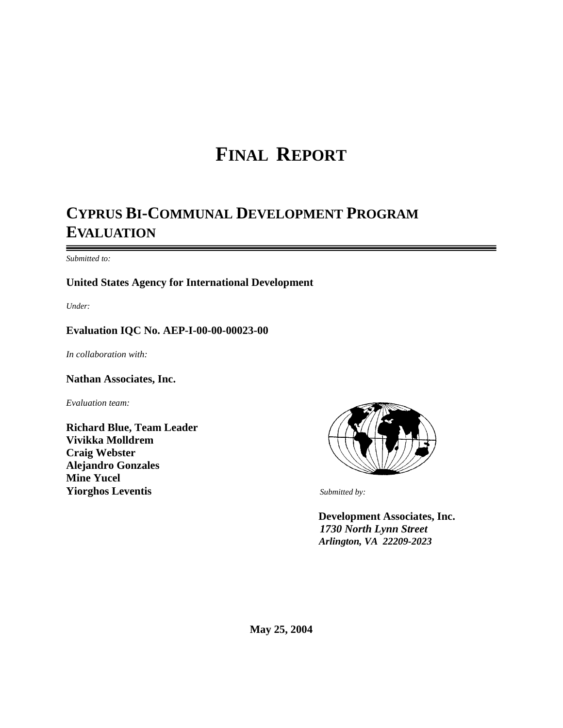# **FINAL REPORT**

# **CYPRUS BI-COMMUNAL DEVELOPMENT PROGRAM EVALUATION**

*Submitted to:*

#### **United States Agency for International Development**

*Under:*

#### **Evaluation IQC No. AEP-I-00-00-00023-00**

*In collaboration with:* 

**Nathan Associates, Inc.**

*Evaluation team:* 

**Richard Blue, Team Leader Vivikka Molldrem Craig Webster Alejandro Gonzales Mine Yucel Yiorghos Leventis** *Submitted by:*



**Development Associates, Inc.** *1730 North Lynn Street Arlington, VA 22209-2023*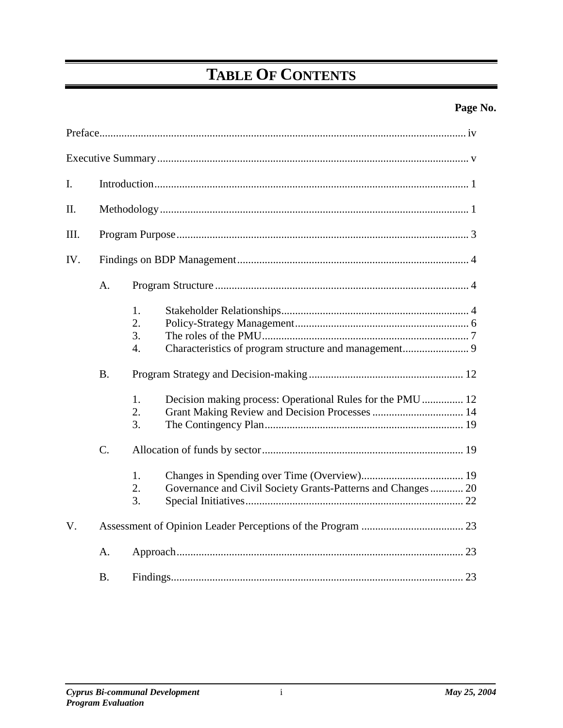# **TABLE OF CONTENTS**

# Page No.

| $\mathbf{I}$ . |           |                                                                                             |  |  |  |
|----------------|-----------|---------------------------------------------------------------------------------------------|--|--|--|
| II.            |           |                                                                                             |  |  |  |
| III.           |           |                                                                                             |  |  |  |
| IV.            |           |                                                                                             |  |  |  |
|                | A.        |                                                                                             |  |  |  |
|                |           | 1.<br>2.<br>3.<br>Characteristics of program structure and management 9<br>$\overline{4}$ . |  |  |  |
|                | <b>B.</b> |                                                                                             |  |  |  |
|                |           | 1 <sub>1</sub><br>Decision making process: Operational Rules for the PMU 12<br>2.<br>3.     |  |  |  |
|                | $C$ .     |                                                                                             |  |  |  |
|                |           | 1 <sub>1</sub><br>2.<br>Governance and Civil Society Grants-Patterns and Changes 20<br>3.   |  |  |  |
| $V_{\cdot}$    |           |                                                                                             |  |  |  |
|                | A.        |                                                                                             |  |  |  |
|                | <b>B.</b> |                                                                                             |  |  |  |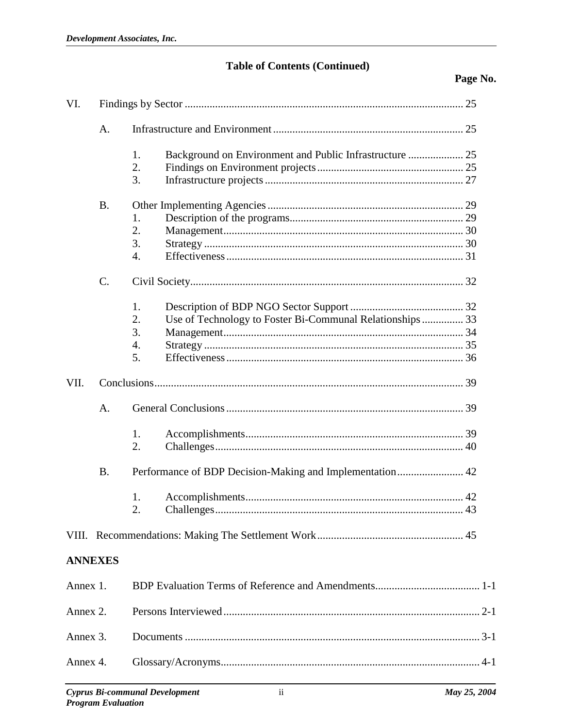# **Table of Contents (Continued)**

# Page No.

| VI.            |           |                                                                                         |  |  |
|----------------|-----------|-----------------------------------------------------------------------------------------|--|--|
|                | A.        |                                                                                         |  |  |
|                |           | 1.<br>2.<br>3.                                                                          |  |  |
|                | <b>B.</b> | 1.<br>2.<br>3.<br>$\overline{4}$ .                                                      |  |  |
|                | C.        |                                                                                         |  |  |
|                |           | 1.<br>2.<br>Use of Technology to Foster Bi-Communal Relationships  33<br>3.<br>4.<br>5. |  |  |
| VII.           |           |                                                                                         |  |  |
|                | A.        |                                                                                         |  |  |
|                |           | 1.<br>2.                                                                                |  |  |
|                | <b>B.</b> | Performance of BDP Decision-Making and Implementation 42                                |  |  |
|                |           | 1.<br>2.                                                                                |  |  |
|                |           |                                                                                         |  |  |
| <b>ANNEXES</b> |           |                                                                                         |  |  |
| Annex 1.       |           |                                                                                         |  |  |
| Annex 2.       |           |                                                                                         |  |  |
| Annex 3.       |           |                                                                                         |  |  |
| Annex 4.       |           |                                                                                         |  |  |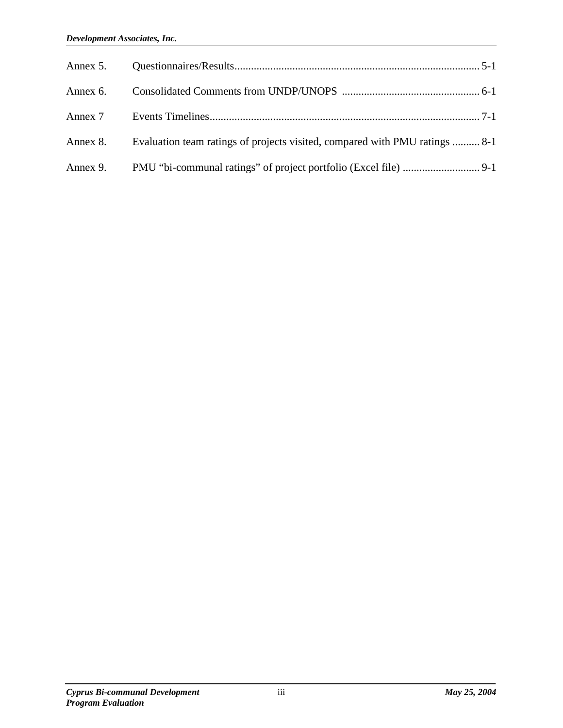| Annex 8. Evaluation team ratings of projects visited, compared with PMU ratings  8-1 |  |
|--------------------------------------------------------------------------------------|--|
|                                                                                      |  |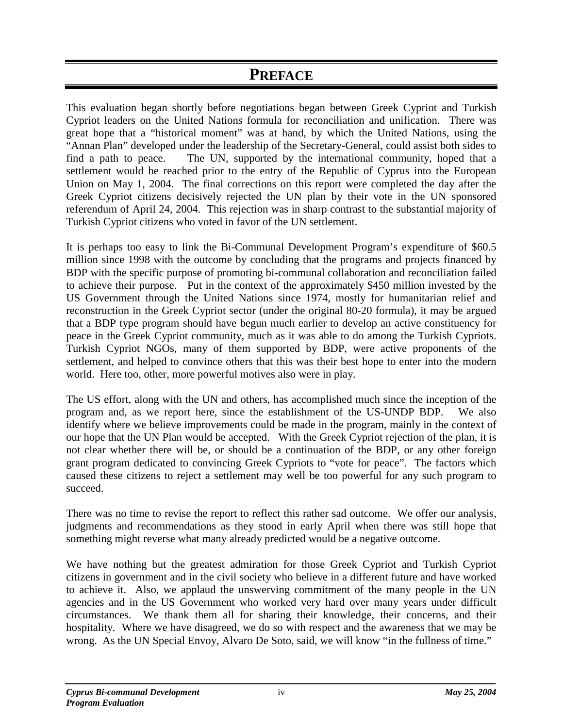# **PREFACE**

This evaluation began shortly before negotiations began between Greek Cypriot and Turkish Cypriot leaders on the United Nations formula for reconciliation and unification. There was great hope that a "historical moment" was at hand, by which the United Nations, using the "Annan Plan" developed under the leadership of the Secretary-General, could assist both sides to find a path to peace. The UN, supported by the international community, hoped that a settlement would be reached prior to the entry of the Republic of Cyprus into the European Union on May 1, 2004. The final corrections on this report were completed the day after the Greek Cypriot citizens decisively rejected the UN plan by their vote in the UN sponsored referendum of April 24, 2004. This rejection was in sharp contrast to the substantial majority of Turkish Cypriot citizens who voted in favor of the UN settlement.

It is perhaps too easy to link the Bi-Communal Development Program's expenditure of \$60.5 million since 1998 with the outcome by concluding that the programs and projects financed by BDP with the specific purpose of promoting bi-communal collaboration and reconciliation failed to achieve their purpose. Put in the context of the approximately \$450 million invested by the US Government through the United Nations since 1974, mostly for humanitarian relief and reconstruction in the Greek Cypriot sector (under the original 80-20 formula), it may be argued that a BDP type program should have begun much earlier to develop an active constituency for peace in the Greek Cypriot community, much as it was able to do among the Turkish Cypriots. Turkish Cypriot NGOs, many of them supported by BDP, were active proponents of the settlement, and helped to convince others that this was their best hope to enter into the modern world. Here too, other, more powerful motives also were in play.

The US effort, along with the UN and others, has accomplished much since the inception of the program and, as we report here, since the establishment of the US-UNDP BDP. We also identify where we believe improvements could be made in the program, mainly in the context of our hope that the UN Plan would be accepted. With the Greek Cypriot rejection of the plan, it is not clear whether there will be, or should be a continuation of the BDP, or any other foreign grant program dedicated to convincing Greek Cypriots to "vote for peace". The factors which caused these citizens to reject a settlement may well be too powerful for any such program to succeed.

There was no time to revise the report to reflect this rather sad outcome. We offer our analysis, judgments and recommendations as they stood in early April when there was still hope that something might reverse what many already predicted would be a negative outcome.

We have nothing but the greatest admiration for those Greek Cypriot and Turkish Cypriot citizens in government and in the civil society who believe in a different future and have worked to achieve it. Also, we applaud the unswerving commitment of the many people in the UN agencies and in the US Government who worked very hard over many years under difficult circumstances. We thank them all for sharing their knowledge, their concerns, and their hospitality. Where we have disagreed, we do so with respect and the awareness that we may be wrong. As the UN Special Envoy, Alvaro De Soto, said, we will know "in the fullness of time."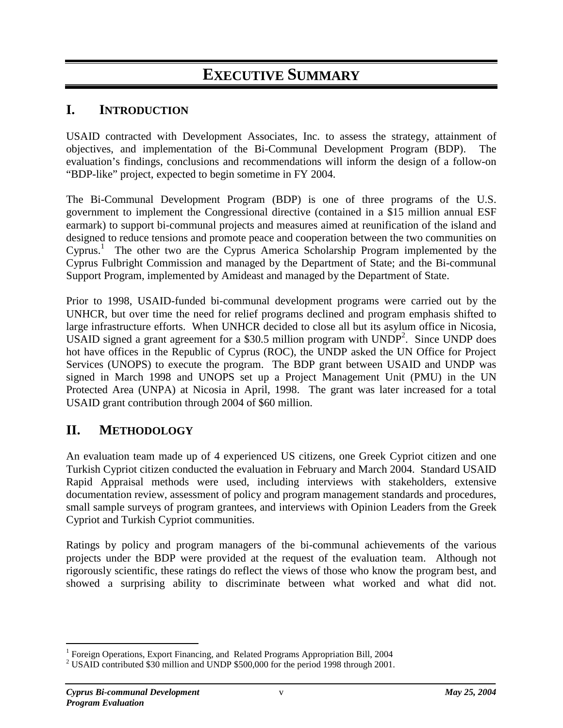# **EXECUTIVE SUMMARY**

# **I. INTRODUCTION**

USAID contracted with Development Associates, Inc. to assess the strategy, attainment of objectives, and implementation of the Bi-Communal Development Program (BDP). The evaluation's findings, conclusions and recommendations will inform the design of a follow-on "BDP-like" project, expected to begin sometime in FY 2004.

The Bi-Communal Development Program (BDP) is one of three programs of the U.S. government to implement the Congressional directive (contained in a \$15 million annual ESF earmark) to support bi-communal projects and measures aimed at reunification of the island and designed to reduce tensions and promote peace and cooperation between the two communities on Cyprus.[1](#page-5-0) The other two are the Cyprus America Scholarship Program implemented by the Cyprus Fulbright Commission and managed by the Department of State; and the Bi-communal Support Program, implemented by Amideast and managed by the Department of State.

Prior to 1998, USAID-funded bi-communal development programs were carried out by the UNHCR, but over time the need for relief programs declined and program emphasis shifted to large infrastructure efforts. When UNHCR decided to close all but its asylum office in Nicosia, USAID signed a grant agreement for a \$30.5 million program with  $\text{UNDP}^2$  $\text{UNDP}^2$ . Since UNDP does hot have offices in the Republic of Cyprus (ROC), the UNDP asked the UN Office for Project Services (UNOPS) to execute the program. The BDP grant between USAID and UNDP was signed in March 1998 and UNOPS set up a Project Management Unit (PMU) in the UN Protected Area (UNPA) at Nicosia in April, 1998. The grant was later increased for a total USAID grant contribution through 2004 of \$60 million.

# **II. METHODOLOGY**

An evaluation team made up of 4 experienced US citizens, one Greek Cypriot citizen and one Turkish Cypriot citizen conducted the evaluation in February and March 2004. Standard USAID Rapid Appraisal methods were used, including interviews with stakeholders, extensive documentation review, assessment of policy and program management standards and procedures, small sample surveys of program grantees, and interviews with Opinion Leaders from the Greek Cypriot and Turkish Cypriot communities.

Ratings by policy and program managers of the bi-communal achievements of the various projects under the BDP were provided at the request of the evaluation team. Although not rigorously scientific, these ratings do reflect the views of those who know the program best, and showed a surprising ability to discriminate between what worked and what did not.

 $\overline{a}$ 

<span id="page-5-0"></span><sup>&</sup>lt;sup>1</sup> Foreign Operations, Export Financing, and Related Programs Appropriation Bill, 2004<br><sup>2</sup> USAID contributed \$20 million and UNDP \$500,000 for the paried 1008 through 2001

<span id="page-5-1"></span><sup>&</sup>lt;sup>2</sup> USAID contributed \$30 million and UNDP \$500,000 for the period 1998 through 2001.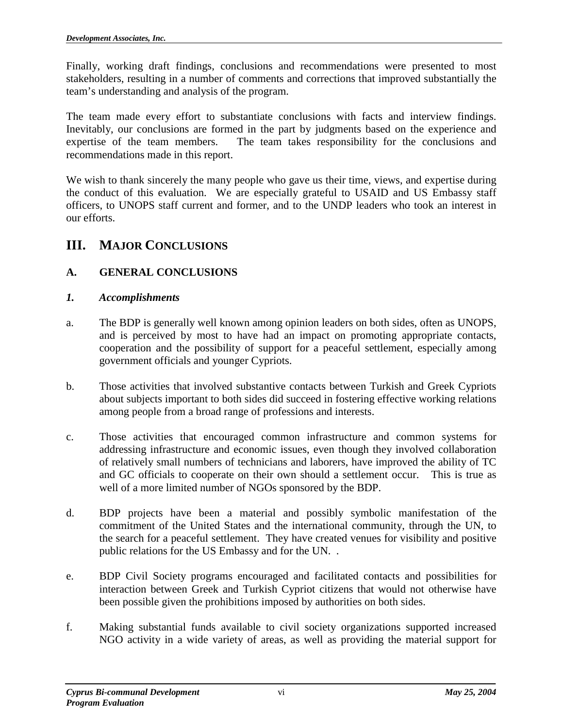Finally, working draft findings, conclusions and recommendations were presented to most stakeholders, resulting in a number of comments and corrections that improved substantially the team's understanding and analysis of the program.

The team made every effort to substantiate conclusions with facts and interview findings. Inevitably, our conclusions are formed in the part by judgments based on the experience and expertise of the team members. The team takes responsibility for the conclusions and recommendations made in this report.

We wish to thank sincerely the many people who gave us their time, views, and expertise during the conduct of this evaluation. We are especially grateful to USAID and US Embassy staff officers, to UNOPS staff current and former, and to the UNDP leaders who took an interest in our efforts.

# **III. MAJOR CONCLUSIONS**

# **A. GENERAL CONCLUSIONS**

#### *1. Accomplishments*

- a. The BDP is generally well known among opinion leaders on both sides, often as UNOPS, and is perceived by most to have had an impact on promoting appropriate contacts, cooperation and the possibility of support for a peaceful settlement, especially among government officials and younger Cypriots.
- b. Those activities that involved substantive contacts between Turkish and Greek Cypriots about subjects important to both sides did succeed in fostering effective working relations among people from a broad range of professions and interests.
- c. Those activities that encouraged common infrastructure and common systems for addressing infrastructure and economic issues, even though they involved collaboration of relatively small numbers of technicians and laborers, have improved the ability of TC and GC officials to cooperate on their own should a settlement occur. This is true as well of a more limited number of NGOs sponsored by the BDP.
- d. BDP projects have been a material and possibly symbolic manifestation of the commitment of the United States and the international community, through the UN, to the search for a peaceful settlement. They have created venues for visibility and positive public relations for the US Embassy and for the UN. .
- e. BDP Civil Society programs encouraged and facilitated contacts and possibilities for interaction between Greek and Turkish Cypriot citizens that would not otherwise have been possible given the prohibitions imposed by authorities on both sides.
- f. Making substantial funds available to civil society organizations supported increased NGO activity in a wide variety of areas, as well as providing the material support for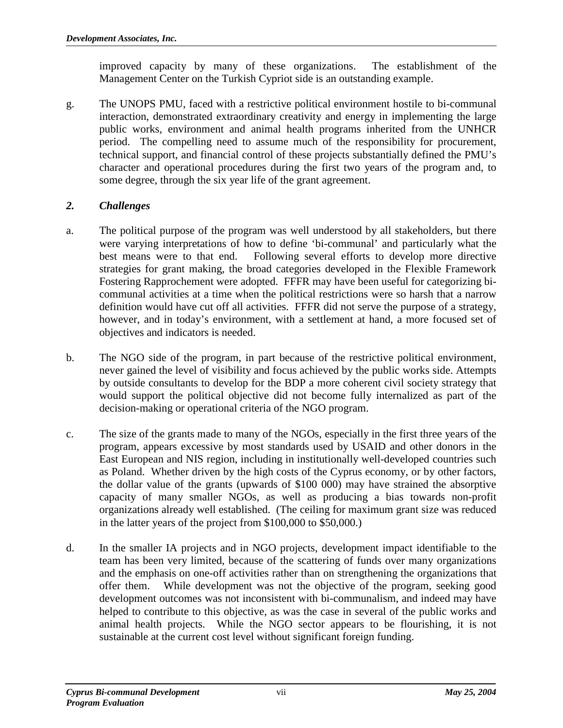improved capacity by many of these organizations. The establishment of the Management Center on the Turkish Cypriot side is an outstanding example.

g. The UNOPS PMU, faced with a restrictive political environment hostile to bi-communal interaction, demonstrated extraordinary creativity and energy in implementing the large public works, environment and animal health programs inherited from the UNHCR period. The compelling need to assume much of the responsibility for procurement, technical support, and financial control of these projects substantially defined the PMU's character and operational procedures during the first two years of the program and, to some degree, through the six year life of the grant agreement.

# *2. Challenges*

- a. The political purpose of the program was well understood by all stakeholders, but there were varying interpretations of how to define 'bi-communal' and particularly what the best means were to that end. Following several efforts to develop more directive strategies for grant making, the broad categories developed in the Flexible Framework Fostering Rapprochement were adopted. FFFR may have been useful for categorizing bicommunal activities at a time when the political restrictions were so harsh that a narrow definition would have cut off all activities. FFFR did not serve the purpose of a strategy, however, and in today's environment, with a settlement at hand, a more focused set of objectives and indicators is needed.
- b. The NGO side of the program, in part because of the restrictive political environment, never gained the level of visibility and focus achieved by the public works side. Attempts by outside consultants to develop for the BDP a more coherent civil society strategy that would support the political objective did not become fully internalized as part of the decision-making or operational criteria of the NGO program.
- c. The size of the grants made to many of the NGOs, especially in the first three years of the program, appears excessive by most standards used by USAID and other donors in the East European and NIS region, including in institutionally well-developed countries such as Poland. Whether driven by the high costs of the Cyprus economy, or by other factors, the dollar value of the grants (upwards of \$100 000) may have strained the absorptive capacity of many smaller NGOs, as well as producing a bias towards non-profit organizations already well established. (The ceiling for maximum grant size was reduced in the latter years of the project from \$100,000 to \$50,000.)
- d. In the smaller IA projects and in NGO projects, development impact identifiable to the team has been very limited, because of the scattering of funds over many organizations and the emphasis on one-off activities rather than on strengthening the organizations that offer them. While development was not the objective of the program, seeking good development outcomes was not inconsistent with bi-communalism, and indeed may have helped to contribute to this objective, as was the case in several of the public works and animal health projects. While the NGO sector appears to be flourishing, it is not sustainable at the current cost level without significant foreign funding.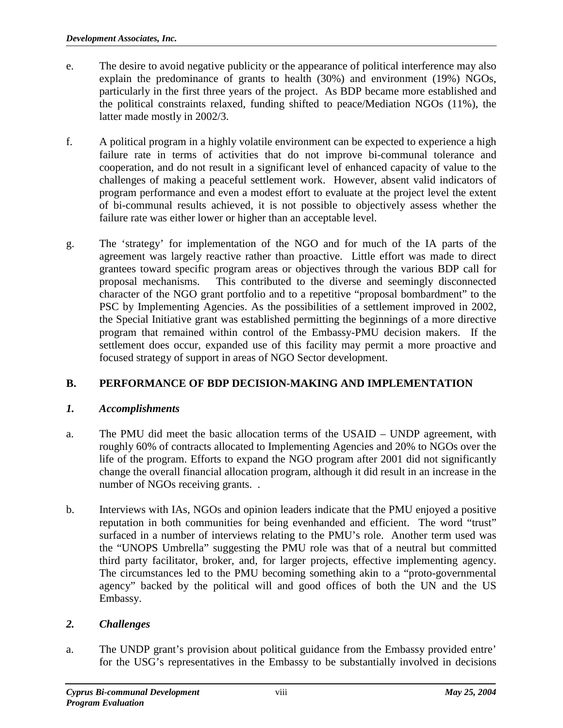- e. The desire to avoid negative publicity or the appearance of political interference may also explain the predominance of grants to health (30%) and environment (19%) NGOs, particularly in the first three years of the project. As BDP became more established and the political constraints relaxed, funding shifted to peace/Mediation NGOs (11%), the latter made mostly in 2002/3.
- f. A political program in a highly volatile environment can be expected to experience a high failure rate in terms of activities that do not improve bi-communal tolerance and cooperation, and do not result in a significant level of enhanced capacity of value to the challenges of making a peaceful settlement work. However, absent valid indicators of program performance and even a modest effort to evaluate at the project level the extent of bi-communal results achieved, it is not possible to objectively assess whether the failure rate was either lower or higher than an acceptable level.
- g. The 'strategy' for implementation of the NGO and for much of the IA parts of the agreement was largely reactive rather than proactive. Little effort was made to direct grantees toward specific program areas or objectives through the various BDP call for proposal mechanisms. This contributed to the diverse and seemingly disconnected character of the NGO grant portfolio and to a repetitive "proposal bombardment" to the PSC by Implementing Agencies. As the possibilities of a settlement improved in 2002, the Special Initiative grant was established permitting the beginnings of a more directive program that remained within control of the Embassy-PMU decision makers. If the settlement does occur, expanded use of this facility may permit a more proactive and focused strategy of support in areas of NGO Sector development.

# **B. PERFORMANCE OF BDP DECISION-MAKING AND IMPLEMENTATION**

#### *1. Accomplishments*

- a. The PMU did meet the basic allocation terms of the USAID UNDP agreement, with roughly 60% of contracts allocated to Implementing Agencies and 20% to NGOs over the life of the program. Efforts to expand the NGO program after 2001 did not significantly change the overall financial allocation program, although it did result in an increase in the number of NGOs receiving grants...
- b. Interviews with IAs, NGOs and opinion leaders indicate that the PMU enjoyed a positive reputation in both communities for being evenhanded and efficient. The word "trust" surfaced in a number of interviews relating to the PMU's role. Another term used was the "UNOPS Umbrella" suggesting the PMU role was that of a neutral but committed third party facilitator, broker, and, for larger projects, effective implementing agency. The circumstances led to the PMU becoming something akin to a "proto-governmental agency" backed by the political will and good offices of both the UN and the US Embassy.

#### *2. Challenges*

a. The UNDP grant's provision about political guidance from the Embassy provided entre' for the USG's representatives in the Embassy to be substantially involved in decisions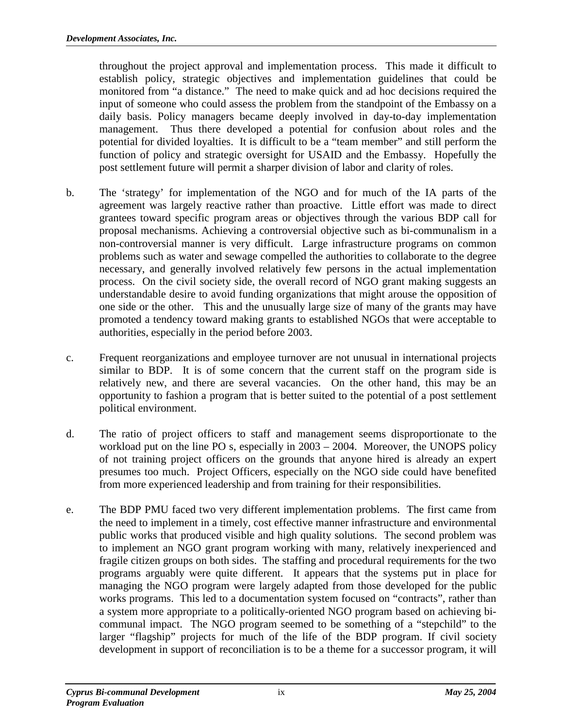throughout the project approval and implementation process. This made it difficult to establish policy, strategic objectives and implementation guidelines that could be monitored from "a distance." The need to make quick and ad hoc decisions required the input of someone who could assess the problem from the standpoint of the Embassy on a daily basis. Policy managers became deeply involved in day-to-day implementation management. Thus there developed a potential for confusion about roles and the potential for divided loyalties. It is difficult to be a "team member" and still perform the function of policy and strategic oversight for USAID and the Embassy. Hopefully the post settlement future will permit a sharper division of labor and clarity of roles.

- b. The 'strategy' for implementation of the NGO and for much of the IA parts of the agreement was largely reactive rather than proactive. Little effort was made to direct grantees toward specific program areas or objectives through the various BDP call for proposal mechanisms. Achieving a controversial objective such as bi-communalism in a non-controversial manner is very difficult. Large infrastructure programs on common problems such as water and sewage compelled the authorities to collaborate to the degree necessary, and generally involved relatively few persons in the actual implementation process. On the civil society side, the overall record of NGO grant making suggests an understandable desire to avoid funding organizations that might arouse the opposition of one side or the other. This and the unusually large size of many of the grants may have promoted a tendency toward making grants to established NGOs that were acceptable to authorities, especially in the period before 2003.
- c. Frequent reorganizations and employee turnover are not unusual in international projects similar to BDP. It is of some concern that the current staff on the program side is relatively new, and there are several vacancies. On the other hand, this may be an opportunity to fashion a program that is better suited to the potential of a post settlement political environment.
- d. The ratio of project officers to staff and management seems disproportionate to the workload put on the line PO s, especially in 2003 – 2004. Moreover, the UNOPS policy of not training project officers on the grounds that anyone hired is already an expert presumes too much. Project Officers, especially on the NGO side could have benefited from more experienced leadership and from training for their responsibilities.
- e. The BDP PMU faced two very different implementation problems. The first came from the need to implement in a timely, cost effective manner infrastructure and environmental public works that produced visible and high quality solutions. The second problem was to implement an NGO grant program working with many, relatively inexperienced and fragile citizen groups on both sides. The staffing and procedural requirements for the two programs arguably were quite different. It appears that the systems put in place for managing the NGO program were largely adapted from those developed for the public works programs. This led to a documentation system focused on "contracts", rather than a system more appropriate to a politically-oriented NGO program based on achieving bicommunal impact. The NGO program seemed to be something of a "stepchild" to the larger "flagship" projects for much of the life of the BDP program. If civil society development in support of reconciliation is to be a theme for a successor program, it will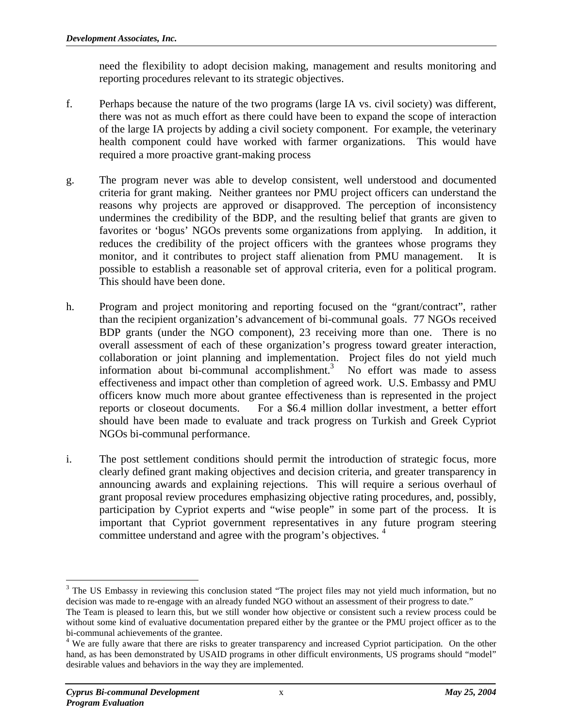need the flexibility to adopt decision making, management and results monitoring and reporting procedures relevant to its strategic objectives.

- f. Perhaps because the nature of the two programs (large IA vs. civil society) was different, there was not as much effort as there could have been to expand the scope of interaction of the large IA projects by adding a civil society component. For example, the veterinary health component could have worked with farmer organizations. This would have required a more proactive grant-making process
- g. The program never was able to develop consistent, well understood and documented criteria for grant making. Neither grantees nor PMU project officers can understand the reasons why projects are approved or disapproved. The perception of inconsistency undermines the credibility of the BDP, and the resulting belief that grants are given to favorites or 'bogus' NGOs prevents some organizations from applying. In addition, it reduces the credibility of the project officers with the grantees whose programs they monitor, and it contributes to project staff alienation from PMU management. It is possible to establish a reasonable set of approval criteria, even for a political program. This should have been done.
- h. Program and project monitoring and reporting focused on the "grant/contract", rather than the recipient organization's advancement of bi-communal goals. 77 NGOs received BDP grants (under the NGO component), 23 receiving more than one. There is no overall assessment of each of these organization's progress toward greater interaction, collaboration or joint planning and implementation. Project files do not yield much information about bi-communal accomplishment.<sup>3</sup> No effort was made to assess effectiveness and impact other than completion of agreed work. U.S. Embassy and PMU officers know much more about grantee effectiveness than is represented in the project reports or closeout documents. For a \$6.4 million dollar investment, a better effort should have been made to evaluate and track progress on Turkish and Greek Cypriot NGOs bi-communal performance.
- i. The post settlement conditions should permit the introduction of strategic focus, more clearly defined grant making objectives and decision criteria, and greater transparency in announcing awards and explaining rejections. This will require a serious overhaul of grant proposal review procedures emphasizing objective rating procedures, and, possibly, participation by Cypriot experts and "wise people" in some part of the process. It is important that Cypriot government representatives in any future program steering committee understand and agree with the program's objectives.<sup>[4](#page-10-1)</sup>

<span id="page-10-0"></span><sup>1</sup> <sup>3</sup> The US Embassy in reviewing this conclusion stated "The project files may not yield much information, but no decision was made to re-engage with an already funded NGO without an assessment of their progress to date."

The Team is pleased to learn this, but we still wonder how objective or consistent such a review process could be without some kind of evaluative documentation prepared either by the grantee or the PMU project officer as to the bi-communal achievements of the grantee.

<span id="page-10-1"></span><sup>&</sup>lt;sup>4</sup> We are fully aware that there are risks to greater transparency and increased Cypriot participation. On the other hand, as has been demonstrated by USAID programs in other difficult environments, US programs should "model" desirable values and behaviors in the way they are implemented.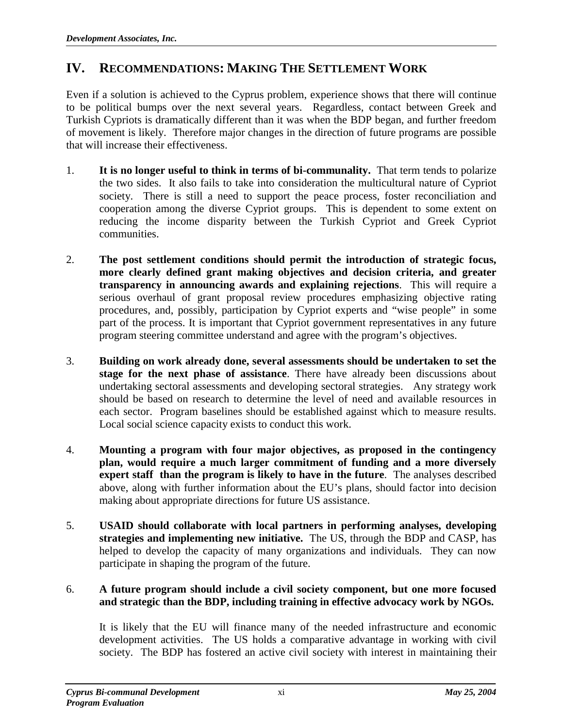# **IV. RECOMMENDATIONS: MAKING THE SETTLEMENT WORK**

Even if a solution is achieved to the Cyprus problem, experience shows that there will continue to be political bumps over the next several years. Regardless, contact between Greek and Turkish Cypriots is dramatically different than it was when the BDP began, and further freedom of movement is likely. Therefore major changes in the direction of future programs are possible that will increase their effectiveness.

- 1. **It is no longer useful to think in terms of bi-communality.** That term tends to polarize the two sides. It also fails to take into consideration the multicultural nature of Cypriot society. There is still a need to support the peace process, foster reconciliation and cooperation among the diverse Cypriot groups. This is dependent to some extent on reducing the income disparity between the Turkish Cypriot and Greek Cypriot communities.
- 2. **The post settlement conditions should permit the introduction of strategic focus, more clearly defined grant making objectives and decision criteria, and greater transparency in announcing awards and explaining rejections**. This will require a serious overhaul of grant proposal review procedures emphasizing objective rating procedures, and, possibly, participation by Cypriot experts and "wise people" in some part of the process. It is important that Cypriot government representatives in any future program steering committee understand and agree with the program's objectives.
- 3. **Building on work already done, several assessments should be undertaken to set the stage for the next phase of assistance**. There have already been discussions about undertaking sectoral assessments and developing sectoral strategies. Any strategy work should be based on research to determine the level of need and available resources in each sector. Program baselines should be established against which to measure results. Local social science capacity exists to conduct this work.
- 4. **Mounting a program with four major objectives, as proposed in the contingency plan, would require a much larger commitment of funding and a more diversely expert staff than the program is likely to have in the future**. The analyses described above, along with further information about the EU's plans, should factor into decision making about appropriate directions for future US assistance.
- 5. **USAID should collaborate with local partners in performing analyses, developing strategies and implementing new initiative.** The US, through the BDP and CASP, has helped to develop the capacity of many organizations and individuals. They can now participate in shaping the program of the future.

#### 6. **A future program should include a civil society component, but one more focused and strategic than the BDP, including training in effective advocacy work by NGOs.**

It is likely that the EU will finance many of the needed infrastructure and economic development activities. The US holds a comparative advantage in working with civil society. The BDP has fostered an active civil society with interest in maintaining their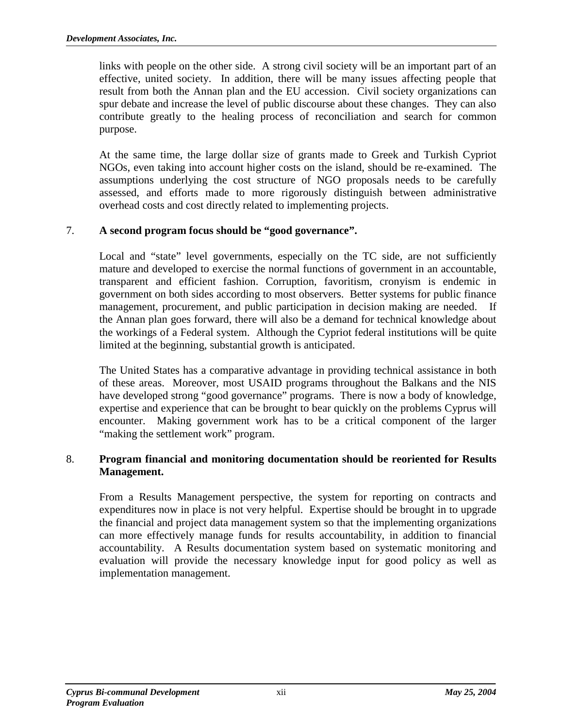links with people on the other side. A strong civil society will be an important part of an effective, united society. In addition, there will be many issues affecting people that result from both the Annan plan and the EU accession. Civil society organizations can spur debate and increase the level of public discourse about these changes. They can also contribute greatly to the healing process of reconciliation and search for common purpose.

At the same time, the large dollar size of grants made to Greek and Turkish Cypriot NGOs, even taking into account higher costs on the island, should be re-examined. The assumptions underlying the cost structure of NGO proposals needs to be carefully assessed, and efforts made to more rigorously distinguish between administrative overhead costs and cost directly related to implementing projects.

# 7. **A second program focus should be "good governance".**

Local and "state" level governments, especially on the TC side, are not sufficiently mature and developed to exercise the normal functions of government in an accountable, transparent and efficient fashion. Corruption, favoritism, cronyism is endemic in government on both sides according to most observers. Better systems for public finance management, procurement, and public participation in decision making are needed. If the Annan plan goes forward, there will also be a demand for technical knowledge about the workings of a Federal system. Although the Cypriot federal institutions will be quite limited at the beginning, substantial growth is anticipated.

The United States has a comparative advantage in providing technical assistance in both of these areas. Moreover, most USAID programs throughout the Balkans and the NIS have developed strong "good governance" programs. There is now a body of knowledge, expertise and experience that can be brought to bear quickly on the problems Cyprus will encounter. Making government work has to be a critical component of the larger "making the settlement work" program.

#### 8. **Program financial and monitoring documentation should be reoriented for Results Management.**

From a Results Management perspective, the system for reporting on contracts and expenditures now in place is not very helpful. Expertise should be brought in to upgrade the financial and project data management system so that the implementing organizations can more effectively manage funds for results accountability, in addition to financial accountability. A Results documentation system based on systematic monitoring and evaluation will provide the necessary knowledge input for good policy as well as implementation management.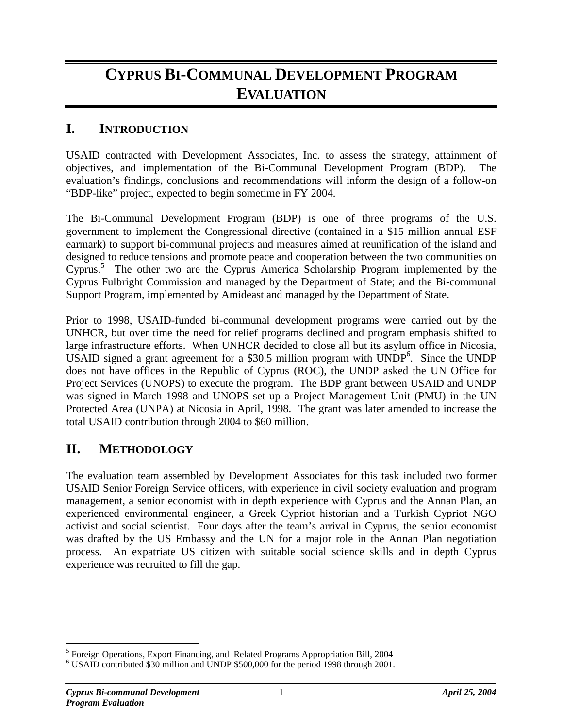# **CYPRUS BI-COMMUNAL DEVELOPMENT PROGRAM EVALUATION**

# **I. INTRODUCTION**

USAID contracted with Development Associates, Inc. to assess the strategy, attainment of objectives, and implementation of the Bi-Communal Development Program (BDP). The evaluation's findings, conclusions and recommendations will inform the design of a follow-on "BDP-like" project, expected to begin sometime in FY 2004.

The Bi-Communal Development Program (BDP) is one of three programs of the U.S. government to implement the Congressional directive (contained in a \$15 million annual ESF earmark) to support bi-communal projects and measures aimed at reunification of the island and designed to reduce tensions and promote peace and cooperation between the two communities on Cyprus.[5](#page-13-0) The other two are the Cyprus America Scholarship Program implemented by the Cyprus Fulbright Commission and managed by the Department of State; and the Bi-communal Support Program, implemented by Amideast and managed by the Department of State.

Prior to 1998, USAID-funded bi-communal development programs were carried out by the UNHCR, but over time the need for relief programs declined and program emphasis shifted to large infrastructure efforts. When UNHCR decided to close all but its asylum office in Nicosia, USAID signed a grant agreement for a \$30.5 million program with  $\text{UNDP}^6$  $\text{UNDP}^6$ . Since the UNDP does not have offices in the Republic of Cyprus (ROC), the UNDP asked the UN Office for Project Services (UNOPS) to execute the program. The BDP grant between USAID and UNDP was signed in March 1998 and UNOPS set up a Project Management Unit (PMU) in the UN Protected Area (UNPA) at Nicosia in April, 1998. The grant was later amended to increase the total USAID contribution through 2004 to \$60 million.

# **II. METHODOLOGY**

The evaluation team assembled by Development Associates for this task included two former USAID Senior Foreign Service officers, with experience in civil society evaluation and program management, a senior economist with in depth experience with Cyprus and the Annan Plan, an experienced environmental engineer, a Greek Cypriot historian and a Turkish Cypriot NGO activist and social scientist. Four days after the team's arrival in Cyprus, the senior economist was drafted by the US Embassy and the UN for a major role in the Annan Plan negotiation process. An expatriate US citizen with suitable social science skills and in depth Cyprus experience was recruited to fill the gap.

 $\overline{a}$ 

<span id="page-13-0"></span><sup>&</sup>lt;sup>5</sup> Foreign Operations, Export Financing, and Related Programs Appropriation Bill, 2004<br><sup>6</sup> USAID contributed \$20 million and UNDP \$500,000 for the paried 1008 through 2001

<span id="page-13-1"></span>USAID contributed \$30 million and UNDP \$500,000 for the period 1998 through 2001.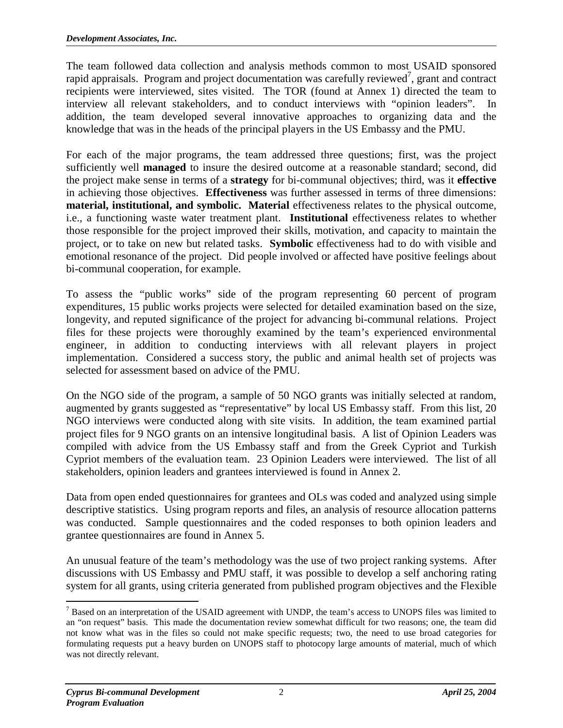The team followed data collection and analysis methods common to most USAID sponsored rapid appraisals. Program and project documentation was carefully reviewed<sup>7</sup>, grant and contract recipients were interviewed, sites visited. The TOR (found at Annex 1) directed the team to interview all relevant stakeholders, and to conduct interviews with "opinion leaders". In addition, the team developed several innovative approaches to organizing data and the knowledge that was in the heads of the principal players in the US Embassy and the PMU.

For each of the major programs, the team addressed three questions; first, was the project sufficiently well **managed** to insure the desired outcome at a reasonable standard; second, did the project make sense in terms of a **strategy** for bi-communal objectives; third, was it **effective** in achieving those objectives. **Effectiveness** was further assessed in terms of three dimensions: **material, institutional, and symbolic. Material** effectiveness relates to the physical outcome, i.e., a functioning waste water treatment plant. **Institutional** effectiveness relates to whether those responsible for the project improved their skills, motivation, and capacity to maintain the project, or to take on new but related tasks. **Symbolic** effectiveness had to do with visible and emotional resonance of the project. Did people involved or affected have positive feelings about bi-communal cooperation, for example.

To assess the "public works" side of the program representing 60 percent of program expenditures, 15 public works projects were selected for detailed examination based on the size, longevity, and reputed significance of the project for advancing bi-communal relations. Project files for these projects were thoroughly examined by the team's experienced environmental engineer, in addition to conducting interviews with all relevant players in project implementation. Considered a success story, the public and animal health set of projects was selected for assessment based on advice of the PMU.

On the NGO side of the program, a sample of 50 NGO grants was initially selected at random, augmented by grants suggested as "representative" by local US Embassy staff. From this list, 20 NGO interviews were conducted along with site visits. In addition, the team examined partial project files for 9 NGO grants on an intensive longitudinal basis. A list of Opinion Leaders was compiled with advice from the US Embassy staff and from the Greek Cypriot and Turkish Cypriot members of the evaluation team. 23 Opinion Leaders were interviewed. The list of all stakeholders, opinion leaders and grantees interviewed is found in Annex 2.

Data from open ended questionnaires for grantees and OLs was coded and analyzed using simple descriptive statistics. Using program reports and files, an analysis of resource allocation patterns was conducted. Sample questionnaires and the coded responses to both opinion leaders and grantee questionnaires are found in Annex 5.

An unusual feature of the team's methodology was the use of two project ranking systems. After discussions with US Embassy and PMU staff, it was possible to develop a self anchoring rating system for all grants, using criteria generated from published program objectives and the Flexible

<u>.</u>

<span id="page-14-0"></span> $<sup>7</sup>$  Based on an interpretation of the USAID agreement with UNDP, the team's access to UNOPS files was limited to</sup> an "on request" basis. This made the documentation review somewhat difficult for two reasons; one, the team did not know what was in the files so could not make specific requests; two, the need to use broad categories for formulating requests put a heavy burden on UNOPS staff to photocopy large amounts of material, much of which was not directly relevant.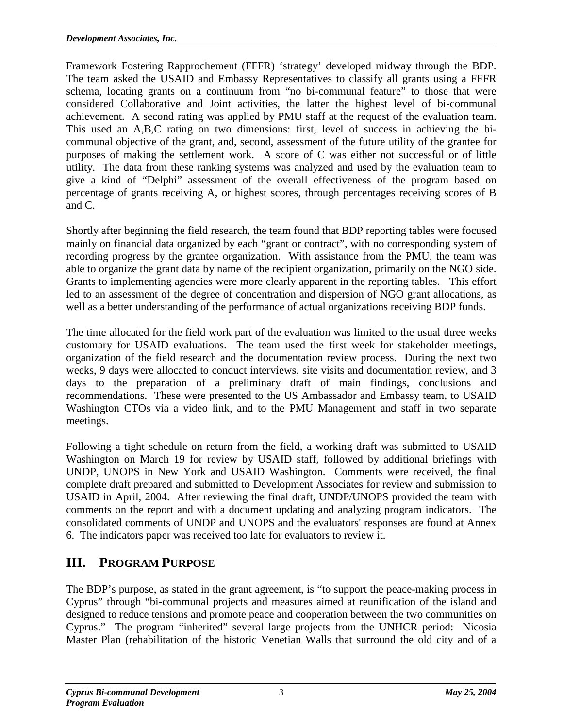Framework Fostering Rapprochement (FFFR) 'strategy' developed midway through the BDP. The team asked the USAID and Embassy Representatives to classify all grants using a FFFR schema, locating grants on a continuum from "no bi-communal feature" to those that were considered Collaborative and Joint activities, the latter the highest level of bi-communal achievement. A second rating was applied by PMU staff at the request of the evaluation team. This used an A,B,C rating on two dimensions: first, level of success in achieving the bicommunal objective of the grant, and, second, assessment of the future utility of the grantee for purposes of making the settlement work. A score of C was either not successful or of little utility. The data from these ranking systems was analyzed and used by the evaluation team to give a kind of "Delphi" assessment of the overall effectiveness of the program based on percentage of grants receiving A, or highest scores, through percentages receiving scores of B and C.

Shortly after beginning the field research, the team found that BDP reporting tables were focused mainly on financial data organized by each "grant or contract", with no corresponding system of recording progress by the grantee organization. With assistance from the PMU, the team was able to organize the grant data by name of the recipient organization, primarily on the NGO side. Grants to implementing agencies were more clearly apparent in the reporting tables. This effort led to an assessment of the degree of concentration and dispersion of NGO grant allocations, as well as a better understanding of the performance of actual organizations receiving BDP funds.

The time allocated for the field work part of the evaluation was limited to the usual three weeks customary for USAID evaluations. The team used the first week for stakeholder meetings, organization of the field research and the documentation review process. During the next two weeks, 9 days were allocated to conduct interviews, site visits and documentation review, and 3 days to the preparation of a preliminary draft of main findings, conclusions and recommendations. These were presented to the US Ambassador and Embassy team, to USAID Washington CTOs via a video link, and to the PMU Management and staff in two separate meetings.

Following a tight schedule on return from the field, a working draft was submitted to USAID Washington on March 19 for review by USAID staff, followed by additional briefings with UNDP, UNOPS in New York and USAID Washington. Comments were received, the final complete draft prepared and submitted to Development Associates for review and submission to USAID in April, 2004. After reviewing the final draft, UNDP/UNOPS provided the team with comments on the report and with a document updating and analyzing program indicators. The consolidated comments of UNDP and UNOPS and the evaluators' responses are found at Annex 6. The indicators paper was received too late for evaluators to review it.

# **III. PROGRAM PURPOSE**

The BDP's purpose, as stated in the grant agreement, is "to support the peace-making process in Cyprus" through "bi-communal projects and measures aimed at reunification of the island and designed to reduce tensions and promote peace and cooperation between the two communities on Cyprus." The program "inherited" several large projects from the UNHCR period: Nicosia Master Plan (rehabilitation of the historic Venetian Walls that surround the old city and of a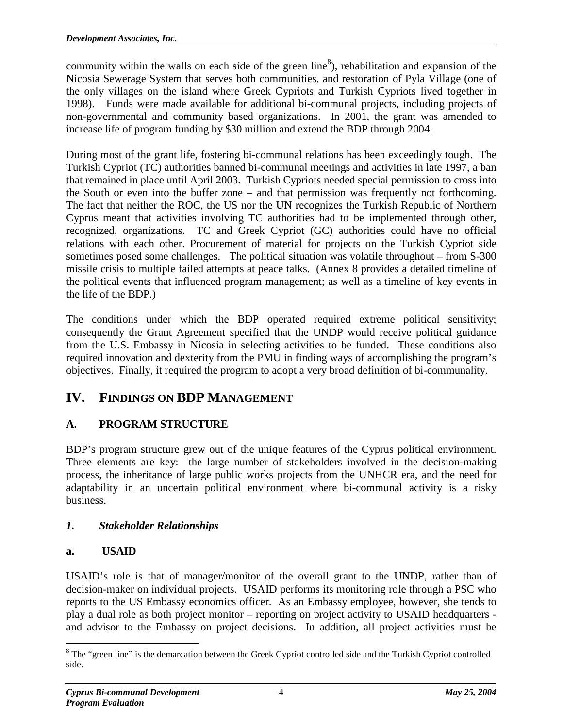community within the walls on each side of the green line<sup>[8](#page-16-0)</sup>), rehabilitation and expansion of the Nicosia Sewerage System that serves both communities, and restoration of Pyla Village (one of the only villages on the island where Greek Cypriots and Turkish Cypriots lived together in 1998). Funds were made available for additional bi-communal projects, including projects of non-governmental and community based organizations. In 2001, the grant was amended to increase life of program funding by \$30 million and extend the BDP through 2004.

During most of the grant life, fostering bi-communal relations has been exceedingly tough. The Turkish Cypriot (TC) authorities banned bi-communal meetings and activities in late 1997, a ban that remained in place until April 2003. Turkish Cypriots needed special permission to cross into the South or even into the buffer zone – and that permission was frequently not forthcoming. The fact that neither the ROC, the US nor the UN recognizes the Turkish Republic of Northern Cyprus meant that activities involving TC authorities had to be implemented through other, recognized, organizations. TC and Greek Cypriot (GC) authorities could have no official relations with each other. Procurement of material for projects on the Turkish Cypriot side sometimes posed some challenges. The political situation was volatile throughout – from S-300 missile crisis to multiple failed attempts at peace talks. (Annex 8 provides a detailed timeline of the political events that influenced program management; as well as a timeline of key events in the life of the BDP.)

The conditions under which the BDP operated required extreme political sensitivity; consequently the Grant Agreement specified that the UNDP would receive political guidance from the U.S. Embassy in Nicosia in selecting activities to be funded. These conditions also required innovation and dexterity from the PMU in finding ways of accomplishing the program's objectives. Finally, it required the program to adopt a very broad definition of bi-communality.

# **IV. FINDINGS ON BDP MANAGEMENT**

# **A. PROGRAM STRUCTURE**

BDP's program structure grew out of the unique features of the Cyprus political environment. Three elements are key: the large number of stakeholders involved in the decision-making process, the inheritance of large public works projects from the UNHCR era, and the need for adaptability in an uncertain political environment where bi-communal activity is a risky business.

# *1. Stakeholder Relationships*

# **a. USAID**

USAID's role is that of manager/monitor of the overall grant to the UNDP, rather than of decision-maker on individual projects. USAID performs its monitoring role through a PSC who reports to the US Embassy economics officer. As an Embassy employee, however, she tends to play a dual role as both project monitor – reporting on project activity to USAID headquarters and advisor to the Embassy on project decisions. In addition, all project activities must be

<span id="page-16-0"></span> $\overline{a}$  $8$  The "green line" is the demarcation between the Greek Cypriot controlled side and the Turkish Cypriot controlled side.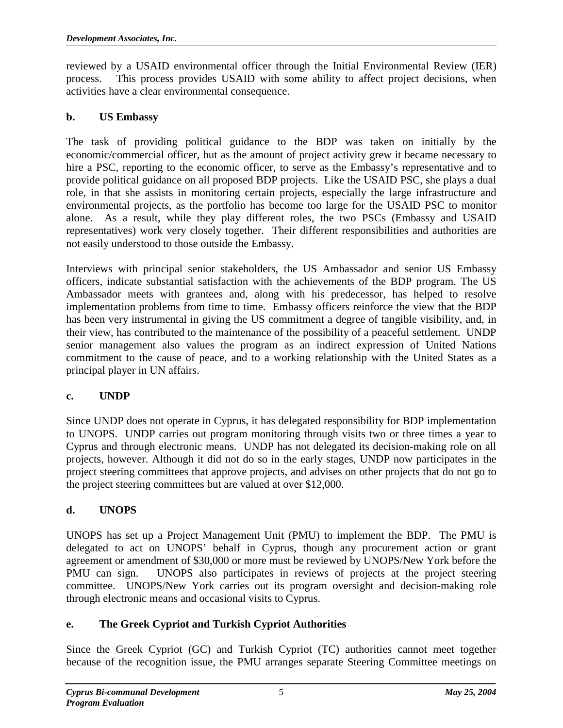reviewed by a USAID environmental officer through the Initial Environmental Review (IER) process. This process provides USAID with some ability to affect project decisions, when activities have a clear environmental consequence.

# **b. US Embassy**

The task of providing political guidance to the BDP was taken on initially by the economic/commercial officer, but as the amount of project activity grew it became necessary to hire a PSC, reporting to the economic officer, to serve as the Embassy's representative and to provide political guidance on all proposed BDP projects. Like the USAID PSC, she plays a dual role, in that she assists in monitoring certain projects, especially the large infrastructure and environmental projects, as the portfolio has become too large for the USAID PSC to monitor alone. As a result, while they play different roles, the two PSCs (Embassy and USAID representatives) work very closely together. Their different responsibilities and authorities are not easily understood to those outside the Embassy.

Interviews with principal senior stakeholders, the US Ambassador and senior US Embassy officers, indicate substantial satisfaction with the achievements of the BDP program. The US Ambassador meets with grantees and, along with his predecessor, has helped to resolve implementation problems from time to time. Embassy officers reinforce the view that the BDP has been very instrumental in giving the US commitment a degree of tangible visibility, and, in their view, has contributed to the maintenance of the possibility of a peaceful settlement. UNDP senior management also values the program as an indirect expression of United Nations commitment to the cause of peace, and to a working relationship with the United States as a principal player in UN affairs.

# **c. UNDP**

Since UNDP does not operate in Cyprus, it has delegated responsibility for BDP implementation to UNOPS. UNDP carries out program monitoring through visits two or three times a year to Cyprus and through electronic means. UNDP has not delegated its decision-making role on all projects, however. Although it did not do so in the early stages, UNDP now participates in the project steering committees that approve projects, and advises on other projects that do not go to the project steering committees but are valued at over \$12,000.

# **d. UNOPS**

UNOPS has set up a Project Management Unit (PMU) to implement the BDP. The PMU is delegated to act on UNOPS' behalf in Cyprus, though any procurement action or grant agreement or amendment of \$30,000 or more must be reviewed by UNOPS/New York before the PMU can sign. UNOPS also participates in reviews of projects at the project steering committee. UNOPS/New York carries out its program oversight and decision-making role through electronic means and occasional visits to Cyprus.

# **e. The Greek Cypriot and Turkish Cypriot Authorities**

Since the Greek Cypriot (GC) and Turkish Cypriot (TC) authorities cannot meet together because of the recognition issue, the PMU arranges separate Steering Committee meetings on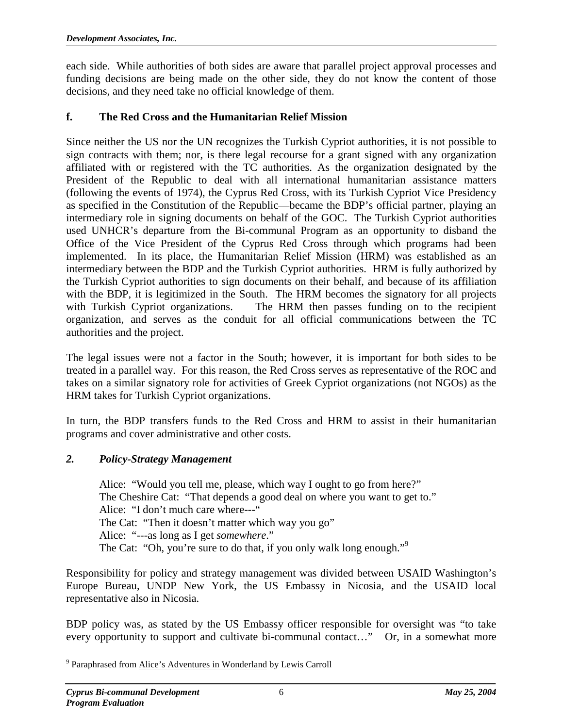each side. While authorities of both sides are aware that parallel project approval processes and funding decisions are being made on the other side, they do not know the content of those decisions, and they need take no official knowledge of them.

# **f. The Red Cross and the Humanitarian Relief Mission**

Since neither the US nor the UN recognizes the Turkish Cypriot authorities, it is not possible to sign contracts with them; nor, is there legal recourse for a grant signed with any organization affiliated with or registered with the TC authorities. As the organization designated by the President of the Republic to deal with all international humanitarian assistance matters (following the events of 1974), the Cyprus Red Cross, with its Turkish Cypriot Vice Presidency as specified in the Constitution of the Republic—became the BDP's official partner, playing an intermediary role in signing documents on behalf of the GOC. The Turkish Cypriot authorities used UNHCR's departure from the Bi-communal Program as an opportunity to disband the Office of the Vice President of the Cyprus Red Cross through which programs had been implemented. In its place, the Humanitarian Relief Mission (HRM) was established as an intermediary between the BDP and the Turkish Cypriot authorities. HRM is fully authorized by the Turkish Cypriot authorities to sign documents on their behalf, and because of its affiliation with the BDP, it is legitimized in the South. The HRM becomes the signatory for all projects with Turkish Cypriot organizations. The HRM then passes funding on to the recipient The HRM then passes funding on to the recipient organization, and serves as the conduit for all official communications between the TC authorities and the project.

The legal issues were not a factor in the South; however, it is important for both sides to be treated in a parallel way. For this reason, the Red Cross serves as representative of the ROC and takes on a similar signatory role for activities of Greek Cypriot organizations (not NGOs) as the HRM takes for Turkish Cypriot organizations.

In turn, the BDP transfers funds to the Red Cross and HRM to assist in their humanitarian programs and cover administrative and other costs.

# *2. Policy-Strategy Management*

Alice: "Would you tell me, please, which way I ought to go from here?" The Cheshire Cat: "That depends a good deal on where you want to get to." Alice: "I don't much care where---" The Cat: "Then it doesn't matter which way you go" Alice: "---as long as I get *somewhere*." The Cat: "Oh, you're sure to do that, if you only walk long enough."<sup>9</sup>

Responsibility for policy and strategy management was divided between USAID Washington's Europe Bureau, UNDP New York, the US Embassy in Nicosia, and the USAID local representative also in Nicosia.

BDP policy was, as stated by the US Embassy officer responsible for oversight was "to take every opportunity to support and cultivate bi-communal contact..." Or, in a somewhat more

<span id="page-18-0"></span><sup>&</sup>lt;sup>9</sup> Paraphrased from <u>Alice's Adventures in Wonderland</u> by Lewis Carroll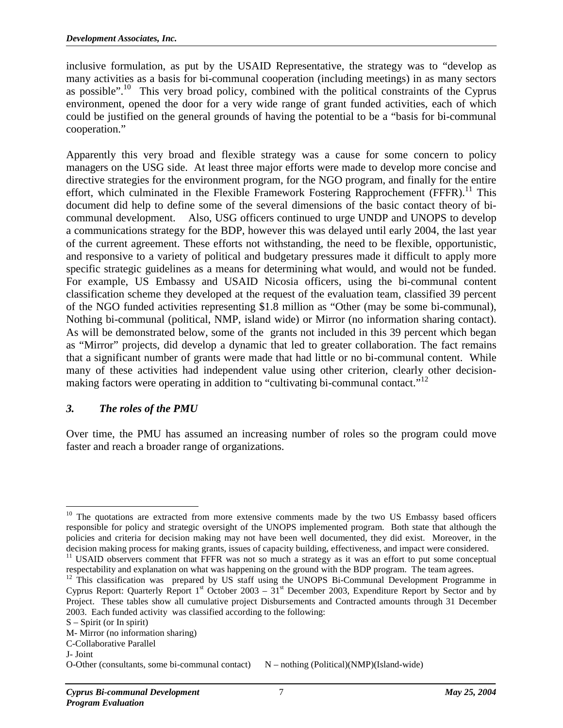inclusive formulation, as put by the USAID Representative, the strategy was to "develop as many activities as a basis for bi-communal cooperation (including meetings) in as many sectors as possible".<sup>10</sup> This very broad policy, combined with the political constraints of the Cyprus environment, opened the door for a very wide range of grant funded activities, each of which could be justified on the general grounds of having the potential to be a "basis for bi-communal cooperation."

Apparently this very broad and flexible strategy was a cause for some concern to policy managers on the USG side. At least three major efforts were made to develop more concise and directive strategies for the environment program, for the NGO program, and finally for the entire effort, which culminated in the Flexible Framework Fostering Rapprochement (FFFR).<sup>11</sup> This document did help to define some of the several dimensions of the basic contact theory of bicommunal development. Also, USG officers continued to urge UNDP and UNOPS to develop a communications strategy for the BDP, however this was delayed until early 2004, the last year of the current agreement. These efforts not withstanding, the need to be flexible, opportunistic, and responsive to a variety of political and budgetary pressures made it difficult to apply more specific strategic guidelines as a means for determining what would, and would not be funded. For example, US Embassy and USAID Nicosia officers, using the bi-communal content classification scheme they developed at the request of the evaluation team, classified 39 percent of the NGO funded activities representing \$1.8 million as "Other (may be some bi-communal), Nothing bi-communal (political, NMP, island wide) or Mirror (no information sharing contact). As will be demonstrated below, some of the grants not included in this 39 percent which began as "Mirror" projects, did develop a dynamic that led to greater collaboration. The fact remains that a significant number of grants were made that had little or no bi-communal content. While many of these activities had independent value using other criterion, clearly other decisionmaking factors were operating in addition to "cultivating bi-communal contact."<sup>12</sup>

# *3. The roles of the PMU*

Over time, the PMU has assumed an increasing number of roles so the program could move faster and reach a broader range of organizations.

1

<span id="page-19-0"></span> $10$  The quotations are extracted from more extensive comments made by the two US Embassy based officers responsible for policy and strategic oversight of the UNOPS implemented program. Both state that although the policies and criteria for decision making may not have been well documented, they did exist. Moreover, in the decision making process for making grants, issues of capacity building, effectiveness, and impact were considered.<br><sup>11</sup> USAID observers comment that FFFR was not so much a strategy as it was an effort to put some conceptua

<span id="page-19-1"></span>respectability and explanation on what was happening on the ground with the BDP program. The team agrees.<br><sup>12</sup> This classification was prepared by US staff using the UNOPS Bi-Communal Development Programme in

<span id="page-19-2"></span>Cyprus Report: Quarterly Report  $1<sup>st</sup>$  October 2003 – 31<sup>st</sup> December 2003, Expenditure Report by Sector and by Project. These tables show all cumulative project Disbursements and Contracted amounts through 31 December 2003. Each funded activity was classified according to the following:

S – Spirit (or In spirit)

M- Mirror (no information sharing)

C-Collaborative Parallel

J- Joint

O-Other (consultants, some bi-communal contact)  $N -$  nothing (Political)(NMP)(Island-wide)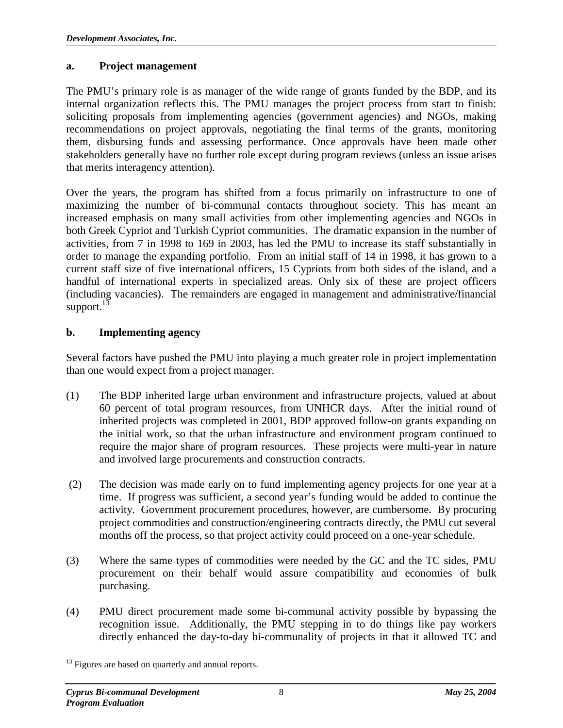#### **a. Project management**

The PMU's primary role is as manager of the wide range of grants funded by the BDP, and its internal organization reflects this. The PMU manages the project process from start to finish: soliciting proposals from implementing agencies (government agencies) and NGOs, making recommendations on project approvals, negotiating the final terms of the grants, monitoring them, disbursing funds and assessing performance. Once approvals have been made other stakeholders generally have no further role except during program reviews (unless an issue arises that merits interagency attention).

Over the years, the program has shifted from a focus primarily on infrastructure to one of maximizing the number of bi-communal contacts throughout society. This has meant an increased emphasis on many small activities from other implementing agencies and NGOs in both Greek Cypriot and Turkish Cypriot communities. The dramatic expansion in the number of activities, from 7 in 1998 to 169 in 2003, has led the PMU to increase its staff substantially in order to manage the expanding portfolio. From an initial staff of 14 in 1998, it has grown to a current staff size of five international officers, 15 Cypriots from both sides of the island, and a handful of international experts in specialized areas. Only six of these are project officers (including vacancies). The remainders are engaged in management and administrative/financial support. $13$ 

#### **b. Implementing agency**

Several factors have pushed the PMU into playing a much greater role in project implementation than one would expect from a project manager.

- (1) The BDP inherited large urban environment and infrastructure projects, valued at about 60 percent of total program resources, from UNHCR days. After the initial round of inherited projects was completed in 2001, BDP approved follow-on grants expanding on the initial work, so that the urban infrastructure and environment program continued to require the major share of program resources. These projects were multi-year in nature and involved large procurements and construction contracts.
- (2) The decision was made early on to fund implementing agency projects for one year at a time. If progress was sufficient, a second year's funding would be added to continue the activity. Government procurement procedures, however, are cumbersome. By procuring project commodities and construction/engineering contracts directly, the PMU cut several months off the process, so that project activity could proceed on a one-year schedule.
- (3) Where the same types of commodities were needed by the GC and the TC sides, PMU procurement on their behalf would assure compatibility and economies of bulk purchasing.
- (4) PMU direct procurement made some bi-communal activity possible by bypassing the recognition issue. Additionally, the PMU stepping in to do things like pay workers directly enhanced the day-to-day bi-communality of projects in that it allowed TC and

 $\overline{a}$ 

<span id="page-20-0"></span> $13$  Figures are based on quarterly and annual reports.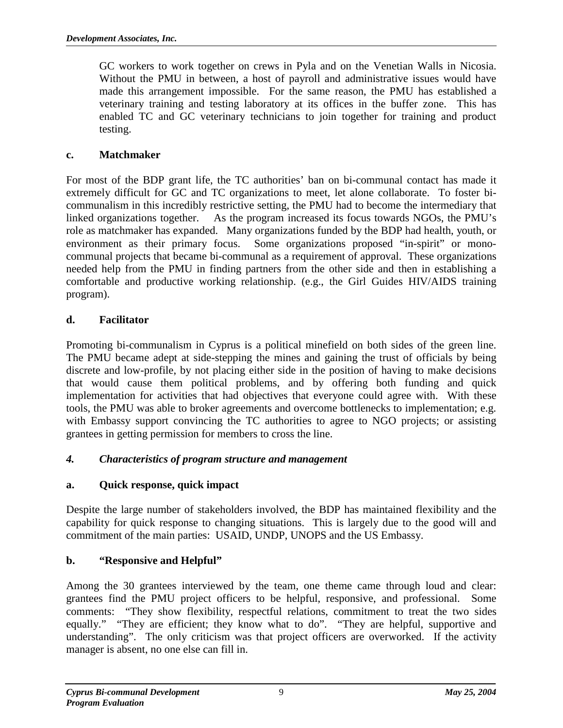GC workers to work together on crews in Pyla and on the Venetian Walls in Nicosia. Without the PMU in between, a host of payroll and administrative issues would have made this arrangement impossible. For the same reason, the PMU has established a veterinary training and testing laboratory at its offices in the buffer zone. This has enabled TC and GC veterinary technicians to join together for training and product testing.

# **c. Matchmaker**

For most of the BDP grant life, the TC authorities' ban on bi-communal contact has made it extremely difficult for GC and TC organizations to meet, let alone collaborate. To foster bicommunalism in this incredibly restrictive setting, the PMU had to become the intermediary that linked organizations together. As the program increased its focus towards NGOs, the PMU's role as matchmaker has expanded. Many organizations funded by the BDP had health, youth, or environment as their primary focus. Some organizations proposed "in-spirit" or monocommunal projects that became bi-communal as a requirement of approval. These organizations needed help from the PMU in finding partners from the other side and then in establishing a comfortable and productive working relationship. (e.g., the Girl Guides HIV/AIDS training program).

# **d. Facilitator**

Promoting bi-communalism in Cyprus is a political minefield on both sides of the green line. The PMU became adept at side-stepping the mines and gaining the trust of officials by being discrete and low-profile, by not placing either side in the position of having to make decisions that would cause them political problems, and by offering both funding and quick implementation for activities that had objectives that everyone could agree with. With these tools, the PMU was able to broker agreements and overcome bottlenecks to implementation; e.g. with Embassy support convincing the TC authorities to agree to NGO projects; or assisting grantees in getting permission for members to cross the line.

# *4. Characteristics of program structure and management*

# **a. Quick response, quick impact**

Despite the large number of stakeholders involved, the BDP has maintained flexibility and the capability for quick response to changing situations. This is largely due to the good will and commitment of the main parties: USAID, UNDP, UNOPS and the US Embassy.

# **b. "Responsive and Helpful"**

Among the 30 grantees interviewed by the team, one theme came through loud and clear: grantees find the PMU project officers to be helpful, responsive, and professional. Some comments: "They show flexibility, respectful relations, commitment to treat the two sides equally." "They are efficient; they know what to do". "They are helpful, supportive and understanding". The only criticism was that project officers are overworked. If the activity manager is absent, no one else can fill in.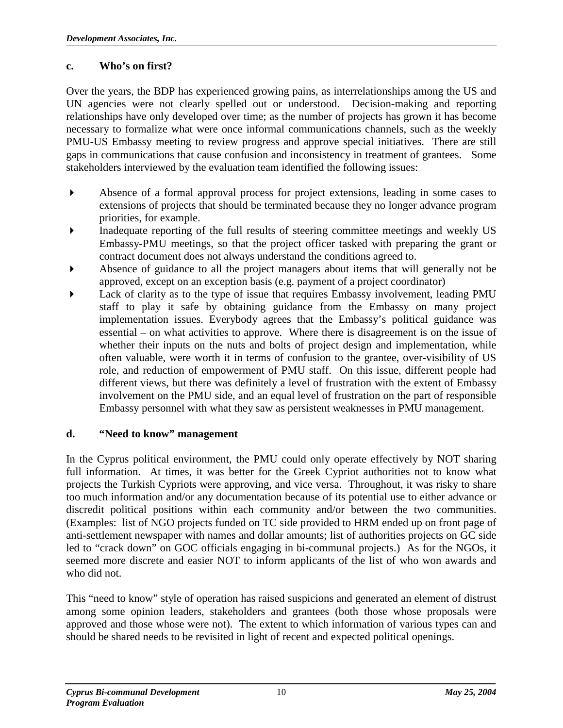# **c. Who's on first?**

Over the years, the BDP has experienced growing pains, as interrelationships among the US and UN agencies were not clearly spelled out or understood. Decision-making and reporting relationships have only developed over time; as the number of projects has grown it has become necessary to formalize what were once informal communications channels, such as the weekly PMU-US Embassy meeting to review progress and approve special initiatives. There are still gaps in communications that cause confusion and inconsistency in treatment of grantees. Some stakeholders interviewed by the evaluation team identified the following issues:

- Absence of a formal approval process for project extensions, leading in some cases to extensions of projects that should be terminated because they no longer advance program priorities, for example.
- Inadequate reporting of the full results of steering committee meetings and weekly US Embassy-PMU meetings, so that the project officer tasked with preparing the grant or contract document does not always understand the conditions agreed to.
- Absence of guidance to all the project managers about items that will generally not be approved, except on an exception basis (e.g. payment of a project coordinator)
- Lack of clarity as to the type of issue that requires Embassy involvement, leading PMU staff to play it safe by obtaining guidance from the Embassy on many project implementation issues. Everybody agrees that the Embassy's political guidance was essential – on what activities to approve. Where there is disagreement is on the issue of whether their inputs on the nuts and bolts of project design and implementation, while often valuable, were worth it in terms of confusion to the grantee, over-visibility of US role, and reduction of empowerment of PMU staff. On this issue, different people had different views, but there was definitely a level of frustration with the extent of Embassy involvement on the PMU side, and an equal level of frustration on the part of responsible Embassy personnel with what they saw as persistent weaknesses in PMU management.

# **d. "Need to know" management**

In the Cyprus political environment, the PMU could only operate effectively by NOT sharing full information. At times, it was better for the Greek Cypriot authorities not to know what projects the Turkish Cypriots were approving, and vice versa. Throughout, it was risky to share too much information and/or any documentation because of its potential use to either advance or discredit political positions within each community and/or between the two communities. (Examples: list of NGO projects funded on TC side provided to HRM ended up on front page of anti-settlement newspaper with names and dollar amounts; list of authorities projects on GC side led to "crack down" on GOC officials engaging in bi-communal projects.) As for the NGOs, it seemed more discrete and easier NOT to inform applicants of the list of who won awards and who did not.

This "need to know" style of operation has raised suspicions and generated an element of distrust among some opinion leaders, stakeholders and grantees (both those whose proposals were approved and those whose were not). The extent to which information of various types can and should be shared needs to be revisited in light of recent and expected political openings.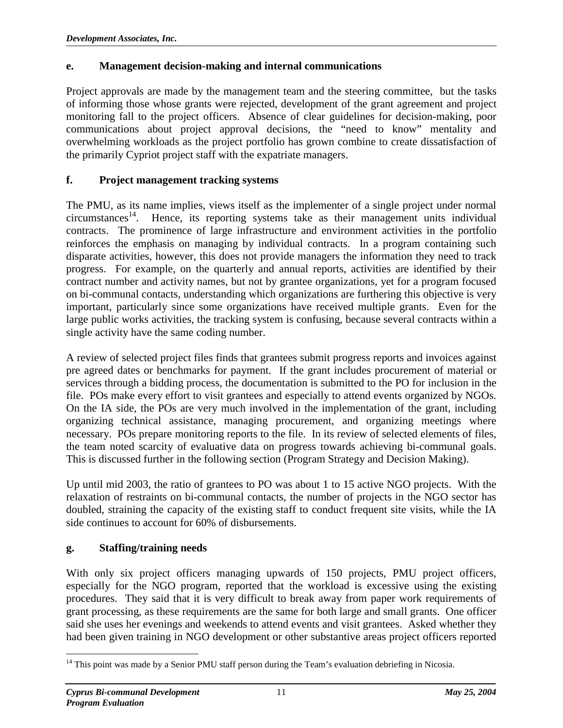# **e. Management decision-making and internal communications**

Project approvals are made by the management team and the steering committee, but the tasks of informing those whose grants were rejected, development of the grant agreement and project monitoring fall to the project officers. Absence of clear guidelines for decision-making, poor communications about project approval decisions, the "need to know" mentality and overwhelming workloads as the project portfolio has grown combine to create dissatisfaction of the primarily Cypriot project staff with the expatriate managers.

#### **f. Project management tracking systems**

The PMU, as its name implies, views itself as the implementer of a single project under normal circumstances [14.](#page-23-0) Hence, its reporting systems take as their management units individual contracts. The prominence of large infrastructure and environment activities in the portfolio reinforces the emphasis on managing by individual contracts. In a program containing such disparate activities, however, this does not provide managers the information they need to track progress. For example, on the quarterly and annual reports, activities are identified by their contract number and activity names, but not by grantee organizations, yet for a program focused on bi-communal contacts, understanding which organizations are furthering this objective is very important, particularly since some organizations have received multiple grants. Even for the large public works activities, the tracking system is confusing, because several contracts within a single activity have the same coding number.

A review of selected project files finds that grantees submit progress reports and invoices against pre agreed dates or benchmarks for payment. If the grant includes procurement of material or services through a bidding process, the documentation is submitted to the PO for inclusion in the file. POs make every effort to visit grantees and especially to attend events organized by NGOs. On the IA side, the POs are very much involved in the implementation of the grant, including organizing technical assistance, managing procurement, and organizing meetings where necessary. POs prepare monitoring reports to the file. In its review of selected elements of files, the team noted scarcity of evaluative data on progress towards achieving bi-communal goals. This is discussed further in the following section (Program Strategy and Decision Making).

Up until mid 2003, the ratio of grantees to PO was about 1 to 15 active NGO projects. With the relaxation of restraints on bi-communal contacts, the number of projects in the NGO sector has doubled, straining the capacity of the existing staff to conduct frequent site visits, while the IA side continues to account for 60% of disbursements.

#### **g. Staffing/training needs**

With only six project officers managing upwards of 150 projects, PMU project officers, especially for the NGO program, reported that the workload is excessive using the existing procedures. They said that it is very difficult to break away from paper work requirements of grant processing, as these requirements are the same for both large and small grants. One officer said she uses her evenings and weekends to attend events and visit grantees. Asked whether they had been given training in NGO development or other substantive areas project officers reported

 $\overline{a}$ 

<span id="page-23-0"></span><sup>&</sup>lt;sup>14</sup> This point was made by a Senior PMU staff person during the Team's evaluation debriefing in Nicosia.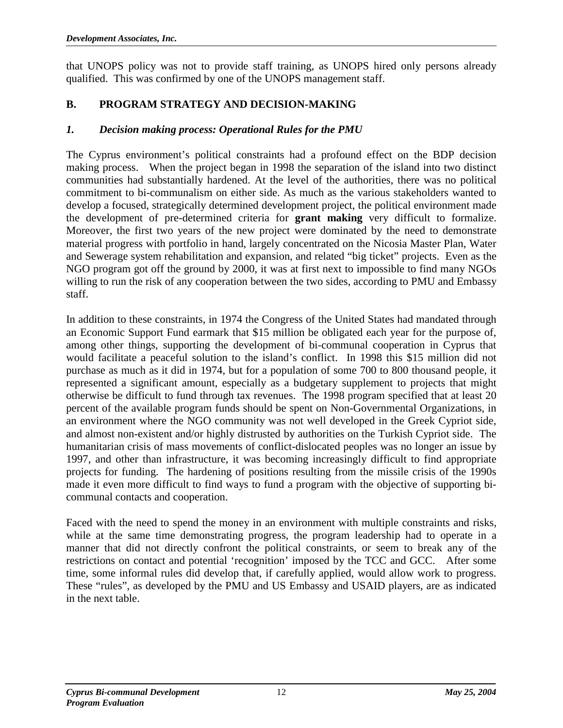that UNOPS policy was not to provide staff training, as UNOPS hired only persons already qualified. This was confirmed by one of the UNOPS management staff.

# **B. PROGRAM STRATEGY AND DECISION-MAKING**

# *1. Decision making process: Operational Rules for the PMU*

The Cyprus environment's political constraints had a profound effect on the BDP decision making process. When the project began in 1998 the separation of the island into two distinct communities had substantially hardened. At the level of the authorities, there was no political commitment to bi-communalism on either side. As much as the various stakeholders wanted to develop a focused, strategically determined development project, the political environment made the development of pre-determined criteria for **grant making** very difficult to formalize. Moreover, the first two years of the new project were dominated by the need to demonstrate material progress with portfolio in hand, largely concentrated on the Nicosia Master Plan, Water and Sewerage system rehabilitation and expansion, and related "big ticket" projects. Even as the NGO program got off the ground by 2000, it was at first next to impossible to find many NGOs willing to run the risk of any cooperation between the two sides, according to PMU and Embassy staff.

In addition to these constraints, in 1974 the Congress of the United States had mandated through an Economic Support Fund earmark that \$15 million be obligated each year for the purpose of, among other things, supporting the development of bi-communal cooperation in Cyprus that would facilitate a peaceful solution to the island's conflict. In 1998 this \$15 million did not purchase as much as it did in 1974, but for a population of some 700 to 800 thousand people, it represented a significant amount, especially as a budgetary supplement to projects that might otherwise be difficult to fund through tax revenues. The 1998 program specified that at least 20 percent of the available program funds should be spent on Non-Governmental Organizations, in an environment where the NGO community was not well developed in the Greek Cypriot side, and almost non-existent and/or highly distrusted by authorities on the Turkish Cypriot side. The humanitarian crisis of mass movements of conflict-dislocated peoples was no longer an issue by 1997, and other than infrastructure, it was becoming increasingly difficult to find appropriate projects for funding. The hardening of positions resulting from the missile crisis of the 1990s made it even more difficult to find ways to fund a program with the objective of supporting bicommunal contacts and cooperation.

Faced with the need to spend the money in an environment with multiple constraints and risks, while at the same time demonstrating progress, the program leadership had to operate in a manner that did not directly confront the political constraints, or seem to break any of the restrictions on contact and potential 'recognition' imposed by the TCC and GCC. After some time, some informal rules did develop that, if carefully applied, would allow work to progress. These "rules", as developed by the PMU and US Embassy and USAID players, are as indicated in the next table.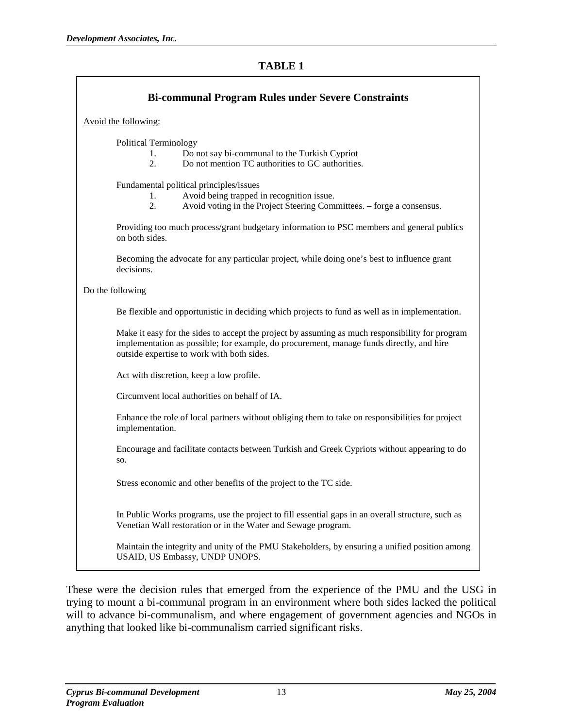### **TABLE 1**

| <b>Bi-communal Program Rules under Severe Constraints</b>                                                                                                                                                                                 |  |  |  |  |  |  |
|-------------------------------------------------------------------------------------------------------------------------------------------------------------------------------------------------------------------------------------------|--|--|--|--|--|--|
| Avoid the following:                                                                                                                                                                                                                      |  |  |  |  |  |  |
| <b>Political Terminology</b><br>Do not say bi-communal to the Turkish Cypriot<br>1.<br>Do not mention TC authorities to GC authorities.<br>2.                                                                                             |  |  |  |  |  |  |
| Fundamental political principles/issues<br>Avoid being trapped in recognition issue.<br>1.<br>Avoid voting in the Project Steering Committees. - forge a consensus.<br>2.                                                                 |  |  |  |  |  |  |
| Providing too much process/grant budgetary information to PSC members and general publics<br>on both sides.                                                                                                                               |  |  |  |  |  |  |
| Becoming the advocate for any particular project, while doing one's best to influence grant<br>decisions.                                                                                                                                 |  |  |  |  |  |  |
| Do the following                                                                                                                                                                                                                          |  |  |  |  |  |  |
| Be flexible and opportunistic in deciding which projects to fund as well as in implementation.                                                                                                                                            |  |  |  |  |  |  |
| Make it easy for the sides to accept the project by assuming as much responsibility for program<br>implementation as possible; for example, do procurement, manage funds directly, and hire<br>outside expertise to work with both sides. |  |  |  |  |  |  |
| Act with discretion, keep a low profile.                                                                                                                                                                                                  |  |  |  |  |  |  |
| Circumvent local authorities on behalf of IA.                                                                                                                                                                                             |  |  |  |  |  |  |
| Enhance the role of local partners without obliging them to take on responsibilities for project<br>implementation.                                                                                                                       |  |  |  |  |  |  |
| Encourage and facilitate contacts between Turkish and Greek Cypriots without appearing to do<br>SO.                                                                                                                                       |  |  |  |  |  |  |
| Stress economic and other benefits of the project to the TC side.                                                                                                                                                                         |  |  |  |  |  |  |
| In Public Works programs, use the project to fill essential gaps in an overall structure, such as<br>Venetian Wall restoration or in the Water and Sewage program.                                                                        |  |  |  |  |  |  |
| Maintain the integrity and unity of the PMU Stakeholders, by ensuring a unified position among<br>USAID, US Embassy, UNDP UNOPS.                                                                                                          |  |  |  |  |  |  |

These were the decision rules that emerged from the experience of the PMU and the USG in trying to mount a bi-communal program in an environment where both sides lacked the political will to advance bi-communalism, and where engagement of government agencies and NGOs in anything that looked like bi-communalism carried significant risks.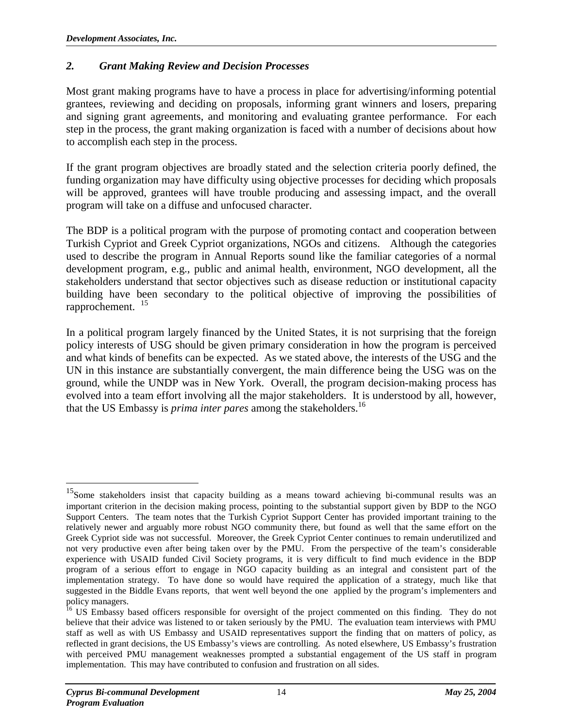### *2. Grant Making Review and Decision Processes*

Most grant making programs have to have a process in place for advertising/informing potential grantees, reviewing and deciding on proposals, informing grant winners and losers, preparing and signing grant agreements, and monitoring and evaluating grantee performance. For each step in the process, the grant making organization is faced with a number of decisions about how to accomplish each step in the process.

If the grant program objectives are broadly stated and the selection criteria poorly defined, the funding organization may have difficulty using objective processes for deciding which proposals will be approved, grantees will have trouble producing and assessing impact, and the overall program will take on a diffuse and unfocused character.

The BDP is a political program with the purpose of promoting contact and cooperation between Turkish Cypriot and Greek Cypriot organizations, NGOs and citizens. Although the categories used to describe the program in Annual Reports sound like the familiar categories of a normal development program, e.g., public and animal health, environment, NGO development, all the stakeholders understand that sector objectives such as disease reduction or institutional capacity building have been secondary to the political objective of improving the possibilities of rapprochement. [15](#page-26-0) 

In a political program largely financed by the United States, it is not surprising that the foreign policy interests of USG should be given primary consideration in how the program is perceived and what kinds of benefits can be expected. As we stated above, the interests of the USG and the UN in this instance are substantially convergent, the main difference being the USG was on the ground, while the UNDP was in New York. Overall, the program decision-making process has evolved into a team effort involving all the major stakeholders. It is understood by all, however, that the US Embassy is *prima inter pares* among the stakeholders.[16](#page-26-1) 

 $\overline{a}$ 

<span id="page-26-0"></span><sup>&</sup>lt;sup>15</sup>Some stakeholders insist that capacity building as a means toward achieving bi-communal results was an important criterion in the decision making process, pointing to the substantial support given by BDP to the NGO Support Centers. The team notes that the Turkish Cypriot Support Center has provided important training to the relatively newer and arguably more robust NGO community there, but found as well that the same effort on the Greek Cypriot side was not successful. Moreover, the Greek Cypriot Center continues to remain underutilized and not very productive even after being taken over by the PMU. From the perspective of the team's considerable experience with USAID funded Civil Society programs, it is very difficult to find much evidence in the BDP program of a serious effort to engage in NGO capacity building as an integral and consistent part of the implementation strategy. To have done so would have required the application of a strategy, much like that suggested in the Biddle Evans reports, that went well beyond the one applied by the program's implementers and

<span id="page-26-1"></span>policy managers.<br><sup>16</sup> US Embassy based officers responsible for oversight of the project commented on this finding. They do not believe that their advice was listened to or taken seriously by the PMU. The evaluation team interviews with PMU staff as well as with US Embassy and USAID representatives support the finding that on matters of policy, as reflected in grant decisions, the US Embassy's views are controlling. As noted elsewhere, US Embassy's frustration with perceived PMU management weaknesses prompted a substantial engagement of the US staff in program implementation. This may have contributed to confusion and frustration on all sides.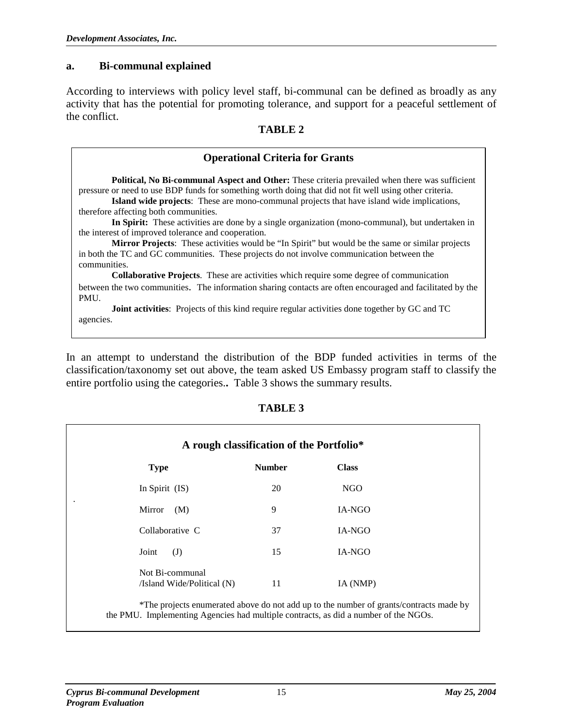#### **a. Bi-communal explained**

According to interviews with policy level staff, bi-communal can be defined as broadly as any activity that has the potential for promoting tolerance, and support for a peaceful settlement of the conflict.

#### **TABLE 2**

#### **Operational Criteria for Grants**

**Political, No Bi-communal Aspect and Other:** These criteria prevailed when there was sufficient pressure or need to use BDP funds for something worth doing that did not fit well using other criteria.

**Island wide projects**: These are mono-communal projects that have island wide implications, therefore affecting both communities.

**In Spirit:** These activities are done by a single organization (mono-communal), but undertaken in the interest of improved tolerance and cooperation.

**Mirror Projects**: These activities would be "In Spirit" but would be the same or similar projects in both the TC and GC communities. These projects do not involve communication between the communities.

**Collaborative Projects**. These are activities which require some degree of communication between the two communities. The information sharing contacts are often encouraged and facilitated by the PMU.

 **Joint activities**: Projects of this kind require regular activities done together by GC and TC agencies.

In an attempt to understand the distribution of the BDP funded activities in terms of the classification/taxonomy set out above, the team asked US Embassy program staff to classify the entire portfolio using the categories.**.** Table 3 shows the summary results.

|                                               | A rough classification of the Portfolio* |              |
|-----------------------------------------------|------------------------------------------|--------------|
| <b>Type</b>                                   | <b>Number</b>                            | <b>Class</b> |
| In Spirit (IS)                                | 20                                       | <b>NGO</b>   |
| Mirror<br>(M)                                 | 9                                        | IA-NGO       |
| Collaborative C                               | 37                                       | IA-NGO       |
| Joint<br>$\mathrm{J}$                         | 15                                       | IA-NGO       |
| Not Bi-communal<br>/Island Wide/Political (N) | 11                                       | IA (NMP)     |

**TABLE 3** 

\*The projects enumerated above do not add up to the number of grants/contracts made by the PMU. Implementing Agencies had multiple contracts, as did a number of the NGOs.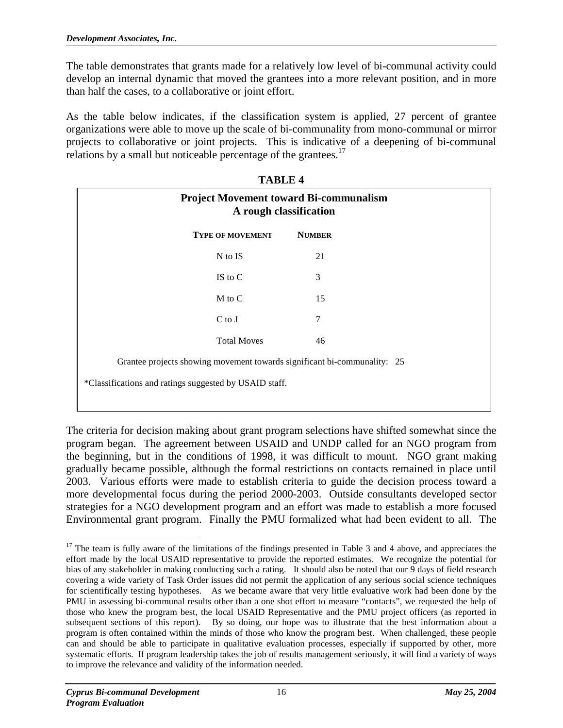The table demonstrates that grants made for a relatively low level of bi-communal activity could develop an internal dynamic that moved the grantees into a more relevant position, and in more than half the cases, to a collaborative or joint effort.

As the table below indicates, if the classification system is applied, 27 percent of grantee organizations were able to move up the scale of bi-communality from mono-communal or mirror projects to collaborative or joint projects. This is indicative of a deepening of bi-communal relations by a small but noticeable percentage of the grantees. $17$ 

| <b>TABLE 4</b>                                                           |               |  |  |  |  |  |
|--------------------------------------------------------------------------|---------------|--|--|--|--|--|
| <b>Project Movement toward Bi-communalism</b><br>A rough classification  |               |  |  |  |  |  |
| <b>TYPE OF MOVEMENT</b>                                                  | <b>NUMBER</b> |  |  |  |  |  |
| N to IS                                                                  | 21            |  |  |  |  |  |
| IS to $C$                                                                | 3             |  |  |  |  |  |
| M to C                                                                   | 15            |  |  |  |  |  |
| $C$ to $J$                                                               | 7             |  |  |  |  |  |
| <b>Total Moves</b>                                                       | 46            |  |  |  |  |  |
| Grantee projects showing movement towards significant bi-communality: 25 |               |  |  |  |  |  |
| *Classifications and ratings suggested by USAID staff.                   |               |  |  |  |  |  |

The criteria for decision making about grant program selections have shifted somewhat since the program began. The agreement between USAID and UNDP called for an NGO program from the beginning, but in the conditions of 1998, it was difficult to mount. NGO grant making gradually became possible, although the formal restrictions on contacts remained in place until 2003. Various efforts were made to establish criteria to guide the decision process toward a more developmental focus during the period 2000-2003. Outside consultants developed sector strategies for a NGO development program and an effort was made to establish a more focused Environmental grant program. Finally the PMU formalized what had been evident to all. The

<span id="page-28-0"></span> $\overline{a}$  $17$  The team is fully aware of the limitations of the findings presented in Table 3 and 4 above, and appreciates the effort made by the local USAID representative to provide the reported estimates. We recognize the potential for bias of any stakeholder in making conducting such a rating. It should also be noted that our 9 days of field research covering a wide variety of Task Order issues did not permit the application of any serious social science techniques for scientifically testing hypotheses. As we became aware that very little evaluative work had been done by the PMU in assessing bi-communal results other than a one shot effort to measure "contacts", we requested the help of those who knew the program best, the local USAID Representative and the PMU project officers (as reported in subsequent sections of this report). By so doing, our hope was to illustrate that the best information about a program is often contained within the minds of those who know the program best. When challenged, these people can and should be able to participate in qualitative evaluation processes, especially if supported by other, more systematic efforts. If program leadership takes the job of results management seriously, it will find a variety of ways to improve the relevance and validity of the information needed.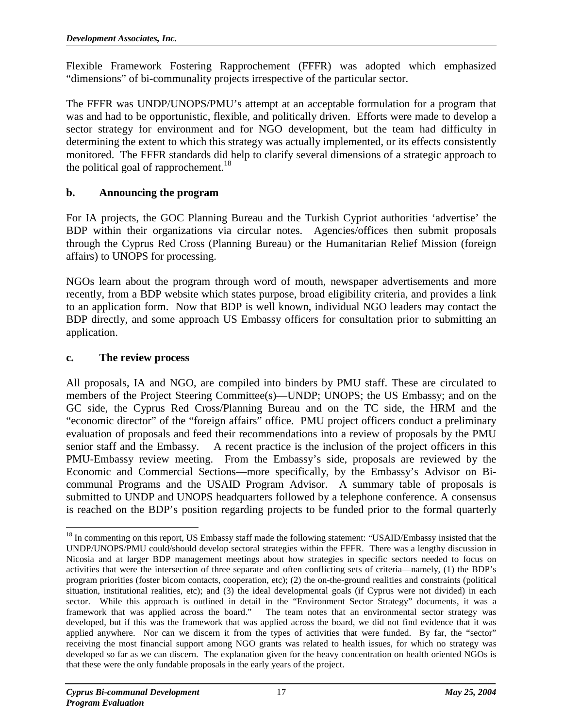Flexible Framework Fostering Rapprochement (FFFR) was adopted which emphasized "dimensions" of bi-communality projects irrespective of the particular sector.

The FFFR was UNDP/UNOPS/PMU's attempt at an acceptable formulation for a program that was and had to be opportunistic, flexible, and politically driven. Efforts were made to develop a sector strategy for environment and for NGO development, but the team had difficulty in determining the extent to which this strategy was actually implemented, or its effects consistently monitored. The FFFR standards did help to clarify several dimensions of a strategic approach to the political goal of rapprochement.<sup>18</sup>

# **b. Announcing the program**

For IA projects, the GOC Planning Bureau and the Turkish Cypriot authorities 'advertise' the BDP within their organizations via circular notes. Agencies/offices then submit proposals through the Cyprus Red Cross (Planning Bureau) or the Humanitarian Relief Mission (foreign affairs) to UNOPS for processing.

NGOs learn about the program through word of mouth, newspaper advertisements and more recently, from a BDP website which states purpose, broad eligibility criteria, and provides a link to an application form. Now that BDP is well known, individual NGO leaders may contact the BDP directly, and some approach US Embassy officers for consultation prior to submitting an application.

# **c. The review process**

All proposals, IA and NGO, are compiled into binders by PMU staff. These are circulated to members of the Project Steering Committee(s)—UNDP; UNOPS; the US Embassy; and on the GC side, the Cyprus Red Cross/Planning Bureau and on the TC side, the HRM and the "economic director" of the "foreign affairs" office. PMU project officers conduct a preliminary evaluation of proposals and feed their recommendations into a review of proposals by the PMU senior staff and the Embassy. A recent practice is the inclusion of the project officers in this PMU-Embassy review meeting. From the Embassy's side, proposals are reviewed by the Economic and Commercial Sections—more specifically, by the Embassy's Advisor on Bicommunal Programs and the USAID Program Advisor. A summary table of proposals is submitted to UNDP and UNOPS headquarters followed by a telephone conference. A consensus is reached on the BDP's position regarding projects to be funded prior to the formal quarterly

<span id="page-29-0"></span> $\overline{a}$ <sup>18</sup> In commenting on this report, US Embassy staff made the following statement: "USAID/Embassy insisted that the UNDP/UNOPS/PMU could/should develop sectoral strategies within the FFFR. There was a lengthy discussion in Nicosia and at larger BDP management meetings about how strategies in specific sectors needed to focus on activities that were the intersection of three separate and often conflicting sets of criteria—namely, (1) the BDP's program priorities (foster bicom contacts, cooperation, etc); (2) the on-the-ground realities and constraints (political situation, institutional realities, etc); and (3) the ideal developmental goals (if Cyprus were not divided) in each sector. While this approach is outlined in detail in the "Environment Sector Strategy" documents, it was a framework that was applied across the board." The team notes that an environmental sector strategy was The team notes that an environmental sector strategy was developed, but if this was the framework that was applied across the board, we did not find evidence that it was applied anywhere. Nor can we discern it from the types of activities that were funded. By far, the "sector" receiving the most financial support among NGO grants was related to health issues, for which no strategy was developed so far as we can discern. The explanation given for the heavy concentration on health oriented NGOs is that these were the only fundable proposals in the early years of the project.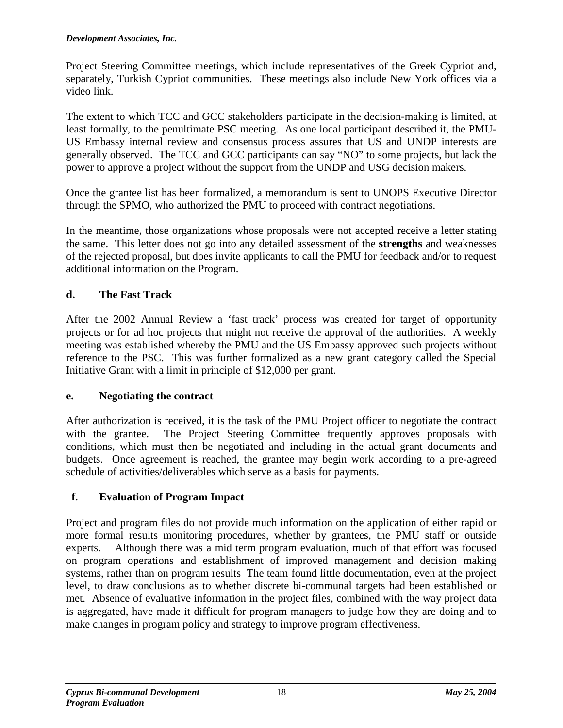Project Steering Committee meetings, which include representatives of the Greek Cypriot and, separately, Turkish Cypriot communities. These meetings also include New York offices via a video link.

The extent to which TCC and GCC stakeholders participate in the decision-making is limited, at least formally, to the penultimate PSC meeting. As one local participant described it, the PMU-US Embassy internal review and consensus process assures that US and UNDP interests are generally observed. The TCC and GCC participants can say "NO" to some projects, but lack the power to approve a project without the support from the UNDP and USG decision makers.

Once the grantee list has been formalized, a memorandum is sent to UNOPS Executive Director through the SPMO, who authorized the PMU to proceed with contract negotiations.

In the meantime, those organizations whose proposals were not accepted receive a letter stating the same. This letter does not go into any detailed assessment of the **strengths** and weaknesses of the rejected proposal, but does invite applicants to call the PMU for feedback and/or to request additional information on the Program.

# **d. The Fast Track**

After the 2002 Annual Review a 'fast track' process was created for target of opportunity projects or for ad hoc projects that might not receive the approval of the authorities. A weekly meeting was established whereby the PMU and the US Embassy approved such projects without reference to the PSC. This was further formalized as a new grant category called the Special Initiative Grant with a limit in principle of \$12,000 per grant.

# **e. Negotiating the contract**

After authorization is received, it is the task of the PMU Project officer to negotiate the contract with the grantee. The Project Steering Committee frequently approves proposals with conditions, which must then be negotiated and including in the actual grant documents and budgets. Once agreement is reached, the grantee may begin work according to a pre-agreed schedule of activities/deliverables which serve as a basis for payments.

# **f**. **Evaluation of Program Impact**

Project and program files do not provide much information on the application of either rapid or more formal results monitoring procedures, whether by grantees, the PMU staff or outside experts. Although there was a mid term program evaluation, much of that effort was focused on program operations and establishment of improved management and decision making systems, rather than on program results The team found little documentation, even at the project level, to draw conclusions as to whether discrete bi-communal targets had been established or met. Absence of evaluative information in the project files, combined with the way project data is aggregated, have made it difficult for program managers to judge how they are doing and to make changes in program policy and strategy to improve program effectiveness.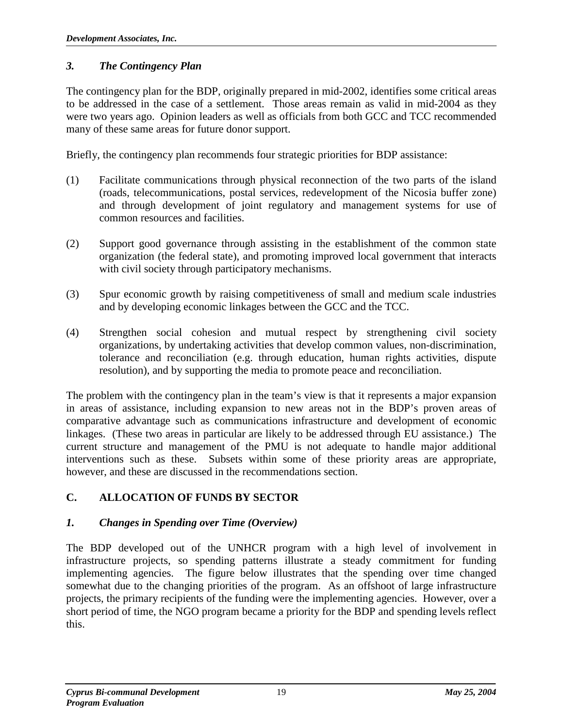# *3. The Contingency Plan*

The contingency plan for the BDP, originally prepared in mid-2002, identifies some critical areas to be addressed in the case of a settlement. Those areas remain as valid in mid-2004 as they were two years ago. Opinion leaders as well as officials from both GCC and TCC recommended many of these same areas for future donor support.

Briefly, the contingency plan recommends four strategic priorities for BDP assistance:

- (1) Facilitate communications through physical reconnection of the two parts of the island (roads, telecommunications, postal services, redevelopment of the Nicosia buffer zone) and through development of joint regulatory and management systems for use of common resources and facilities.
- (2) Support good governance through assisting in the establishment of the common state organization (the federal state), and promoting improved local government that interacts with civil society through participatory mechanisms.
- (3) Spur economic growth by raising competitiveness of small and medium scale industries and by developing economic linkages between the GCC and the TCC.
- (4) Strengthen social cohesion and mutual respect by strengthening civil society organizations, by undertaking activities that develop common values, non-discrimination, tolerance and reconciliation (e.g. through education, human rights activities, dispute resolution), and by supporting the media to promote peace and reconciliation.

The problem with the contingency plan in the team's view is that it represents a major expansion in areas of assistance, including expansion to new areas not in the BDP's proven areas of comparative advantage such as communications infrastructure and development of economic linkages. (These two areas in particular are likely to be addressed through EU assistance.) The current structure and management of the PMU is not adequate to handle major additional interventions such as these. Subsets within some of these priority areas are appropriate, however, and these are discussed in the recommendations section.

# **C. ALLOCATION OF FUNDS BY SECTOR**

# *1. Changes in Spending over Time (Overview)*

The BDP developed out of the UNHCR program with a high level of involvement in infrastructure projects, so spending patterns illustrate a steady commitment for funding implementing agencies. The figure below illustrates that the spending over time changed somewhat due to the changing priorities of the program. As an offshoot of large infrastructure projects, the primary recipients of the funding were the implementing agencies. However, over a short period of time, the NGO program became a priority for the BDP and spending levels reflect this.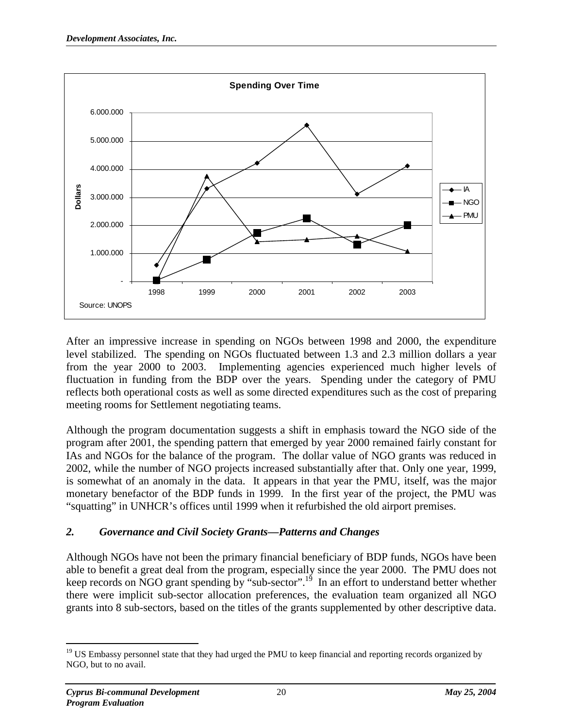

After an impressive increase in spending on NGOs between 1998 and 2000, the expenditure level stabilized. The spending on NGOs fluctuated between 1.3 and 2.3 million dollars a year from the year 2000 to 2003. Implementing agencies experienced much higher levels of fluctuation in funding from the BDP over the years. Spending under the category of PMU reflects both operational costs as well as some directed expenditures such as the cost of preparing meeting rooms for Settlement negotiating teams.

Although the program documentation suggests a shift in emphasis toward the NGO side of the program after 2001, the spending pattern that emerged by year 2000 remained fairly constant for IAs and NGOs for the balance of the program. The dollar value of NGO grants was reduced in 2002, while the number of NGO projects increased substantially after that. Only one year, 1999, is somewhat of an anomaly in the data. It appears in that year the PMU, itself, was the major monetary benefactor of the BDP funds in 1999. In the first year of the project, the PMU was "squatting" in UNHCR's offices until 1999 when it refurbished the old airport premises.

# *2. Governance and Civil Society Grants—Patterns and Changes*

Although NGOs have not been the primary financial beneficiary of BDP funds, NGOs have been able to benefit a great deal from the program, especially since the year 2000. The PMU does not keep records on NGO grant spending by "sub-sector".<sup>19</sup> In an effort to understand better whether there were implicit sub-sector allocation preferences, the evaluation team organized all NGO grants into 8 sub-sectors, based on the titles of the grants supplemented by other descriptive data.

<span id="page-32-0"></span> $\overline{a}$ <sup>19</sup> US Embassy personnel state that they had urged the PMU to keep financial and reporting records organized by NGO, but to no avail.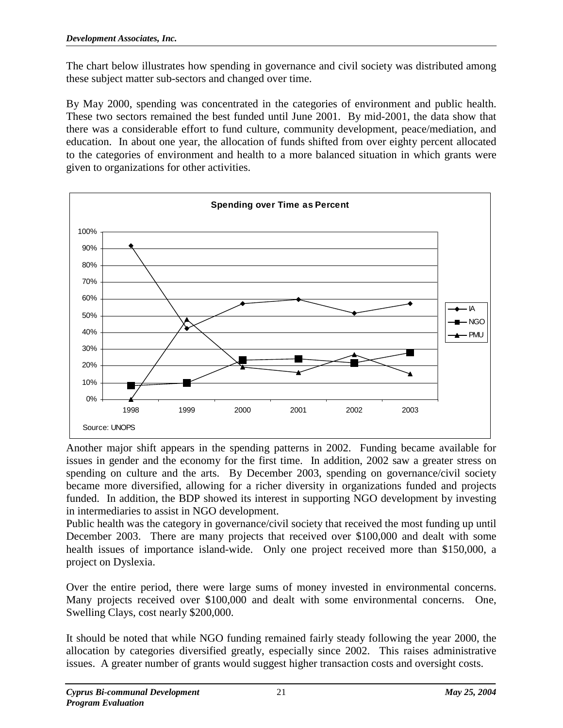The chart below illustrates how spending in governance and civil society was distributed among these subject matter sub-sectors and changed over time.

By May 2000, spending was concentrated in the categories of environment and public health. These two sectors remained the best funded until June 2001. By mid-2001, the data show that there was a considerable effort to fund culture, community development, peace/mediation, and education. In about one year, the allocation of funds shifted from over eighty percent allocated to the categories of environment and health to a more balanced situation in which grants were given to organizations for other activities.



Another major shift appears in the spending patterns in 2002. Funding became available for issues in gender and the economy for the first time. In addition, 2002 saw a greater stress on spending on culture and the arts. By December 2003, spending on governance/civil society became more diversified, allowing for a richer diversity in organizations funded and projects funded. In addition, the BDP showed its interest in supporting NGO development by investing in intermediaries to assist in NGO development.

Public health was the category in governance/civil society that received the most funding up until December 2003. There are many projects that received over \$100,000 and dealt with some health issues of importance island-wide. Only one project received more than \$150,000, a project on Dyslexia.

Over the entire period, there were large sums of money invested in environmental concerns. Many projects received over \$100,000 and dealt with some environmental concerns. One, Swelling Clays, cost nearly \$200,000.

It should be noted that while NGO funding remained fairly steady following the year 2000, the allocation by categories diversified greatly, especially since 2002. This raises administrative issues. A greater number of grants would suggest higher transaction costs and oversight costs.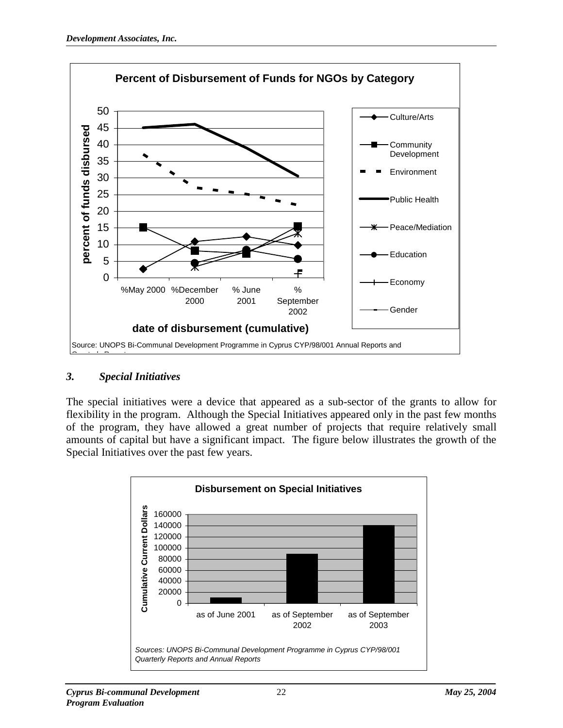

#### *3. Special Initiatives*

The special initiatives were a device that appeared as a sub-sector of the grants to allow for flexibility in the program. Although the Special Initiatives appeared only in the past few months of the program, they have allowed a great number of projects that require relatively small amounts of capital but have a significant impact. The figure below illustrates the growth of the Special Initiatives over the past few years.

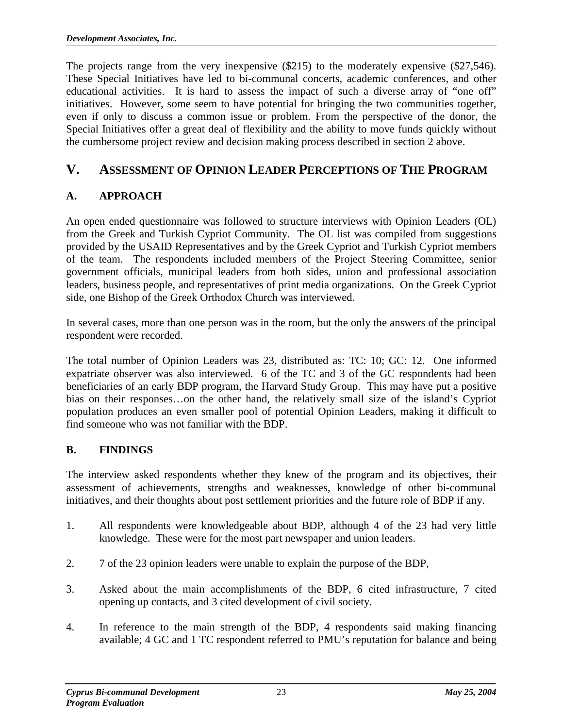The projects range from the very inexpensive (\$215) to the moderately expensive (\$27,546). These Special Initiatives have led to bi-communal concerts, academic conferences, and other educational activities. It is hard to assess the impact of such a diverse array of "one off" initiatives. However, some seem to have potential for bringing the two communities together, even if only to discuss a common issue or problem. From the perspective of the donor, the Special Initiatives offer a great deal of flexibility and the ability to move funds quickly without the cumbersome project review and decision making process described in section 2 above.

# **V. ASSESSMENT OF OPINION LEADER PERCEPTIONS OF THE PROGRAM**

# **A. APPROACH**

An open ended questionnaire was followed to structure interviews with Opinion Leaders (OL) from the Greek and Turkish Cypriot Community. The OL list was compiled from suggestions provided by the USAID Representatives and by the Greek Cypriot and Turkish Cypriot members of the team. The respondents included members of the Project Steering Committee, senior government officials, municipal leaders from both sides, union and professional association leaders, business people, and representatives of print media organizations. On the Greek Cypriot side, one Bishop of the Greek Orthodox Church was interviewed.

In several cases, more than one person was in the room, but the only the answers of the principal respondent were recorded.

The total number of Opinion Leaders was 23, distributed as: TC: 10; GC: 12. One informed expatriate observer was also interviewed. 6 of the TC and 3 of the GC respondents had been beneficiaries of an early BDP program, the Harvard Study Group. This may have put a positive bias on their responses…on the other hand, the relatively small size of the island's Cypriot population produces an even smaller pool of potential Opinion Leaders, making it difficult to find someone who was not familiar with the BDP.

# **B. FINDINGS**

The interview asked respondents whether they knew of the program and its objectives, their assessment of achievements, strengths and weaknesses, knowledge of other bi-communal initiatives, and their thoughts about post settlement priorities and the future role of BDP if any.

- 1. All respondents were knowledgeable about BDP, although 4 of the 23 had very little knowledge. These were for the most part newspaper and union leaders.
- 2. 7 of the 23 opinion leaders were unable to explain the purpose of the BDP,
- 3. Asked about the main accomplishments of the BDP, 6 cited infrastructure, 7 cited opening up contacts, and 3 cited development of civil society.
- 4. In reference to the main strength of the BDP, 4 respondents said making financing available; 4 GC and 1 TC respondent referred to PMU's reputation for balance and being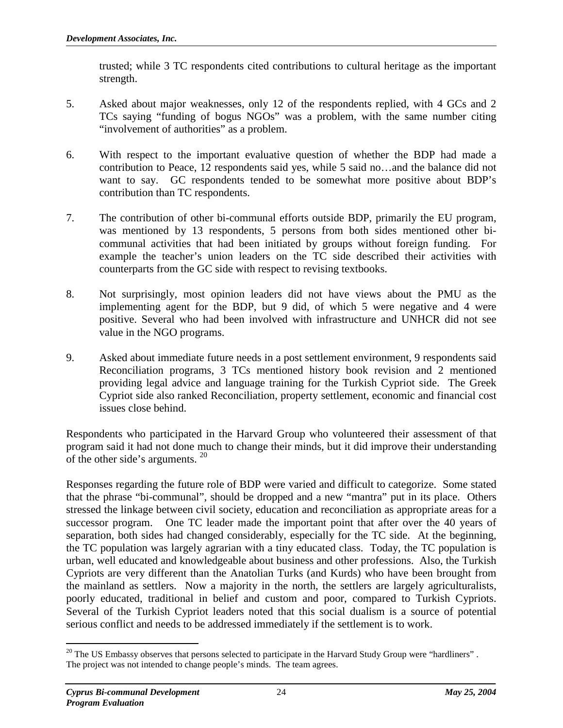trusted; while 3 TC respondents cited contributions to cultural heritage as the important strength.

- 5. Asked about major weaknesses, only 12 of the respondents replied, with 4 GCs and 2 TCs saying "funding of bogus NGOs" was a problem, with the same number citing "involvement of authorities" as a problem.
- 6. With respect to the important evaluative question of whether the BDP had made a contribution to Peace, 12 respondents said yes, while 5 said no…and the balance did not want to say. GC respondents tended to be somewhat more positive about BDP's contribution than TC respondents.
- 7. The contribution of other bi-communal efforts outside BDP, primarily the EU program, was mentioned by 13 respondents, 5 persons from both sides mentioned other bicommunal activities that had been initiated by groups without foreign funding. For example the teacher's union leaders on the TC side described their activities with counterparts from the GC side with respect to revising textbooks.
- 8. Not surprisingly, most opinion leaders did not have views about the PMU as the implementing agent for the BDP, but 9 did, of which 5 were negative and 4 were positive. Several who had been involved with infrastructure and UNHCR did not see value in the NGO programs.
- 9. Asked about immediate future needs in a post settlement environment, 9 respondents said Reconciliation programs, 3 TCs mentioned history book revision and 2 mentioned providing legal advice and language training for the Turkish Cypriot side. The Greek Cypriot side also ranked Reconciliation, property settlement, economic and financial cost issues close behind.

Respondents who participated in the Harvard Group who volunteered their assessment of that program said it had not done much to change their minds, but it did improve their understanding of the other side's arguments. [20](#page-36-0) 

Responses regarding the future role of BDP were varied and difficult to categorize. Some stated that the phrase "bi-communal", should be dropped and a new "mantra" put in its place. Others stressed the linkage between civil society, education and reconciliation as appropriate areas for a successor program. One TC leader made the important point that after over the 40 years of separation, both sides had changed considerably, especially for the TC side. At the beginning, the TC population was largely agrarian with a tiny educated class. Today, the TC population is urban, well educated and knowledgeable about business and other professions. Also, the Turkish Cypriots are very different than the Anatolian Turks (and Kurds) who have been brought from the mainland as settlers. Now a majority in the north, the settlers are largely agriculturalists, poorly educated, traditional in belief and custom and poor, compared to Turkish Cypriots. Several of the Turkish Cypriot leaders noted that this social dualism is a source of potential serious conflict and needs to be addressed immediately if the settlement is to work.

 $\overline{a}$ 

<span id="page-36-0"></span><sup>&</sup>lt;sup>20</sup> The US Embassy observes that persons selected to participate in the Harvard Study Group were "hardliners". The project was not intended to change people's minds. The team agrees.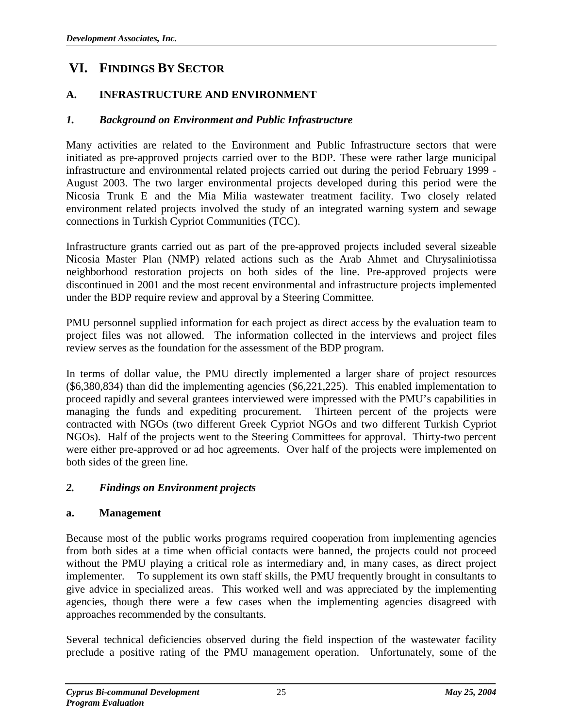## **VI. FINDINGS BY SECTOR**

## **A. INFRASTRUCTURE AND ENVIRONMENT**

### *1. Background on Environment and Public Infrastructure*

Many activities are related to the Environment and Public Infrastructure sectors that were initiated as pre-approved projects carried over to the BDP. These were rather large municipal infrastructure and environmental related projects carried out during the period February 1999 - August 2003. The two larger environmental projects developed during this period were the Nicosia Trunk E and the Mia Milia wastewater treatment facility. Two closely related environment related projects involved the study of an integrated warning system and sewage connections in Turkish Cypriot Communities (TCC).

Infrastructure grants carried out as part of the pre-approved projects included several sizeable Nicosia Master Plan (NMP) related actions such as the Arab Ahmet and Chrysaliniotissa neighborhood restoration projects on both sides of the line. Pre-approved projects were discontinued in 2001 and the most recent environmental and infrastructure projects implemented under the BDP require review and approval by a Steering Committee.

PMU personnel supplied information for each project as direct access by the evaluation team to project files was not allowed. The information collected in the interviews and project files review serves as the foundation for the assessment of the BDP program.

In terms of dollar value, the PMU directly implemented a larger share of project resources (\$6,380,834) than did the implementing agencies (\$6,221,225). This enabled implementation to proceed rapidly and several grantees interviewed were impressed with the PMU's capabilities in managing the funds and expediting procurement. Thirteen percent of the projects were contracted with NGOs (two different Greek Cypriot NGOs and two different Turkish Cypriot NGOs). Half of the projects went to the Steering Committees for approval. Thirty-two percent were either pre-approved or ad hoc agreements. Over half of the projects were implemented on both sides of the green line.

#### *2. Findings on Environment projects*

#### **a. Management**

Because most of the public works programs required cooperation from implementing agencies from both sides at a time when official contacts were banned, the projects could not proceed without the PMU playing a critical role as intermediary and, in many cases, as direct project implementer. To supplement its own staff skills, the PMU frequently brought in consultants to give advice in specialized areas. This worked well and was appreciated by the implementing agencies, though there were a few cases when the implementing agencies disagreed with approaches recommended by the consultants.

Several technical deficiencies observed during the field inspection of the wastewater facility preclude a positive rating of the PMU management operation. Unfortunately, some of the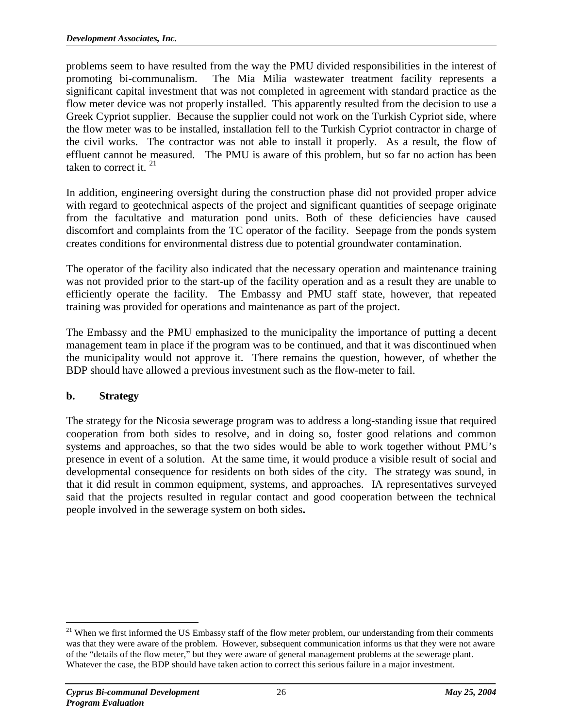problems seem to have resulted from the way the PMU divided responsibilities in the interest of promoting bi-communalism. The Mia Milia wastewater treatment facility represents a significant capital investment that was not completed in agreement with standard practice as the flow meter device was not properly installed. This apparently resulted from the decision to use a Greek Cypriot supplier. Because the supplier could not work on the Turkish Cypriot side, where the flow meter was to be installed, installation fell to the Turkish Cypriot contractor in charge of the civil works. The contractor was not able to install it properly. As a result, the flow of effluent cannot be measured. The PMU is aware of this problem, but so far no action has been taken to correct it.  $21$ 

In addition, engineering oversight during the construction phase did not provided proper advice with regard to geotechnical aspects of the project and significant quantities of seepage originate from the facultative and maturation pond units. Both of these deficiencies have caused discomfort and complaints from the TC operator of the facility. Seepage from the ponds system creates conditions for environmental distress due to potential groundwater contamination.

The operator of the facility also indicated that the necessary operation and maintenance training was not provided prior to the start-up of the facility operation and as a result they are unable to efficiently operate the facility. The Embassy and PMU staff state, however, that repeated training was provided for operations and maintenance as part of the project.

The Embassy and the PMU emphasized to the municipality the importance of putting a decent management team in place if the program was to be continued, and that it was discontinued when the municipality would not approve it. There remains the question, however, of whether the BDP should have allowed a previous investment such as the flow-meter to fail.

## **b. Strategy**

The strategy for the Nicosia sewerage program was to address a long-standing issue that required cooperation from both sides to resolve, and in doing so, foster good relations and common systems and approaches, so that the two sides would be able to work together without PMU's presence in event of a solution. At the same time, it would produce a visible result of social and developmental consequence for residents on both sides of the city. The strategy was sound, in that it did result in common equipment, systems, and approaches. IA representatives surveyed said that the projects resulted in regular contact and good cooperation between the technical people involved in the sewerage system on both sides**.** 

1

<span id="page-38-0"></span><sup>&</sup>lt;sup>21</sup> When we first informed the US Embassy staff of the flow meter problem, our understanding from their comments was that they were aware of the problem. However, subsequent communication informs us that they were not aware of the "details of the flow meter," but they were aware of general management problems at the sewerage plant. Whatever the case, the BDP should have taken action to correct this serious failure in a major investment.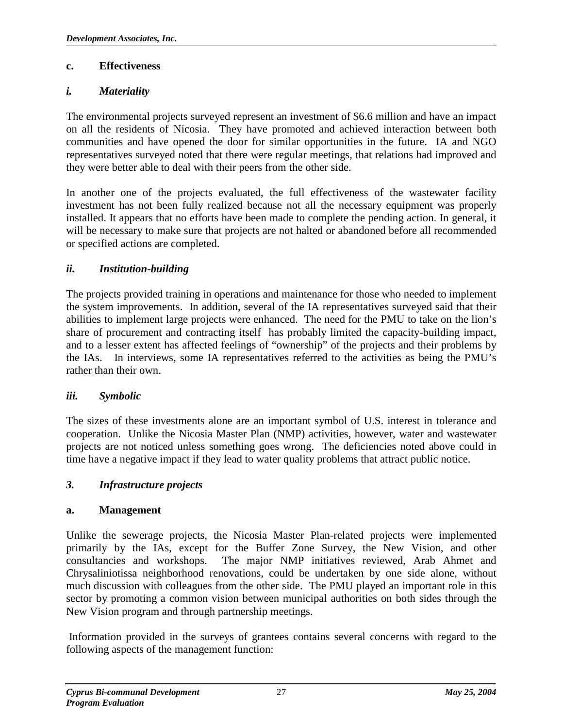## **c. Effectiveness**

## *i. Materiality*

The environmental projects surveyed represent an investment of \$6.6 million and have an impact on all the residents of Nicosia. They have promoted and achieved interaction between both communities and have opened the door for similar opportunities in the future. IA and NGO representatives surveyed noted that there were regular meetings, that relations had improved and they were better able to deal with their peers from the other side.

In another one of the projects evaluated, the full effectiveness of the wastewater facility investment has not been fully realized because not all the necessary equipment was properly installed. It appears that no efforts have been made to complete the pending action. In general, it will be necessary to make sure that projects are not halted or abandoned before all recommended or specified actions are completed.

### *ii. Institution-building*

The projects provided training in operations and maintenance for those who needed to implement the system improvements. In addition, several of the IA representatives surveyed said that their abilities to implement large projects were enhanced. The need for the PMU to take on the lion's share of procurement and contracting itself has probably limited the capacity-building impact, and to a lesser extent has affected feelings of "ownership" of the projects and their problems by the IAs. In interviews, some IA representatives referred to the activities as being the PMU's rather than their own.

## *iii. Symbolic*

The sizes of these investments alone are an important symbol of U.S. interest in tolerance and cooperation. Unlike the Nicosia Master Plan (NMP) activities, however, water and wastewater projects are not noticed unless something goes wrong. The deficiencies noted above could in time have a negative impact if they lead to water quality problems that attract public notice.

## *3. Infrastructure projects*

#### **a. Management**

Unlike the sewerage projects, the Nicosia Master Plan-related projects were implemented primarily by the IAs, except for the Buffer Zone Survey, the New Vision, and other consultancies and workshops. The major NMP initiatives reviewed, Arab Ahmet and Chrysaliniotissa neighborhood renovations, could be undertaken by one side alone, without much discussion with colleagues from the other side. The PMU played an important role in this sector by promoting a common vision between municipal authorities on both sides through the New Vision program and through partnership meetings.

Information provided in the surveys of grantees contains several concerns with regard to the following aspects of the management function: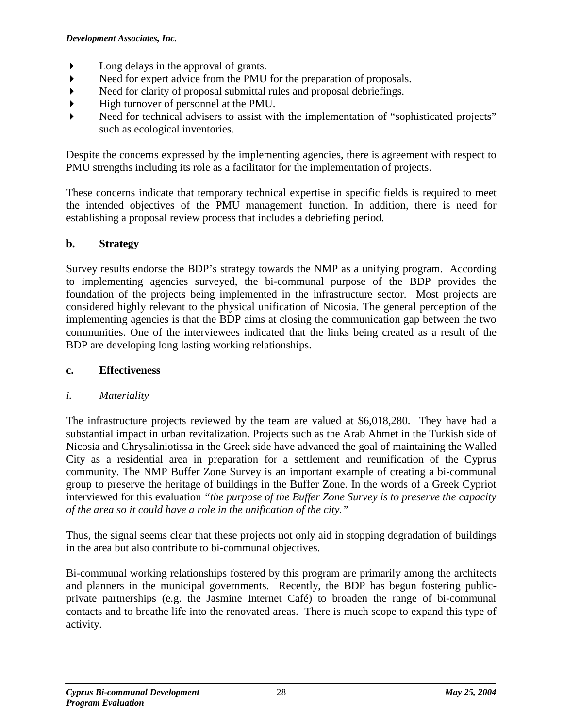- $\blacktriangleright$  Long delays in the approval of grants.
- Need for expert advice from the PMU for the preparation of proposals.
- Need for clarity of proposal submittal rules and proposal debriefings.
- High turnover of personnel at the PMU.
- Need for technical advisers to assist with the implementation of "sophisticated projects" such as ecological inventories.

Despite the concerns expressed by the implementing agencies, there is agreement with respect to PMU strengths including its role as a facilitator for the implementation of projects.

These concerns indicate that temporary technical expertise in specific fields is required to meet the intended objectives of the PMU management function. In addition, there is need for establishing a proposal review process that includes a debriefing period.

## **b. Strategy**

Survey results endorse the BDP's strategy towards the NMP as a unifying program. According to implementing agencies surveyed, the bi-communal purpose of the BDP provides the foundation of the projects being implemented in the infrastructure sector. Most projects are considered highly relevant to the physical unification of Nicosia. The general perception of the implementing agencies is that the BDP aims at closing the communication gap between the two communities. One of the interviewees indicated that the links being created as a result of the BDP are developing long lasting working relationships.

#### **c. Effectiveness**

## *i. Materiality*

The infrastructure projects reviewed by the team are valued at \$6,018,280. They have had a substantial impact in urban revitalization. Projects such as the Arab Ahmet in the Turkish side of Nicosia and Chrysaliniotissa in the Greek side have advanced the goal of maintaining the Walled City as a residential area in preparation for a settlement and reunification of the Cyprus community. The NMP Buffer Zone Survey is an important example of creating a bi-communal group to preserve the heritage of buildings in the Buffer Zone. In the words of a Greek Cypriot interviewed for this evaluation *"the purpose of the Buffer Zone Survey is to preserve the capacity of the area so it could have a role in the unification of the city."* 

Thus, the signal seems clear that these projects not only aid in stopping degradation of buildings in the area but also contribute to bi-communal objectives.

Bi-communal working relationships fostered by this program are primarily among the architects and planners in the municipal governments. Recently, the BDP has begun fostering publicprivate partnerships (e.g. the Jasmine Internet Café) to broaden the range of bi-communal contacts and to breathe life into the renovated areas. There is much scope to expand this type of activity.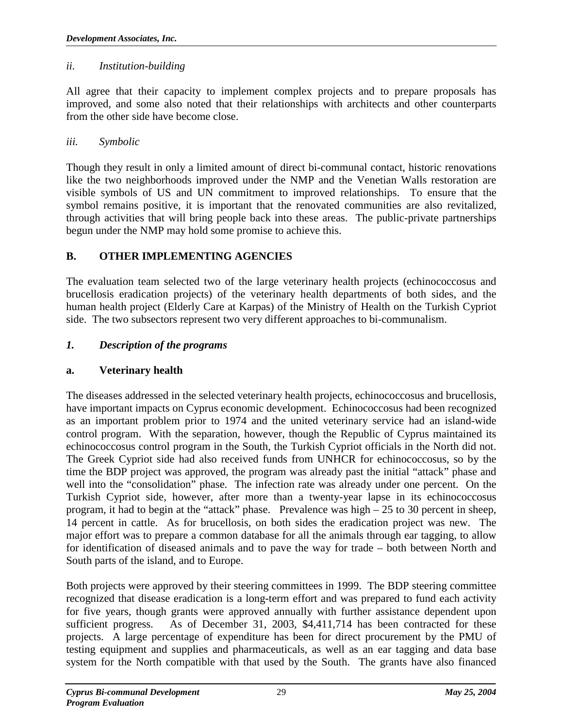## *ii. Institution-building*

All agree that their capacity to implement complex projects and to prepare proposals has improved, and some also noted that their relationships with architects and other counterparts from the other side have become close.

## *iii. Symbolic*

Though they result in only a limited amount of direct bi-communal contact, historic renovations like the two neighborhoods improved under the NMP and the Venetian Walls restoration are visible symbols of US and UN commitment to improved relationships. To ensure that the symbol remains positive, it is important that the renovated communities are also revitalized, through activities that will bring people back into these areas. The public-private partnerships begun under the NMP may hold some promise to achieve this.

## **B. OTHER IMPLEMENTING AGENCIES**

The evaluation team selected two of the large veterinary health projects (echinococcosus and brucellosis eradication projects) of the veterinary health departments of both sides, and the human health project (Elderly Care at Karpas) of the Ministry of Health on the Turkish Cypriot side. The two subsectors represent two very different approaches to bi-communalism.

## *1. Description of the programs*

## **a. Veterinary health**

The diseases addressed in the selected veterinary health projects, echinococcosus and brucellosis, have important impacts on Cyprus economic development. Echinococcosus had been recognized as an important problem prior to 1974 and the united veterinary service had an island-wide control program. With the separation, however, though the Republic of Cyprus maintained its echinococcosus control program in the South, the Turkish Cypriot officials in the North did not. The Greek Cypriot side had also received funds from UNHCR for echinococcosus, so by the time the BDP project was approved, the program was already past the initial "attack" phase and well into the "consolidation" phase. The infection rate was already under one percent. On the Turkish Cypriot side, however, after more than a twenty-year lapse in its echinococcosus program, it had to begin at the "attack" phase. Prevalence was high – 25 to 30 percent in sheep, 14 percent in cattle. As for brucellosis, on both sides the eradication project was new. The major effort was to prepare a common database for all the animals through ear tagging, to allow for identification of diseased animals and to pave the way for trade – both between North and South parts of the island, and to Europe.

Both projects were approved by their steering committees in 1999. The BDP steering committee recognized that disease eradication is a long-term effort and was prepared to fund each activity for five years, though grants were approved annually with further assistance dependent upon sufficient progress. As of December 31, 2003, \$4,411,714 has been contracted for these projects. A large percentage of expenditure has been for direct procurement by the PMU of testing equipment and supplies and pharmaceuticals, as well as an ear tagging and data base system for the North compatible with that used by the South. The grants have also financed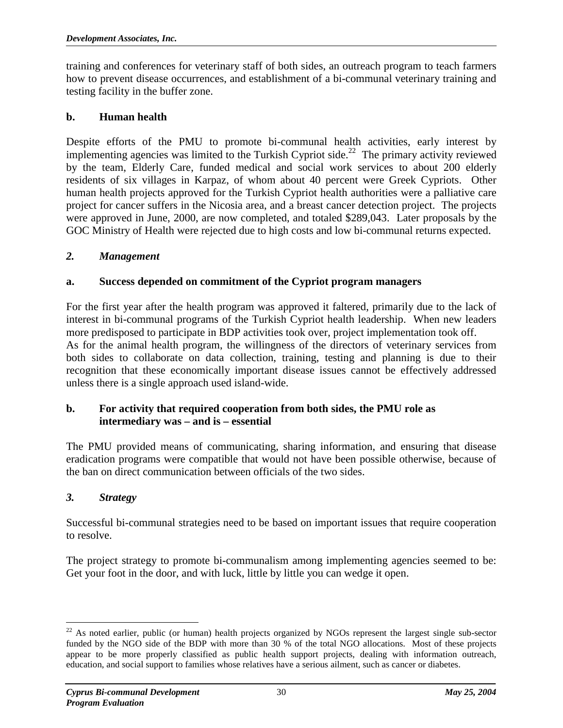training and conferences for veterinary staff of both sides, an outreach program to teach farmers how to prevent disease occurrences, and establishment of a bi-communal veterinary training and testing facility in the buffer zone.

## **b. Human health**

Despite efforts of the PMU to promote bi-communal health activities, early interest by implementing agencies was limited to the Turkish Cypriot side.<sup>22</sup> The primary activity reviewed by the team, Elderly Care, funded medical and social work services to about 200 elderly residents of six villages in Karpaz, of whom about 40 percent were Greek Cypriots. Other human health projects approved for the Turkish Cypriot health authorities were a palliative care project for cancer suffers in the Nicosia area, and a breast cancer detection project. The projects were approved in June, 2000, are now completed, and totaled \$289,043. Later proposals by the GOC Ministry of Health were rejected due to high costs and low bi-communal returns expected.

## *2. Management*

## **a. Success depended on commitment of the Cypriot program managers**

For the first year after the health program was approved it faltered, primarily due to the lack of interest in bi-communal programs of the Turkish Cypriot health leadership. When new leaders more predisposed to participate in BDP activities took over, project implementation took off. As for the animal health program, the willingness of the directors of veterinary services from both sides to collaborate on data collection, training, testing and planning is due to their recognition that these economically important disease issues cannot be effectively addressed unless there is a single approach used island-wide.

#### **b. For activity that required cooperation from both sides, the PMU role as intermediary was – and is – essential**

The PMU provided means of communicating, sharing information, and ensuring that disease eradication programs were compatible that would not have been possible otherwise, because of the ban on direct communication between officials of the two sides.

## *3. Strategy*

1

Successful bi-communal strategies need to be based on important issues that require cooperation to resolve.

The project strategy to promote bi-communalism among implementing agencies seemed to be: Get your foot in the door, and with luck, little by little you can wedge it open.

<span id="page-42-0"></span> $^{22}$  As noted earlier, public (or human) health projects organized by NGOs represent the largest single sub-sector funded by the NGO side of the BDP with more than 30 % of the total NGO allocations. Most of these projects appear to be more properly classified as public health support projects, dealing with information outreach, education, and social support to families whose relatives have a serious ailment, such as cancer or diabetes.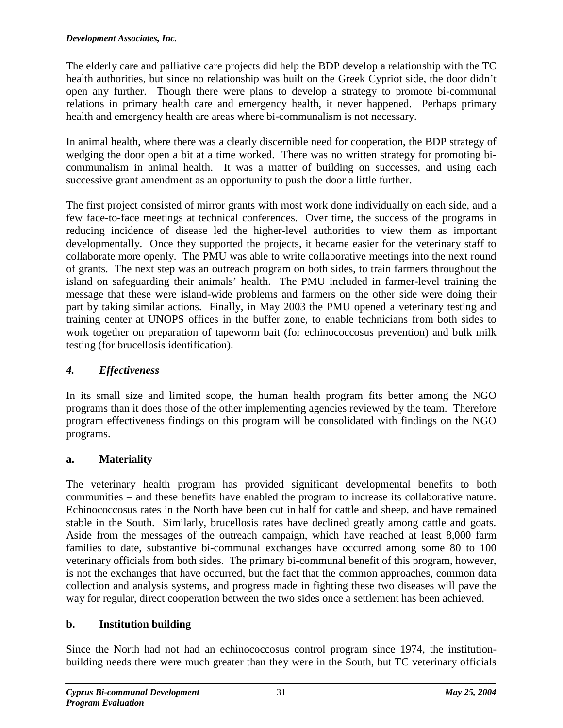The elderly care and palliative care projects did help the BDP develop a relationship with the TC health authorities, but since no relationship was built on the Greek Cypriot side, the door didn't open any further. Though there were plans to develop a strategy to promote bi-communal relations in primary health care and emergency health, it never happened. Perhaps primary health and emergency health are areas where bi-communalism is not necessary.

In animal health, where there was a clearly discernible need for cooperation, the BDP strategy of wedging the door open a bit at a time worked. There was no written strategy for promoting bicommunalism in animal health. It was a matter of building on successes, and using each successive grant amendment as an opportunity to push the door a little further.

The first project consisted of mirror grants with most work done individually on each side, and a few face-to-face meetings at technical conferences. Over time, the success of the programs in reducing incidence of disease led the higher-level authorities to view them as important developmentally. Once they supported the projects, it became easier for the veterinary staff to collaborate more openly. The PMU was able to write collaborative meetings into the next round of grants. The next step was an outreach program on both sides, to train farmers throughout the island on safeguarding their animals' health. The PMU included in farmer-level training the message that these were island-wide problems and farmers on the other side were doing their part by taking similar actions. Finally, in May 2003 the PMU opened a veterinary testing and training center at UNOPS offices in the buffer zone, to enable technicians from both sides to work together on preparation of tapeworm bait (for echinococcosus prevention) and bulk milk testing (for brucellosis identification).

## *4. Effectiveness*

In its small size and limited scope, the human health program fits better among the NGO programs than it does those of the other implementing agencies reviewed by the team. Therefore program effectiveness findings on this program will be consolidated with findings on the NGO programs.

## **a. Materiality**

The veterinary health program has provided significant developmental benefits to both communities – and these benefits have enabled the program to increase its collaborative nature. Echinococcosus rates in the North have been cut in half for cattle and sheep, and have remained stable in the South. Similarly, brucellosis rates have declined greatly among cattle and goats. Aside from the messages of the outreach campaign, which have reached at least 8,000 farm families to date, substantive bi-communal exchanges have occurred among some 80 to 100 veterinary officials from both sides. The primary bi-communal benefit of this program, however, is not the exchanges that have occurred, but the fact that the common approaches, common data collection and analysis systems, and progress made in fighting these two diseases will pave the way for regular, direct cooperation between the two sides once a settlement has been achieved.

## **b. Institution building**

Since the North had not had an echinococcosus control program since 1974, the institutionbuilding needs there were much greater than they were in the South, but TC veterinary officials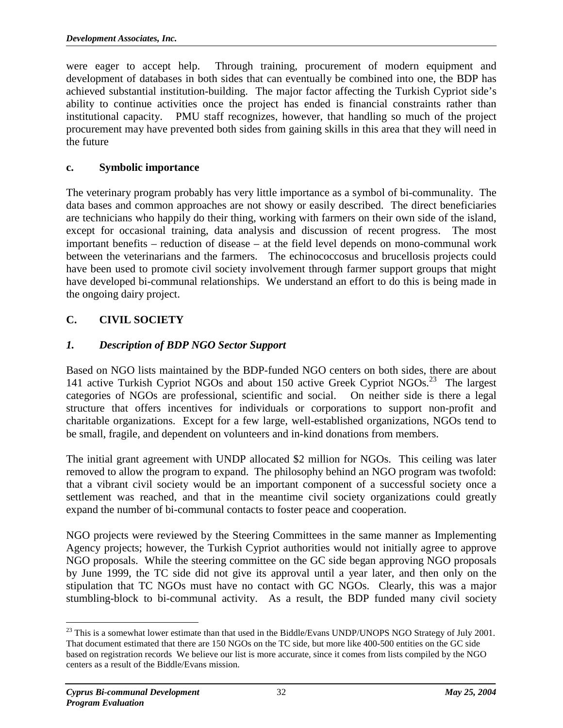were eager to accept help. Through training, procurement of modern equipment and development of databases in both sides that can eventually be combined into one, the BDP has achieved substantial institution-building. The major factor affecting the Turkish Cypriot side's ability to continue activities once the project has ended is financial constraints rather than institutional capacity. PMU staff recognizes, however, that handling so much of the project procurement may have prevented both sides from gaining skills in this area that they will need in the future

## **c. Symbolic importance**

The veterinary program probably has very little importance as a symbol of bi-communality. The data bases and common approaches are not showy or easily described. The direct beneficiaries are technicians who happily do their thing, working with farmers on their own side of the island, except for occasional training, data analysis and discussion of recent progress. The most important benefits – reduction of disease – at the field level depends on mono-communal work between the veterinarians and the farmers. The echinococcosus and brucellosis projects could have been used to promote civil society involvement through farmer support groups that might have developed bi-communal relationships. We understand an effort to do this is being made in the ongoing dairy project.

## **C. CIVIL SOCIETY**

## *1. Description of BDP NGO Sector Support*

Based on NGO lists maintained by the BDP-funded NGO centers on both sides, there are about 141 active Turkish Cypriot NGOs and about 150 active Greek Cypriot  $NGOs$ <sup>23</sup>. The largest categories of NGOs are professional, scientific and social. On neither side is there a legal structure that offers incentives for individuals or corporations to support non-profit and charitable organizations. Except for a few large, well-established organizations, NGOs tend to be small, fragile, and dependent on volunteers and in-kind donations from members.

The initial grant agreement with UNDP allocated \$2 million for NGOs. This ceiling was later removed to allow the program to expand. The philosophy behind an NGO program was twofold: that a vibrant civil society would be an important component of a successful society once a settlement was reached, and that in the meantime civil society organizations could greatly expand the number of bi-communal contacts to foster peace and cooperation.

NGO projects were reviewed by the Steering Committees in the same manner as Implementing Agency projects; however, the Turkish Cypriot authorities would not initially agree to approve NGO proposals. While the steering committee on the GC side began approving NGO proposals by June 1999, the TC side did not give its approval until a year later, and then only on the stipulation that TC NGOs must have no contact with GC NGOs. Clearly, this was a major stumbling-block to bi-communal activity. As a result, the BDP funded many civil society

<span id="page-44-0"></span><sup>1</sup> <sup>23</sup> This is a somewhat lower estimate than that used in the Biddle/Evans UNDP/UNOPS NGO Strategy of July 2001. That document estimated that there are 150 NGOs on the TC side, but more like 400-500 entities on the GC side based on registration records We believe our list is more accurate, since it comes from lists compiled by the NGO centers as a result of the Biddle/Evans mission.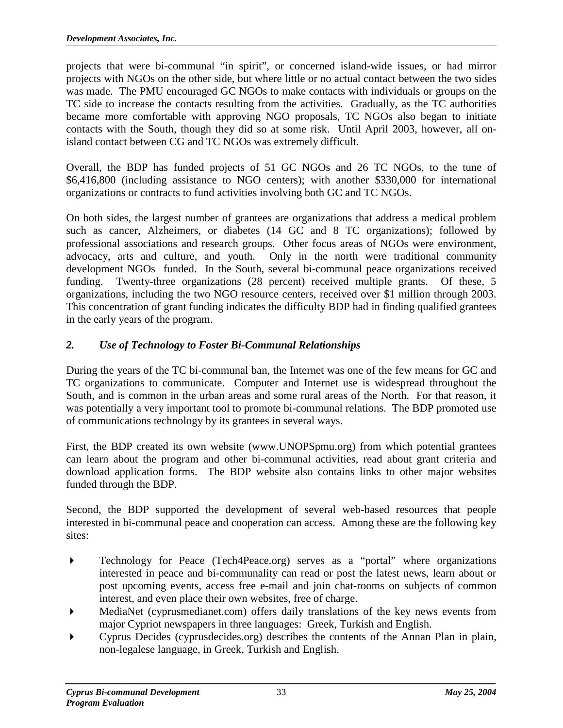projects that were bi-communal "in spirit", or concerned island-wide issues, or had mirror projects with NGOs on the other side, but where little or no actual contact between the two sides was made. The PMU encouraged GC NGOs to make contacts with individuals or groups on the TC side to increase the contacts resulting from the activities. Gradually, as the TC authorities became more comfortable with approving NGO proposals, TC NGOs also began to initiate contacts with the South, though they did so at some risk. Until April 2003, however, all onisland contact between CG and TC NGOs was extremely difficult.

Overall, the BDP has funded projects of 51 GC NGOs and 26 TC NGOs, to the tune of \$6,416,800 (including assistance to NGO centers); with another \$330,000 for international organizations or contracts to fund activities involving both GC and TC NGOs.

On both sides, the largest number of grantees are organizations that address a medical problem such as cancer, Alzheimers, or diabetes (14 GC and 8 TC organizations); followed by professional associations and research groups. Other focus areas of NGOs were environment, advocacy, arts and culture, and youth. Only in the north were traditional community development NGOs funded. In the South, several bi-communal peace organizations received funding. Twenty-three organizations (28 percent) received multiple grants. Of these, 5 organizations, including the two NGO resource centers, received over \$1 million through 2003. This concentration of grant funding indicates the difficulty BDP had in finding qualified grantees in the early years of the program.

## *2. Use of Technology to Foster Bi-Communal Relationships*

During the years of the TC bi-communal ban, the Internet was one of the few means for GC and TC organizations to communicate. Computer and Internet use is widespread throughout the South, and is common in the urban areas and some rural areas of the North. For that reason, it was potentially a very important tool to promote bi-communal relations. The BDP promoted use of communications technology by its grantees in several ways.

First, the BDP created its own website (www.UNOPSpmu.org) from which potential grantees can learn about the program and other bi-communal activities, read about grant criteria and download application forms. The BDP website also contains links to other major websites funded through the BDP.

Second, the BDP supported the development of several web-based resources that people interested in bi-communal peace and cooperation can access. Among these are the following key sites:

- Technology for Peace (Tech4Peace.org) serves as a "portal" where organizations interested in peace and bi-communality can read or post the latest news, learn about or post upcoming events, access free e-mail and join chat-rooms on subjects of common interest, and even place their own websites, free of charge.
- MediaNet (cyprusmedianet.com) offers daily translations of the key news events from major Cypriot newspapers in three languages: Greek, Turkish and English.
- Cyprus Decides (cyprusdecides.org) describes the contents of the Annan Plan in plain, non-legalese language, in Greek, Turkish and English.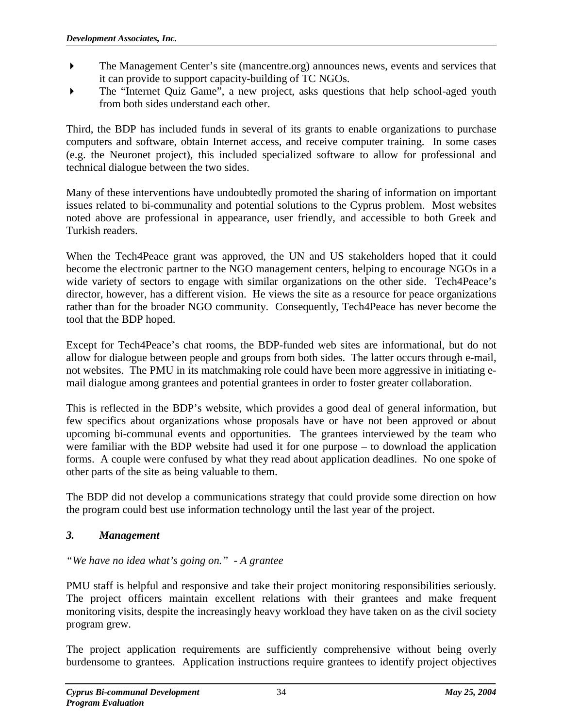- The Management Center's site (mancentre.org) announces news, events and services that it can provide to support capacity-building of TC NGOs.
- The "Internet Quiz Game", a new project, asks questions that help school-aged youth from both sides understand each other.

Third, the BDP has included funds in several of its grants to enable organizations to purchase computers and software, obtain Internet access, and receive computer training. In some cases (e.g. the Neuronet project), this included specialized software to allow for professional and technical dialogue between the two sides.

Many of these interventions have undoubtedly promoted the sharing of information on important issues related to bi-communality and potential solutions to the Cyprus problem. Most websites noted above are professional in appearance, user friendly, and accessible to both Greek and Turkish readers.

When the Tech4Peace grant was approved, the UN and US stakeholders hoped that it could become the electronic partner to the NGO management centers, helping to encourage NGOs in a wide variety of sectors to engage with similar organizations on the other side. Tech4Peace's director, however, has a different vision. He views the site as a resource for peace organizations rather than for the broader NGO community. Consequently, Tech4Peace has never become the tool that the BDP hoped.

Except for Tech4Peace's chat rooms, the BDP-funded web sites are informational, but do not allow for dialogue between people and groups from both sides. The latter occurs through e-mail, not websites. The PMU in its matchmaking role could have been more aggressive in initiating email dialogue among grantees and potential grantees in order to foster greater collaboration.

This is reflected in the BDP's website, which provides a good deal of general information, but few specifics about organizations whose proposals have or have not been approved or about upcoming bi-communal events and opportunities. The grantees interviewed by the team who were familiar with the BDP website had used it for one purpose – to download the application forms. A couple were confused by what they read about application deadlines. No one spoke of other parts of the site as being valuable to them.

The BDP did not develop a communications strategy that could provide some direction on how the program could best use information technology until the last year of the project.

## *3. Management*

## *"We have no idea what's going on." - A grantee*

PMU staff is helpful and responsive and take their project monitoring responsibilities seriously. The project officers maintain excellent relations with their grantees and make frequent monitoring visits, despite the increasingly heavy workload they have taken on as the civil society program grew.

The project application requirements are sufficiently comprehensive without being overly burdensome to grantees. Application instructions require grantees to identify project objectives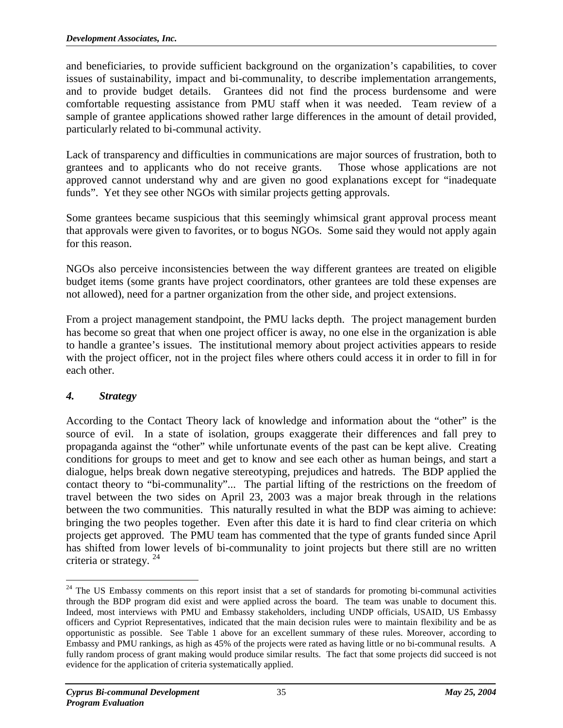and beneficiaries, to provide sufficient background on the organization's capabilities, to cover issues of sustainability, impact and bi-communality, to describe implementation arrangements, and to provide budget details. Grantees did not find the process burdensome and were comfortable requesting assistance from PMU staff when it was needed. Team review of a sample of grantee applications showed rather large differences in the amount of detail provided, particularly related to bi-communal activity.

Lack of transparency and difficulties in communications are major sources of frustration, both to grantees and to applicants who do not receive grants. Those whose applications are not approved cannot understand why and are given no good explanations except for "inadequate funds". Yet they see other NGOs with similar projects getting approvals.

Some grantees became suspicious that this seemingly whimsical grant approval process meant that approvals were given to favorites, or to bogus NGOs. Some said they would not apply again for this reason.

NGOs also perceive inconsistencies between the way different grantees are treated on eligible budget items (some grants have project coordinators, other grantees are told these expenses are not allowed), need for a partner organization from the other side, and project extensions.

From a project management standpoint, the PMU lacks depth. The project management burden has become so great that when one project officer is away, no one else in the organization is able to handle a grantee's issues. The institutional memory about project activities appears to reside with the project officer, not in the project files where others could access it in order to fill in for each other.

## *4. Strategy*

According to the Contact Theory lack of knowledge and information about the "other" is the source of evil. In a state of isolation, groups exaggerate their differences and fall prey to propaganda against the "other" while unfortunate events of the past can be kept alive. Creating conditions for groups to meet and get to know and see each other as human beings, and start a dialogue, helps break down negative stereotyping, prejudices and hatreds. The BDP applied the contact theory to "bi-communality"... The partial lifting of the restrictions on the freedom of travel between the two sides on April 23, 2003 was a major break through in the relations between the two communities. This naturally resulted in what the BDP was aiming to achieve: bringing the two peoples together. Even after this date it is hard to find clear criteria on which projects get approved. The PMU team has commented that the type of grants funded since April has shifted from lower levels of bi-communality to joint projects but there still are no written criteria or strategy.  $24$ 

<span id="page-47-0"></span> $\overline{a}$ <sup>24</sup> The US Embassy comments on this report insist that a set of standards for promoting bi-communal activities through the BDP program did exist and were applied across the board. The team was unable to document this. Indeed, most interviews with PMU and Embassy stakeholders, including UNDP officials, USAID, US Embassy officers and Cypriot Representatives, indicated that the main decision rules were to maintain flexibility and be as opportunistic as possible. See Table 1 above for an excellent summary of these rules. Moreover, according to Embassy and PMU rankings, as high as 45% of the projects were rated as having little or no bi-communal results. A fully random process of grant making would produce similar results. The fact that some projects did succeed is not evidence for the application of criteria systematically applied.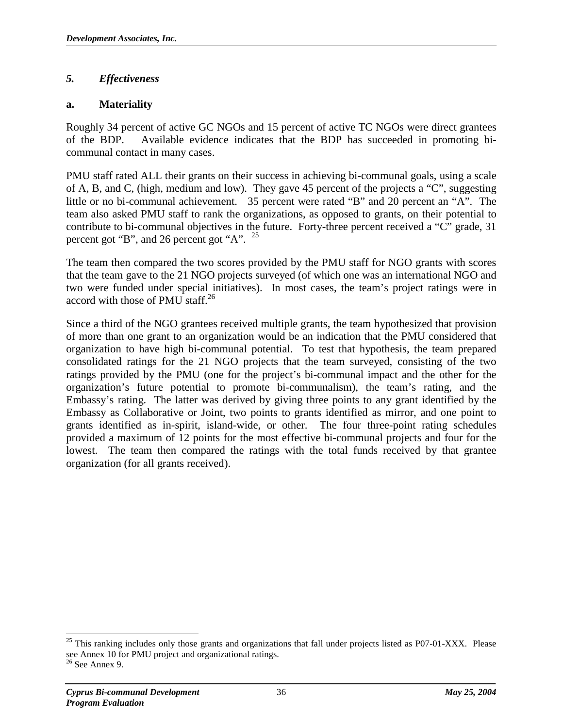## *5. Effectiveness*

### **a. Materiality**

Roughly 34 percent of active GC NGOs and 15 percent of active TC NGOs were direct grantees of the BDP. Available evidence indicates that the BDP has succeeded in promoting bicommunal contact in many cases.

PMU staff rated ALL their grants on their success in achieving bi-communal goals, using a scale of A, B, and C, (high, medium and low). They gave 45 percent of the projects a "C", suggesting little or no bi-communal achievement. 35 percent were rated "B" and 20 percent an "A". The team also asked PMU staff to rank the organizations, as opposed to grants, on their potential to contribute to bi-communal objectives in the future. Forty-three percent received a "C" grade, 31 percent got "B", and 26 percent got "A".  $^{25}$ 

The team then compared the two scores provided by the PMU staff for NGO grants with scores that the team gave to the 21 NGO projects surveyed (of which one was an international NGO and two were funded under special initiatives). In most cases, the team's project ratings were in accord with those of PMU staff.<sup>26</sup>

Since a third of the NGO grantees received multiple grants, the team hypothesized that provision of more than one grant to an organization would be an indication that the PMU considered that organization to have high bi-communal potential. To test that hypothesis, the team prepared consolidated ratings for the 21 NGO projects that the team surveyed, consisting of the two ratings provided by the PMU (one for the project's bi-communal impact and the other for the organization's future potential to promote bi-communalism), the team's rating, and the Embassy's rating. The latter was derived by giving three points to any grant identified by the Embassy as Collaborative or Joint, two points to grants identified as mirror, and one point to grants identified as in-spirit, island-wide, or other. The four three-point rating schedules provided a maximum of 12 points for the most effective bi-communal projects and four for the lowest. The team then compared the ratings with the total funds received by that grantee organization (for all grants received).

 $\overline{a}$ 

<span id="page-48-1"></span><span id="page-48-0"></span> $25$  This ranking includes only those grants and organizations that fall under projects listed as P07-01-XXX. Please see Annex 10 for PMU project and organizational ratings.<br><sup>26</sup> See Annex 9.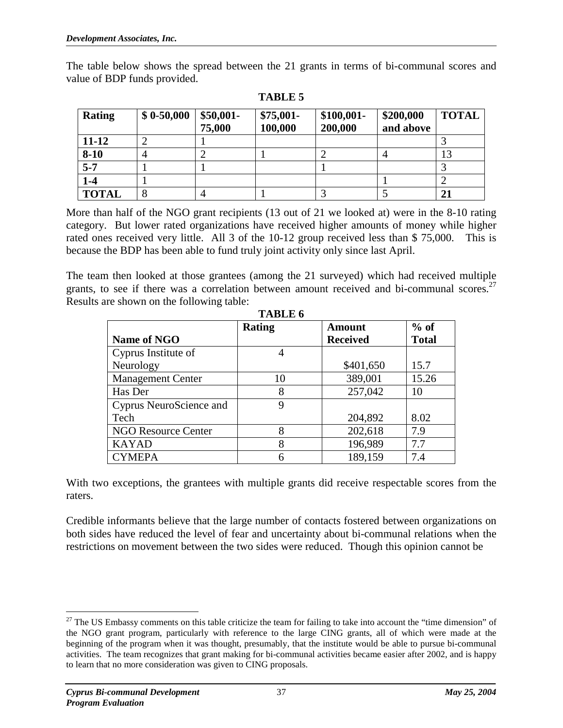The table below shows the spread between the 21 grants in terms of bi-communal scores and value of BDP funds provided.

| <b>Rating</b> | $$0-50,000$ | $$50,001-$<br>75,000 | $$75,001-$<br>100,000 | $$100,001$ -<br>200,000 | \$200,000<br>and above | <b>TOTAL</b> |
|---------------|-------------|----------------------|-----------------------|-------------------------|------------------------|--------------|
| $11 - 12$     |             |                      |                       |                         |                        |              |
| $8 - 10$      | 4           |                      |                       |                         |                        |              |
| $5 - 7$       |             |                      |                       |                         |                        |              |
| $1-4$         |             |                      |                       |                         |                        |              |
| <b>TOTAL</b>  | 8           |                      |                       |                         |                        | 21           |

**TABLE 5** 

More than half of the NGO grant recipients (13 out of 21 we looked at) were in the 8-10 rating category. But lower rated organizations have received higher amounts of money while higher rated ones received very little. All 3 of the 10-12 group received less than \$ 75,000. This is because the BDP has been able to fund truly joint activity only since last April.

The team then looked at those grantees (among the 21 surveyed) which had received multiple grants, to see if there was a correlation between amount received and bi-communal scores.<sup>27</sup> Results are shown on the following table:

**TABLE 6** 

| тарыз о                    |               |                 |              |  |  |  |
|----------------------------|---------------|-----------------|--------------|--|--|--|
|                            | <b>Rating</b> | <b>Amount</b>   | $%$ of       |  |  |  |
| Name of NGO                |               | <b>Received</b> | <b>Total</b> |  |  |  |
| Cyprus Institute of        |               |                 |              |  |  |  |
| Neurology                  |               | \$401,650       | 15.7         |  |  |  |
| <b>Management Center</b>   | 10            | 389,001         | 15.26        |  |  |  |
| Has Der                    | 8             | 257,042         | 10           |  |  |  |
| Cyprus NeuroScience and    | 9             |                 |              |  |  |  |
| Tech                       |               | 204,892         | 8.02         |  |  |  |
| <b>NGO Resource Center</b> | 8             | 202,618         | 7.9          |  |  |  |
| <b>KAYAD</b>               | 8             | 196,989         | 7.7          |  |  |  |
| <b>CYMEPA</b>              |               | 189,159         | 7.4          |  |  |  |

With two exceptions, the grantees with multiple grants did receive respectable scores from the raters.

Credible informants believe that the large number of contacts fostered between organizations on both sides have reduced the level of fear and uncertainty about bi-communal relations when the restrictions on movement between the two sides were reduced. Though this opinion cannot be

 $\overline{a}$ 

<span id="page-49-0"></span> $27$  The US Embassy comments on this table criticize the team for failing to take into account the "time dimension" of the NGO grant program, particularly with reference to the large CING grants, all of which were made at the beginning of the program when it was thought, presumably, that the institute would be able to pursue bi-communal activities. The team recognizes that grant making for bi-communal activities became easier after 2002, and is happy to learn that no more consideration was given to CING proposals.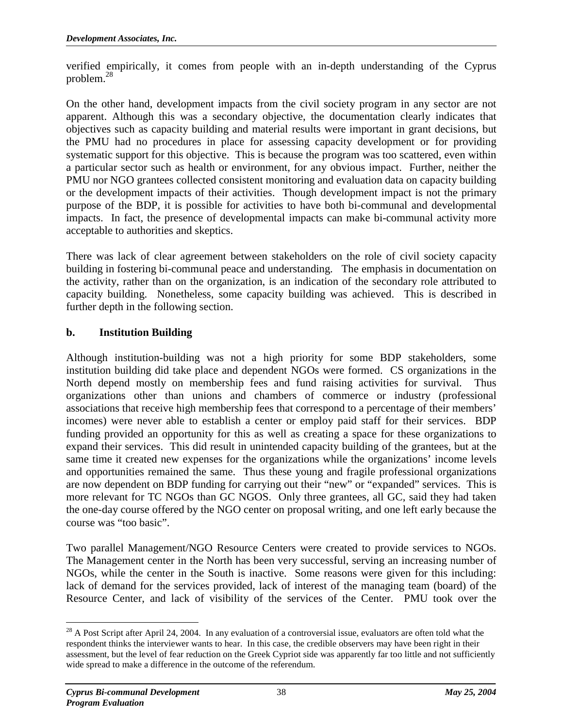verified empirically, it comes from people with an in-depth understanding of the Cyprus problem.[28](#page-50-0)

On the other hand, development impacts from the civil society program in any sector are not apparent. Although this was a secondary objective, the documentation clearly indicates that objectives such as capacity building and material results were important in grant decisions, but the PMU had no procedures in place for assessing capacity development or for providing systematic support for this objective. This is because the program was too scattered, even within a particular sector such as health or environment, for any obvious impact. Further, neither the PMU nor NGO grantees collected consistent monitoring and evaluation data on capacity building or the development impacts of their activities. Though development impact is not the primary purpose of the BDP, it is possible for activities to have both bi-communal and developmental impacts. In fact, the presence of developmental impacts can make bi-communal activity more acceptable to authorities and skeptics.

There was lack of clear agreement between stakeholders on the role of civil society capacity building in fostering bi-communal peace and understanding. The emphasis in documentation on the activity, rather than on the organization, is an indication of the secondary role attributed to capacity building. Nonetheless, some capacity building was achieved. This is described in further depth in the following section.

## **b. Institution Building**

Although institution-building was not a high priority for some BDP stakeholders, some institution building did take place and dependent NGOs were formed. CS organizations in the North depend mostly on membership fees and fund raising activities for survival. Thus organizations other than unions and chambers of commerce or industry (professional associations that receive high membership fees that correspond to a percentage of their members' incomes) were never able to establish a center or employ paid staff for their services. BDP funding provided an opportunity for this as well as creating a space for these organizations to expand their services. This did result in unintended capacity building of the grantees, but at the same time it created new expenses for the organizations while the organizations' income levels and opportunities remained the same. Thus these young and fragile professional organizations are now dependent on BDP funding for carrying out their "new" or "expanded" services. This is more relevant for TC NGOs than GC NGOS. Only three grantees, all GC, said they had taken the one-day course offered by the NGO center on proposal writing, and one left early because the course was "too basic".

Two parallel Management/NGO Resource Centers were created to provide services to NGOs. The Management center in the North has been very successful, serving an increasing number of NGOs, while the center in the South is inactive. Some reasons were given for this including: lack of demand for the services provided, lack of interest of the managing team (board) of the Resource Center, and lack of visibility of the services of the Center. PMU took over the

<span id="page-50-0"></span><sup>1</sup>  $28$  A Post Script after April 24, 2004. In any evaluation of a controversial issue, evaluators are often told what the respondent thinks the interviewer wants to hear. In this case, the credible observers may have been right in their assessment, but the level of fear reduction on the Greek Cypriot side was apparently far too little and not sufficiently wide spread to make a difference in the outcome of the referendum.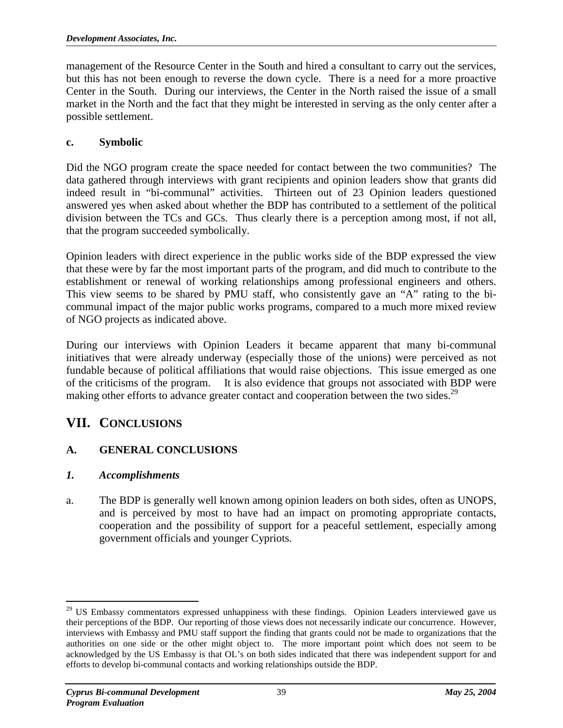management of the Resource Center in the South and hired a consultant to carry out the services, but this has not been enough to reverse the down cycle. There is a need for a more proactive Center in the South. During our interviews, the Center in the North raised the issue of a small market in the North and the fact that they might be interested in serving as the only center after a possible settlement.

## **c. Symbolic**

Did the NGO program create the space needed for contact between the two communities? The data gathered through interviews with grant recipients and opinion leaders show that grants did indeed result in "bi-communal" activities. Thirteen out of 23 Opinion leaders questioned answered yes when asked about whether the BDP has contributed to a settlement of the political division between the TCs and GCs. Thus clearly there is a perception among most, if not all, that the program succeeded symbolically.

Opinion leaders with direct experience in the public works side of the BDP expressed the view that these were by far the most important parts of the program, and did much to contribute to the establishment or renewal of working relationships among professional engineers and others. This view seems to be shared by PMU staff, who consistently gave an "A" rating to the bicommunal impact of the major public works programs, compared to a much more mixed review of NGO projects as indicated above.

During our interviews with Opinion Leaders it became apparent that many bi-communal initiatives that were already underway (especially those of the unions) were perceived as not fundable because of political affiliations that would raise objections. This issue emerged as one of the criticisms of the program. It is also evidence that groups not associated with BDP were making other efforts to advance greater contact and cooperation between the two sides.<sup>29</sup>

## **VII. CONCLUSIONS**

## **A. GENERAL CONCLUSIONS**

## *1. Accomplishments*

 $\overline{a}$ 

a. The BDP is generally well known among opinion leaders on both sides, often as UNOPS, and is perceived by most to have had an impact on promoting appropriate contacts, cooperation and the possibility of support for a peaceful settlement, especially among government officials and younger Cypriots.

<span id="page-51-0"></span><sup>&</sup>lt;sup>29</sup> US Embassy commentators expressed unhappiness with these findings. Opinion Leaders interviewed gave us their perceptions of the BDP. Our reporting of those views does not necessarily indicate our concurrence. However, interviews with Embassy and PMU staff support the finding that grants could not be made to organizations that the authorities on one side or the other might object to. The more important point which does not seem to be acknowledged by the US Embassy is that OL's on both sides indicated that there was independent support for and efforts to develop bi-communal contacts and working relationships outside the BDP.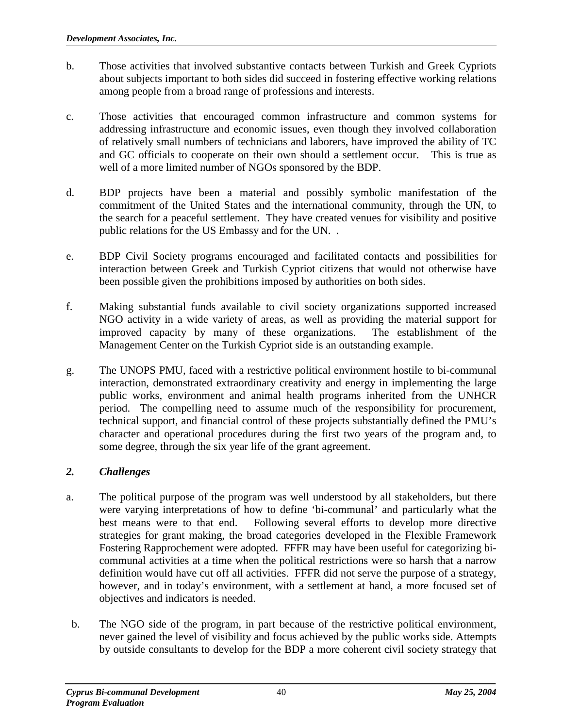- b. Those activities that involved substantive contacts between Turkish and Greek Cypriots about subjects important to both sides did succeed in fostering effective working relations among people from a broad range of professions and interests.
- c. Those activities that encouraged common infrastructure and common systems for addressing infrastructure and economic issues, even though they involved collaboration of relatively small numbers of technicians and laborers, have improved the ability of TC and GC officials to cooperate on their own should a settlement occur. This is true as well of a more limited number of NGOs sponsored by the BDP.
- d. BDP projects have been a material and possibly symbolic manifestation of the commitment of the United States and the international community, through the UN, to the search for a peaceful settlement. They have created venues for visibility and positive public relations for the US Embassy and for the UN. .
- e. BDP Civil Society programs encouraged and facilitated contacts and possibilities for interaction between Greek and Turkish Cypriot citizens that would not otherwise have been possible given the prohibitions imposed by authorities on both sides.
- f. Making substantial funds available to civil society organizations supported increased NGO activity in a wide variety of areas, as well as providing the material support for improved capacity by many of these organizations. The establishment of the Management Center on the Turkish Cypriot side is an outstanding example.
- g. The UNOPS PMU, faced with a restrictive political environment hostile to bi-communal interaction, demonstrated extraordinary creativity and energy in implementing the large public works, environment and animal health programs inherited from the UNHCR period. The compelling need to assume much of the responsibility for procurement, technical support, and financial control of these projects substantially defined the PMU's character and operational procedures during the first two years of the program and, to some degree, through the six year life of the grant agreement.

## *2. Challenges*

- a. The political purpose of the program was well understood by all stakeholders, but there were varying interpretations of how to define 'bi-communal' and particularly what the best means were to that end. Following several efforts to develop more directive strategies for grant making, the broad categories developed in the Flexible Framework Fostering Rapprochement were adopted. FFFR may have been useful for categorizing bicommunal activities at a time when the political restrictions were so harsh that a narrow definition would have cut off all activities. FFFR did not serve the purpose of a strategy, however, and in today's environment, with a settlement at hand, a more focused set of objectives and indicators is needed.
- b. The NGO side of the program, in part because of the restrictive political environment, never gained the level of visibility and focus achieved by the public works side. Attempts by outside consultants to develop for the BDP a more coherent civil society strategy that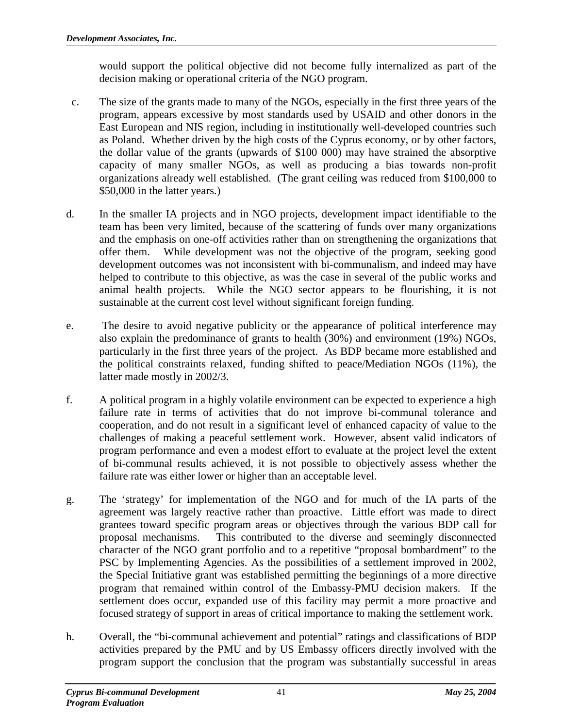would support the political objective did not become fully internalized as part of the decision making or operational criteria of the NGO program.

- c. The size of the grants made to many of the NGOs, especially in the first three years of the program, appears excessive by most standards used by USAID and other donors in the East European and NIS region, including in institutionally well-developed countries such as Poland. Whether driven by the high costs of the Cyprus economy, or by other factors, the dollar value of the grants (upwards of \$100 000) may have strained the absorptive capacity of many smaller NGOs, as well as producing a bias towards non-profit organizations already well established. (The grant ceiling was reduced from \$100,000 to \$50,000 in the latter years.)
- d. In the smaller IA projects and in NGO projects, development impact identifiable to the team has been very limited, because of the scattering of funds over many organizations and the emphasis on one-off activities rather than on strengthening the organizations that offer them. While development was not the objective of the program, seeking good development outcomes was not inconsistent with bi-communalism, and indeed may have helped to contribute to this objective, as was the case in several of the public works and animal health projects. While the NGO sector appears to be flourishing, it is not sustainable at the current cost level without significant foreign funding.
- e. The desire to avoid negative publicity or the appearance of political interference may also explain the predominance of grants to health (30%) and environment (19%) NGOs, particularly in the first three years of the project. As BDP became more established and the political constraints relaxed, funding shifted to peace/Mediation NGOs (11%), the latter made mostly in 2002/3.
- f. A political program in a highly volatile environment can be expected to experience a high failure rate in terms of activities that do not improve bi-communal tolerance and cooperation, and do not result in a significant level of enhanced capacity of value to the challenges of making a peaceful settlement work. However, absent valid indicators of program performance and even a modest effort to evaluate at the project level the extent of bi-communal results achieved, it is not possible to objectively assess whether the failure rate was either lower or higher than an acceptable level.
- g. The 'strategy' for implementation of the NGO and for much of the IA parts of the agreement was largely reactive rather than proactive. Little effort was made to direct grantees toward specific program areas or objectives through the various BDP call for proposal mechanisms. This contributed to the diverse and seemingly disconnected character of the NGO grant portfolio and to a repetitive "proposal bombardment" to the PSC by Implementing Agencies. As the possibilities of a settlement improved in 2002, the Special Initiative grant was established permitting the beginnings of a more directive program that remained within control of the Embassy-PMU decision makers. If the settlement does occur, expanded use of this facility may permit a more proactive and focused strategy of support in areas of critical importance to making the settlement work.
- h. Overall, the "bi-communal achievement and potential" ratings and classifications of BDP activities prepared by the PMU and by US Embassy officers directly involved with the program support the conclusion that the program was substantially successful in areas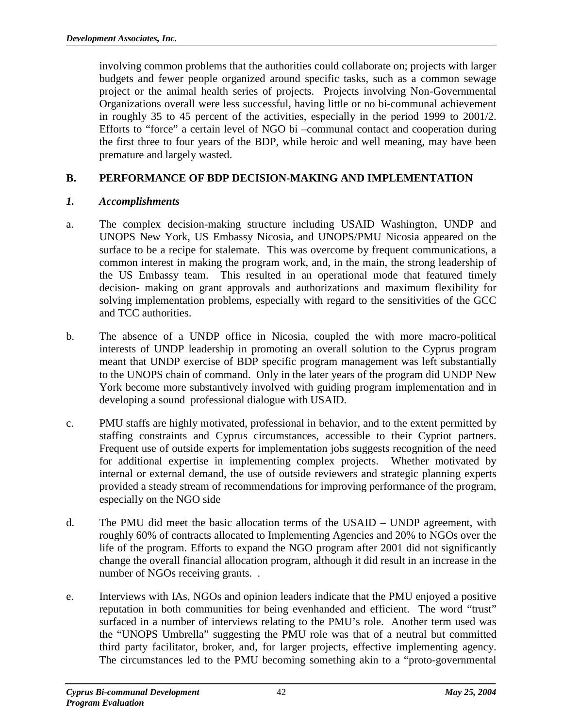involving common problems that the authorities could collaborate on; projects with larger budgets and fewer people organized around specific tasks, such as a common sewage project or the animal health series of projects. Projects involving Non-Governmental Organizations overall were less successful, having little or no bi-communal achievement in roughly 35 to 45 percent of the activities, especially in the period 1999 to 2001/2. Efforts to "force" a certain level of NGO bi –communal contact and cooperation during the first three to four years of the BDP, while heroic and well meaning, may have been premature and largely wasted.

### **B. PERFORMANCE OF BDP DECISION-MAKING AND IMPLEMENTATION**

#### *1. Accomplishments*

- a. The complex decision-making structure including USAID Washington, UNDP and UNOPS New York, US Embassy Nicosia, and UNOPS/PMU Nicosia appeared on the surface to be a recipe for stalemate. This was overcome by frequent communications, a common interest in making the program work, and, in the main, the strong leadership of the US Embassy team. This resulted in an operational mode that featured timely decision- making on grant approvals and authorizations and maximum flexibility for solving implementation problems, especially with regard to the sensitivities of the GCC and TCC authorities.
- b. The absence of a UNDP office in Nicosia, coupled the with more macro-political interests of UNDP leadership in promoting an overall solution to the Cyprus program meant that UNDP exercise of BDP specific program management was left substantially to the UNOPS chain of command. Only in the later years of the program did UNDP New York become more substantively involved with guiding program implementation and in developing a sound professional dialogue with USAID.
- c. PMU staffs are highly motivated, professional in behavior, and to the extent permitted by staffing constraints and Cyprus circumstances, accessible to their Cypriot partners. Frequent use of outside experts for implementation jobs suggests recognition of the need for additional expertise in implementing complex projects. Whether motivated by internal or external demand, the use of outside reviewers and strategic planning experts provided a steady stream of recommendations for improving performance of the program, especially on the NGO side
- d. The PMU did meet the basic allocation terms of the USAID UNDP agreement, with roughly 60% of contracts allocated to Implementing Agencies and 20% to NGOs over the life of the program. Efforts to expand the NGO program after 2001 did not significantly change the overall financial allocation program, although it did result in an increase in the number of NGOs receiving grants...
- e. Interviews with IAs, NGOs and opinion leaders indicate that the PMU enjoyed a positive reputation in both communities for being evenhanded and efficient. The word "trust" surfaced in a number of interviews relating to the PMU's role. Another term used was the "UNOPS Umbrella" suggesting the PMU role was that of a neutral but committed third party facilitator, broker, and, for larger projects, effective implementing agency. The circumstances led to the PMU becoming something akin to a "proto-governmental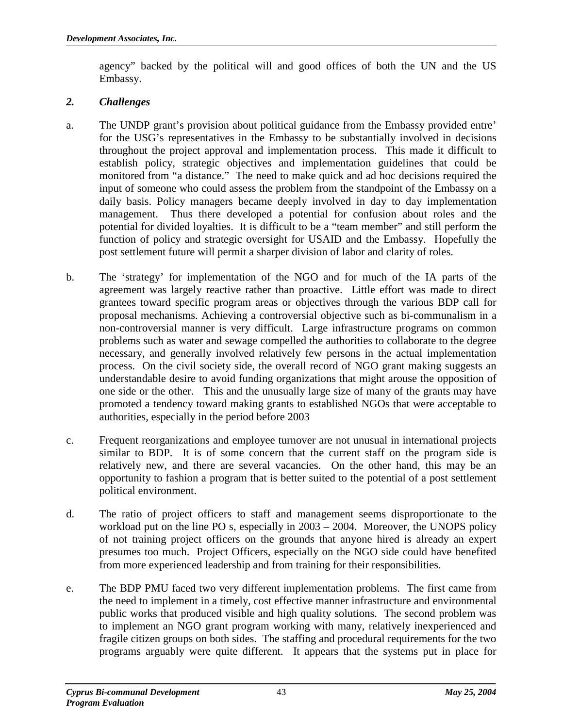agency" backed by the political will and good offices of both the UN and the US Embassy.

## *2. Challenges*

- a. The UNDP grant's provision about political guidance from the Embassy provided entre' for the USG's representatives in the Embassy to be substantially involved in decisions throughout the project approval and implementation process. This made it difficult to establish policy, strategic objectives and implementation guidelines that could be monitored from "a distance." The need to make quick and ad hoc decisions required the input of someone who could assess the problem from the standpoint of the Embassy on a daily basis. Policy managers became deeply involved in day to day implementation management. Thus there developed a potential for confusion about roles and the potential for divided loyalties. It is difficult to be a "team member" and still perform the function of policy and strategic oversight for USAID and the Embassy. Hopefully the post settlement future will permit a sharper division of labor and clarity of roles.
- b. The 'strategy' for implementation of the NGO and for much of the IA parts of the agreement was largely reactive rather than proactive. Little effort was made to direct grantees toward specific program areas or objectives through the various BDP call for proposal mechanisms. Achieving a controversial objective such as bi-communalism in a non-controversial manner is very difficult. Large infrastructure programs on common problems such as water and sewage compelled the authorities to collaborate to the degree necessary, and generally involved relatively few persons in the actual implementation process. On the civil society side, the overall record of NGO grant making suggests an understandable desire to avoid funding organizations that might arouse the opposition of one side or the other. This and the unusually large size of many of the grants may have promoted a tendency toward making grants to established NGOs that were acceptable to authorities, especially in the period before 2003
- c. Frequent reorganizations and employee turnover are not unusual in international projects similar to BDP. It is of some concern that the current staff on the program side is relatively new, and there are several vacancies. On the other hand, this may be an opportunity to fashion a program that is better suited to the potential of a post settlement political environment.
- d. The ratio of project officers to staff and management seems disproportionate to the workload put on the line PO s, especially in 2003 – 2004. Moreover, the UNOPS policy of not training project officers on the grounds that anyone hired is already an expert presumes too much. Project Officers, especially on the NGO side could have benefited from more experienced leadership and from training for their responsibilities.
- e. The BDP PMU faced two very different implementation problems. The first came from the need to implement in a timely, cost effective manner infrastructure and environmental public works that produced visible and high quality solutions. The second problem was to implement an NGO grant program working with many, relatively inexperienced and fragile citizen groups on both sides. The staffing and procedural requirements for the two programs arguably were quite different. It appears that the systems put in place for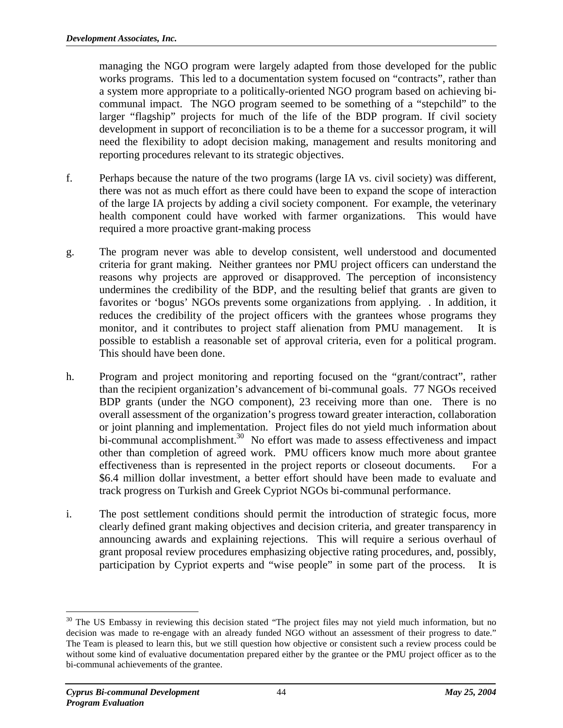managing the NGO program were largely adapted from those developed for the public works programs. This led to a documentation system focused on "contracts", rather than a system more appropriate to a politically-oriented NGO program based on achieving bicommunal impact. The NGO program seemed to be something of a "stepchild" to the larger "flagship" projects for much of the life of the BDP program. If civil society development in support of reconciliation is to be a theme for a successor program, it will need the flexibility to adopt decision making, management and results monitoring and reporting procedures relevant to its strategic objectives.

- f. Perhaps because the nature of the two programs (large IA vs. civil society) was different, there was not as much effort as there could have been to expand the scope of interaction of the large IA projects by adding a civil society component. For example, the veterinary health component could have worked with farmer organizations. This would have required a more proactive grant-making process
- g. The program never was able to develop consistent, well understood and documented criteria for grant making. Neither grantees nor PMU project officers can understand the reasons why projects are approved or disapproved. The perception of inconsistency undermines the credibility of the BDP, and the resulting belief that grants are given to favorites or 'bogus' NGOs prevents some organizations from applying. . In addition, it reduces the credibility of the project officers with the grantees whose programs they monitor, and it contributes to project staff alienation from PMU management. It is possible to establish a reasonable set of approval criteria, even for a political program. This should have been done.
- h. Program and project monitoring and reporting focused on the "grant/contract", rather than the recipient organization's advancement of bi-communal goals. 77 NGOs received BDP grants (under the NGO component), 23 receiving more than one. There is no overall assessment of the organization's progress toward greater interaction, collaboration or joint planning and implementation. Project files do not yield much information about bi-communal accomplishment.<sup>30</sup> No effort was made to assess effectiveness and impact other than completion of agreed work. PMU officers know much more about grantee effectiveness than is represented in the project reports or closeout documents. For a \$6.4 million dollar investment, a better effort should have been made to evaluate and track progress on Turkish and Greek Cypriot NGOs bi-communal performance.
- i. The post settlement conditions should permit the introduction of strategic focus, more clearly defined grant making objectives and decision criteria, and greater transparency in announcing awards and explaining rejections. This will require a serious overhaul of grant proposal review procedures emphasizing objective rating procedures, and, possibly, participation by Cypriot experts and "wise people" in some part of the process. It is

<span id="page-56-0"></span> $\overline{a}$ <sup>30</sup> The US Embassy in reviewing this decision stated "The project files may not yield much information, but no decision was made to re-engage with an already funded NGO without an assessment of their progress to date." The Team is pleased to learn this, but we still question how objective or consistent such a review process could be without some kind of evaluative documentation prepared either by the grantee or the PMU project officer as to the bi-communal achievements of the grantee.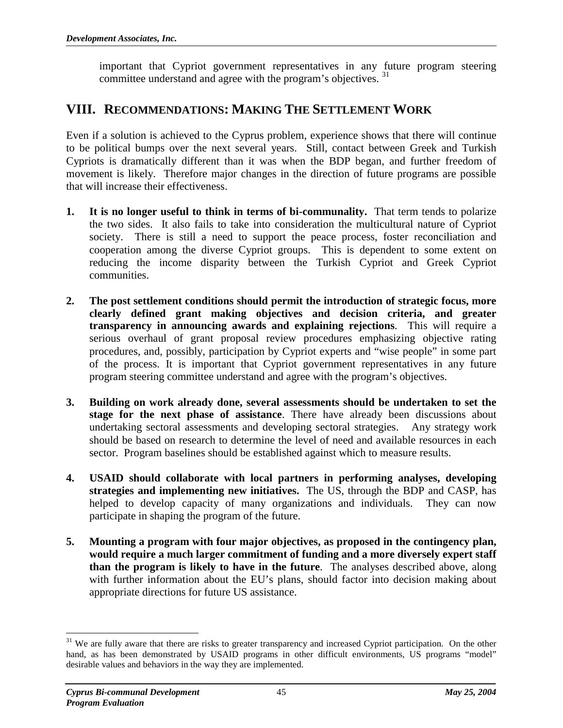important that Cypriot government representatives in any future program steering committee understand and agree with the program's objectives.<sup>[31](#page-57-0)</sup>

## **VIII. RECOMMENDATIONS: MAKING THE SETTLEMENT WORK**

Even if a solution is achieved to the Cyprus problem, experience shows that there will continue to be political bumps over the next several years. Still, contact between Greek and Turkish Cypriots is dramatically different than it was when the BDP began, and further freedom of movement is likely. Therefore major changes in the direction of future programs are possible that will increase their effectiveness.

- **1. It is no longer useful to think in terms of bi-communality.** That term tends to polarize the two sides. It also fails to take into consideration the multicultural nature of Cypriot society. There is still a need to support the peace process, foster reconciliation and cooperation among the diverse Cypriot groups. This is dependent to some extent on reducing the income disparity between the Turkish Cypriot and Greek Cypriot communities.
- **2. The post settlement conditions should permit the introduction of strategic focus, more clearly defined grant making objectives and decision criteria, and greater transparency in announcing awards and explaining rejections**. This will require a serious overhaul of grant proposal review procedures emphasizing objective rating procedures, and, possibly, participation by Cypriot experts and "wise people" in some part of the process. It is important that Cypriot government representatives in any future program steering committee understand and agree with the program's objectives.
- **3. Building on work already done, several assessments should be undertaken to set the stage for the next phase of assistance**. There have already been discussions about undertaking sectoral assessments and developing sectoral strategies. Any strategy work should be based on research to determine the level of need and available resources in each sector. Program baselines should be established against which to measure results.
- **4. USAID should collaborate with local partners in performing analyses, developing strategies and implementing new initiatives.** The US, through the BDP and CASP, has helped to develop capacity of many organizations and individuals. They can now participate in shaping the program of the future.
- **5. Mounting a program with four major objectives, as proposed in the contingency plan, would require a much larger commitment of funding and a more diversely expert staff than the program is likely to have in the future**. The analyses described above, along with further information about the EU's plans, should factor into decision making about appropriate directions for future US assistance.

 $\overline{a}$ 

<span id="page-57-0"></span> $31$  We are fully aware that there are risks to greater transparency and increased Cypriot participation. On the other hand, as has been demonstrated by USAID programs in other difficult environments, US programs "model" desirable values and behaviors in the way they are implemented.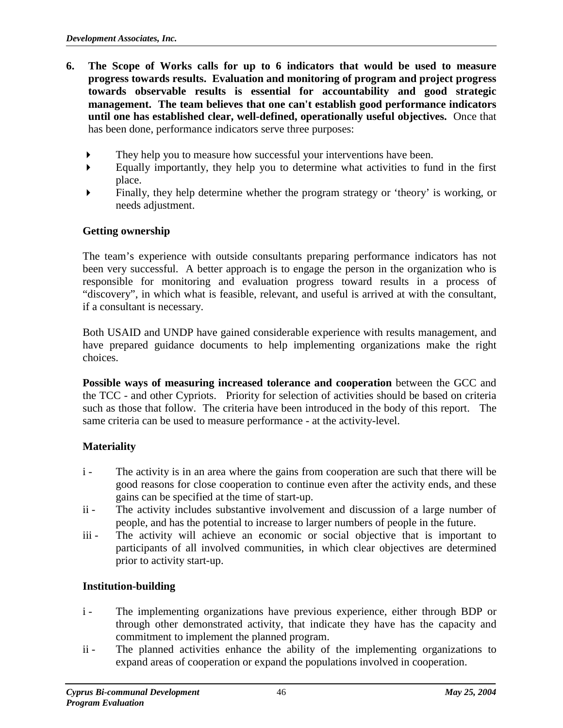- **6. The Scope of Works calls for up to 6 indicators that would be used to measure progress towards results. Evaluation and monitoring of program and project progress towards observable results is essential for accountability and good strategic management. The team believes that one can't establish good performance indicators until one has established clear, well-defined, operationally useful objectives.** Once that has been done, performance indicators serve three purposes:
	- They help you to measure how successful your interventions have been.
	- Equally importantly, they help you to determine what activities to fund in the first place.
	- Finally, they help determine whether the program strategy or 'theory' is working, or needs adjustment.

### **Getting ownership**

The team's experience with outside consultants preparing performance indicators has not been very successful. A better approach is to engage the person in the organization who is responsible for monitoring and evaluation progress toward results in a process of "discovery", in which what is feasible, relevant, and useful is arrived at with the consultant, if a consultant is necessary.

Both USAID and UNDP have gained considerable experience with results management, and have prepared guidance documents to help implementing organizations make the right choices.

**Possible ways of measuring increased tolerance and cooperation** between the GCC and the TCC - and other Cypriots. Priority for selection of activities should be based on criteria such as those that follow. The criteria have been introduced in the body of this report. The same criteria can be used to measure performance - at the activity-level.

#### **Materiality**

- i The activity is in an area where the gains from cooperation are such that there will be good reasons for close cooperation to continue even after the activity ends, and these gains can be specified at the time of start-up.
- ii The activity includes substantive involvement and discussion of a large number of people, and has the potential to increase to larger numbers of people in the future.
- iii The activity will achieve an economic or social objective that is important to participants of all involved communities, in which clear objectives are determined prior to activity start-up.

#### **Institution-building**

- i The implementing organizations have previous experience, either through BDP or through other demonstrated activity, that indicate they have has the capacity and commitment to implement the planned program.
- ii The planned activities enhance the ability of the implementing organizations to expand areas of cooperation or expand the populations involved in cooperation.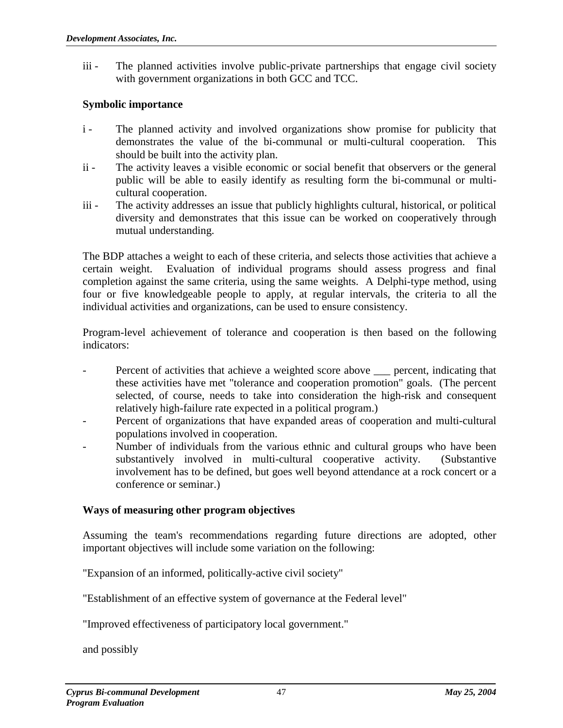iii - The planned activities involve public-private partnerships that engage civil society with government organizations in both GCC and TCC.

### **Symbolic importance**

- i The planned activity and involved organizations show promise for publicity that demonstrates the value of the bi-communal or multi-cultural cooperation. This should be built into the activity plan.
- ii The activity leaves a visible economic or social benefit that observers or the general public will be able to easily identify as resulting form the bi-communal or multicultural cooperation.
- iii The activity addresses an issue that publicly highlights cultural, historical, or political diversity and demonstrates that this issue can be worked on cooperatively through mutual understanding.

The BDP attaches a weight to each of these criteria, and selects those activities that achieve a certain weight. Evaluation of individual programs should assess progress and final completion against the same criteria, using the same weights. A Delphi-type method, using four or five knowledgeable people to apply, at regular intervals, the criteria to all the individual activities and organizations, can be used to ensure consistency.

Program-level achievement of tolerance and cooperation is then based on the following indicators:

- Percent of activities that achieve a weighted score above serves percent, indicating that these activities have met "tolerance and cooperation promotion" goals. (The percent selected, of course, needs to take into consideration the high-risk and consequent relatively high-failure rate expected in a political program.)
- Percent of organizations that have expanded areas of cooperation and multi-cultural populations involved in cooperation.
- Number of individuals from the various ethnic and cultural groups who have been substantively involved in multi-cultural cooperative activity. (Substantive involvement has to be defined, but goes well beyond attendance at a rock concert or a conference or seminar.)

#### **Ways of measuring other program objectives**

Assuming the team's recommendations regarding future directions are adopted, other important objectives will include some variation on the following:

"Expansion of an informed, politically-active civil society"

"Establishment of an effective system of governance at the Federal level"

"Improved effectiveness of participatory local government."

and possibly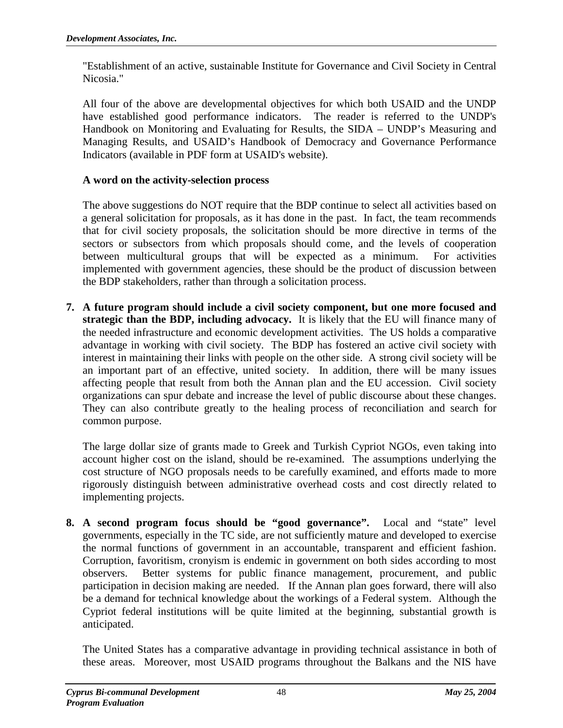"Establishment of an active, sustainable Institute for Governance and Civil Society in Central Nicosia."

All four of the above are developmental objectives for which both USAID and the UNDP have established good performance indicators. The reader is referred to the UNDP's Handbook on Monitoring and Evaluating for Results, the SIDA – UNDP's Measuring and Managing Results, and USAID's Handbook of Democracy and Governance Performance Indicators (available in PDF form at USAID's website).

### **A word on the activity-selection process**

The above suggestions do NOT require that the BDP continue to select all activities based on a general solicitation for proposals, as it has done in the past. In fact, the team recommends that for civil society proposals, the solicitation should be more directive in terms of the sectors or subsectors from which proposals should come, and the levels of cooperation between multicultural groups that will be expected as a minimum. For activities implemented with government agencies, these should be the product of discussion between the BDP stakeholders, rather than through a solicitation process.

**7. A future program should include a civil society component, but one more focused and strategic than the BDP, including advocacy.** It is likely that the EU will finance many of the needed infrastructure and economic development activities. The US holds a comparative advantage in working with civil society. The BDP has fostered an active civil society with interest in maintaining their links with people on the other side. A strong civil society will be an important part of an effective, united society. In addition, there will be many issues affecting people that result from both the Annan plan and the EU accession. Civil society organizations can spur debate and increase the level of public discourse about these changes. They can also contribute greatly to the healing process of reconciliation and search for common purpose.

The large dollar size of grants made to Greek and Turkish Cypriot NGOs, even taking into account higher cost on the island, should be re-examined. The assumptions underlying the cost structure of NGO proposals needs to be carefully examined, and efforts made to more rigorously distinguish between administrative overhead costs and cost directly related to implementing projects.

**8. A second program focus should be "good governance".** Local and "state" level governments, especially in the TC side, are not sufficiently mature and developed to exercise the normal functions of government in an accountable, transparent and efficient fashion. Corruption, favoritism, cronyism is endemic in government on both sides according to most observers. Better systems for public finance management, procurement, and public participation in decision making are needed. If the Annan plan goes forward, there will also be a demand for technical knowledge about the workings of a Federal system. Although the Cypriot federal institutions will be quite limited at the beginning, substantial growth is anticipated.

The United States has a comparative advantage in providing technical assistance in both of these areas. Moreover, most USAID programs throughout the Balkans and the NIS have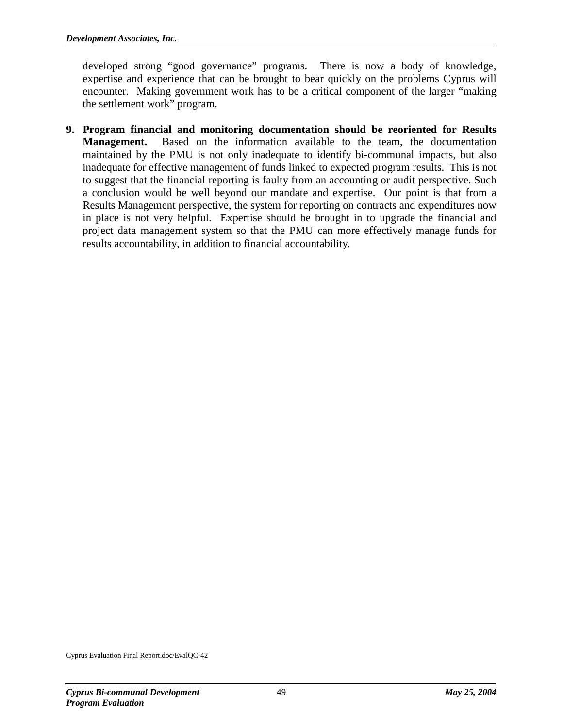developed strong "good governance" programs. There is now a body of knowledge, expertise and experience that can be brought to bear quickly on the problems Cyprus will encounter. Making government work has to be a critical component of the larger "making the settlement work" program.

**9. Program financial and monitoring documentation should be reoriented for Results Management.** Based on the information available to the team, the documentation maintained by the PMU is not only inadequate to identify bi-communal impacts, but also inadequate for effective management of funds linked to expected program results. This is not to suggest that the financial reporting is faulty from an accounting or audit perspective. Such a conclusion would be well beyond our mandate and expertise. Our point is that from a Results Management perspective, the system for reporting on contracts and expenditures now in place is not very helpful. Expertise should be brought in to upgrade the financial and project data management system so that the PMU can more effectively manage funds for results accountability, in addition to financial accountability.

Cyprus Evaluation Final Report.doc/EvalQC-42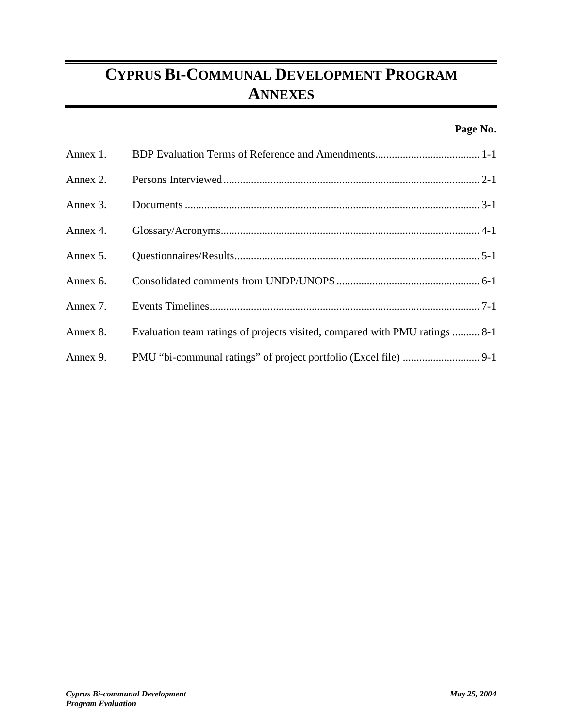# **CYPRUS BI-COMMUNAL DEVELOPMENT PROGRAM ANNEXES**

## **Page No.**

| Annex 1. |                                                                             |
|----------|-----------------------------------------------------------------------------|
| Annex 2. |                                                                             |
| Annex 3. |                                                                             |
| Annex 4. |                                                                             |
| Annex 5. |                                                                             |
| Annex 6. |                                                                             |
| Annex 7. |                                                                             |
| Annex 8. | Evaluation team ratings of projects visited, compared with PMU ratings  8-1 |
| Annex 9. |                                                                             |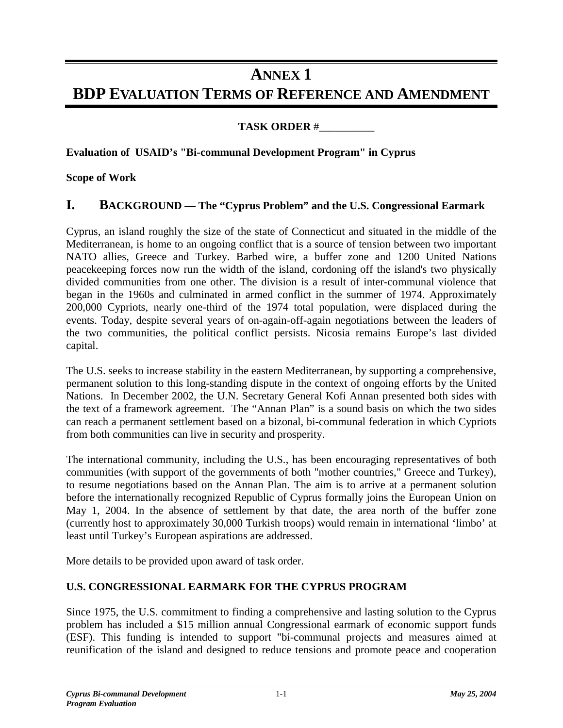## **ANNEX 1**

# **BDP EVALUATION TERMS OF REFERENCE AND AMENDMENT**

## **TASK ORDER** #\_\_\_\_\_\_\_\_\_\_

## **Evaluation of USAID's "Bi-communal Development Program" in Cyprus**

### **Scope of Work**

## **I. BACKGROUND — The "Cyprus Problem" and the U.S. Congressional Earmark**

Cyprus, an island roughly the size of the state of Connecticut and situated in the middle of the Mediterranean, is home to an ongoing conflict that is a source of tension between two important NATO allies, Greece and Turkey. Barbed wire, a buffer zone and 1200 United Nations peacekeeping forces now run the width of the island, cordoning off the island's two physically divided communities from one other. The division is a result of inter-communal violence that began in the 1960s and culminated in armed conflict in the summer of 1974. Approximately 200,000 Cypriots, nearly one-third of the 1974 total population, were displaced during the events. Today, despite several years of on-again-off-again negotiations between the leaders of the two communities, the political conflict persists. Nicosia remains Europe's last divided capital.

The U.S. seeks to increase stability in the eastern Mediterranean, by supporting a comprehensive, permanent solution to this long-standing dispute in the context of ongoing efforts by the United Nations. In December 2002, the U.N. Secretary General Kofi Annan presented both sides with the text of a framework agreement. The "Annan Plan" is a sound basis on which the two sides can reach a permanent settlement based on a bizonal, bi-communal federation in which Cypriots from both communities can live in security and prosperity.

The international community, including the U.S., has been encouraging representatives of both communities (with support of the governments of both "mother countries," Greece and Turkey), to resume negotiations based on the Annan Plan. The aim is to arrive at a permanent solution before the internationally recognized Republic of Cyprus formally joins the European Union on May 1, 2004. In the absence of settlement by that date, the area north of the buffer zone (currently host to approximately 30,000 Turkish troops) would remain in international 'limbo' at least until Turkey's European aspirations are addressed.

More details to be provided upon award of task order.

## **U.S. CONGRESSIONAL EARMARK FOR THE CYPRUS PROGRAM**

Since 1975, the U.S. commitment to finding a comprehensive and lasting solution to the Cyprus problem has included a \$15 million annual Congressional earmark of economic support funds (ESF). This funding is intended to support "bi-communal projects and measures aimed at reunification of the island and designed to reduce tensions and promote peace and cooperation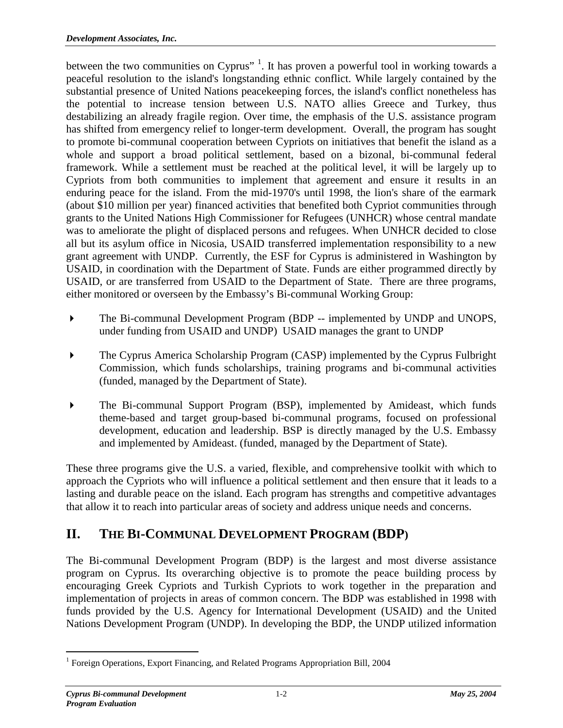between the two communities on Cyprus"  $\frac{1}{1}$ . It has proven a powerful tool in working towards a peaceful resolution to the island's longstanding ethnic conflict. While largely contained by the substantial presence of United Nations peacekeeping forces, the island's conflict nonetheless has the potential to increase tension between U.S. NATO allies Greece and Turkey, thus destabilizing an already fragile region. Over time, the emphasis of the U.S. assistance program has shifted from emergency relief to longer-term development. Overall, the program has sought to promote bi-communal cooperation between Cypriots on initiatives that benefit the island as a whole and support a broad political settlement, based on a bizonal, bi-communal federal framework. While a settlement must be reached at the political level, it will be largely up to Cypriots from both communities to implement that agreement and ensure it results in an enduring peace for the island. From the mid-1970's until 1998, the lion's share of the earmark (about \$10 million per year) financed activities that benefited both Cypriot communities through grants to the United Nations High Commissioner for Refugees (UNHCR) whose central mandate was to ameliorate the plight of displaced persons and refugees. When UNHCR decided to close all but its asylum office in Nicosia, USAID transferred implementation responsibility to a new grant agreement with UNDP. Currently, the ESF for Cyprus is administered in Washington by USAID, in coordination with the Department of State. Funds are either programmed directly by USAID, or are transferred from USAID to the Department of State. There are three programs, either monitored or overseen by the Embassy's Bi-communal Working Group:

- The Bi-communal Development Program (BDP -- implemented by UNDP and UNOPS, under funding from USAID and UNDP) USAID manages the grant to UNDP
- The Cyprus America Scholarship Program (CASP) implemented by the Cyprus Fulbright Commission, which funds scholarships, training programs and bi-communal activities (funded, managed by the Department of State).
- The Bi-communal Support Program (BSP), implemented by Amideast, which funds theme-based and target group-based bi-communal programs, focused on professional development, education and leadership. BSP is directly managed by the U.S. Embassy and implemented by Amideast. (funded, managed by the Department of State).

These three programs give the U.S. a varied, flexible, and comprehensive toolkit with which to approach the Cypriots who will influence a political settlement and then ensure that it leads to a lasting and durable peace on the island. Each program has strengths and competitive advantages that allow it to reach into particular areas of society and address unique needs and concerns.

## **II. THE BI-COMMUNAL DEVELOPMENT PROGRAM (BDP)**

The Bi-communal Development Program (BDP) is the largest and most diverse assistance program on Cyprus. Its overarching objective is to promote the peace building process by encouraging Greek Cypriots and Turkish Cypriots to work together in the preparation and implementation of projects in areas of common concern. The BDP was established in 1998 with funds provided by the U.S. Agency for International Development (USAID) and the United Nations Development Program (UNDP). In developing the BDP, the UNDP utilized information

 $\overline{a}$ <sup>1</sup> Foreign Operations, Export Financing, and Related Programs Appropriation Bill, 2004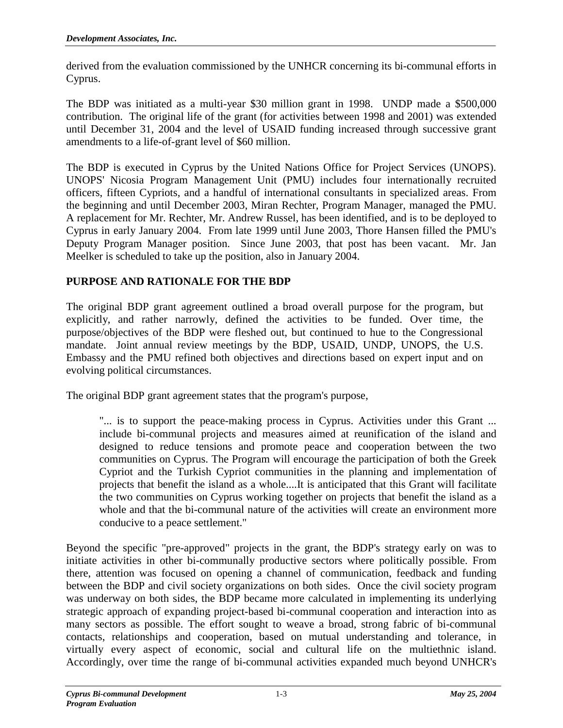derived from the evaluation commissioned by the UNHCR concerning its bi-communal efforts in Cyprus.

The BDP was initiated as a multi-year \$30 million grant in 1998. UNDP made a \$500,000 contribution. The original life of the grant (for activities between 1998 and 2001) was extended until December 31, 2004 and the level of USAID funding increased through successive grant amendments to a life-of-grant level of \$60 million.

The BDP is executed in Cyprus by the United Nations Office for Project Services (UNOPS). UNOPS' Nicosia Program Management Unit (PMU) includes four internationally recruited officers, fifteen Cypriots, and a handful of international consultants in specialized areas. From the beginning and until December 2003, Miran Rechter, Program Manager, managed the PMU. A replacement for Mr. Rechter, Mr. Andrew Russel, has been identified, and is to be deployed to Cyprus in early January 2004. From late 1999 until June 2003, Thore Hansen filled the PMU's Deputy Program Manager position. Since June 2003, that post has been vacant. Mr. Jan Meelker is scheduled to take up the position, also in January 2004.

## **PURPOSE AND RATIONALE FOR THE BDP**

The original BDP grant agreement outlined a broad overall purpose for the program, but explicitly, and rather narrowly, defined the activities to be funded. Over time, the purpose/objectives of the BDP were fleshed out, but continued to hue to the Congressional mandate. Joint annual review meetings by the BDP, USAID, UNDP, UNOPS, the U.S. Embassy and the PMU refined both objectives and directions based on expert input and on evolving political circumstances.

The original BDP grant agreement states that the program's purpose,

"... is to support the peace-making process in Cyprus. Activities under this Grant ... include bi-communal projects and measures aimed at reunification of the island and designed to reduce tensions and promote peace and cooperation between the two communities on Cyprus. The Program will encourage the participation of both the Greek Cypriot and the Turkish Cypriot communities in the planning and implementation of projects that benefit the island as a whole....It is anticipated that this Grant will facilitate the two communities on Cyprus working together on projects that benefit the island as a whole and that the bi-communal nature of the activities will create an environment more conducive to a peace settlement."

Beyond the specific "pre-approved" projects in the grant, the BDP's strategy early on was to initiate activities in other bi-communally productive sectors where politically possible. From there, attention was focused on opening a channel of communication, feedback and funding between the BDP and civil society organizations on both sides. Once the civil society program was underway on both sides, the BDP became more calculated in implementing its underlying strategic approach of expanding project-based bi-communal cooperation and interaction into as many sectors as possible. The effort sought to weave a broad, strong fabric of bi-communal contacts, relationships and cooperation, based on mutual understanding and tolerance, in virtually every aspect of economic, social and cultural life on the multiethnic island. Accordingly, over time the range of bi-communal activities expanded much beyond UNHCR's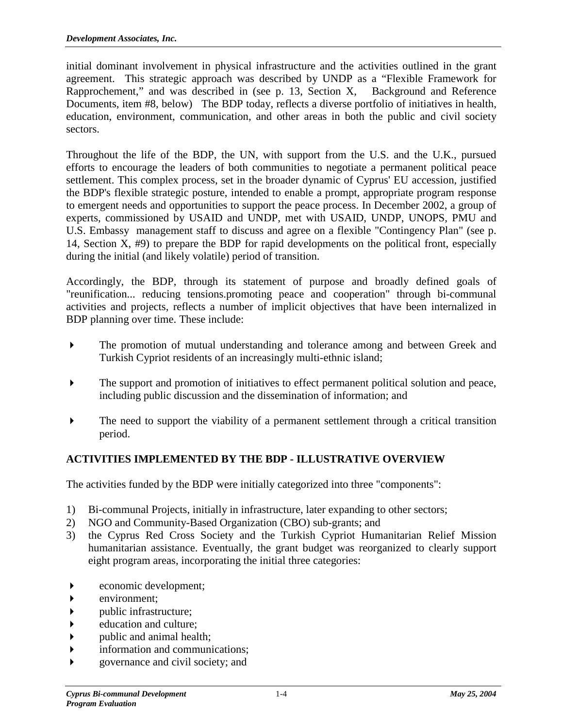initial dominant involvement in physical infrastructure and the activities outlined in the grant agreement. This strategic approach was described by UNDP as a "Flexible Framework for Rapprochement," and was described in (see p. 13, Section X, Background and Reference Documents, item #8, below) The BDP today, reflects a diverse portfolio of initiatives in health, education, environment, communication, and other areas in both the public and civil society sectors.

Throughout the life of the BDP, the UN, with support from the U.S. and the U.K., pursued efforts to encourage the leaders of both communities to negotiate a permanent political peace settlement. This complex process, set in the broader dynamic of Cyprus' EU accession, justified the BDP's flexible strategic posture, intended to enable a prompt, appropriate program response to emergent needs and opportunities to support the peace process. In December 2002, a group of experts, commissioned by USAID and UNDP, met with USAID, UNDP, UNOPS, PMU and U.S. Embassy management staff to discuss and agree on a flexible "Contingency Plan" (see p. 14, Section X, #9) to prepare the BDP for rapid developments on the political front, especially during the initial (and likely volatile) period of transition.

Accordingly, the BDP, through its statement of purpose and broadly defined goals of "reunification... reducing tensions.promoting peace and cooperation" through bi-communal activities and projects, reflects a number of implicit objectives that have been internalized in BDP planning over time. These include:

- The promotion of mutual understanding and tolerance among and between Greek and Turkish Cypriot residents of an increasingly multi-ethnic island;
- The support and promotion of initiatives to effect permanent political solution and peace, including public discussion and the dissemination of information; and
- The need to support the viability of a permanent settlement through a critical transition period.

## **ACTIVITIES IMPLEMENTED BY THE BDP - ILLUSTRATIVE OVERVIEW**

The activities funded by the BDP were initially categorized into three "components":

- 1) Bi-communal Projects, initially in infrastructure, later expanding to other sectors;
- 2) NGO and Community-Based Organization (CBO) sub-grants; and
- 3) the Cyprus Red Cross Society and the Turkish Cypriot Humanitarian Relief Mission humanitarian assistance. Eventually, the grant budget was reorganized to clearly support eight program areas, incorporating the initial three categories:
- economic development;
- environment;
- public infrastructure;
- education and culture;
- public and animal health;
- information and communications;
- governance and civil society; and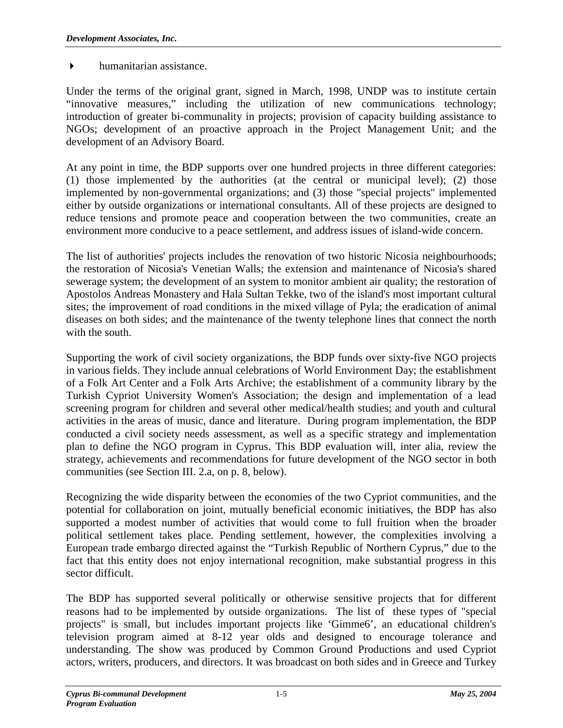### $\blacktriangleright$  humanitarian assistance.

Under the terms of the original grant, signed in March, 1998, UNDP was to institute certain "innovative measures," including the utilization of new communications technology; introduction of greater bi-communality in projects; provision of capacity building assistance to NGOs; development of an proactive approach in the Project Management Unit; and the development of an Advisory Board.

At any point in time, the BDP supports over one hundred projects in three different categories: (1) those implemented by the authorities (at the central or municipal level); (2) those implemented by non-governmental organizations; and (3) those "special projects" implemented either by outside organizations or international consultants. All of these projects are designed to reduce tensions and promote peace and cooperation between the two communities, create an environment more conducive to a peace settlement, and address issues of island-wide concern.

The list of authorities' projects includes the renovation of two historic Nicosia neighbourhoods; the restoration of Nicosia's Venetian Walls; the extension and maintenance of Nicosia's shared sewerage system; the development of an system to monitor ambient air quality; the restoration of Apostolos Andreas Monastery and Hala Sultan Tekke, two of the island's most important cultural sites; the improvement of road conditions in the mixed village of Pyla; the eradication of animal diseases on both sides; and the maintenance of the twenty telephone lines that connect the north with the south.

Supporting the work of civil society organizations, the BDP funds over sixty-five NGO projects in various fields. They include annual celebrations of World Environment Day; the establishment of a Folk Art Center and a Folk Arts Archive; the establishment of a community library by the Turkish Cypriot University Women's Association; the design and implementation of a lead screening program for children and several other medical/health studies; and youth and cultural activities in the areas of music, dance and literature. During program implementation, the BDP conducted a civil society needs assessment, as well as a specific strategy and implementation plan to define the NGO program in Cyprus. This BDP evaluation will, inter alia, review the strategy, achievements and recommendations for future development of the NGO sector in both communities (see Section III. 2.a, on p. 8, below).

Recognizing the wide disparity between the economies of the two Cypriot communities, and the potential for collaboration on joint, mutually beneficial economic initiatives, the BDP has also supported a modest number of activities that would come to full fruition when the broader political settlement takes place. Pending settlement, however, the complexities involving a European trade embargo directed against the "Turkish Republic of Northern Cyprus," due to the fact that this entity does not enjoy international recognition, make substantial progress in this sector difficult.

The BDP has supported several politically or otherwise sensitive projects that for different reasons had to be implemented by outside organizations. The list of these types of "special projects" is small, but includes important projects like 'Gimme6', an educational children's television program aimed at 8-12 year olds and designed to encourage tolerance and understanding. The show was produced by Common Ground Productions and used Cypriot actors, writers, producers, and directors. It was broadcast on both sides and in Greece and Turkey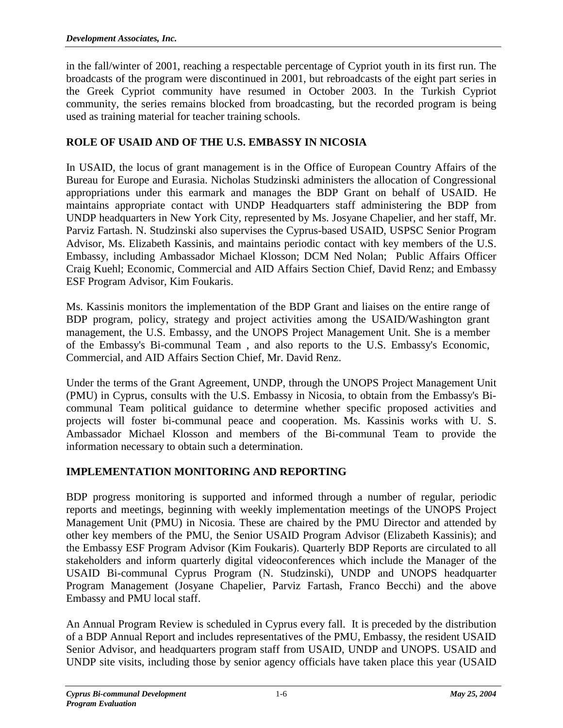in the fall/winter of 2001, reaching a respectable percentage of Cypriot youth in its first run. The broadcasts of the program were discontinued in 2001, but rebroadcasts of the eight part series in the Greek Cypriot community have resumed in October 2003. In the Turkish Cypriot community, the series remains blocked from broadcasting, but the recorded program is being used as training material for teacher training schools.

## **ROLE OF USAID AND OF THE U.S. EMBASSY IN NICOSIA**

In USAID, the locus of grant management is in the Office of European Country Affairs of the Bureau for Europe and Eurasia. Nicholas Studzinski administers the allocation of Congressional appropriations under this earmark and manages the BDP Grant on behalf of USAID. He maintains appropriate contact with UNDP Headquarters staff administering the BDP from UNDP headquarters in New York City, represented by Ms. Josyane Chapelier, and her staff, Mr. Parviz Fartash. N. Studzinski also supervises the Cyprus-based USAID, USPSC Senior Program Advisor, Ms. Elizabeth Kassinis, and maintains periodic contact with key members of the U.S. Embassy, including Ambassador Michael Klosson; DCM Ned Nolan; Public Affairs Officer Craig Kuehl; Economic, Commercial and AID Affairs Section Chief, David Renz; and Embassy ESF Program Advisor, Kim Foukaris.

Ms. Kassinis monitors the implementation of the BDP Grant and liaises on the entire range of BDP program, policy, strategy and project activities among the USAID/Washington grant management, the U.S. Embassy, and the UNOPS Project Management Unit. She is a member of the Embassy's Bi-communal Team , and also reports to the U.S. Embassy's Economic, Commercial, and AID Affairs Section Chief, Mr. David Renz.

Under the terms of the Grant Agreement, UNDP, through the UNOPS Project Management Unit (PMU) in Cyprus, consults with the U.S. Embassy in Nicosia, to obtain from the Embassy's Bicommunal Team political guidance to determine whether specific proposed activities and projects will foster bi-communal peace and cooperation. Ms. Kassinis works with U. S. Ambassador Michael Klosson and members of the Bi-communal Team to provide the information necessary to obtain such a determination.

#### **IMPLEMENTATION MONITORING AND REPORTING**

BDP progress monitoring is supported and informed through a number of regular, periodic reports and meetings, beginning with weekly implementation meetings of the UNOPS Project Management Unit (PMU) in Nicosia. These are chaired by the PMU Director and attended by other key members of the PMU, the Senior USAID Program Advisor (Elizabeth Kassinis); and the Embassy ESF Program Advisor (Kim Foukaris). Quarterly BDP Reports are circulated to all stakeholders and inform quarterly digital videoconferences which include the Manager of the USAID Bi-communal Cyprus Program (N. Studzinski), UNDP and UNOPS headquarter Program Management (Josyane Chapelier, Parviz Fartash, Franco Becchi) and the above Embassy and PMU local staff.

An Annual Program Review is scheduled in Cyprus every fall. It is preceded by the distribution of a BDP Annual Report and includes representatives of the PMU, Embassy, the resident USAID Senior Advisor, and headquarters program staff from USAID, UNDP and UNOPS. USAID and UNDP site visits, including those by senior agency officials have taken place this year (USAID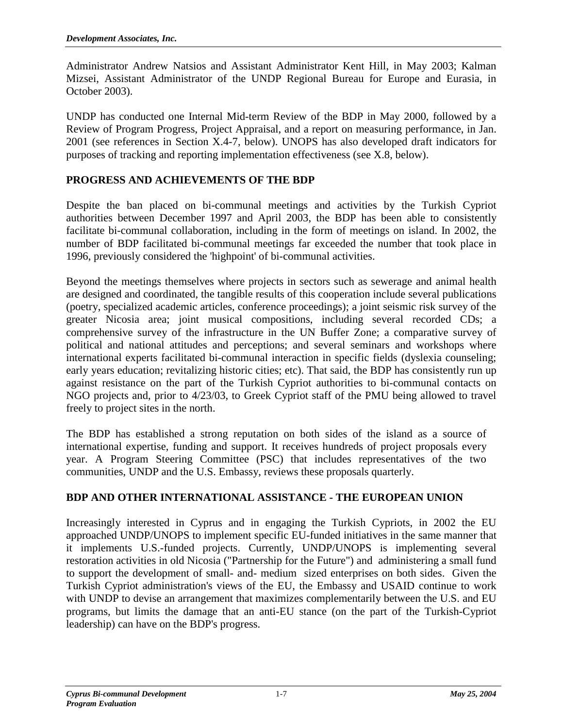Administrator Andrew Natsios and Assistant Administrator Kent Hill, in May 2003; Kalman Mizsei, Assistant Administrator of the UNDP Regional Bureau for Europe and Eurasia, in October 2003).

UNDP has conducted one Internal Mid-term Review of the BDP in May 2000, followed by a Review of Program Progress, Project Appraisal, and a report on measuring performance, in Jan. 2001 (see references in Section X.4-7, below). UNOPS has also developed draft indicators for purposes of tracking and reporting implementation effectiveness (see X.8, below).

### **PROGRESS AND ACHIEVEMENTS OF THE BDP**

Despite the ban placed on bi-communal meetings and activities by the Turkish Cypriot authorities between December 1997 and April 2003, the BDP has been able to consistently facilitate bi-communal collaboration, including in the form of meetings on island. In 2002, the number of BDP facilitated bi-communal meetings far exceeded the number that took place in 1996, previously considered the 'highpoint' of bi-communal activities.

Beyond the meetings themselves where projects in sectors such as sewerage and animal health are designed and coordinated, the tangible results of this cooperation include several publications (poetry, specialized academic articles, conference proceedings); a joint seismic risk survey of the greater Nicosia area; joint musical compositions, including several recorded CDs; a comprehensive survey of the infrastructure in the UN Buffer Zone; a comparative survey of political and national attitudes and perceptions; and several seminars and workshops where international experts facilitated bi-communal interaction in specific fields (dyslexia counseling; early years education; revitalizing historic cities; etc). That said, the BDP has consistently run up against resistance on the part of the Turkish Cypriot authorities to bi-communal contacts on NGO projects and, prior to 4/23/03, to Greek Cypriot staff of the PMU being allowed to travel freely to project sites in the north.

The BDP has established a strong reputation on both sides of the island as a source of international expertise, funding and support. It receives hundreds of project proposals every year. A Program Steering Committee (PSC) that includes representatives of the two communities, UNDP and the U.S. Embassy, reviews these proposals quarterly.

## **BDP AND OTHER INTERNATIONAL ASSISTANCE - THE EUROPEAN UNION**

Increasingly interested in Cyprus and in engaging the Turkish Cypriots, in 2002 the EU approached UNDP/UNOPS to implement specific EU-funded initiatives in the same manner that it implements U.S.-funded projects. Currently, UNDP/UNOPS is implementing several restoration activities in old Nicosia ("Partnership for the Future") and administering a small fund to support the development of small- and- medium sized enterprises on both sides. Given the Turkish Cypriot administration's views of the EU, the Embassy and USAID continue to work with UNDP to devise an arrangement that maximizes complementarily between the U.S. and EU programs, but limits the damage that an anti-EU stance (on the part of the Turkish-Cypriot leadership) can have on the BDP's progress.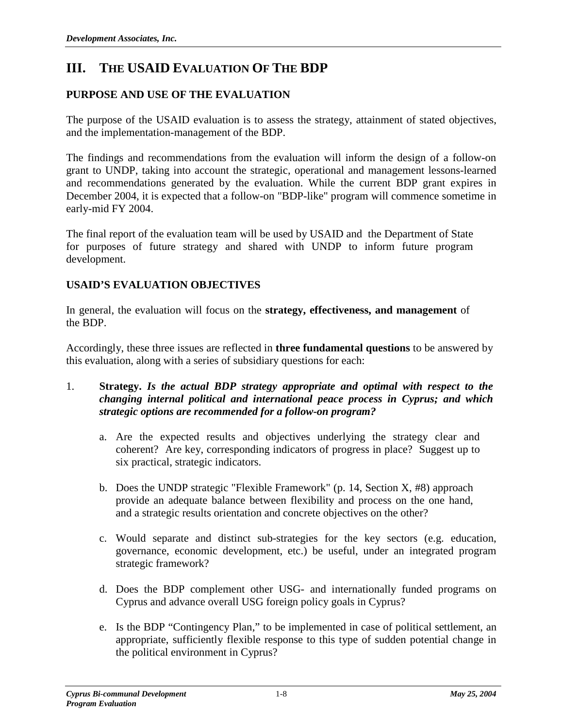## **III. THE USAID EVALUATION OF THE BDP**

## **PURPOSE AND USE OF THE EVALUATION**

The purpose of the USAID evaluation is to assess the strategy, attainment of stated objectives, and the implementation-management of the BDP.

The findings and recommendations from the evaluation will inform the design of a follow-on grant to UNDP, taking into account the strategic, operational and management lessons-learned and recommendations generated by the evaluation. While the current BDP grant expires in December 2004, it is expected that a follow-on "BDP-like" program will commence sometime in early-mid FY 2004.

The final report of the evaluation team will be used by USAID and the Department of State for purposes of future strategy and shared with UNDP to inform future program development.

## **USAID'S EVALUATION OBJECTIVES**

In general, the evaluation will focus on the **strategy, effectiveness, and management** of the BDP.

Accordingly, these three issues are reflected in **three fundamental questions** to be answered by this evaluation, along with a series of subsidiary questions for each:

- 1. **Strategy.** *Is the actual BDP strategy appropriate and optimal with respect to the changing internal political and international peace process in Cyprus; and which strategic options are recommended for a follow-on program?* 
	- a. Are the expected results and objectives underlying the strategy clear and coherent? Are key, corresponding indicators of progress in place? Suggest up to six practical, strategic indicators.
	- b. Does the UNDP strategic "Flexible Framework" (p. 14, Section X, #8) approach provide an adequate balance between flexibility and process on the one hand, and a strategic results orientation and concrete objectives on the other?
	- c. Would separate and distinct sub-strategies for the key sectors (e.g. education, governance, economic development, etc.) be useful, under an integrated program strategic framework?
	- d. Does the BDP complement other USG- and internationally funded programs on Cyprus and advance overall USG foreign policy goals in Cyprus?
	- e. Is the BDP "Contingency Plan," to be implemented in case of political settlement, an appropriate, sufficiently flexible response to this type of sudden potential change in the political environment in Cyprus?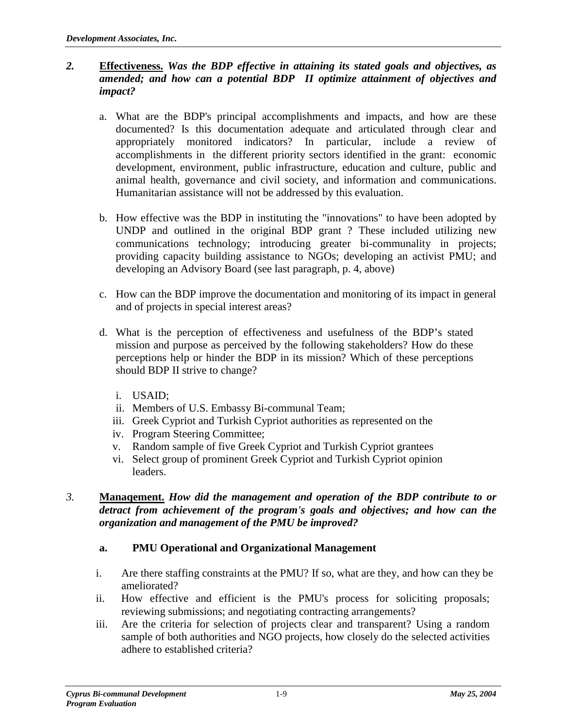#### *2.* **Effectiveness.** *Was the BDP effective in attaining its stated goals and objectives, as amended; and how can a potential BDP II optimize attainment of objectives and impact?*

- a. What are the BDP's principal accomplishments and impacts, and how are these documented? Is this documentation adequate and articulated through clear and appropriately monitored indicators? In particular, include a review of accomplishments in the different priority sectors identified in the grant: economic development, environment, public infrastructure, education and culture, public and animal health, governance and civil society, and information and communications. Humanitarian assistance will not be addressed by this evaluation.
- b. How effective was the BDP in instituting the "innovations" to have been adopted by UNDP and outlined in the original BDP grant ? These included utilizing new communications technology; introducing greater bi-communality in projects; providing capacity building assistance to NGOs; developing an activist PMU; and developing an Advisory Board (see last paragraph, p. 4, above)
- c. How can the BDP improve the documentation and monitoring of its impact in general and of projects in special interest areas?
- d. What is the perception of effectiveness and usefulness of the BDP's stated mission and purpose as perceived by the following stakeholders? How do these perceptions help or hinder the BDP in its mission? Which of these perceptions should BDP II strive to change?
	- i. USAID;
	- ii. Members of U.S. Embassy Bi-communal Team;
	- iii. Greek Cypriot and Turkish Cypriot authorities as represented on the
	- iv. Program Steering Committee;
	- v. Random sample of five Greek Cypriot and Turkish Cypriot grantees
	- vi. Select group of prominent Greek Cypriot and Turkish Cypriot opinion leaders.

#### *3.* **Manaqement.** *How did the management and operation of the BDP contribute to or detract from achievement of the program's goals and objectives; and how can the organization and management of the PMU be improved?*

## **a. PMU Operational and Organizational Management**

- i. Are there staffing constraints at the PMU? If so, what are they, and how can they be ameliorated?
- ii. How effective and efficient is the PMU's process for soliciting proposals; reviewing submissions; and negotiating contracting arrangements?
- iii. Are the criteria for selection of projects clear and transparent? Using a random sample of both authorities and NGO projects, how closely do the selected activities adhere to established criteria?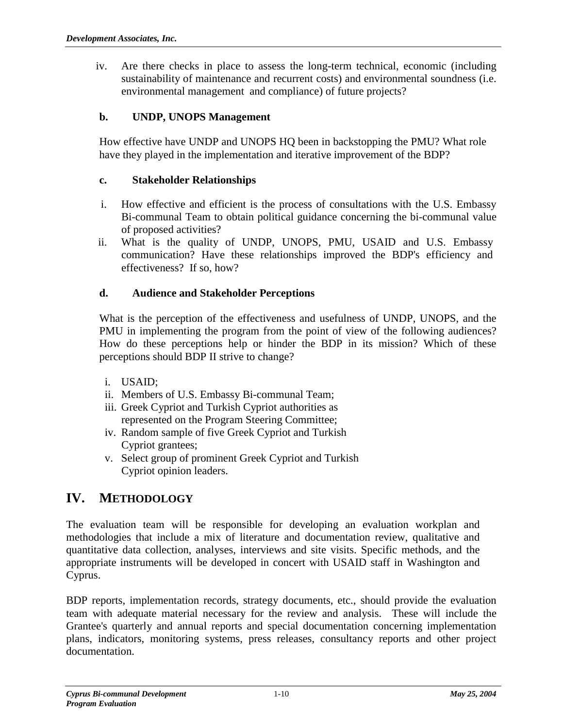iv. Are there checks in place to assess the long-term technical, economic (including sustainability of maintenance and recurrent costs) and environmental soundness (i.e. environmental management and compliance) of future projects?

### **b. UNDP, UNOPS Management**

How effective have UNDP and UNOPS HQ been in backstopping the PMU? What role have they played in the implementation and iterative improvement of the BDP?

#### **c. Stakeholder Relationships**

- i. How effective and efficient is the process of consultations with the U.S. Embassy Bi-communal Team to obtain political guidance concerning the bi-communal value of proposed activities?
- ii. What is the quality of UNDP, UNOPS, PMU, USAID and U.S. Embassy communication? Have these relationships improved the BDP's efficiency and effectiveness? If so, how?

#### **d. Audience and Stakeholder Perceptions**

What is the perception of the effectiveness and usefulness of UNDP, UNOPS, and the PMU in implementing the program from the point of view of the following audiences? How do these perceptions help or hinder the BDP in its mission? Which of these perceptions should BDP II strive to change?

- i. USAID;
- ii. Members of U.S. Embassy Bi-communal Team;
- iii. Greek Cypriot and Turkish Cypriot authorities as represented on the Program Steering Committee;
- iv. Random sample of five Greek Cypriot and Turkish Cypriot grantees;
- v. Select group of prominent Greek Cypriot and Turkish Cypriot opinion leaders.

## **IV. METHODOLOGY**

The evaluation team will be responsible for developing an evaluation workplan and methodologies that include a mix of literature and documentation review, qualitative and quantitative data collection, analyses, interviews and site visits. Specific methods, and the appropriate instruments will be developed in concert with USAID staff in Washington and Cyprus.

BDP reports, implementation records, strategy documents, etc., should provide the evaluation team with adequate material necessary for the review and analysis. These will include the Grantee's quarterly and annual reports and special documentation concerning implementation plans, indicators, monitoring systems, press releases, consultancy reports and other project documentation.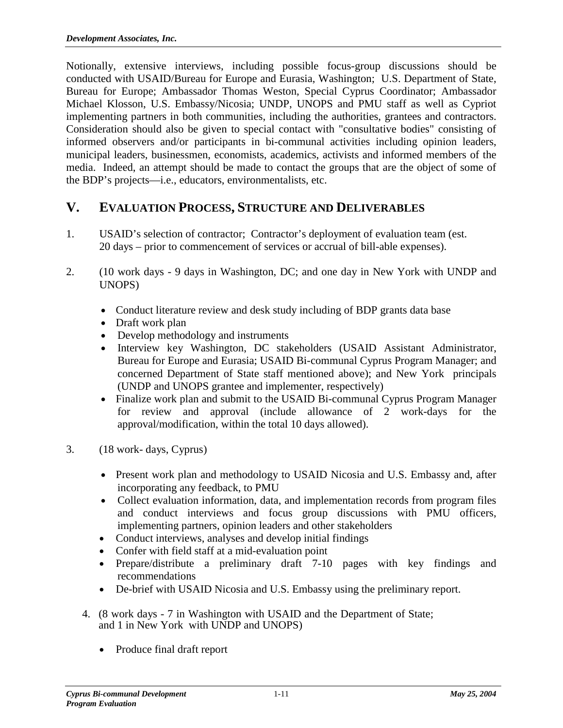Notionally, extensive interviews, including possible focus-group discussions should be conducted with USAID/Bureau for Europe and Eurasia, Washington; U.S. Department of State, Bureau for Europe; Ambassador Thomas Weston, Special Cyprus Coordinator; Ambassador Michael Klosson, U.S. Embassy/Nicosia; UNDP, UNOPS and PMU staff as well as Cypriot implementing partners in both communities, including the authorities, grantees and contractors. Consideration should also be given to special contact with "consultative bodies" consisting of informed observers and/or participants in bi-communal activities including opinion leaders, municipal leaders, businessmen, economists, academics, activists and informed members of the media. Indeed, an attempt should be made to contact the groups that are the object of some of the BDP's projects—i.e., educators, environmentalists, etc.

## **V. EVALUATION PROCESS, STRUCTURE AND DELIVERABLES**

- 1. USAID's selection of contractor; Contractor's deployment of evaluation team (est. 20 days – prior to commencement of services or accrual of bill-able expenses).
- 2. (10 work days 9 days in Washington, DC; and one day in New York with UNDP and UNOPS)
	- Conduct literature review and desk study including of BDP grants data base
	- Draft work plan
	- Develop methodology and instruments
	- Interview key Washington, DC stakeholders (USAID Assistant Administrator, Bureau for Europe and Eurasia; USAID Bi-communal Cyprus Program Manager; and concerned Department of State staff mentioned above); and New York principals (UNDP and UNOPS grantee and implementer, respectively)
	- Finalize work plan and submit to the USAID Bi-communal Cyprus Program Manager for review and approval (include allowance of 2 work-days for the approval/modification, within the total 10 days allowed).
- 3. (18 work- days, Cyprus)
	- Present work plan and methodology to USAID Nicosia and U.S. Embassy and, after incorporating any feedback, to PMU
	- Collect evaluation information, data, and implementation records from program files and conduct interviews and focus group discussions with PMU officers, implementing partners, opinion leaders and other stakeholders
	- Conduct interviews, analyses and develop initial findings
	- Confer with field staff at a mid-evaluation point
	- Prepare/distribute a preliminary draft 7-10 pages with key findings and recommendations
	- De-brief with USAID Nicosia and U.S. Embassy using the preliminary report.
	- 4. (8 work days 7 in Washington with USAID and the Department of State; and 1 in New York with UNDP and UNOPS)
		- Produce final draft report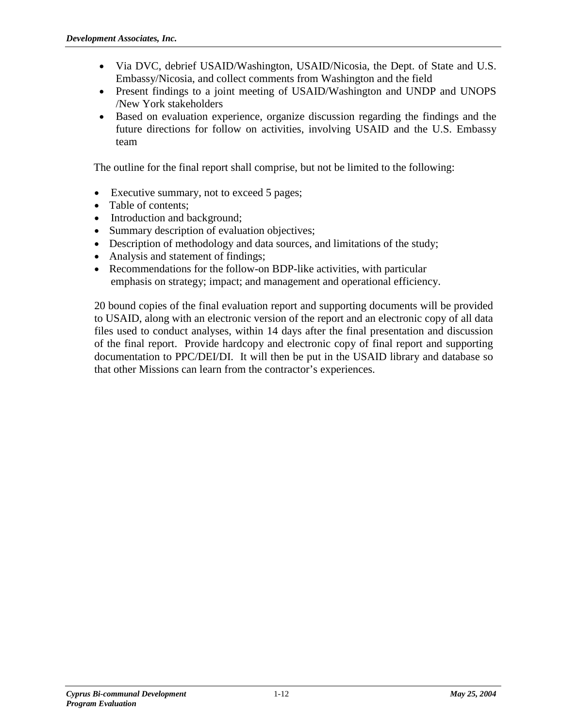- Via DVC, debrief USAID/Washington, USAID/Nicosia, the Dept. of State and U.S. Embassy/Nicosia, and collect comments from Washington and the field
- Present findings to a joint meeting of USAID/Washington and UNDP and UNOPS /New York stakeholders
- Based on evaluation experience, organize discussion regarding the findings and the future directions for follow on activities, involving USAID and the U.S. Embassy team

The outline for the final report shall comprise, but not be limited to the following:

- Executive summary, not to exceed 5 pages;
- Table of contents;
- Introduction and background;
- Summary description of evaluation objectives;
- Description of methodology and data sources, and limitations of the study;
- Analysis and statement of findings;
- Recommendations for the follow-on BDP-like activities, with particular emphasis on strategy; impact; and management and operational efficiency.

20 bound copies of the final evaluation report and supporting documents will be provided to USAID, along with an electronic version of the report and an electronic copy of all data files used to conduct analyses, within 14 days after the final presentation and discussion of the final report. Provide hardcopy and electronic copy of final report and supporting documentation to PPC/DEI/DI. It will then be put in the USAID library and database so that other Missions can learn from the contractor's experiences.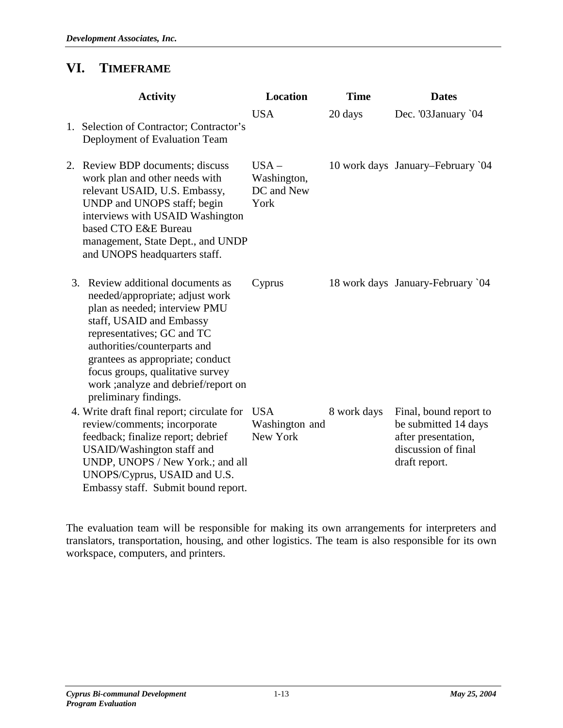# **VI. TIMEFRAME**

|    | <b>Activity</b>                                                                                                                                                                                                                                                                                                                      | <b>Location</b>                              | <b>Time</b> | <b>Dates</b>                                                                                                  |
|----|--------------------------------------------------------------------------------------------------------------------------------------------------------------------------------------------------------------------------------------------------------------------------------------------------------------------------------------|----------------------------------------------|-------------|---------------------------------------------------------------------------------------------------------------|
|    | 1. Selection of Contractor; Contractor's<br>Deployment of Evaluation Team                                                                                                                                                                                                                                                            | <b>USA</b>                                   | 20 days     | Dec. '03January `04                                                                                           |
| 2. | Review BDP documents; discuss<br>work plan and other needs with<br>relevant USAID, U.S. Embassy,<br>UNDP and UNOPS staff; begin<br>interviews with USAID Washington<br>based CTO E&E Bureau<br>management, State Dept., and UNDP<br>and UNOPS headquarters staff.                                                                    | $USA -$<br>Washington,<br>DC and New<br>York |             | 10 work days January-February `04                                                                             |
| 3. | Review additional documents as<br>needed/appropriate; adjust work<br>plan as needed; interview PMU<br>staff, USAID and Embassy<br>representatives; GC and TC<br>authorities/counterparts and<br>grantees as appropriate; conduct<br>focus groups, qualitative survey<br>work ;analyze and debrief/report on<br>preliminary findings. | Cyprus                                       |             | 18 work days January-February `04                                                                             |
|    | 4. Write draft final report; circulate for<br>review/comments; incorporate<br>feedback; finalize report; debrief<br>USAID/Washington staff and<br>UNDP, UNOPS / New York.; and all<br>UNOPS/Cyprus, USAID and U.S.<br>Embassy staff. Submit bound report.                                                                            | <b>USA</b><br>Washington and<br>New York     | 8 work days | Final, bound report to<br>be submitted 14 days<br>after presentation,<br>discussion of final<br>draft report. |

The evaluation team will be responsible for making its own arrangements for interpreters and translators, transportation, housing, and other logistics. The team is also responsible for its own workspace, computers, and printers.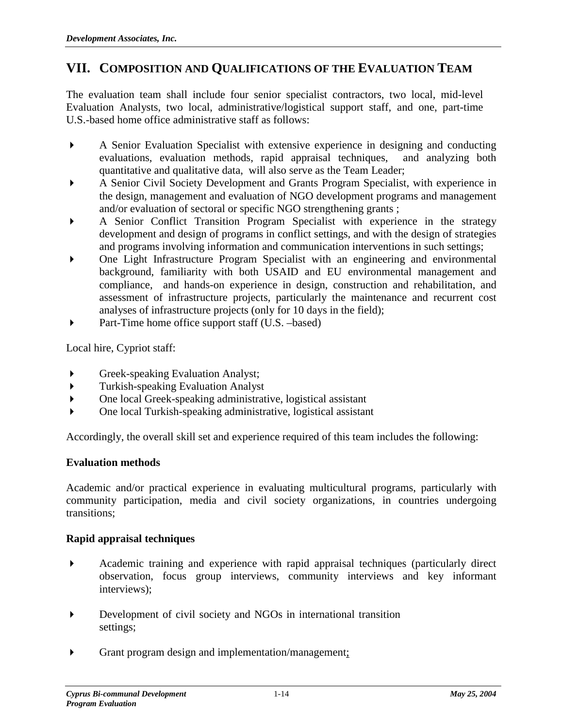# **VII. COMPOSITION AND QUALIFICATIONS OF THE EVALUATION TEAM**

The evaluation team shall include four senior specialist contractors, two local, mid-level Evaluation Analysts, two local, administrative/logistical support staff, and one, part-time U.S.-based home office administrative staff as follows:

- A Senior Evaluation Specialist with extensive experience in designing and conducting evaluations, evaluation methods, rapid appraisal techniques, quantitative and qualitative data, will also serve as the Team Leader;
- A Senior Civil Society Development and Grants Program Specialist, with experience in the design, management and evaluation of NGO development programs and management and/or evaluation of sectoral or specific NGO strengthening grants ;
- A Senior Conflict Transition Program Specialist with experience in the strategy development and design of programs in conflict settings, and with the design of strategies and programs involving information and communication interventions in such settings;
- One Light Infrastructure Program Specialist with an engineering and environmental background, familiarity with both USAID and EU environmental management and compliance, and hands-on experience in design, construction and rehabilitation, and assessment of infrastructure projects, particularly the maintenance and recurrent cost analyses of infrastructure projects (only for 10 days in the field);
- Part-Time home office support staff (U.S. –based)

Local hire, Cypriot staff:

- Greek-speaking Evaluation Analyst;
- Turkish-speaking Evaluation Analyst
- One local Greek-speaking administrative, logistical assistant
- One local Turkish-speaking administrative, logistical assistant

Accordingly, the overall skill set and experience required of this team includes the following:

#### **Evaluation methods**

Academic and/or practical experience in evaluating multicultural programs, particularly with community participation, media and civil society organizations, in countries undergoing transitions;

#### **Rapid appraisal techniques**

- Academic training and experience with rapid appraisal techniques (particularly direct observation, focus group interviews, community interviews and key informant interviews);
- Development of civil society and NGOs in international transition settings;
- Grant program design and implementation/management;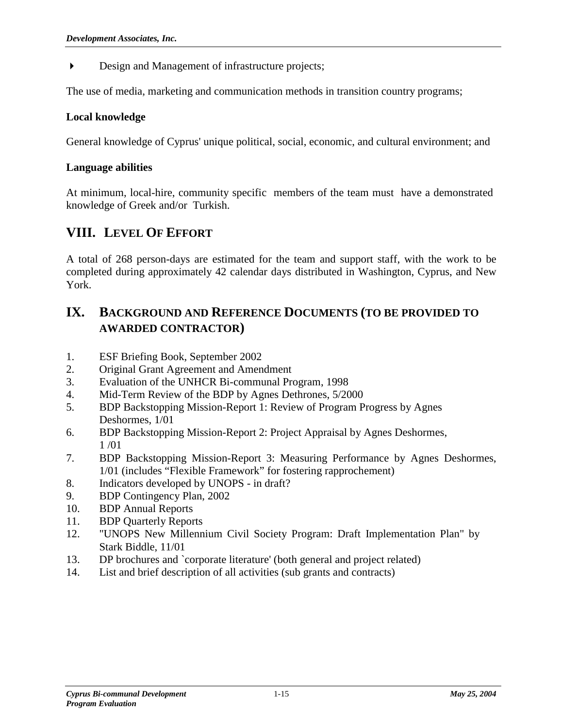Design and Management of infrastructure projects;

The use of media, marketing and communication methods in transition country programs;

#### **Local knowledge**

General knowledge of Cyprus' unique political, social, economic, and cultural environment; and

#### **Language abilities**

At minimum, local-hire, community specific members of the team must have a demonstrated knowledge of Greek and/or Turkish.

## **VIII. LEVEL OF EFFORT**

A total of 268 person-days are estimated for the team and support staff, with the work to be completed during approximately 42 calendar days distributed in Washington, Cyprus, and New York.

# **IX. BACKGROUND AND REFERENCE DOCUMENTS (TO BE PROVIDED TO AWARDED CONTRACTOR)**

- 1. ESF Briefing Book, September 2002
- 2. Original Grant Agreement and Amendment
- 3. Evaluation of the UNHCR Bi-communal Program, 1998
- 4. Mid-Term Review of the BDP by Agnes Dethrones, 5/2000
- 5. BDP Backstopping Mission-Report 1: Review of Program Progress by Agnes Deshormes, 1/01
- 6. BDP Backstopping Mission-Report 2: Project Appraisal by Agnes Deshormes, 1 /01
- 7. BDP Backstopping Mission-Report 3: Measuring Performance by Agnes Deshormes, 1/01 (includes "Flexible Framework" for fostering rapprochement)
- 8. Indicators developed by UNOPS in draft?
- 9. BDP Contingency Plan, 2002
- 10. BDP Annual Reports
- 11. BDP Quarterly Reports
- 12. "UNOPS New Millennium Civil Society Program: Draft Implementation Plan" by Stark Biddle, 11/01
- 13. DP brochures and `corporate literature' (both general and project related)
- 14. List and brief description of all activities (sub grants and contracts)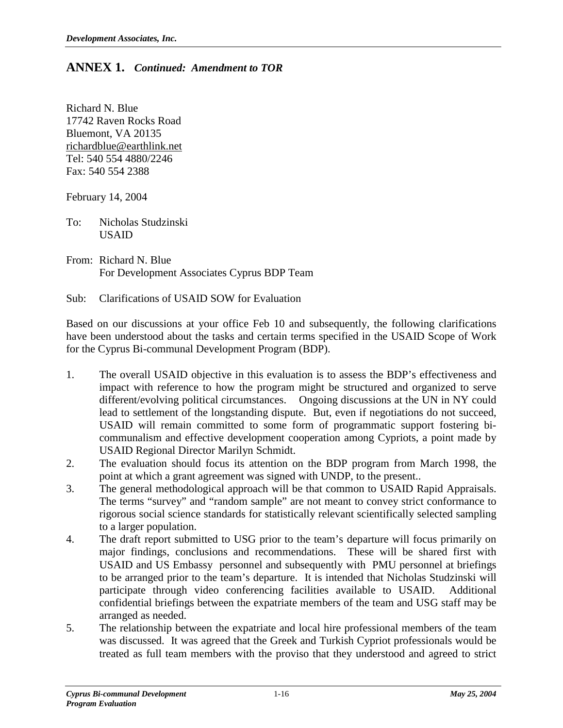## **ANNEX 1.** *Continued: Amendment to TOR*

Richard N. Blue 17742 Raven Rocks Road Bluemont, VA 20135 richardblue@earthlink.net Tel: 540 554 4880/2246 Fax: 540 554 2388

February 14, 2004

To: Nicholas Studzinski USAID

From: Richard N. Blue For Development Associates Cyprus BDP Team

Sub: Clarifications of USAID SOW for Evaluation

Based on our discussions at your office Feb 10 and subsequently, the following clarifications have been understood about the tasks and certain terms specified in the USAID Scope of Work for the Cyprus Bi-communal Development Program (BDP).

- 1. The overall USAID objective in this evaluation is to assess the BDP's effectiveness and impact with reference to how the program might be structured and organized to serve different/evolving political circumstances. Ongoing discussions at the UN in NY could lead to settlement of the longstanding dispute. But, even if negotiations do not succeed, USAID will remain committed to some form of programmatic support fostering bicommunalism and effective development cooperation among Cypriots, a point made by USAID Regional Director Marilyn Schmidt.
- 2. The evaluation should focus its attention on the BDP program from March 1998, the point at which a grant agreement was signed with UNDP, to the present..
- 3. The general methodological approach will be that common to USAID Rapid Appraisals. The terms "survey" and "random sample" are not meant to convey strict conformance to rigorous social science standards for statistically relevant scientifically selected sampling to a larger population.
- 4. The draft report submitted to USG prior to the team's departure will focus primarily on major findings, conclusions and recommendations. These will be shared first with USAID and US Embassy personnel and subsequently with PMU personnel at briefings to be arranged prior to the team's departure. It is intended that Nicholas Studzinski will participate through video conferencing facilities available to USAID. Additional confidential briefings between the expatriate members of the team and USG staff may be arranged as needed.
- 5. The relationship between the expatriate and local hire professional members of the team was discussed. It was agreed that the Greek and Turkish Cypriot professionals would be treated as full team members with the proviso that they understood and agreed to strict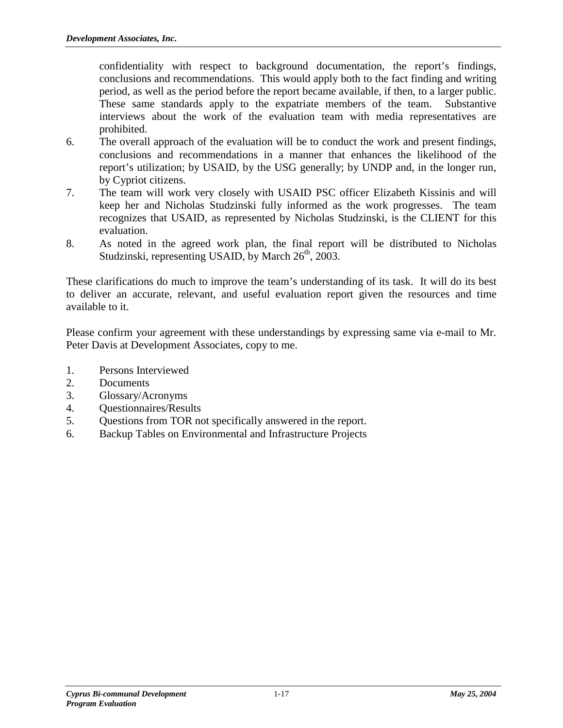confidentiality with respect to background documentation, the report's findings, conclusions and recommendations. This would apply both to the fact finding and writing period, as well as the period before the report became available, if then, to a larger public. These same standards apply to the expatriate members of the team. Substantive interviews about the work of the evaluation team with media representatives are prohibited.

- 6. The overall approach of the evaluation will be to conduct the work and present findings, conclusions and recommendations in a manner that enhances the likelihood of the report's utilization; by USAID, by the USG generally; by UNDP and, in the longer run, by Cypriot citizens.
- 7. The team will work very closely with USAID PSC officer Elizabeth Kissinis and will keep her and Nicholas Studzinski fully informed as the work progresses. The team recognizes that USAID, as represented by Nicholas Studzinski, is the CLIENT for this evaluation.
- 8. As noted in the agreed work plan, the final report will be distributed to Nicholas Studzinski, representing USAID, by March  $26<sup>th</sup>$ , 2003.

These clarifications do much to improve the team's understanding of its task. It will do its best to deliver an accurate, relevant, and useful evaluation report given the resources and time available to it.

Please confirm your agreement with these understandings by expressing same via e-mail to Mr. Peter Davis at Development Associates, copy to me.

- 1. Persons Interviewed
- 2. Documents
- 3. Glossary/Acronyms
- 4. Questionnaires/Results
- 5. Questions from TOR not specifically answered in the report.
- 6. Backup Tables on Environmental and Infrastructure Projects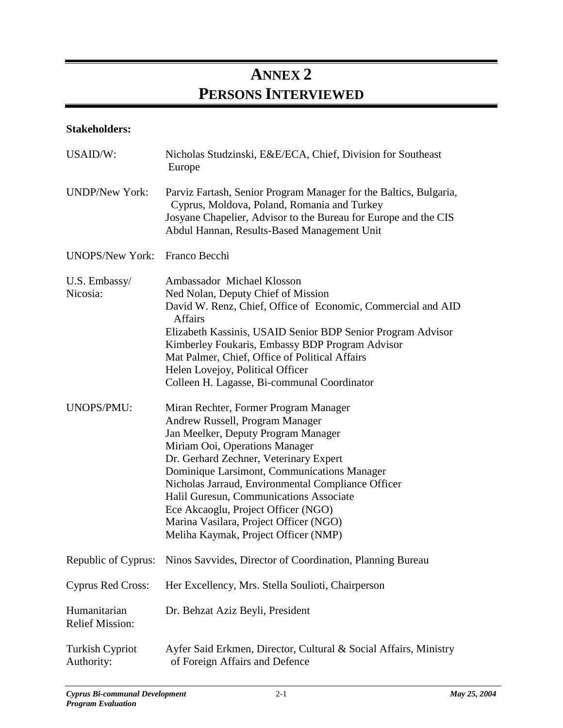# **ANNEX 2 PERSONS INTERVIEWED**

## **Stakeholders:**

| USAID/W:                               | Nicholas Studzinski, E&E/ECA, Chief, Division for Southeast<br>Europe                                                                                                                                                                                                                                                                                                                                                                                                |
|----------------------------------------|----------------------------------------------------------------------------------------------------------------------------------------------------------------------------------------------------------------------------------------------------------------------------------------------------------------------------------------------------------------------------------------------------------------------------------------------------------------------|
| <b>UNDP/New York:</b>                  | Parviz Fartash, Senior Program Manager for the Baltics, Bulgaria,<br>Cyprus, Moldova, Poland, Romania and Turkey<br>Josyane Chapelier, Advisor to the Bureau for Europe and the CIS<br>Abdul Hannan, Results-Based Management Unit                                                                                                                                                                                                                                   |
| UNOPS/New York:                        | Franco Becchi                                                                                                                                                                                                                                                                                                                                                                                                                                                        |
| U.S. Embassy/<br>Nicosia:              | Ambassador Michael Klosson<br>Ned Nolan, Deputy Chief of Mission<br>David W. Renz, Chief, Office of Economic, Commercial and AID<br><b>Affairs</b><br>Elizabeth Kassinis, USAID Senior BDP Senior Program Advisor<br>Kimberley Foukaris, Embassy BDP Program Advisor<br>Mat Palmer, Chief, Office of Political Affairs<br>Helen Lovejoy, Political Officer<br>Colleen H. Lagasse, Bi-communal Coordinator                                                            |
| <b>UNOPS/PMU:</b>                      | Miran Rechter, Former Program Manager<br>Andrew Russell, Program Manager<br>Jan Meelker, Deputy Program Manager<br>Miriam Ooi, Operations Manager<br>Dr. Gerhard Zechner, Veterinary Expert<br>Dominique Larsimont, Communications Manager<br>Nicholas Jarraud, Environmental Compliance Officer<br>Halil Guresun, Communications Associate<br>Ece Akcaoglu, Project Officer (NGO)<br>Marina Vasilara, Project Officer (NGO)<br>Meliha Kaymak, Project Officer (NMP) |
| Republic of Cyprus:                    | Ninos Savvides, Director of Coordination, Planning Bureau                                                                                                                                                                                                                                                                                                                                                                                                            |
| <b>Cyprus Red Cross:</b>               | Her Excellency, Mrs. Stella Soulioti, Chairperson                                                                                                                                                                                                                                                                                                                                                                                                                    |
| Humanitarian<br><b>Relief Mission:</b> | Dr. Behzat Aziz Beyli, President                                                                                                                                                                                                                                                                                                                                                                                                                                     |
| <b>Turkish Cypriot</b><br>Authority:   | Ayfer Said Erkmen, Director, Cultural & Social Affairs, Ministry<br>of Foreign Affairs and Defence                                                                                                                                                                                                                                                                                                                                                                   |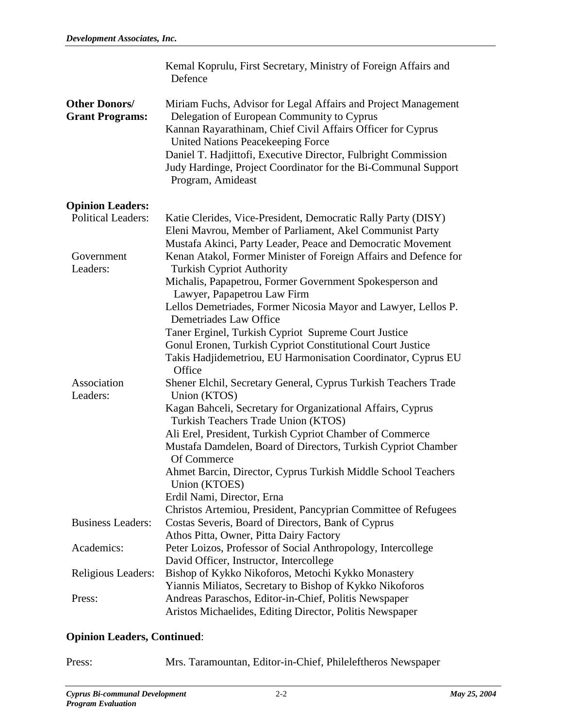|                                                | Kemal Koprulu, First Secretary, Ministry of Foreign Affairs and<br>Defence                                                                                                                                                                                                                                                                                                       |
|------------------------------------------------|----------------------------------------------------------------------------------------------------------------------------------------------------------------------------------------------------------------------------------------------------------------------------------------------------------------------------------------------------------------------------------|
| <b>Other Donors/</b><br><b>Grant Programs:</b> | Miriam Fuchs, Advisor for Legal Affairs and Project Management<br>Delegation of European Community to Cyprus<br>Kannan Rayarathinam, Chief Civil Affairs Officer for Cyprus<br><b>United Nations Peacekeeping Force</b><br>Daniel T. Hadjittofi, Executive Director, Fulbright Commission<br>Judy Hardinge, Project Coordinator for the Bi-Communal Support<br>Program, Amideast |
| <b>Opinion Leaders:</b>                        |                                                                                                                                                                                                                                                                                                                                                                                  |
| <b>Political Leaders:</b>                      | Katie Clerides, Vice-President, Democratic Rally Party (DISY)<br>Eleni Mavrou, Member of Parliament, Akel Communist Party<br>Mustafa Akinci, Party Leader, Peace and Democratic Movement                                                                                                                                                                                         |
| Government                                     | Kenan Atakol, Former Minister of Foreign Affairs and Defence for                                                                                                                                                                                                                                                                                                                 |
| Leaders:                                       | <b>Turkish Cypriot Authority</b>                                                                                                                                                                                                                                                                                                                                                 |
|                                                | Michalis, Papapetrou, Former Government Spokesperson and<br>Lawyer, Papapetrou Law Firm                                                                                                                                                                                                                                                                                          |
|                                                | Lellos Demetriades, Former Nicosia Mayor and Lawyer, Lellos P.<br>Demetriades Law Office                                                                                                                                                                                                                                                                                         |
|                                                | Taner Erginel, Turkish Cypriot Supreme Court Justice                                                                                                                                                                                                                                                                                                                             |
|                                                | Gonul Eronen, Turkish Cypriot Constitutional Court Justice                                                                                                                                                                                                                                                                                                                       |
|                                                | Takis Hadjidemetriou, EU Harmonisation Coordinator, Cyprus EU<br>Office                                                                                                                                                                                                                                                                                                          |
| Association<br>Leaders:                        | Shener Elchil, Secretary General, Cyprus Turkish Teachers Trade<br>Union (KTOS)                                                                                                                                                                                                                                                                                                  |
|                                                | Kagan Bahceli, Secretary for Organizational Affairs, Cyprus<br>Turkish Teachers Trade Union (KTOS)                                                                                                                                                                                                                                                                               |
|                                                | Ali Erel, President, Turkish Cypriot Chamber of Commerce                                                                                                                                                                                                                                                                                                                         |
|                                                | Mustafa Damdelen, Board of Directors, Turkish Cypriot Chamber<br>Of Commerce                                                                                                                                                                                                                                                                                                     |
|                                                | Ahmet Barcin, Director, Cyprus Turkish Middle School Teachers<br>Union (KTOES)                                                                                                                                                                                                                                                                                                   |
|                                                | Erdil Nami, Director, Erna                                                                                                                                                                                                                                                                                                                                                       |
|                                                | Christos Artemiou, President, Pancyprian Committee of Refugees                                                                                                                                                                                                                                                                                                                   |
| <b>Business Leaders:</b>                       | Costas Severis, Board of Directors, Bank of Cyprus                                                                                                                                                                                                                                                                                                                               |
|                                                | Athos Pitta, Owner, Pitta Dairy Factory                                                                                                                                                                                                                                                                                                                                          |
| Academics:                                     | Peter Loizos, Professor of Social Anthropology, Intercollege                                                                                                                                                                                                                                                                                                                     |
|                                                | David Officer, Instructor, Intercollege                                                                                                                                                                                                                                                                                                                                          |
| <b>Religious Leaders:</b>                      | Bishop of Kykko Nikoforos, Metochi Kykko Monastery                                                                                                                                                                                                                                                                                                                               |
|                                                | Yiannis Miliatos, Secretary to Bishop of Kykko Nikoforos                                                                                                                                                                                                                                                                                                                         |
| Press:                                         | Andreas Paraschos, Editor-in-Chief, Politis Newspaper                                                                                                                                                                                                                                                                                                                            |
|                                                | Aristos Michaelides, Editing Director, Politis Newspaper                                                                                                                                                                                                                                                                                                                         |

# **Opinion Leaders, Continued**:

| Press: | Mrs. Taramountan, Editor-in-Chief, Phileleftheros Newspaper |
|--------|-------------------------------------------------------------|
|--------|-------------------------------------------------------------|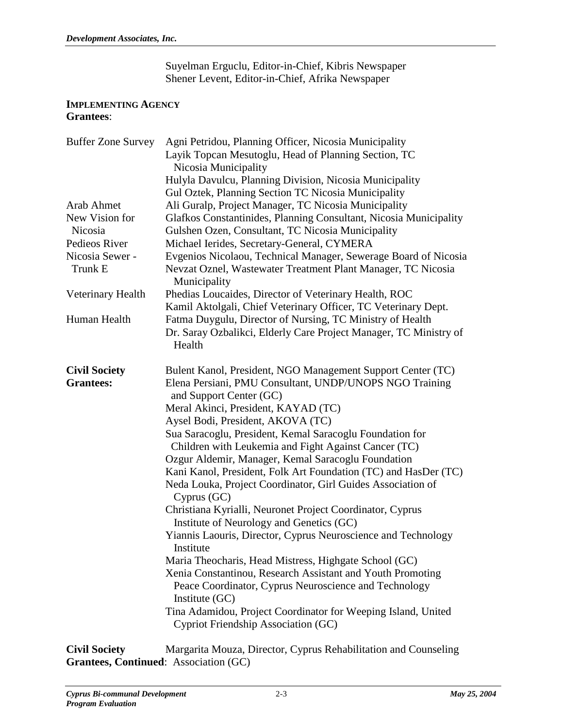Suyelman Erguclu, Editor-in-Chief, Kibris Newspaper Shener Levent, Editor-in-Chief, Afrika Newspaper

#### **IMPLEMENTING AGENCY Grantees**:

| <b>Buffer Zone Survey</b> | Agni Petridou, Planning Officer, Nicosia Municipality                                                      |
|---------------------------|------------------------------------------------------------------------------------------------------------|
|                           | Layik Topcan Mesutoglu, Head of Planning Section, TC                                                       |
|                           | Nicosia Municipality                                                                                       |
|                           | Hulyla Davulcu, Planning Division, Nicosia Municipality                                                    |
|                           | Gul Oztek, Planning Section TC Nicosia Municipality                                                        |
| Arab Ahmet                | Ali Guralp, Project Manager, TC Nicosia Municipality                                                       |
| New Vision for            | Glafkos Constantinides, Planning Consultant, Nicosia Municipality                                          |
| Nicosia                   | Gulshen Ozen, Consultant, TC Nicosia Municipality                                                          |
| Pedieos River             | Michael Ierides, Secretary-General, CYMERA                                                                 |
| Nicosia Sewer -           | Evgenios Nicolaou, Technical Manager, Sewerage Board of Nicosia                                            |
| Trunk E                   | Nevzat Oznel, Wastewater Treatment Plant Manager, TC Nicosia<br>Municipality                               |
| Veterinary Health         | Phedias Loucaides, Director of Veterinary Health, ROC                                                      |
|                           | Kamil Aktolgali, Chief Veterinary Officer, TC Veterinary Dept.                                             |
| Human Health              | Fatma Duygulu, Director of Nursing, TC Ministry of Health                                                  |
|                           | Dr. Saray Ozbalikci, Elderly Care Project Manager, TC Ministry of<br>Health                                |
| <b>Civil Society</b>      | Bulent Kanol, President, NGO Management Support Center (TC)                                                |
| <b>Grantees:</b>          | Elena Persiani, PMU Consultant, UNDP/UNOPS NGO Training                                                    |
|                           | and Support Center (GC)                                                                                    |
|                           | Meral Akinci, President, KAYAD (TC)                                                                        |
|                           | Aysel Bodi, President, AKOVA (TC)                                                                          |
|                           | Sua Saracoglu, President, Kemal Saracoglu Foundation for                                                   |
|                           | Children with Leukemia and Fight Against Cancer (TC)<br>Ozgur Aldemir, Manager, Kemal Saracoglu Foundation |
|                           | Kani Kanol, President, Folk Art Foundation (TC) and HasDer (TC)                                            |
|                           | Neda Louka, Project Coordinator, Girl Guides Association of<br>Cyprus (GC)                                 |
|                           | Christiana Kyrialli, Neuronet Project Coordinator, Cyprus                                                  |
|                           | Institute of Neurology and Genetics (GC)                                                                   |
|                           | Yiannis Laouris, Director, Cyprus Neuroscience and Technology                                              |
|                           | Institute                                                                                                  |
|                           | Maria Theocharis, Head Mistress, Highgate School (GC)                                                      |
|                           | Xenia Constantinou, Research Assistant and Youth Promoting                                                 |
|                           | Peace Coordinator, Cyprus Neuroscience and Technology<br>Institute (GC)                                    |
|                           | Tina Adamidou, Project Coordinator for Weeping Island, United<br>Cypriot Friendship Association (GC)       |
|                           |                                                                                                            |

**Civil Society** Margarita Mouza, Director, Cyprus Rehabilitation and Counseling **Grantees, Continued**: Association (GC)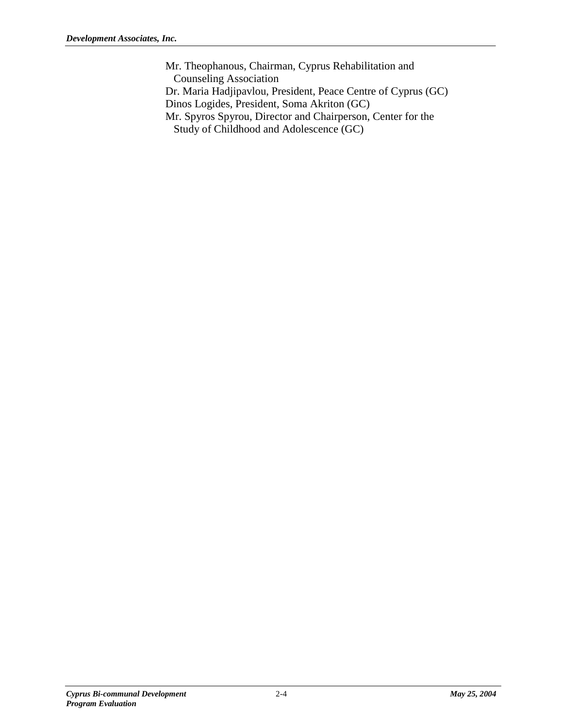Mr. Theophanous, Chairman, Cyprus Rehabilitation and Counseling Association Dr. Maria Hadjipavlou, President, Peace Centre of Cyprus (GC) Dinos Logides, President, Soma Akriton (GC) Mr. Spyros Spyrou, Director and Chairperson, Center for the Study of Childhood and Adolescence (GC)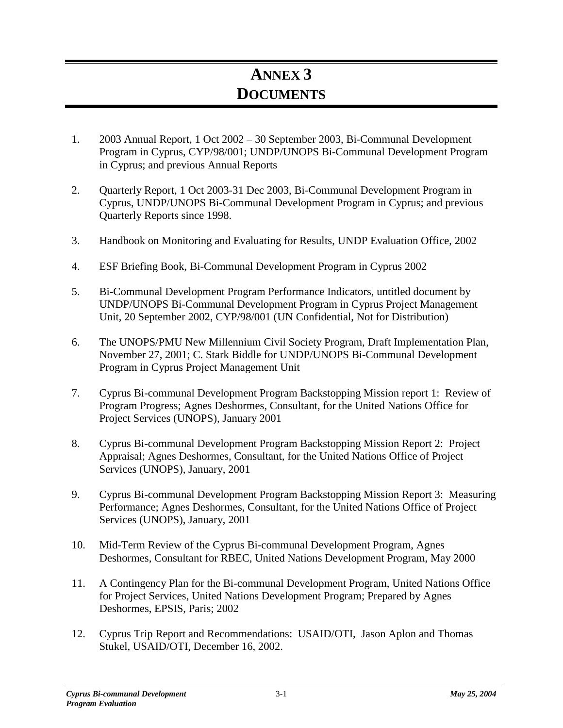# **ANNEX 3 DOCUMENTS**

- 1. 2003 Annual Report, 1 Oct 2002 30 September 2003, Bi-Communal Development Program in Cyprus, CYP/98/001; UNDP/UNOPS Bi-Communal Development Program in Cyprus; and previous Annual Reports
- 2. Quarterly Report, 1 Oct 2003-31 Dec 2003, Bi-Communal Development Program in Cyprus, UNDP/UNOPS Bi-Communal Development Program in Cyprus; and previous Quarterly Reports since 1998.
- 3. Handbook on Monitoring and Evaluating for Results, UNDP Evaluation Office, 2002
- 4. ESF Briefing Book, Bi-Communal Development Program in Cyprus 2002
- 5. Bi-Communal Development Program Performance Indicators, untitled document by UNDP/UNOPS Bi-Communal Development Program in Cyprus Project Management Unit, 20 September 2002, CYP/98/001 (UN Confidential, Not for Distribution)
- 6. The UNOPS/PMU New Millennium Civil Society Program, Draft Implementation Plan, November 27, 2001; C. Stark Biddle for UNDP/UNOPS Bi-Communal Development Program in Cyprus Project Management Unit
- 7. Cyprus Bi-communal Development Program Backstopping Mission report 1: Review of Program Progress; Agnes Deshormes, Consultant, for the United Nations Office for Project Services (UNOPS), January 2001
- 8. Cyprus Bi-communal Development Program Backstopping Mission Report 2: Project Appraisal; Agnes Deshormes, Consultant, for the United Nations Office of Project Services (UNOPS), January, 2001
- 9. Cyprus Bi-communal Development Program Backstopping Mission Report 3: Measuring Performance; Agnes Deshormes, Consultant, for the United Nations Office of Project Services (UNOPS), January, 2001
- 10. Mid-Term Review of the Cyprus Bi-communal Development Program, Agnes Deshormes, Consultant for RBEC, United Nations Development Program, May 2000
- 11. A Contingency Plan for the Bi-communal Development Program, United Nations Office for Project Services, United Nations Development Program; Prepared by Agnes Deshormes, EPSIS, Paris; 2002
- 12. Cyprus Trip Report and Recommendations: USAID/OTI, Jason Aplon and Thomas Stukel, USAID/OTI, December 16, 2002.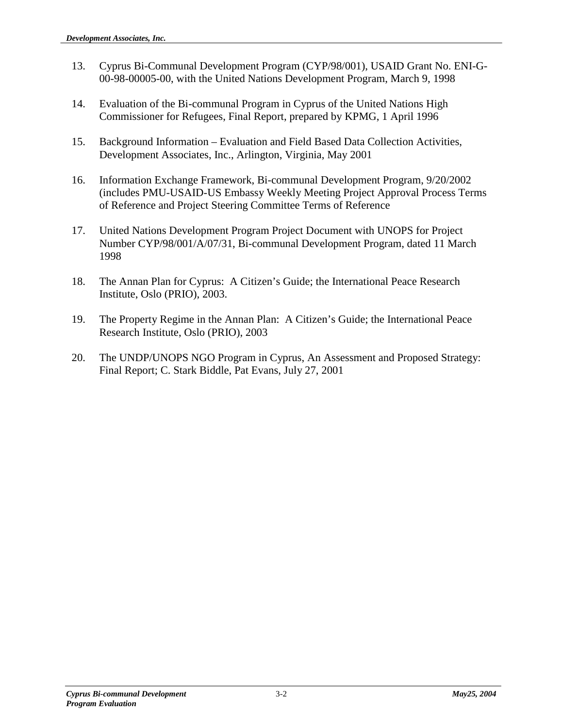- 13. Cyprus Bi-Communal Development Program (CYP/98/001), USAID Grant No. ENI-G-00-98-00005-00, with the United Nations Development Program, March 9, 1998
- 14. Evaluation of the Bi-communal Program in Cyprus of the United Nations High Commissioner for Refugees, Final Report, prepared by KPMG, 1 April 1996
- 15. Background Information Evaluation and Field Based Data Collection Activities, Development Associates, Inc., Arlington, Virginia, May 2001
- 16. Information Exchange Framework, Bi-communal Development Program, 9/20/2002 (includes PMU-USAID-US Embassy Weekly Meeting Project Approval Process Terms of Reference and Project Steering Committee Terms of Reference
- 17. United Nations Development Program Project Document with UNOPS for Project Number CYP/98/001/A/07/31, Bi-communal Development Program, dated 11 March 1998
- 18. The Annan Plan for Cyprus: A Citizen's Guide; the International Peace Research Institute, Oslo (PRIO), 2003.
- 19. The Property Regime in the Annan Plan: A Citizen's Guide; the International Peace Research Institute, Oslo (PRIO), 2003
- 20. The UNDP/UNOPS NGO Program in Cyprus, An Assessment and Proposed Strategy: Final Report; C. Stark Biddle, Pat Evans, July 27, 2001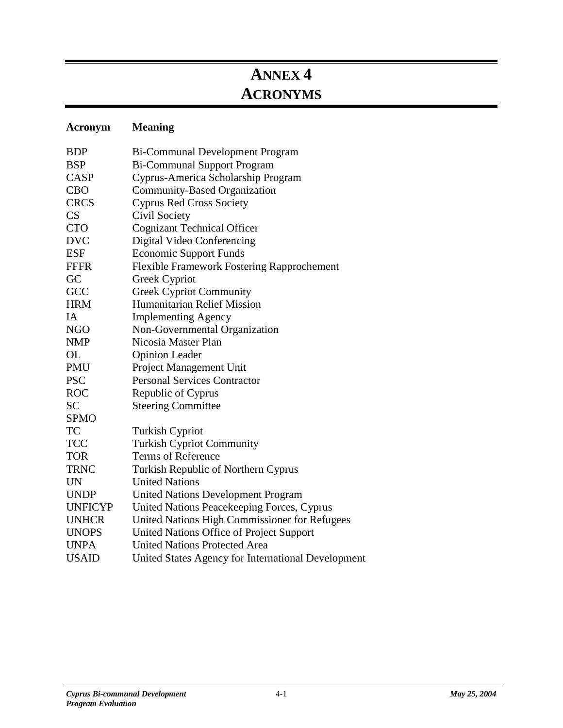# **ANNEX 4**

# **ACRONYMS**

# **Acronym Meaning**

| <b>BDP</b>     | <b>Bi-Communal Development Program</b>             |
|----------------|----------------------------------------------------|
| <b>BSP</b>     | <b>Bi-Communal Support Program</b>                 |
| CASP           | Cyprus-America Scholarship Program                 |
| <b>CBO</b>     | <b>Community-Based Organization</b>                |
| <b>CRCS</b>    | <b>Cyprus Red Cross Society</b>                    |
| CS             | Civil Society                                      |
| <b>CTO</b>     | <b>Cognizant Technical Officer</b>                 |
| <b>DVC</b>     | Digital Video Conferencing                         |
| <b>ESF</b>     | <b>Economic Support Funds</b>                      |
| <b>FFFR</b>    | Flexible Framework Fostering Rapprochement         |
| GC             | Greek Cypriot                                      |
| GCC            | <b>Greek Cypriot Community</b>                     |
| <b>HRM</b>     | <b>Humanitarian Relief Mission</b>                 |
| IA             | <b>Implementing Agency</b>                         |
| <b>NGO</b>     | Non-Governmental Organization                      |
| <b>NMP</b>     | Nicosia Master Plan                                |
| OL             | <b>Opinion Leader</b>                              |
| <b>PMU</b>     | <b>Project Management Unit</b>                     |
| <b>PSC</b>     | <b>Personal Services Contractor</b>                |
| <b>ROC</b>     | Republic of Cyprus                                 |
| <b>SC</b>      | <b>Steering Committee</b>                          |
| <b>SPMO</b>    |                                                    |
| TC             | <b>Turkish Cypriot</b>                             |
| <b>TCC</b>     | <b>Turkish Cypriot Community</b>                   |
| <b>TOR</b>     | Terms of Reference                                 |
| <b>TRNC</b>    | Turkish Republic of Northern Cyprus                |
| <b>UN</b>      | <b>United Nations</b>                              |
| <b>UNDP</b>    | <b>United Nations Development Program</b>          |
| <b>UNFICYP</b> | United Nations Peacekeeping Forces, Cyprus         |
| <b>UNHCR</b>   | United Nations High Commissioner for Refugees      |
| <b>UNOPS</b>   | United Nations Office of Project Support           |
| <b>UNPA</b>    | <b>United Nations Protected Area</b>               |
| <b>USAID</b>   | United States Agency for International Development |
|                |                                                    |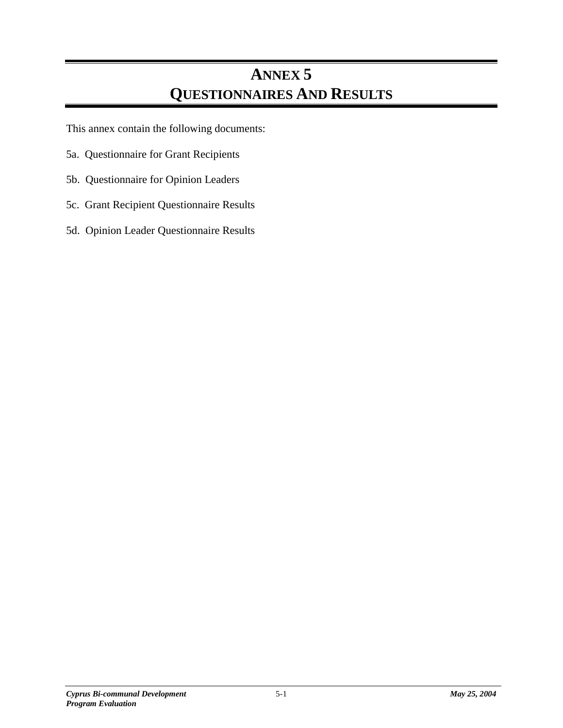# **ANNEX 5 QUESTIONNAIRES AND RESULTS**

This annex contain the following documents:

- 5a. Questionnaire for Grant Recipients
- 5b. Questionnaire for Opinion Leaders
- 5c. Grant Recipient Questionnaire Results
- 5d. Opinion Leader Questionnaire Results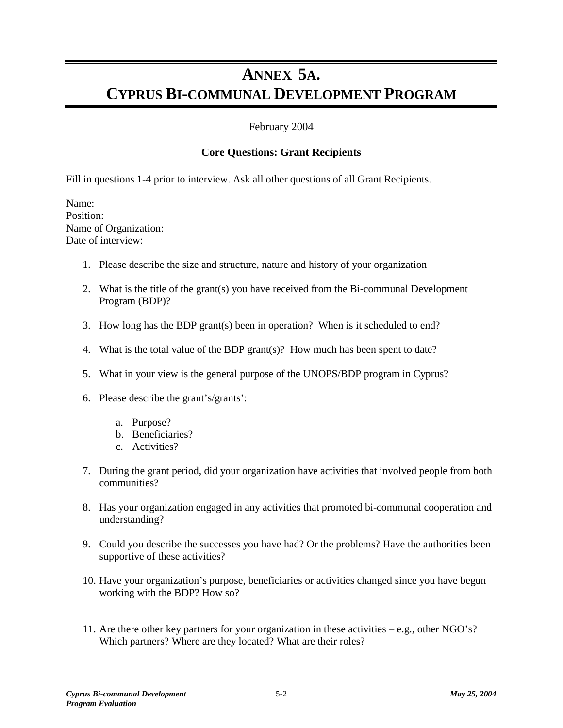# **ANNEX 5A. CYPRUS BI-COMMUNAL DEVELOPMENT PROGRAM**

February 2004

## **Core Questions: Grant Recipients**

Fill in questions 1-4 prior to interview. Ask all other questions of all Grant Recipients.

Name: Position: Name of Organization: Date of interview:

- 1. Please describe the size and structure, nature and history of your organization
- 2. What is the title of the grant(s) you have received from the Bi-communal Development Program (BDP)?
- 3. How long has the BDP grant(s) been in operation? When is it scheduled to end?
- 4. What is the total value of the BDP grant(s)? How much has been spent to date?
- 5. What in your view is the general purpose of the UNOPS/BDP program in Cyprus?
- 6. Please describe the grant's/grants':
	- a. Purpose?
	- b. Beneficiaries?
	- c. Activities?
- 7. During the grant period, did your organization have activities that involved people from both communities?
- 8. Has your organization engaged in any activities that promoted bi-communal cooperation and understanding?
- 9. Could you describe the successes you have had? Or the problems? Have the authorities been supportive of these activities?
- 10. Have your organization's purpose, beneficiaries or activities changed since you have begun working with the BDP? How so?
- 11. Are there other key partners for your organization in these activities e.g., other NGO's? Which partners? Where are they located? What are their roles?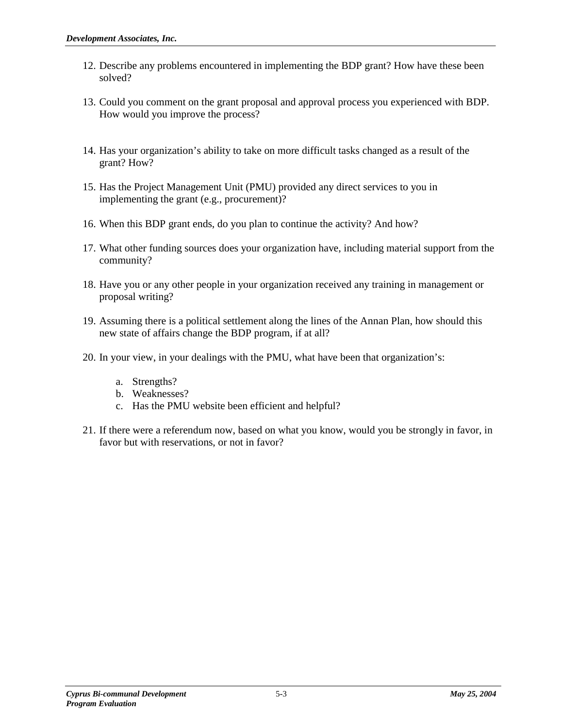- 12. Describe any problems encountered in implementing the BDP grant? How have these been solved?
- 13. Could you comment on the grant proposal and approval process you experienced with BDP. How would you improve the process?
- 14. Has your organization's ability to take on more difficult tasks changed as a result of the grant? How?
- 15. Has the Project Management Unit (PMU) provided any direct services to you in implementing the grant (e.g., procurement)?
- 16. When this BDP grant ends, do you plan to continue the activity? And how?
- 17. What other funding sources does your organization have, including material support from the community?
- 18. Have you or any other people in your organization received any training in management or proposal writing?
- 19. Assuming there is a political settlement along the lines of the Annan Plan, how should this new state of affairs change the BDP program, if at all?
- 20. In your view, in your dealings with the PMU, what have been that organization's:
	- a. Strengths?
	- b. Weaknesses?
	- c. Has the PMU website been efficient and helpful?
- 21. If there were a referendum now, based on what you know, would you be strongly in favor, in favor but with reservations, or not in favor?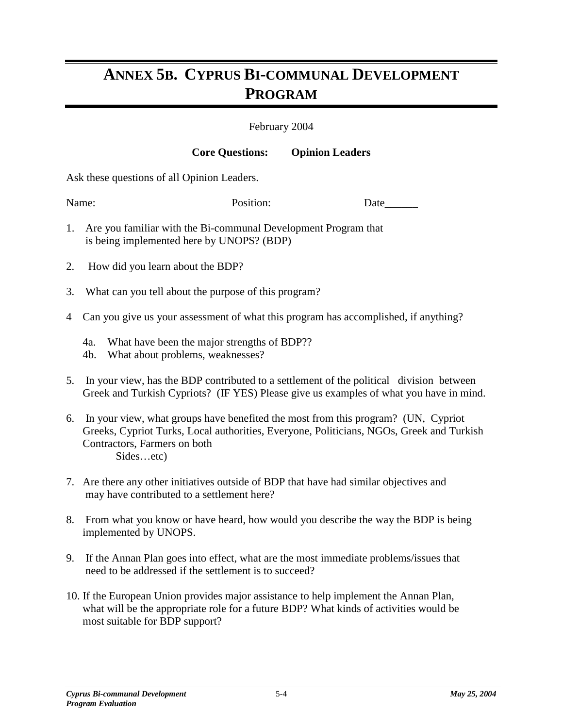# **ANNEX 5B. CYPRUS BI-COMMUNAL DEVELOPMENT PROGRAM**

February 2004

**Core Questions: Opinion Leaders** 

Ask these questions of all Opinion Leaders.

Name: Position: Date

- 1. Are you familiar with the Bi-communal Development Program that is being implemented here by UNOPS? (BDP)
- 2. How did you learn about the BDP?
- 3. What can you tell about the purpose of this program?
- 4 Can you give us your assessment of what this program has accomplished, if anything?
	- 4a. What have been the major strengths of BDP??
	- 4b. What about problems, weaknesses?
- 5. In your view, has the BDP contributed to a settlement of the political division between Greek and Turkish Cypriots? (IF YES) Please give us examples of what you have in mind.
- 6. In your view, what groups have benefited the most from this program? (UN, Cypriot Greeks, Cypriot Turks, Local authorities, Everyone, Politicians, NGOs, Greek and Turkish Contractors, Farmers on both Sides…etc)
- 7. Are there any other initiatives outside of BDP that have had similar objectives and may have contributed to a settlement here?
- 8. From what you know or have heard, how would you describe the way the BDP is being implemented by UNOPS.
- 9. If the Annan Plan goes into effect, what are the most immediate problems/issues that need to be addressed if the settlement is to succeed?
- 10. If the European Union provides major assistance to help implement the Annan Plan, what will be the appropriate role for a future BDP? What kinds of activities would be most suitable for BDP support?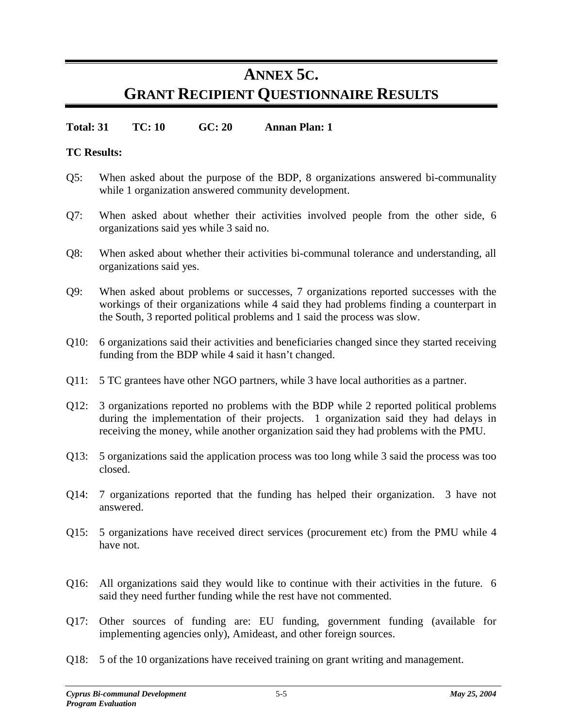# **ANNEX 5C. GRANT RECIPIENT QUESTIONNAIRE RESULTS**

## **Total: 31 TC: 10 GC: 20 Annan Plan: 1**

### **TC Results:**

- Q5: When asked about the purpose of the BDP, 8 organizations answered bi-communality while 1 organization answered community development.
- Q7: When asked about whether their activities involved people from the other side, 6 organizations said yes while 3 said no.
- Q8: When asked about whether their activities bi-communal tolerance and understanding, all organizations said yes.
- Q9: When asked about problems or successes, 7 organizations reported successes with the workings of their organizations while 4 said they had problems finding a counterpart in the South, 3 reported political problems and 1 said the process was slow.
- Q10: 6 organizations said their activities and beneficiaries changed since they started receiving funding from the BDP while 4 said it hasn't changed.
- Q11: 5 TC grantees have other NGO partners, while 3 have local authorities as a partner.
- Q12: 3 organizations reported no problems with the BDP while 2 reported political problems during the implementation of their projects. 1 organization said they had delays in receiving the money, while another organization said they had problems with the PMU.
- Q13: 5 organizations said the application process was too long while 3 said the process was too closed.
- Q14: 7 organizations reported that the funding has helped their organization. 3 have not answered.
- Q15: 5 organizations have received direct services (procurement etc) from the PMU while 4 have not.
- Q16: All organizations said they would like to continue with their activities in the future. 6 said they need further funding while the rest have not commented.
- Q17: Other sources of funding are: EU funding, government funding (available for implementing agencies only), Amideast, and other foreign sources.
- Q18: 5 of the 10 organizations have received training on grant writing and management.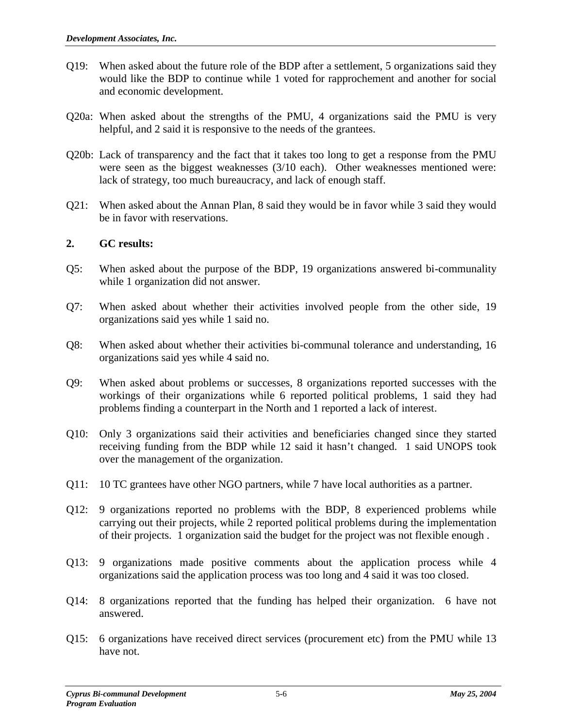- Q19: When asked about the future role of the BDP after a settlement, 5 organizations said they would like the BDP to continue while 1 voted for rapprochement and another for social and economic development.
- Q20a: When asked about the strengths of the PMU, 4 organizations said the PMU is very helpful, and 2 said it is responsive to the needs of the grantees.
- Q20b: Lack of transparency and the fact that it takes too long to get a response from the PMU were seen as the biggest weaknesses (3/10 each). Other weaknesses mentioned were: lack of strategy, too much bureaucracy, and lack of enough staff.
- Q21: When asked about the Annan Plan, 8 said they would be in favor while 3 said they would be in favor with reservations.

#### **2. GC results:**

- Q5: When asked about the purpose of the BDP, 19 organizations answered bi-communality while 1 organization did not answer.
- Q7: When asked about whether their activities involved people from the other side, 19 organizations said yes while 1 said no.
- Q8: When asked about whether their activities bi-communal tolerance and understanding, 16 organizations said yes while 4 said no.
- Q9: When asked about problems or successes, 8 organizations reported successes with the workings of their organizations while 6 reported political problems, 1 said they had problems finding a counterpart in the North and 1 reported a lack of interest.
- Q10: Only 3 organizations said their activities and beneficiaries changed since they started receiving funding from the BDP while 12 said it hasn't changed. 1 said UNOPS took over the management of the organization.
- Q11: 10 TC grantees have other NGO partners, while 7 have local authorities as a partner.
- Q12: 9 organizations reported no problems with the BDP, 8 experienced problems while carrying out their projects, while 2 reported political problems during the implementation of their projects. 1 organization said the budget for the project was not flexible enough .
- Q13: 9 organizations made positive comments about the application process while 4 organizations said the application process was too long and 4 said it was too closed.
- Q14: 8 organizations reported that the funding has helped their organization. 6 have not answered.
- Q15: 6 organizations have received direct services (procurement etc) from the PMU while 13 have not.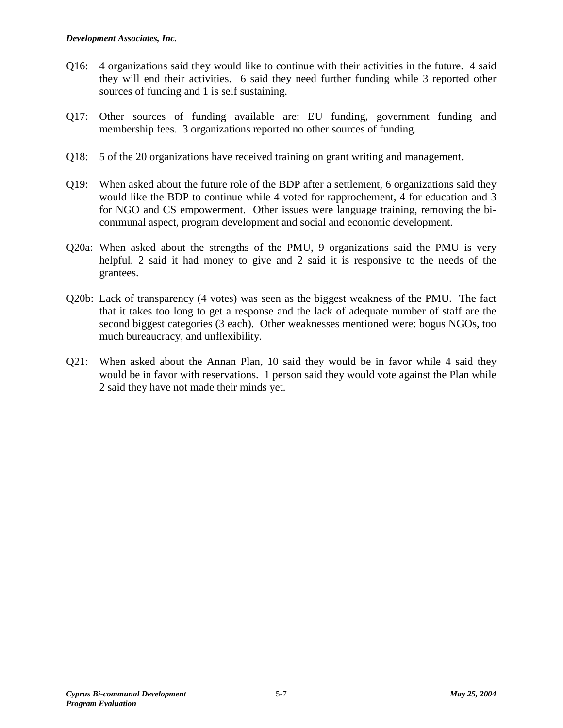- Q16: 4 organizations said they would like to continue with their activities in the future. 4 said they will end their activities. 6 said they need further funding while 3 reported other sources of funding and 1 is self sustaining.
- Q17: Other sources of funding available are: EU funding, government funding and membership fees. 3 organizations reported no other sources of funding.
- Q18: 5 of the 20 organizations have received training on grant writing and management.
- Q19: When asked about the future role of the BDP after a settlement, 6 organizations said they would like the BDP to continue while 4 voted for rapprochement, 4 for education and 3 for NGO and CS empowerment. Other issues were language training, removing the bicommunal aspect, program development and social and economic development.
- Q20a: When asked about the strengths of the PMU, 9 organizations said the PMU is very helpful, 2 said it had money to give and 2 said it is responsive to the needs of the grantees.
- Q20b: Lack of transparency (4 votes) was seen as the biggest weakness of the PMU. The fact that it takes too long to get a response and the lack of adequate number of staff are the second biggest categories (3 each). Other weaknesses mentioned were: bogus NGOs, too much bureaucracy, and unflexibility.
- Q21: When asked about the Annan Plan, 10 said they would be in favor while 4 said they would be in favor with reservations. 1 person said they would vote against the Plan while 2 said they have not made their minds yet.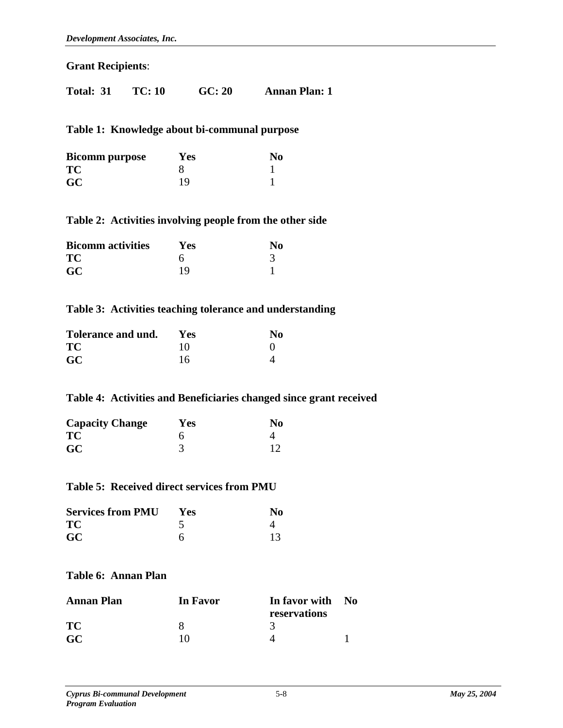#### **Grant Recipients**:

**Total: 31 TC: 10 GC: 20 Annan Plan: 1** 

#### **Table 1: Knowledge about bi-communal purpose**

| <b>Bicomm purpose</b> | Yes | No |
|-----------------------|-----|----|
| TC                    |     |    |
| <b>GC</b>             | 19  |    |

#### **Table 2: Activities involving people from the other side**

| <b>Bicomm</b> activities | <b>Yes</b> | No |
|--------------------------|------------|----|
| TC                       |            |    |
| <b>GC</b>                | 19         |    |

#### **Table 3: Activities teaching tolerance and understanding**

| Tolerance and und. | <b>Yes</b> | No |
|--------------------|------------|----|
| TC                 | 10         |    |
| GC                 | 16         |    |

#### **Table 4: Activities and Beneficiaries changed since grant received**

| <b>Capacity Change</b> | Yes | No |
|------------------------|-----|----|
| TC                     |     |    |
| <b>GC</b>              |     |    |

### **Table 5: Received direct services from PMU**

| <b>Services from PMU</b> | <b>Yes</b> | No |
|--------------------------|------------|----|
| TС                       |            |    |
| GC                       |            |    |

#### **Table 6: Annan Plan**

| <b>Annan Plan</b> | In Favor | In favor with No<br>reservations |  |
|-------------------|----------|----------------------------------|--|
| TC                |          |                                  |  |
| <b>GC</b>         | 10       |                                  |  |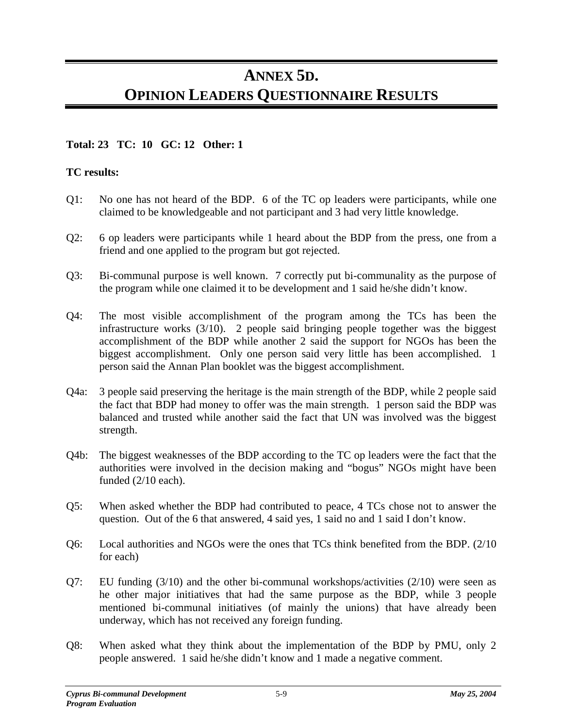# **ANNEX 5D. OPINION LEADERS QUESTIONNAIRE RESULTS**

## **Total: 23 TC: 10 GC: 12 Other: 1**

### **TC results:**

- Q1: No one has not heard of the BDP. 6 of the TC op leaders were participants, while one claimed to be knowledgeable and not participant and 3 had very little knowledge.
- Q2: 6 op leaders were participants while 1 heard about the BDP from the press, one from a friend and one applied to the program but got rejected.
- Q3: Bi-communal purpose is well known. 7 correctly put bi-communality as the purpose of the program while one claimed it to be development and 1 said he/she didn't know.
- Q4: The most visible accomplishment of the program among the TCs has been the infrastructure works (3/10). 2 people said bringing people together was the biggest accomplishment of the BDP while another 2 said the support for NGOs has been the biggest accomplishment. Only one person said very little has been accomplished. 1 person said the Annan Plan booklet was the biggest accomplishment.
- Q4a: 3 people said preserving the heritage is the main strength of the BDP, while 2 people said the fact that BDP had money to offer was the main strength. 1 person said the BDP was balanced and trusted while another said the fact that UN was involved was the biggest strength.
- Q4b: The biggest weaknesses of the BDP according to the TC op leaders were the fact that the authorities were involved in the decision making and "bogus" NGOs might have been funded  $(2/10 \text{ each})$ .
- Q5: When asked whether the BDP had contributed to peace, 4 TCs chose not to answer the question. Out of the 6 that answered, 4 said yes, 1 said no and 1 said I don't know.
- Q6: Local authorities and NGOs were the ones that TCs think benefited from the BDP. (2/10 for each)
- Q7: EU funding  $(3/10)$  and the other bi-communal workshops/activities  $(2/10)$  were seen as he other major initiatives that had the same purpose as the BDP, while 3 people mentioned bi-communal initiatives (of mainly the unions) that have already been underway, which has not received any foreign funding.
- Q8: When asked what they think about the implementation of the BDP by PMU, only 2 people answered. 1 said he/she didn't know and 1 made a negative comment.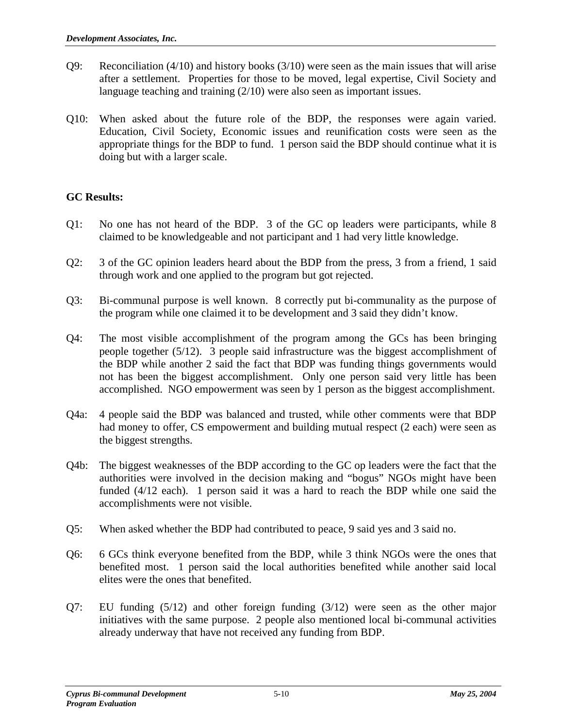- Q9: Reconciliation (4/10) and history books (3/10) were seen as the main issues that will arise after a settlement. Properties for those to be moved, legal expertise, Civil Society and language teaching and training (2/10) were also seen as important issues.
- Q10: When asked about the future role of the BDP, the responses were again varied. Education, Civil Society, Economic issues and reunification costs were seen as the appropriate things for the BDP to fund. 1 person said the BDP should continue what it is doing but with a larger scale.

### **GC Results:**

- Q1: No one has not heard of the BDP. 3 of the GC op leaders were participants, while 8 claimed to be knowledgeable and not participant and 1 had very little knowledge.
- Q2: 3 of the GC opinion leaders heard about the BDP from the press, 3 from a friend, 1 said through work and one applied to the program but got rejected.
- Q3: Bi-communal purpose is well known. 8 correctly put bi-communality as the purpose of the program while one claimed it to be development and 3 said they didn't know.
- Q4: The most visible accomplishment of the program among the GCs has been bringing people together (5/12). 3 people said infrastructure was the biggest accomplishment of the BDP while another 2 said the fact that BDP was funding things governments would not has been the biggest accomplishment. Only one person said very little has been accomplished. NGO empowerment was seen by 1 person as the biggest accomplishment.
- Q4a: 4 people said the BDP was balanced and trusted, while other comments were that BDP had money to offer, CS empowerment and building mutual respect (2 each) were seen as the biggest strengths.
- Q4b: The biggest weaknesses of the BDP according to the GC op leaders were the fact that the authorities were involved in the decision making and "bogus" NGOs might have been funded (4/12 each). 1 person said it was a hard to reach the BDP while one said the accomplishments were not visible.
- Q5: When asked whether the BDP had contributed to peace, 9 said yes and 3 said no.
- Q6: 6 GCs think everyone benefited from the BDP, while 3 think NGOs were the ones that benefited most. 1 person said the local authorities benefited while another said local elites were the ones that benefited.
- Q7: EU funding (5/12) and other foreign funding (3/12) were seen as the other major initiatives with the same purpose. 2 people also mentioned local bi-communal activities already underway that have not received any funding from BDP.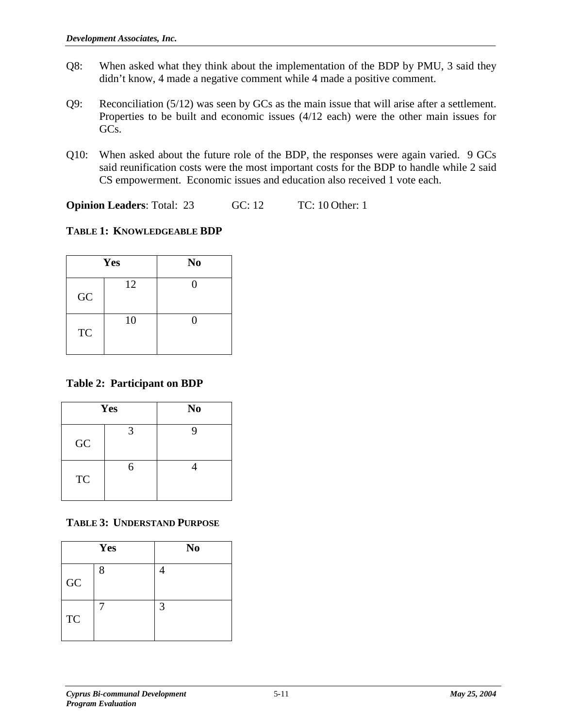- Q8: When asked what they think about the implementation of the BDP by PMU, 3 said they didn't know, 4 made a negative comment while 4 made a positive comment.
- Q9: Reconciliation (5/12) was seen by GCs as the main issue that will arise after a settlement. Properties to be built and economic issues (4/12 each) were the other main issues for GCs.
- Q10: When asked about the future role of the BDP, the responses were again varied. 9 GCs said reunification costs were the most important costs for the BDP to handle while 2 said CS empowerment. Economic issues and education also received 1 vote each.

**Opinion Leaders:** Total: 23 GC: 12 TC: 10 Other: 1

**TABLE 1: KNOWLEDGEABLE BDP** 

| Yes        |    | N <sub>0</sub> |
|------------|----|----------------|
| ${\rm GC}$ | 12 | 0              |
| <b>TC</b>  | 10 | ∩              |

**Table 2: Participant on BDP**

| Yes        |   | N <sub>0</sub> |
|------------|---|----------------|
| ${\rm GC}$ | 3 |                |
| <b>TC</b>  | 6 |                |

## **TABLE 3: UNDERSTAND PURPOSE**

|           | Yes | N <sub>0</sub> |
|-----------|-----|----------------|
| GC        | 8   |                |
| <b>TC</b> |     | 3              |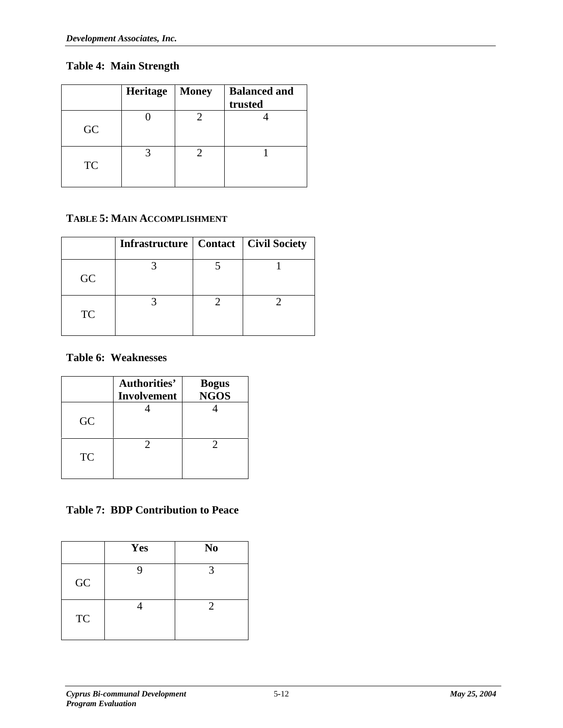## **Table 4: Main Strength**

|           | Heritage | <b>Money</b> | <b>Balanced and</b><br>trusted |
|-----------|----------|--------------|--------------------------------|
| GC        |          |              |                                |
| <b>TC</b> |          |              |                                |

## **TABLE 5: MAIN ACCOMPLISHMENT**

|           | Infrastructure   Contact   Civil Society |  |
|-----------|------------------------------------------|--|
| GC        |                                          |  |
| <b>TC</b> |                                          |  |

## **Table 6: Weaknesses**

|           | Authorities'<br><b>Involvement</b> | <b>Bogus</b><br><b>NGOS</b> |
|-----------|------------------------------------|-----------------------------|
| GC        |                                    |                             |
| <b>TC</b> | 2                                  |                             |

## **Table 7: BDP Contribution to Peace**

|            | Yes | N <sub>0</sub> |
|------------|-----|----------------|
| ${\rm GC}$ |     |                |
| <b>TC</b>  |     | $\mathfrak{D}$ |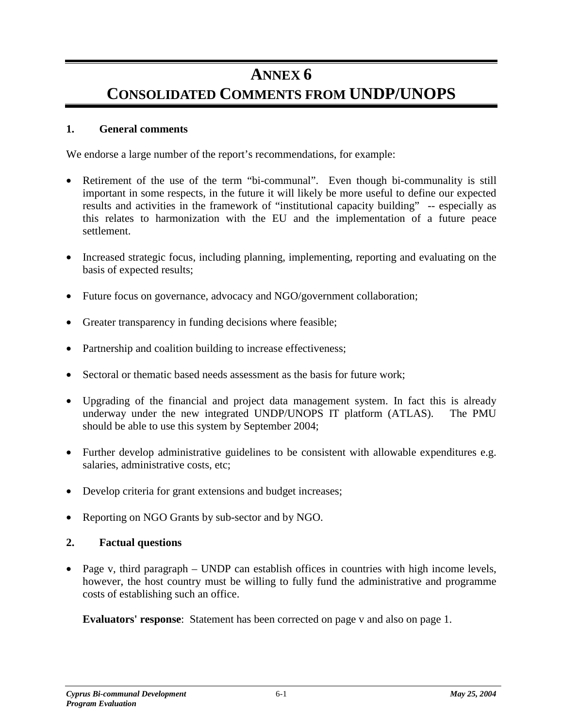# **ANNEX 6 CONSOLIDATED COMMENTS FROM UNDP/UNOPS**

### **1. General comments**

We endorse a large number of the report's recommendations, for example:

- Retirement of the use of the term "bi-communal". Even though bi-communality is still important in some respects, in the future it will likely be more useful to define our expected results and activities in the framework of "institutional capacity building" -- especially as this relates to harmonization with the EU and the implementation of a future peace settlement.
- Increased strategic focus, including planning, implementing, reporting and evaluating on the basis of expected results;
- Future focus on governance, advocacy and NGO/government collaboration;
- Greater transparency in funding decisions where feasible;
- Partnership and coalition building to increase effectiveness;
- Sectoral or thematic based needs assessment as the basis for future work;
- Upgrading of the financial and project data management system. In fact this is already underway under the new integrated UNDP/UNOPS IT platform (ATLAS). The PMU should be able to use this system by September 2004;
- Further develop administrative guidelines to be consistent with allowable expenditures e.g. salaries, administrative costs, etc;
- Develop criteria for grant extensions and budget increases;
- Reporting on NGO Grants by sub-sector and by NGO.

#### **2. Factual questions**

• Page v, third paragraph – UNDP can establish offices in countries with high income levels, however, the host country must be willing to fully fund the administrative and programme costs of establishing such an office.

**Evaluators' response**: Statement has been corrected on page v and also on page 1.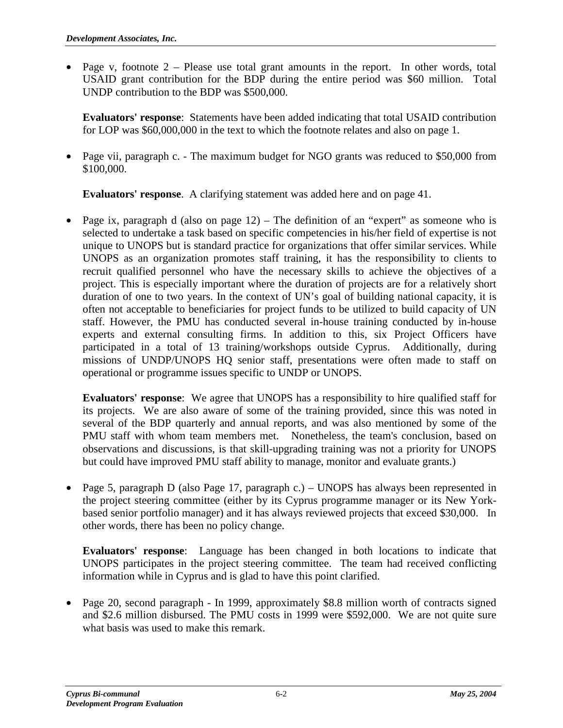Page v, footnote  $2$  – Please use total grant amounts in the report. In other words, total USAID grant contribution for the BDP during the entire period was \$60 million. Total UNDP contribution to the BDP was \$500,000.

**Evaluators' response**: Statements have been added indicating that total USAID contribution for LOP was \$60,000,000 in the text to which the footnote relates and also on page 1.

• Page vii, paragraph c. - The maximum budget for NGO grants was reduced to \$50,000 from \$100,000.

**Evaluators' response**. A clarifying statement was added here and on page 41.

Page ix, paragraph d (also on page  $12$ ) – The definition of an "expert" as someone who is selected to undertake a task based on specific competencies in his/her field of expertise is not unique to UNOPS but is standard practice for organizations that offer similar services. While UNOPS as an organization promotes staff training, it has the responsibility to clients to recruit qualified personnel who have the necessary skills to achieve the objectives of a project. This is especially important where the duration of projects are for a relatively short duration of one to two years. In the context of UN's goal of building national capacity, it is often not acceptable to beneficiaries for project funds to be utilized to build capacity of UN staff. However, the PMU has conducted several in-house training conducted by in-house experts and external consulting firms. In addition to this, six Project Officers have participated in a total of 13 training/workshops outside Cyprus. Additionally, during missions of UNDP/UNOPS HQ senior staff, presentations were often made to staff on operational or programme issues specific to UNDP or UNOPS.

**Evaluators' response**: We agree that UNOPS has a responsibility to hire qualified staff for its projects. We are also aware of some of the training provided, since this was noted in several of the BDP quarterly and annual reports, and was also mentioned by some of the PMU staff with whom team members met. Nonetheless, the team's conclusion, based on observations and discussions, is that skill-upgrading training was not a priority for UNOPS but could have improved PMU staff ability to manage, monitor and evaluate grants.)

• Page 5, paragraph D (also Page 17, paragraph c.) – UNOPS has always been represented in the project steering committee (either by its Cyprus programme manager or its New Yorkbased senior portfolio manager) and it has always reviewed projects that exceed \$30,000. In other words, there has been no policy change.

**Evaluators' response**: Language has been changed in both locations to indicate that UNOPS participates in the project steering committee. The team had received conflicting information while in Cyprus and is glad to have this point clarified.

• Page 20, second paragraph - In 1999, approximately \$8.8 million worth of contracts signed and \$2.6 million disbursed. The PMU costs in 1999 were \$592,000. We are not quite sure what basis was used to make this remark.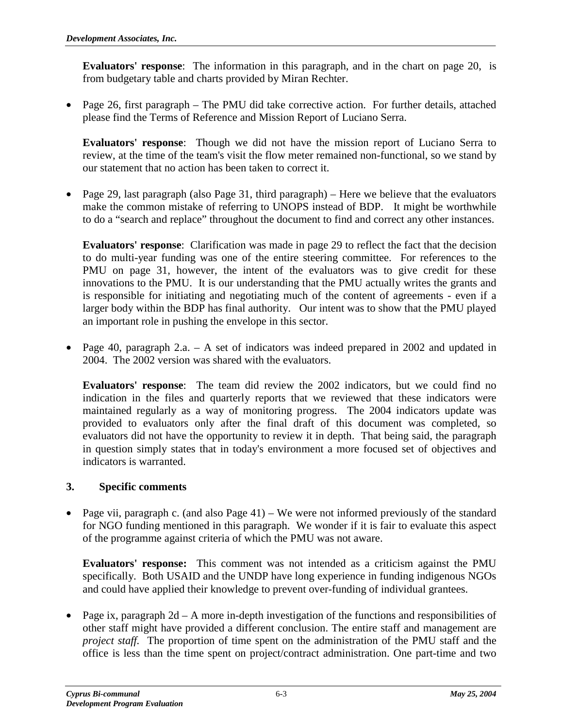**Evaluators' response**: The information in this paragraph, and in the chart on page 20, is from budgetary table and charts provided by Miran Rechter.

• Page 26, first paragraph – The PMU did take corrective action. For further details, attached please find the Terms of Reference and Mission Report of Luciano Serra.

**Evaluators' response**: Though we did not have the mission report of Luciano Serra to review, at the time of the team's visit the flow meter remained non-functional, so we stand by our statement that no action has been taken to correct it.

• Page 29, last paragraph (also Page 31, third paragraph) – Here we believe that the evaluators make the common mistake of referring to UNOPS instead of BDP. It might be worthwhile to do a "search and replace" throughout the document to find and correct any other instances.

**Evaluators' response**: Clarification was made in page 29 to reflect the fact that the decision to do multi-year funding was one of the entire steering committee. For references to the PMU on page 31, however, the intent of the evaluators was to give credit for these innovations to the PMU. It is our understanding that the PMU actually writes the grants and is responsible for initiating and negotiating much of the content of agreements - even if a larger body within the BDP has final authority. Our intent was to show that the PMU played an important role in pushing the envelope in this sector.

• Page 40, paragraph 2.a. – A set of indicators was indeed prepared in 2002 and updated in 2004. The 2002 version was shared with the evaluators.

**Evaluators' response**: The team did review the 2002 indicators, but we could find no indication in the files and quarterly reports that we reviewed that these indicators were maintained regularly as a way of monitoring progress. The 2004 indicators update was provided to evaluators only after the final draft of this document was completed, so evaluators did not have the opportunity to review it in depth. That being said, the paragraph in question simply states that in today's environment a more focused set of objectives and indicators is warranted.

#### **3. Specific comments**

Page vii, paragraph c. (and also Page 41) – We were not informed previously of the standard for NGO funding mentioned in this paragraph. We wonder if it is fair to evaluate this aspect of the programme against criteria of which the PMU was not aware.

**Evaluators' response:** This comment was not intended as a criticism against the PMU specifically. Both USAID and the UNDP have long experience in funding indigenous NGOs and could have applied their knowledge to prevent over-funding of individual grantees.

• Page ix, paragraph  $2d - A$  more in-depth investigation of the functions and responsibilities of other staff might have provided a different conclusion. The entire staff and management are *project staff.* The proportion of time spent on the administration of the PMU staff and the office is less than the time spent on project/contract administration. One part-time and two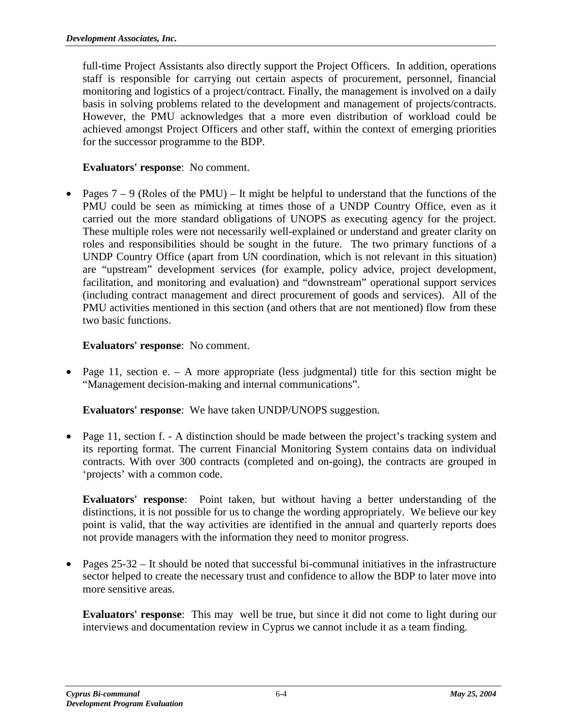full-time Project Assistants also directly support the Project Officers. In addition, operations staff is responsible for carrying out certain aspects of procurement, personnel, financial monitoring and logistics of a project/contract. Finally, the management is involved on a daily basis in solving problems related to the development and management of projects/contracts. However, the PMU acknowledges that a more even distribution of workload could be achieved amongst Project Officers and other staff, within the context of emerging priorities for the successor programme to the BDP.

#### **Evaluators' response**: No comment.

• Pages  $7 - 9$  (Roles of the PMU) – It might be helpful to understand that the functions of the PMU could be seen as mimicking at times those of a UNDP Country Office, even as it carried out the more standard obligations of UNOPS as executing agency for the project. These multiple roles were not necessarily well-explained or understand and greater clarity on roles and responsibilities should be sought in the future. The two primary functions of a UNDP Country Office (apart from UN coordination, which is not relevant in this situation) are "upstream" development services (for example, policy advice, project development, facilitation, and monitoring and evaluation) and "downstream" operational support services (including contract management and direct procurement of goods and services). All of the PMU activities mentioned in this section (and others that are not mentioned) flow from these two basic functions.

#### **Evaluators' response**: No comment.

• Page 11, section e. – A more appropriate (less judgmental) title for this section might be "Management decision-making and internal communications".

**Evaluators' response**: We have taken UNDP/UNOPS suggestion.

• Page 11, section f. - A distinction should be made between the project's tracking system and its reporting format. The current Financial Monitoring System contains data on individual contracts. With over 300 contracts (completed and on-going), the contracts are grouped in 'projects' with a common code.

**Evaluators' response**: Point taken, but without having a better understanding of the distinctions, it is not possible for us to change the wording appropriately. We believe our key point is valid, that the way activities are identified in the annual and quarterly reports does not provide managers with the information they need to monitor progress.

• Pages 25-32 – It should be noted that successful bi-communal initiatives in the infrastructure sector helped to create the necessary trust and confidence to allow the BDP to later move into more sensitive areas.

**Evaluators' response**: This may well be true, but since it did not come to light during our interviews and documentation review in Cyprus we cannot include it as a team finding.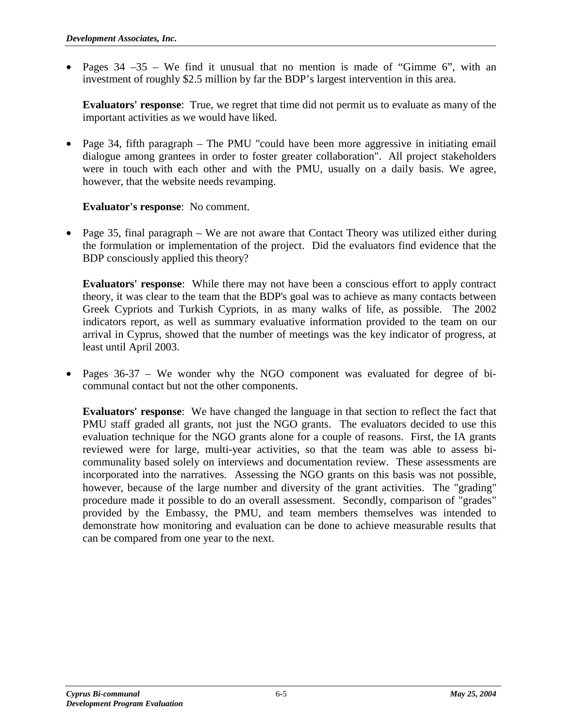Pages  $34 - 35$  – We find it unusual that no mention is made of "Gimme 6", with an investment of roughly \$2.5 million by far the BDP's largest intervention in this area.

**Evaluators' response**: True, we regret that time did not permit us to evaluate as many of the important activities as we would have liked.

• Page 34, fifth paragraph – The PMU "could have been more aggressive in initiating email dialogue among grantees in order to foster greater collaboration". All project stakeholders were in touch with each other and with the PMU, usually on a daily basis. We agree, however, that the website needs revamping.

#### **Evaluator's response**: No comment.

• Page 35, final paragraph – We are not aware that Contact Theory was utilized either during the formulation or implementation of the project. Did the evaluators find evidence that the BDP consciously applied this theory?

**Evaluators' response**: While there may not have been a conscious effort to apply contract theory, it was clear to the team that the BDP's goal was to achieve as many contacts between Greek Cypriots and Turkish Cypriots, in as many walks of life, as possible. The 2002 indicators report, as well as summary evaluative information provided to the team on our arrival in Cyprus, showed that the number of meetings was the key indicator of progress, at least until April 2003.

• Pages 36-37 – We wonder why the NGO component was evaluated for degree of bicommunal contact but not the other components.

**Evaluators' response**: We have changed the language in that section to reflect the fact that PMU staff graded all grants, not just the NGO grants. The evaluators decided to use this evaluation technique for the NGO grants alone for a couple of reasons. First, the IA grants reviewed were for large, multi-year activities, so that the team was able to assess bicommunality based solely on interviews and documentation review. These assessments are incorporated into the narratives. Assessing the NGO grants on this basis was not possible, however, because of the large number and diversity of the grant activities. The "grading" procedure made it possible to do an overall assessment. Secondly, comparison of "grades" provided by the Embassy, the PMU, and team members themselves was intended to demonstrate how monitoring and evaluation can be done to achieve measurable results that can be compared from one year to the next.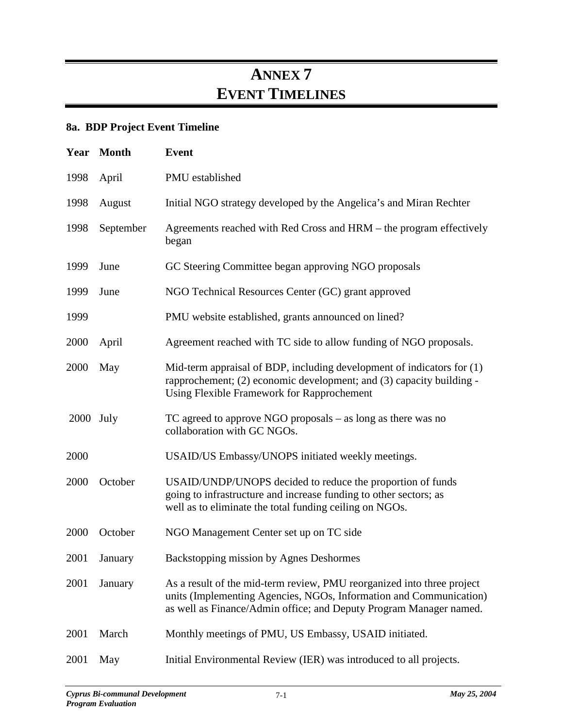# **ANNEX 7 EVENT TIMELINES**

# **8a. BDP Project Event Timeline**

|           | Year Month   | <b>Event</b>                                                                                                                                                                                                       |  |
|-----------|--------------|--------------------------------------------------------------------------------------------------------------------------------------------------------------------------------------------------------------------|--|
| 1998      | April        | PMU established                                                                                                                                                                                                    |  |
| 1998      | August       | Initial NGO strategy developed by the Angelica's and Miran Rechter                                                                                                                                                 |  |
| 1998      | September    | Agreements reached with Red Cross and HRM – the program effectively<br>began                                                                                                                                       |  |
| 1999      | June         | GC Steering Committee began approving NGO proposals                                                                                                                                                                |  |
| 1999      | June         | NGO Technical Resources Center (GC) grant approved                                                                                                                                                                 |  |
| 1999      |              | PMU website established, grants announced on lined?                                                                                                                                                                |  |
| 2000      | April        | Agreement reached with TC side to allow funding of NGO proposals.                                                                                                                                                  |  |
| 2000      | May          | Mid-term appraisal of BDP, including development of indicators for (1)<br>rapprochement; (2) economic development; and (3) capacity building -<br>Using Flexible Framework for Rapprochement                       |  |
| 2000 July |              | TC agreed to approve NGO proposals - as long as there was no<br>collaboration with GC NGOs.                                                                                                                        |  |
| 2000      |              | USAID/US Embassy/UNOPS initiated weekly meetings.                                                                                                                                                                  |  |
| 2000      | October      | USAID/UNDP/UNOPS decided to reduce the proportion of funds<br>going to infrastructure and increase funding to other sectors; as<br>well as to eliminate the total funding ceiling on NGOs.                         |  |
| 2000      | October      | NGO Management Center set up on TC side                                                                                                                                                                            |  |
|           | 2001 January | <b>Backstopping mission by Agnes Deshormes</b>                                                                                                                                                                     |  |
| 2001      | January      | As a result of the mid-term review, PMU reorganized into three project<br>units (Implementing Agencies, NGOs, Information and Communication)<br>as well as Finance/Admin office; and Deputy Program Manager named. |  |
| 2001      | March        | Monthly meetings of PMU, US Embassy, USAID initiated.                                                                                                                                                              |  |
| 2001      | May          | Initial Environmental Review (IER) was introduced to all projects.                                                                                                                                                 |  |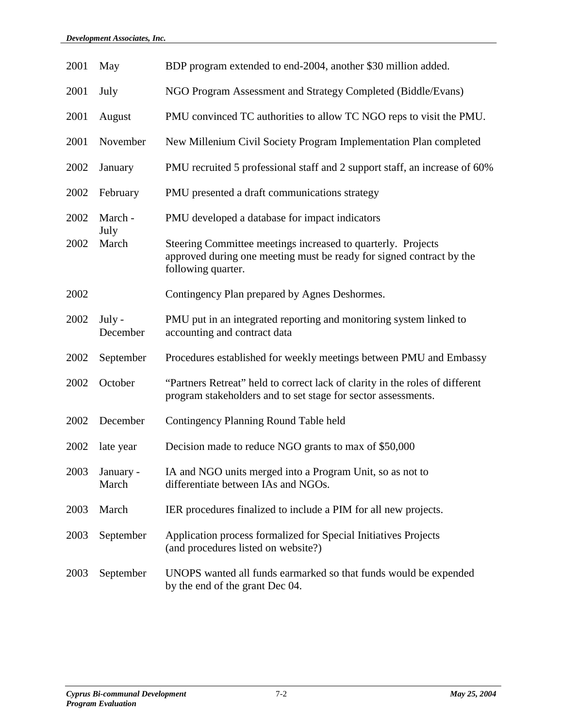| 2001 | May                | BDP program extended to end-2004, another \$30 million added.                                                                                              |  |
|------|--------------------|------------------------------------------------------------------------------------------------------------------------------------------------------------|--|
| 2001 | July               | NGO Program Assessment and Strategy Completed (Biddle/Evans)                                                                                               |  |
| 2001 | August             | PMU convinced TC authorities to allow TC NGO reps to visit the PMU.                                                                                        |  |
| 2001 | November           | New Millenium Civil Society Program Implementation Plan completed                                                                                          |  |
| 2002 | January            | PMU recruited 5 professional staff and 2 support staff, an increase of 60%                                                                                 |  |
| 2002 | February           | PMU presented a draft communications strategy                                                                                                              |  |
| 2002 | March -            | PMU developed a database for impact indicators                                                                                                             |  |
| 2002 | July<br>March      | Steering Committee meetings increased to quarterly. Projects<br>approved during one meeting must be ready for signed contract by the<br>following quarter. |  |
| 2002 |                    | Contingency Plan prepared by Agnes Deshormes.                                                                                                              |  |
| 2002 | July -<br>December | PMU put in an integrated reporting and monitoring system linked to<br>accounting and contract data                                                         |  |
| 2002 | September          | Procedures established for weekly meetings between PMU and Embassy                                                                                         |  |
| 2002 | October            | "Partners Retreat" held to correct lack of clarity in the roles of different<br>program stakeholders and to set stage for sector assessments.              |  |
| 2002 | December           | Contingency Planning Round Table held                                                                                                                      |  |
| 2002 | late year          | Decision made to reduce NGO grants to max of \$50,000                                                                                                      |  |
| 2003 | January -<br>March | IA and NGO units merged into a Program Unit, so as not to<br>differentiate between IAs and NGOs.                                                           |  |
| 2003 | March              | IER procedures finalized to include a PIM for all new projects.                                                                                            |  |
| 2003 | September          | Application process formalized for Special Initiatives Projects<br>(and procedures listed on website?)                                                     |  |
| 2003 | September          | UNOPS wanted all funds earmarked so that funds would be expended<br>by the end of the grant Dec 04.                                                        |  |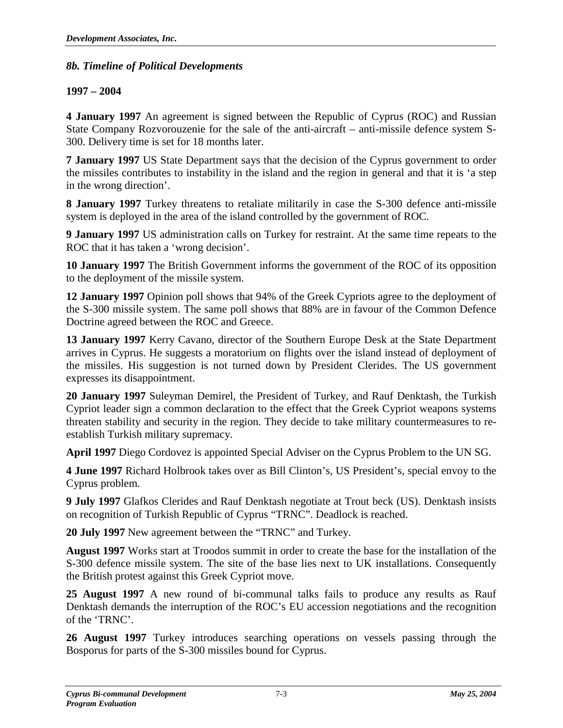## *8b. Timeline of Political Developments*

### **1997 – 2004**

**4 January 1997** An agreement is signed between the Republic of Cyprus (ROC) and Russian State Company Rozvorouzenie for the sale of the anti-aircraft – anti-missile defence system S-300. Delivery time is set for 18 months later.

**7 January 1997** US State Department says that the decision of the Cyprus government to order the missiles contributes to instability in the island and the region in general and that it is 'a step in the wrong direction'.

**8 January 1997** Turkey threatens to retaliate militarily in case the S-300 defence anti-missile system is deployed in the area of the island controlled by the government of ROC.

**9 January 1997** US administration calls on Turkey for restraint. At the same time repeats to the ROC that it has taken a 'wrong decision'.

**10 January 1997** The British Government informs the government of the ROC of its opposition to the deployment of the missile system.

**12 January 1997** Opinion poll shows that 94% of the Greek Cypriots agree to the deployment of the S-300 missile system. The same poll shows that 88% are in favour of the Common Defence Doctrine agreed between the ROC and Greece.

**13 January 1997** Kerry Cavano, director of the Southern Europe Desk at the State Department arrives in Cyprus. He suggests a moratorium on flights over the island instead of deployment of the missiles. His suggestion is not turned down by President Clerides. The US government expresses its disappointment.

**20 January 1997** Suleyman Demirel, the President of Turkey, and Rauf Denktash, the Turkish Cypriot leader sign a common declaration to the effect that the Greek Cypriot weapons systems threaten stability and security in the region. They decide to take military countermeasures to reestablish Turkish military supremacy.

**April 1997** Diego Cordovez is appointed Special Adviser on the Cyprus Problem to the UN SG.

**4 June 1997** Richard Holbrook takes over as Bill Clinton's, US President's, special envoy to the Cyprus problem.

**9 July 1997** Glafkos Clerides and Rauf Denktash negotiate at Trout beck (US). Denktash insists on recognition of Turkish Republic of Cyprus "TRNC". Deadlock is reached.

**20 July 1997** New agreement between the "TRNC" and Turkey.

**August 1997** Works start at Troodos summit in order to create the base for the installation of the S-300 defence missile system. The site of the base lies next to UK installations. Consequently the British protest against this Greek Cypriot move.

**25 August 1997** A new round of bi-communal talks fails to produce any results as Rauf Denktash demands the interruption of the ROC's EU accession negotiations and the recognition of the 'TRNC'.

**26 August 1997** Turkey introduces searching operations on vessels passing through the Bosporus for parts of the S-300 missiles bound for Cyprus.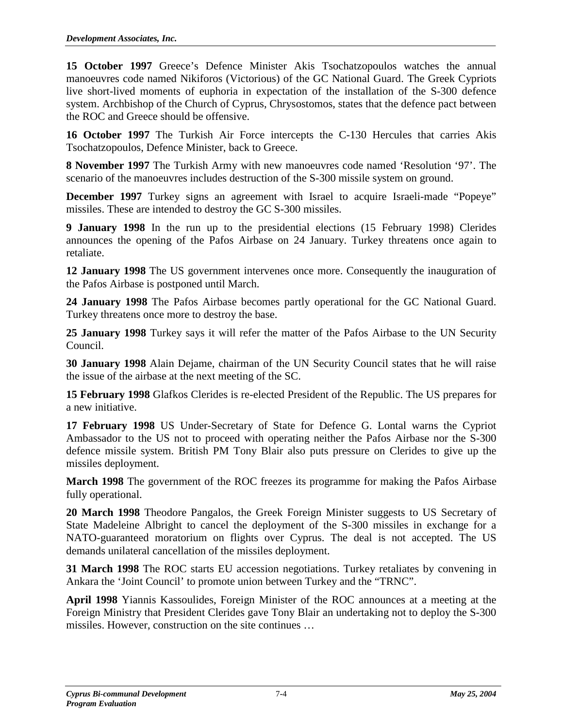**15 October 1997** Greece's Defence Minister Akis Tsochatzopoulos watches the annual manoeuvres code named Nikiforos (Victorious) of the GC National Guard. The Greek Cypriots live short-lived moments of euphoria in expectation of the installation of the S-300 defence system. Archbishop of the Church of Cyprus, Chrysostomos, states that the defence pact between the ROC and Greece should be offensive.

**16 October 1997** The Turkish Air Force intercepts the C-130 Hercules that carries Akis Tsochatzopoulos, Defence Minister, back to Greece.

**8 November 1997** The Turkish Army with new manoeuvres code named 'Resolution '97'. The scenario of the manoeuvres includes destruction of the S-300 missile system on ground.

**December 1997** Turkey signs an agreement with Israel to acquire Israeli-made "Popeye" missiles. These are intended to destroy the GC S-300 missiles.

**9 January 1998** In the run up to the presidential elections (15 February 1998) Clerides announces the opening of the Pafos Airbase on 24 January. Turkey threatens once again to retaliate.

**12 January 1998** The US government intervenes once more. Consequently the inauguration of the Pafos Airbase is postponed until March.

**24 January 1998** The Pafos Airbase becomes partly operational for the GC National Guard. Turkey threatens once more to destroy the base.

**25 January 1998** Turkey says it will refer the matter of the Pafos Airbase to the UN Security Council.

**30 January 1998** Alain Dejame, chairman of the UN Security Council states that he will raise the issue of the airbase at the next meeting of the SC.

**15 February 1998** Glafkos Clerides is re-elected President of the Republic. The US prepares for a new initiative.

**17 February 1998** US Under-Secretary of State for Defence G. Lontal warns the Cypriot Ambassador to the US not to proceed with operating neither the Pafos Airbase nor the S-300 defence missile system. British PM Tony Blair also puts pressure on Clerides to give up the missiles deployment.

**March 1998** The government of the ROC freezes its programme for making the Pafos Airbase fully operational.

**20 March 1998** Theodore Pangalos, the Greek Foreign Minister suggests to US Secretary of State Madeleine Albright to cancel the deployment of the S-300 missiles in exchange for a NATO-guaranteed moratorium on flights over Cyprus. The deal is not accepted. The US demands unilateral cancellation of the missiles deployment.

**31 March 1998** The ROC starts EU accession negotiations. Turkey retaliates by convening in Ankara the 'Joint Council' to promote union between Turkey and the "TRNC".

**April 1998** Yiannis Kassoulides, Foreign Minister of the ROC announces at a meeting at the Foreign Ministry that President Clerides gave Tony Blair an undertaking not to deploy the S-300 missiles. However, construction on the site continues …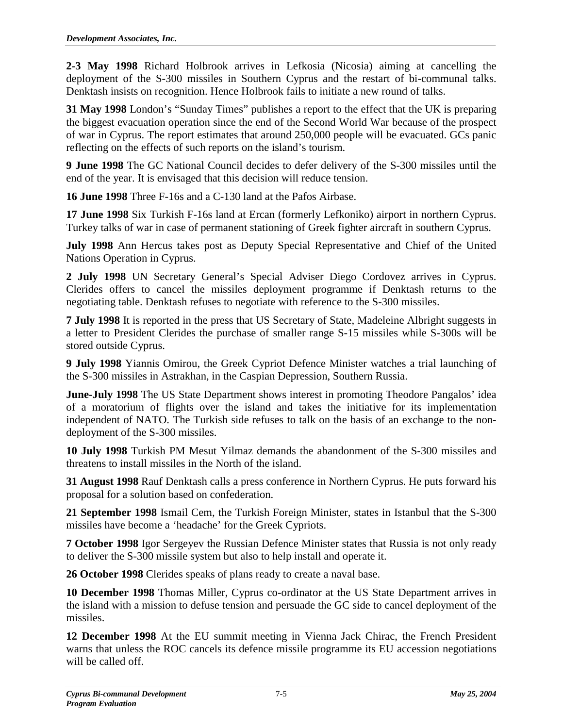**2-3 May 1998** Richard Holbrook arrives in Lefkosia (Nicosia) aiming at cancelling the deployment of the S-300 missiles in Southern Cyprus and the restart of bi-communal talks. Denktash insists on recognition. Hence Holbrook fails to initiate a new round of talks.

**31 May 1998** London's "Sunday Times" publishes a report to the effect that the UK is preparing the biggest evacuation operation since the end of the Second World War because of the prospect of war in Cyprus. The report estimates that around 250,000 people will be evacuated. GCs panic reflecting on the effects of such reports on the island's tourism.

**9 June 1998** The GC National Council decides to defer delivery of the S-300 missiles until the end of the year. It is envisaged that this decision will reduce tension.

**16 June 1998** Three F-16s and a C-130 land at the Pafos Airbase.

**17 June 1998** Six Turkish F-16s land at Ercan (formerly Lefkoniko) airport in northern Cyprus. Turkey talks of war in case of permanent stationing of Greek fighter aircraft in southern Cyprus.

**July 1998** Ann Hercus takes post as Deputy Special Representative and Chief of the United Nations Operation in Cyprus.

**2 July 1998** UN Secretary General's Special Adviser Diego Cordovez arrives in Cyprus. Clerides offers to cancel the missiles deployment programme if Denktash returns to the negotiating table. Denktash refuses to negotiate with reference to the S-300 missiles.

**7 July 1998** It is reported in the press that US Secretary of State, Madeleine Albright suggests in a letter to President Clerides the purchase of smaller range S-15 missiles while S-300s will be stored outside Cyprus.

**9 July 1998** Yiannis Omirou, the Greek Cypriot Defence Minister watches a trial launching of the S-300 missiles in Astrakhan, in the Caspian Depression, Southern Russia.

**June-July 1998** The US State Department shows interest in promoting Theodore Pangalos' idea of a moratorium of flights over the island and takes the initiative for its implementation independent of NATO. The Turkish side refuses to talk on the basis of an exchange to the nondeployment of the S-300 missiles.

**10 July 1998** Turkish PM Mesut Yilmaz demands the abandonment of the S-300 missiles and threatens to install missiles in the North of the island.

**31 August 1998** Rauf Denktash calls a press conference in Northern Cyprus. He puts forward his proposal for a solution based on confederation.

**21 September 1998** Ismail Cem, the Turkish Foreign Minister, states in Istanbul that the S-300 missiles have become a 'headache' for the Greek Cypriots.

**7 October 1998** Igor Sergeyev the Russian Defence Minister states that Russia is not only ready to deliver the S-300 missile system but also to help install and operate it.

**26 October 1998** Clerides speaks of plans ready to create a naval base.

**10 December 1998** Thomas Miller, Cyprus co-ordinator at the US State Department arrives in the island with a mission to defuse tension and persuade the GC side to cancel deployment of the missiles.

**12 December 1998** At the EU summit meeting in Vienna Jack Chirac, the French President warns that unless the ROC cancels its defence missile programme its EU accession negotiations will be called off.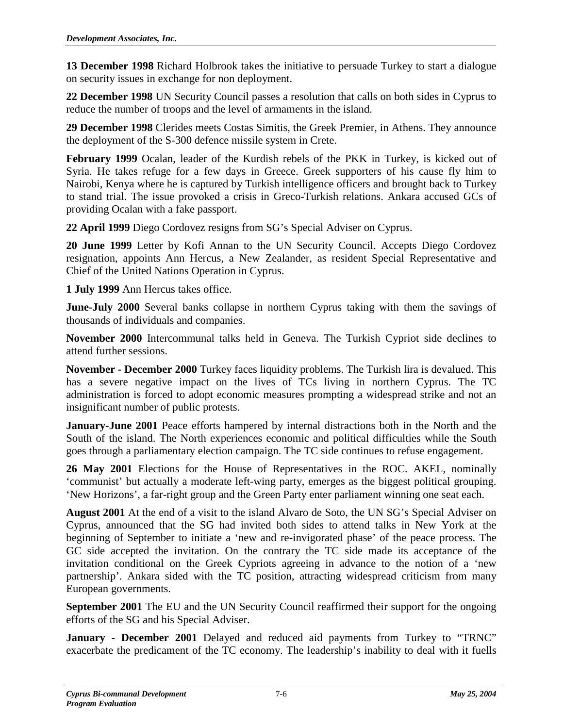**13 December 1998** Richard Holbrook takes the initiative to persuade Turkey to start a dialogue on security issues in exchange for non deployment.

**22 December 1998** UN Security Council passes a resolution that calls on both sides in Cyprus to reduce the number of troops and the level of armaments in the island.

**29 December 1998** Clerides meets Costas Simitis, the Greek Premier, in Athens. They announce the deployment of the S-300 defence missile system in Crete.

**February 1999** Ocalan, leader of the Kurdish rebels of the PKK in Turkey, is kicked out of Syria. He takes refuge for a few days in Greece. Greek supporters of his cause fly him to Nairobi, Kenya where he is captured by Turkish intelligence officers and brought back to Turkey to stand trial. The issue provoked a crisis in Greco-Turkish relations. Ankara accused GCs of providing Ocalan with a fake passport.

**22 April 1999** Diego Cordovez resigns from SG's Special Adviser on Cyprus.

**20 June 1999** Letter by Kofi Annan to the UN Security Council. Accepts Diego Cordovez resignation, appoints Ann Hercus, a New Zealander, as resident Special Representative and Chief of the United Nations Operation in Cyprus.

**1 July 1999** Ann Hercus takes office.

**June-July 2000** Several banks collapse in northern Cyprus taking with them the savings of thousands of individuals and companies.

**November 2000** Intercommunal talks held in Geneva. The Turkish Cypriot side declines to attend further sessions.

**November - December 2000** Turkey faces liquidity problems. The Turkish lira is devalued. This has a severe negative impact on the lives of TCs living in northern Cyprus. The TC administration is forced to adopt economic measures prompting a widespread strike and not an insignificant number of public protests.

**January-June 2001** Peace efforts hampered by internal distractions both in the North and the South of the island. The North experiences economic and political difficulties while the South goes through a parliamentary election campaign. The TC side continues to refuse engagement.

**26 May 2001** Elections for the House of Representatives in the ROC. AKEL, nominally 'communist' but actually a moderate left-wing party, emerges as the biggest political grouping. 'New Horizons', a far-right group and the Green Party enter parliament winning one seat each.

**August 2001** At the end of a visit to the island Alvaro de Soto, the UN SG's Special Adviser on Cyprus, announced that the SG had invited both sides to attend talks in New York at the beginning of September to initiate a 'new and re-invigorated phase' of the peace process. The GC side accepted the invitation. On the contrary the TC side made its acceptance of the invitation conditional on the Greek Cypriots agreeing in advance to the notion of a 'new partnership'. Ankara sided with the TC position, attracting widespread criticism from many European governments.

**September 2001** The EU and the UN Security Council reaffirmed their support for the ongoing efforts of the SG and his Special Adviser.

**January - December 2001** Delayed and reduced aid payments from Turkey to "TRNC" exacerbate the predicament of the TC economy. The leadership's inability to deal with it fuells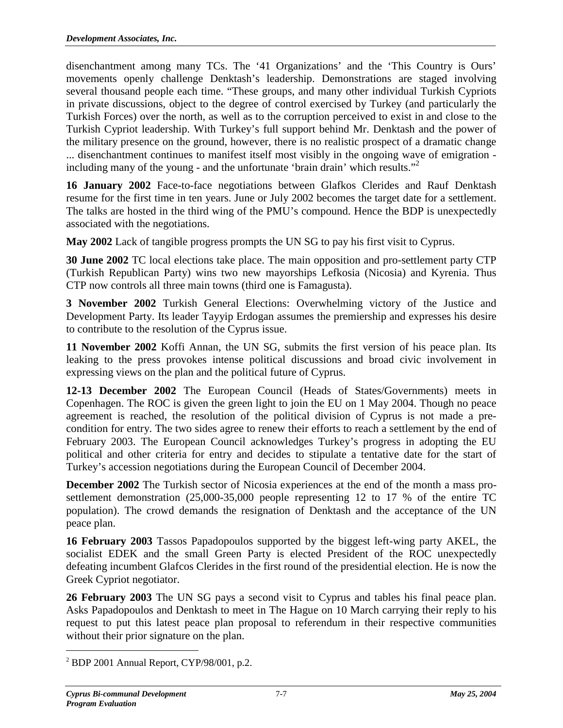disenchantment among many TCs. The '41 Organizations' and the 'This Country is Ours' movements openly challenge Denktash's leadership. Demonstrations are staged involving several thousand people each time. "These groups, and many other individual Turkish Cypriots in private discussions, object to the degree of control exercised by Turkey (and particularly the Turkish Forces) over the north, as well as to the corruption perceived to exist in and close to the Turkish Cypriot leadership. With Turkey's full support behind Mr. Denktash and the power of the military presence on the ground, however, there is no realistic prospect of a dramatic change ... disenchantment continues to manifest itself most visibly in the ongoing wave of emigration including many of the young - and the unfortunate 'brain drain' which results."2

**16 January 2002** Face-to-face negotiations between Glafkos Clerides and Rauf Denktash resume for the first time in ten years. June or July 2002 becomes the target date for a settlement. The talks are hosted in the third wing of the PMU's compound. Hence the BDP is unexpectedly associated with the negotiations.

**May 2002** Lack of tangible progress prompts the UN SG to pay his first visit to Cyprus.

**30 June 2002** TC local elections take place. The main opposition and pro-settlement party CTP (Turkish Republican Party) wins two new mayorships Lefkosia (Nicosia) and Kyrenia. Thus CTP now controls all three main towns (third one is Famagusta).

**3 November 2002** Turkish General Elections: Overwhelming victory of the Justice and Development Party. Its leader Tayyip Erdogan assumes the premiership and expresses his desire to contribute to the resolution of the Cyprus issue.

**11 November 2002** Koffi Annan, the UN SG, submits the first version of his peace plan. Its leaking to the press provokes intense political discussions and broad civic involvement in expressing views on the plan and the political future of Cyprus.

**12-13 December 2002** The European Council (Heads of States/Governments) meets in Copenhagen. The ROC is given the green light to join the EU on 1 May 2004. Though no peace agreement is reached, the resolution of the political division of Cyprus is not made a precondition for entry. The two sides agree to renew their efforts to reach a settlement by the end of February 2003. The European Council acknowledges Turkey's progress in adopting the EU political and other criteria for entry and decides to stipulate a tentative date for the start of Turkey's accession negotiations during the European Council of December 2004.

**December 2002** The Turkish sector of Nicosia experiences at the end of the month a mass prosettlement demonstration (25,000-35,000 people representing 12 to 17 % of the entire TC population). The crowd demands the resignation of Denktash and the acceptance of the UN peace plan.

**16 February 2003** Tassos Papadopoulos supported by the biggest left-wing party AKEL, the socialist EDEK and the small Green Party is elected President of the ROC unexpectedly defeating incumbent Glafcos Clerides in the first round of the presidential election. He is now the Greek Cypriot negotiator.

**26 February 2003** The UN SG pays a second visit to Cyprus and tables his final peace plan. Asks Papadopoulos and Denktash to meet in The Hague on 10 March carrying their reply to his request to put this latest peace plan proposal to referendum in their respective communities without their prior signature on the plan.

 $\overline{a}$ 

 $2$  BDP 2001 Annual Report, CYP/98/001, p.2.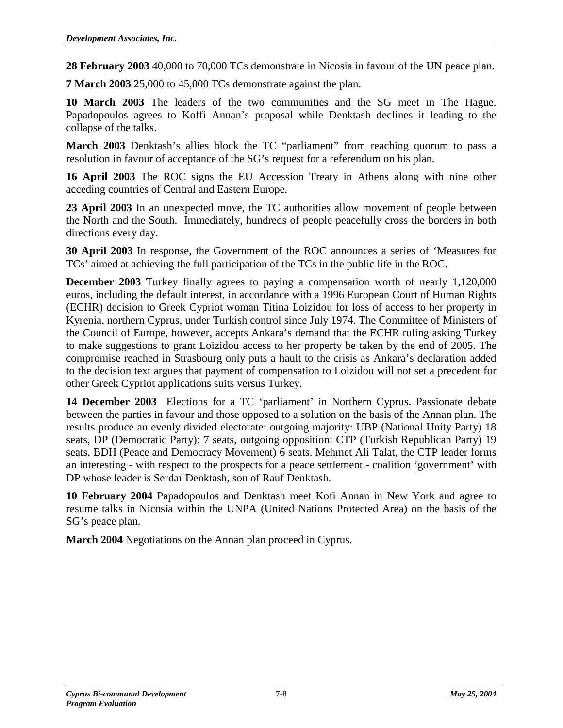**28 February 2003** 40,000 to 70,000 TCs demonstrate in Nicosia in favour of the UN peace plan.

**7 March 2003** 25,000 to 45,000 TCs demonstrate against the plan.

**10 March 2003** The leaders of the two communities and the SG meet in The Hague. Papadopoulos agrees to Koffi Annan's proposal while Denktash declines it leading to the collapse of the talks.

**March 2003** Denktash's allies block the TC "parliament" from reaching quorum to pass a resolution in favour of acceptance of the SG's request for a referendum on his plan.

**16 April 2003** The ROC signs the EU Accession Treaty in Athens along with nine other acceding countries of Central and Eastern Europe.

**23 April 2003** In an unexpected move, the TC authorities allow movement of people between the North and the South. Immediately, hundreds of people peacefully cross the borders in both directions every day.

**30 April 2003** In response, the Government of the ROC announces a series of 'Measures for TCs' aimed at achieving the full participation of the TCs in the public life in the ROC.

**December 2003** Turkey finally agrees to paying a compensation worth of nearly 1,120,000 euros, including the default interest, in accordance with a 1996 European Court of Human Rights (ECHR) decision to Greek Cypriot woman Titina Loizidou for loss of access to her property in Kyrenia, northern Cyprus, under Turkish control since July 1974. The Committee of Ministers of the Council of Europe, however, accepts Ankara's demand that the ECHR ruling asking Turkey to make suggestions to grant Loizidou access to her property be taken by the end of 2005. The compromise reached in Strasbourg only puts a hault to the crisis as Ankara's declaration added to the decision text argues that payment of compensation to Loizidou will not set a precedent for other Greek Cypriot applications suits versus Turkey.

**14 December 2003** Elections for a TC 'parliament' in Northern Cyprus. Passionate debate between the parties in favour and those opposed to a solution on the basis of the Annan plan. The results produce an evenly divided electorate: outgoing majority: UBP (National Unity Party) 18 seats, DP (Democratic Party): 7 seats, outgoing opposition: CTP (Turkish Republican Party) 19 seats, BDH (Peace and Democracy Movement) 6 seats. Mehmet Ali Talat, the CTP leader forms an interesting - with respect to the prospects for a peace settlement - coalition 'government' with DP whose leader is Serdar Denktash, son of Rauf Denktash.

**10 February 2004** Papadopoulos and Denktash meet Kofi Annan in New York and agree to resume talks in Nicosia within the UNPA (United Nations Protected Area) on the basis of the SG's peace plan.

**March 2004** Negotiations on the Annan plan proceed in Cyprus.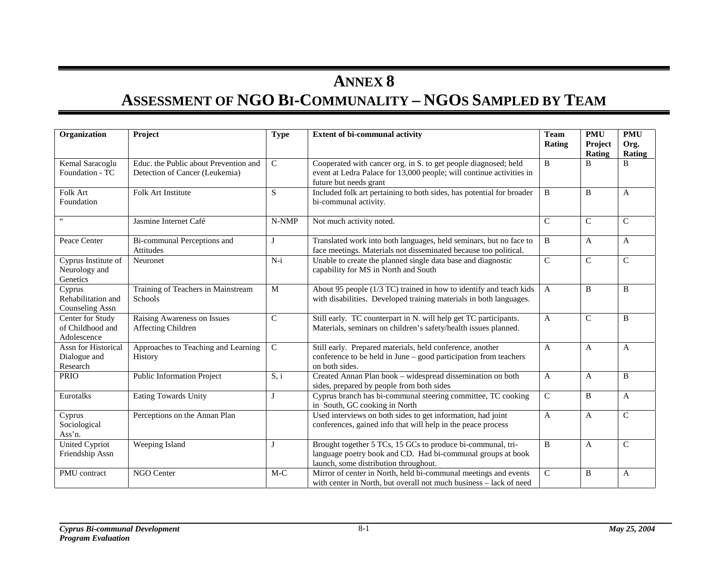## **ANNEX 8 ASSESSMENT OF NGO BI-COMMUNALITY – NGOS SAMPLED BY TEAM**

| Organization                                        | Project                                                                 | <b>Type</b>   | <b>Extent of bi-communal activity</b>                                                                                                                               | <b>Team</b><br><b>Rating</b> | <b>PMU</b><br>Project<br>Rating | <b>PMU</b><br>Org.<br>Rating |
|-----------------------------------------------------|-------------------------------------------------------------------------|---------------|---------------------------------------------------------------------------------------------------------------------------------------------------------------------|------------------------------|---------------------------------|------------------------------|
| Kemal Saracoglu<br>Foundation - TC                  | Educ, the Public about Prevention and<br>Detection of Cancer (Leukemia) | $\mathcal{C}$ | Cooperated with cancer org. in S. to get people diagnosed; held<br>event at Ledra Palace for 13,000 people; will continue activities in<br>future but needs grant   | <sub>B</sub>                 | B                               | B                            |
| Folk Art<br>Foundation                              | <b>Folk Art Institute</b>                                               | S             | Included folk art pertaining to both sides, has potential for broader<br>bi-communal activity.                                                                      | B                            | B                               | A                            |
| $\epsilon$ $\epsilon$                               | Jasmine Internet Café                                                   | N-NMP         | Not much activity noted.                                                                                                                                            | $\mathcal{C}$                | $\mathcal{C}$                   | C                            |
| Peace Center                                        | Bi-communal Perceptions and<br>Attitudes                                | J             | Translated work into both languages, held seminars, but no face to<br>face meetings. Materials not disseminated because too political.                              | B                            | $\mathbf{A}$                    | A                            |
| Cyprus Institute of<br>Neurology and<br>Genetics    | Neuronet                                                                | $N-i$         | Unable to create the planned single data base and diagnostic<br>capability for MS in North and South                                                                | $\mathbf C$                  | $\mathcal{C}$                   | $\mathcal{C}$                |
| Cyprus<br>Rehabilitation and<br>Counseling Assn     | Training of Teachers in Mainstream<br>Schools                           | M             | About 95 people (1/3 TC) trained in how to identify and teach kids<br>with disabilities. Developed training materials in both languages.                            | $\mathbf{A}$                 | B                               | B                            |
| Center for Study<br>of Childhood and<br>Adolescence | Raising Awareness on Issues<br>Affecting Children                       | $\mathbf C$   | Still early. TC counterpart in N. will help get TC participants.<br>Materials, seminars on children's safety/health issues planned.                                 | $\mathbf{A}$                 | $\mathbf C$                     | B                            |
| Assn for Historical<br>Dialogue and<br>Research     | Approaches to Teaching and Learning<br>History                          | $\mathcal{C}$ | Still early. Prepared materials, held conference, another<br>conference to be held in June – good participation from teachers<br>on both sides.                     | $\mathsf{A}$                 | A                               | $\mathbf{A}$                 |
| <b>PRIO</b>                                         | Public Information Project                                              | S, i          | Created Annan Plan book - widespread dissemination on both<br>sides, prepared by people from both sides                                                             | A                            | A                               | B                            |
| Eurotalks                                           | <b>Eating Towards Unity</b>                                             | J             | Cyprus branch has bi-communal steering committee, TC cooking<br>in South, GC cooking in North                                                                       | $\mathsf{C}$                 | B                               | A                            |
| Cyprus<br>Sociological<br>Ass'n.                    | Perceptions on the Annan Plan                                           |               | Used interviews on both sides to get information, had joint<br>conferences, gained info that will help in the peace process                                         | $\mathsf{A}$                 | $\mathbf{A}$                    | $\mathcal{C}$                |
| United Cypriot<br>Friendship Assn                   | Weeping Island                                                          |               | Brought together 5 TCs, 15 GCs to produce bi-communal, tri-<br>language poetry book and CD. Had bi-communal groups at book<br>launch, some distribution throughout. | B                            | A                               | $\mathcal{C}$                |
| PMU contract                                        | <b>NGO Center</b>                                                       | $M-C$         | Mirror of center in North, held bi-communal meetings and events<br>with center in North, but overall not much business – lack of need                               | $\mathcal{C}$                | B                               | A                            |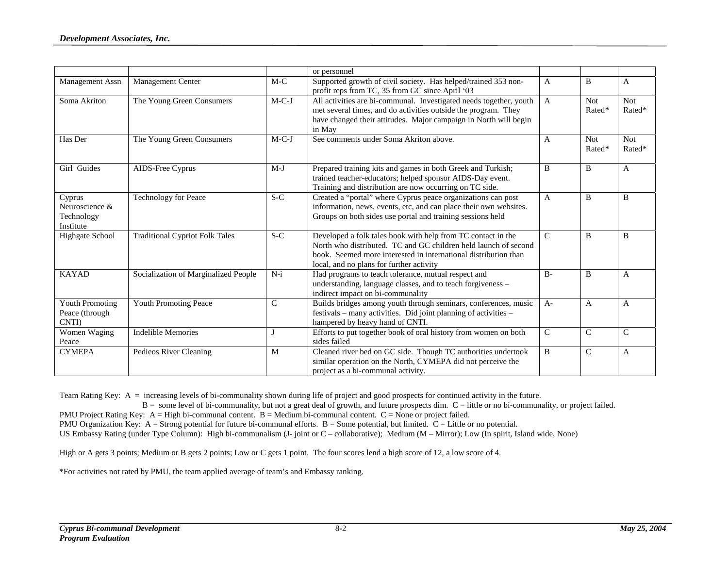|                                                     |                                       |               | or personnel                                                                                                                                                                                                                                   |               |                      |                      |
|-----------------------------------------------------|---------------------------------------|---------------|------------------------------------------------------------------------------------------------------------------------------------------------------------------------------------------------------------------------------------------------|---------------|----------------------|----------------------|
| Management Assn                                     | <b>Management Center</b>              | $M-C$         | Supported growth of civil society. Has helped/trained 353 non-<br>profit reps from TC, 35 from GC since April '03                                                                                                                              | A             | B                    | A                    |
| Soma Akriton                                        | The Young Green Consumers             | $M-C-J$       | All activities are bi-communal. Investigated needs together, youth<br>met several times, and do activities outside the program. They<br>have changed their attitudes. Major campaign in North will begin<br>in May                             | $\mathbf{A}$  | <b>Not</b><br>Rated* | <b>Not</b><br>Rated* |
| Has Der                                             | The Young Green Consumers             | $M-C-J$       | See comments under Soma Akriton above.                                                                                                                                                                                                         | A             | <b>Not</b><br>Rated* | <b>Not</b><br>Rated* |
| Girl Guides                                         | AIDS-Free Cyprus                      | $M-J$         | Prepared training kits and games in both Greek and Turkish;<br>trained teacher-educators; helped sponsor AIDS-Day event.<br>Training and distribution are now occurring on TC side.                                                            | B             | B                    | $\overline{A}$       |
| Cyprus<br>Neuroscience &<br>Technology<br>Institute | Technology for Peace                  | S-C           | Created a "portal" where Cyprus peace organizations can post<br>information, news, events, etc, and can place their own websites.<br>Groups on both sides use portal and training sessions held                                                | $\mathbf{A}$  | B                    | B                    |
| Highgate School                                     | <b>Traditional Cypriot Folk Tales</b> | $S-C$         | Developed a folk tales book with help from TC contact in the<br>North who distributed. TC and GC children held launch of second<br>book. Seemed more interested in international distribution than<br>local, and no plans for further activity | $\mathcal{C}$ | B                    | B                    |
| <b>KAYAD</b>                                        | Socialization of Marginalized People  | $N-i$         | Had programs to teach tolerance, mutual respect and<br>understanding, language classes, and to teach forgiveness -<br>indirect impact on bi-communality                                                                                        | $B -$         | B                    | A                    |
| <b>Youth Promoting</b><br>Peace (through<br>CNTI)   | Youth Promoting Peace                 | $\mathcal{C}$ | Builds bridges among youth through seminars, conferences, music<br>festivals – many activities. Did joint planning of activities –<br>hampered by heavy hand of CNTI.                                                                          | $A-$          | A                    | A                    |
| Women Waging<br>Peace                               | <b>Indelible Memories</b>             | $\mathbf I$   | Efforts to put together book of oral history from women on both<br>sides failed                                                                                                                                                                | $\mathsf{C}$  | $\mathcal{C}$        | $\overline{C}$       |
| <b>CYMEPA</b>                                       | Pedieos River Cleaning                | M             | Cleaned river bed on GC side. Though TC authorities undertook<br>similar operation on the North, CYMEPA did not perceive the<br>project as a bi-communal activity.                                                                             | B             | $\mathcal{C}$        | A                    |

Team Rating Key: A = increasing levels of bi-communality shown during life of project and good prospects for continued activity in the future.

B = some level of bi-communality, but not a great deal of growth, and future prospects dim. C = little or no bi-communality, or project failed.

PMU Project Rating Key:  $A = High bi-communal content$ .  $B = Medium bi-communal content$ .  $C = None$  or project failed.

PMU Organization Key:  $A =$  Strong potential for future bi-communal efforts.  $B =$  Some potential, but limited.  $C =$  Little or no potential.

US Embassy Rating (under Type Column): High bi-communalism (J- joint or C – collaborative); Medium (M – Mirror); Low (In spirit, Island wide, None)

High or A gets 3 points; Medium or B gets 2 points; Low or C gets 1 point. The four scores lend a high score of 12, a low score of 4.

\*For activities not rated by PMU, the team applied average of team's and Embassy ranking.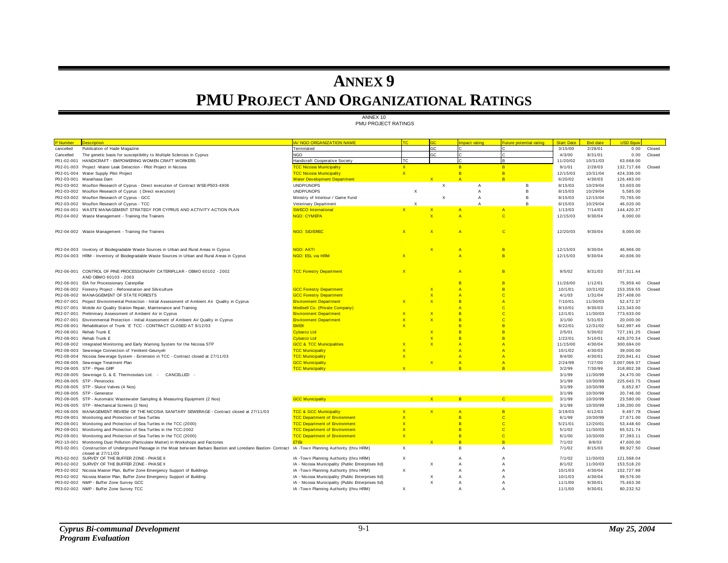## **ANNEX 9 PMU PROJECT AND ORGANIZATIONAL RATINGS**

## ANNEX 10 PMU PROJECT RATINGS

| P Number   | <b>Description</b>                                                                                                                                                  | <b>IA/ NGO ORGANIZATION NAME</b>                   |                              |                           | mpact rating         | uture potential rating       | <b>Start Date</b> | <b>End date</b> | <b>USD Fou</b> |        |
|------------|---------------------------------------------------------------------------------------------------------------------------------------------------------------------|----------------------------------------------------|------------------------------|---------------------------|----------------------|------------------------------|-------------------|-----------------|----------------|--------|
| cancelled  |                                                                                                                                                                     | Terminated                                         |                              | GC                        |                      | C                            | 3/15/00           | 2/28/01         | 0.00           | Closed |
|            | Pubilcation of Hade Magazine                                                                                                                                        |                                                    |                              | GC                        |                      |                              |                   |                 |                |        |
| Cancelled  | The genetic basis for susceptibility to Multiple Sclerosis in Cyprus                                                                                                | <b>NGO</b>                                         | TC.                          |                           |                      | R                            | 4/3/00            | 8/31/01         | 0.00           | Closed |
| P01-02-001 | HANDICRAFT - EMPOWERING WOMEN CRAFT WORKERS                                                                                                                         | Handicraft Cooperative Society                     |                              |                           |                      |                              | 11/20/02          | 10/31/03        | 63,668.00      |        |
| P02-01-003 | Project -Water Leak Detection - Pilot Project in Nicosia                                                                                                            | <b>TCC Nicosia Municipality</b>                    | $\mathsf{x}$<br>$\mathbf{x}$ |                           | B.<br>$\overline{B}$ | B.<br>B                      | 9/1/01            | 2/28/03         | 132,717.66     | Closed |
| P02-01-004 | Water Supply Pilot Project                                                                                                                                          | <b>TCC Nicosia Municipality</b>                    |                              |                           |                      | B                            | 12/15/03          | 10/31/04        | 424,336.00     |        |
| P02-03-001 | Marathasa Dam                                                                                                                                                       | <b>Water Development Department</b>                |                              |                           | $\Delta$             |                              | 6/20/02           | 4/30/03         | 126.483.00     |        |
| P02-03-002 | Mouflon Research of Cyprus - Direct execution of Contract WSE-PS03-4906                                                                                             | UNDP/UNOPS                                         |                              | $\boldsymbol{\mathsf{x}}$ | $\overline{A}$       | B                            | 8/15/03           | 10/29/04        | 53,603.00      |        |
|            | P02-03-002 Mouflon Research of Cyprus (Direct execution)                                                                                                            | UNDP/UNOPS                                         | X                            |                           | $\overline{A}$       | B                            | 8/15/03           | 10/29/04        | 5,585.00       |        |
| P02-03-002 | Mouflon Research of Cyprus - GCC                                                                                                                                    | Ministry of Interiour / Game Fund                  |                              | $\times$                  | $\overline{A}$       | B                            | 8/15/03           | 12/15/04        | 70,765.00      |        |
| P02-03-002 | Mouflon Research of Cyprus - TCC                                                                                                                                    | Veterinary Department                              |                              |                           | $\overline{A}$       | B                            | 8/15/03           | 10/29/04        | 46,020.00      |        |
| P02-04-001 | WASTE MANAGEMENT STRATEGY FOR CYPRUS AND ACTIVITY ACTION PLAN                                                                                                       | <b>SWECO</b> International                         | $\mathbf{x}$                 | $\overline{\mathbf{x}}$   | $\overline{A}$       | $\overline{A}$               | 1/13/03           | 7/14/03         | 144,420.37     |        |
|            | P02-04-002 Waste Management - Training the Trainers                                                                                                                 | <b>NGO: CYMEPA</b>                                 |                              | $\overline{\mathbf{x}}$   | A                    | $\mathbf{C}$                 | 12/15/03          | 9/30/04         | 8,000.00       |        |
|            | P02-04-002 Waste Management - Training the Trainers                                                                                                                 | <b>NGO: SID/EREC</b>                               |                              | $\overline{\mathbf{x}}$   | A                    | $\mathbf{C}$                 | 12/20/03          | 9/30/04         | 8,000.00       |        |
|            | P02-04-003 Invetory of Biodegradable Waste Sources in Urban and Rural Areas in Cyprus                                                                               | <b>NGO: AKTI</b>                                   |                              | $\overline{\mathsf{x}}$   | $\overline{A}$       | B                            | 12/15/03          | 9/30/04         | 46.966.00      |        |
|            | P02-04-003 HRM - Inventory of Biodegradable Waste Sources in Urban and Rural Areas in Cyprus                                                                        | NGO: ESL via HRM                                   | $\mathbf{x}$                 |                           | $\overline{A}$       | B.                           | 12/15/03          | 9/30/04         | 40,606.00      |        |
| P02-06-001 | CONTROL OF PINE PROCESSIONARY CATERIPLLAR - OBMO 60102 - 2002<br>AND OBMO 60103 - 2003                                                                              | <b>TCC Forestry Department</b>                     |                              |                           | A                    | <sub>B</sub>                 | 9/5/02            | 8/31/03         | 357,311.44     |        |
| P02-06-001 | EIA for Processionary Caterpillar                                                                                                                                   |                                                    |                              |                           | B                    | <sub>B</sub>                 | 11/26/00          | 1/12/01         | 75,959.40      | Closed |
|            | P02-06-002 Forestry Project - Reforestation and Silviculture                                                                                                        | <b>GCC Forestry Department</b>                     |                              | $\overline{\mathbf{x}}$   | $\overline{A}$       | B                            | 10/1/01           | 10/31/02        | 153,359.55     | Closed |
|            | P02-06-002 MANAGGEMENT OF STATE FORESTS                                                                                                                             | <b>GCC Forestry Department</b>                     |                              | $\overline{\mathsf{x}}$   | $\overline{A}$       | $\mathbf{C}$                 | 4/1/03            | 1/31/04         | 257,408.00     |        |
| P02-07-001 | Project Environmental Protection - Initial Assessment of Ambient Air Quality in Cyprus                                                                              | <b>Environment Department</b>                      | $\mathbf{x}$                 | $\overline{\mathbf{x}}$   | $\overline{B}$       | $\overline{A}$               | 7/10/01           | 11/30/03        | 52,472.37      |        |
| P02-07-001 | Mobile Air Quality Station Repair, Maintenance and Training                                                                                                         | Medisell Co. (Private Company)                     |                              |                           | A                    | $\overline{c}$               | 9/10/01           | 9/30/03         | 123.343.00     |        |
| P02-07-001 | Preliminary Assessment of Ambient Air in Cyprus                                                                                                                     | <b>Environment Department</b>                      |                              | $\overline{\mathsf{x}}$   | B                    | $\mathbf{C}$                 | 12/1/01           | 11/30/03        | 773,633.00     |        |
| P02-07-001 | Environmental Protection - Initial Assessment of Ambient Air Quality in Cyprus                                                                                      | <b>Environment Department</b>                      |                              | $\mathbf{x}$              | B                    | $\mathbf{C}$                 | 3/1/00            | 5/31/03         | 20,000.00      |        |
| P02-08-001 | Rehabilitation of Trunk 'E TCC - CONTRACT CLOSED AT 9/12/03                                                                                                         | <b>EMEK</b>                                        |                              |                           | B                    | $\overline{R}$               | 8/22/01           | 12/31/02        | 542,997.46     | Closed |
| P02-08-001 | Rehab Trunk E                                                                                                                                                       | <b>Cybarco Ltd</b>                                 |                              | $\overline{\mathbf{x}}$   | B                    | $\overline{B}$               | 2/5/01            | 5/30/02         | 727,191.25     | Closed |
|            | P02-08-001 Rehab Trunk E                                                                                                                                            | <b>Cybarco Ltd</b>                                 |                              | $\overline{\mathbf{x}}$   | B                    | $\overline{B}$               | 1/22/01           | 5/10/01         | 428,370.54     | Closed |
|            | P02-08-002 Integrated Monitoring and Early Warning System for the Nicosia STP                                                                                       | <b>GCC &amp; TCC Municipalities</b>                |                              | $\overline{\mathbf{x}}$   | A                    | $\overline{A}$               | 11/15/00          | 4/30/04         | 300,694.00     |        |
| P02-08-003 | Sewerage Connection of Yenikent-Geunyeli                                                                                                                            | <b>TCC Municipality</b>                            |                              |                           | A                    | $\overline{A}$               | 10/1/02           | 4/30/03         | 39,000.00      |        |
| P02-08-004 | Nicosia Sew erage System - Extension in TCC - Contract closed at 27/11/03                                                                                           | <b>TCC Municipality</b>                            | $\mathbf{x}$                 |                           | $\overline{A}$       | $\overline{A}$               | 9/4/00            | 4/30/01         | 220,841.41     | Closed |
|            | P02-08-005 Sew erage Treatment Plan                                                                                                                                 | <b>GCC Municipality</b>                            |                              | $\mathbf x$               | $\overline{A}$       | $\mathsf{A}$                 | 2/24/99           | 7/27/00         | 3,007,069.37   | Closed |
|            | P02-08-005 STP - Pipes GRP                                                                                                                                          | <b>TCC Municipality</b>                            | $\mathbf{x}$                 |                           | R                    | $\overline{R}$               | 3/2/99            | 7/30/99         | 318,802.38     | Closed |
| P02-08-005 | Sewerage G. & E. Thermosolars Ltd. -<br>CANCELLED                                                                                                                   |                                                    |                              |                           |                      |                              | 3/1/99            | 11/30/99        | 24,470.00      | Closed |
|            | P02-08-005 STP - Penstocks                                                                                                                                          |                                                    |                              |                           |                      |                              | 3/1/99            | 10/30/99        | 225,643.75     | Closed |
|            | P02-08-005 STP - Sluice Valves (4 Nos)                                                                                                                              |                                                    |                              |                           |                      |                              | 3/1/99            | 10/30/99        | 6,652.87       | Closed |
| P02-08-005 | STP - Generator                                                                                                                                                     |                                                    |                              |                           |                      |                              | 3/1/99            | 10/30/99        | 20,746.00      | Closed |
|            | P02-08-005 STP - Automatic Wastewater Sampling & Measuring Equipment (2 Nos)                                                                                        | <b>GCC Municipality</b>                            |                              | $\mathbf{x}$              | B.                   | $\mathbf{C}$                 | 3/1/99            | 10/30/99        |                | Closed |
|            | P02-08-005 STP - Mechanical Screens (2 Nos)                                                                                                                         |                                                    |                              |                           |                      |                              | 3/1/99            | 10/30/99        | 23,580.00      | Closed |
|            |                                                                                                                                                                     | <b>TCC &amp; GCC Municipality</b>                  |                              | $\overline{\mathsf{x}}$   | A                    | <sub>B</sub>                 | 3/19/03           |                 | 136,200.00     |        |
| P02-08-005 | MANAGEMENT REVIEW OF THE NICOSIA SANITARY SEWERAGE - Contract closed at 27/11/03                                                                                    |                                                    |                              |                           |                      |                              |                   | 6/12/03         | 9,497.78       | Closed |
| P02-09-001 | Monitoring and Protection of Sea Turtles                                                                                                                            | <b>TCC Department of Environment</b>               |                              |                           | B                    | $\mathbf{C}$<br>$\mathbf{C}$ | 6/1/99            | 10/30/99        | 27,671.00      | Closed |
| P02-09-001 | Monitoring and Protection of Sea Turtles in the TCC (2000)                                                                                                          | <b>TCC Department of Environment</b>               |                              |                           | B                    |                              | 5/21/01           | 12/20/01        | 53,448.60      | Closed |
| P02-09-001 | Monitoring and Protection of Sea Turtles in the TCC-2002                                                                                                            | <b>TCC Department of Environment</b>               |                              |                           | B                    | $\overline{c}$               | 5/1/02            | 11/30/03        | 65.521.74      |        |
| P02-09-001 | Monitoring and Protection of Sea Turtles in the TCC (2000)                                                                                                          | <b>TCC Department of Environment</b>               | $\mathbf{x}$                 |                           | B                    | $\overline{c}$               | 6/1/00            | 10/30/00        | 37,393.11      | Closed |
|            | P02-10-001 Monitoring Dust Pollution (Particulate Matter) in Workshops and Factories                                                                                | <b>ETEK</b>                                        |                              | $\overline{\mathbf{x}}$   | B                    | $\overline{B}$               | 7/1/02            | 8/8/03          | 47,600.00      |        |
| P03-02-001 | Construction of Underground Passage in the Moat between Barbaro Bastion and Loredano Bastion- Contract IA -Town Planning Authority (thru HRM)<br>closed at 27/11/03 |                                                    | X                            |                           | B                    | Α                            | 7/1/02            | 8/15/03         | 89,927.50      | Closed |
| P03-02-002 | SURVEY OF THE BUFFER ZONE - PHASE II                                                                                                                                | IA -Town Planning Authority (thru HRM)             | $\times$                     |                           | A                    | A                            | 7/1/02            | 11/30/03        | 121,568.04     |        |
|            | P03-02-002 SURVEY OF THE BUFFER ZONE - PHASE II                                                                                                                     | IA - Nicosia Municipality (Public Enterprises Itd) |                              | X                         | A                    | A                            | 8/1/02            | 11/30/03        | 153,518.20     |        |
|            | P03-02-002 Nicosia Master Plan, Buffer Zone Emergency Support of Buildings                                                                                          | IA -Town Planning Authority (thru HRM)             | $\times$                     |                           | A                    | A                            | 10/1/03           | 4/30/04         | 102,727.98     |        |
|            | P03-02-002 Nicosia Master Plan, Buffer Zone Emergency Support of Building                                                                                           | IA - Nicosia Municipality (Public Enterprises Itd) |                              | X                         | A                    | $\mathsf{A}$                 | 10/1/03           | 4/30/04         | 99,576.00      |        |
|            | P03-02-002 NMP - Buffer Zone Survey GCC                                                                                                                             | IA - Nicosia Municipality (Public Enterprises Itd) |                              | $\times$                  | A                    | A                            | 11/1/00           | 9/30/01         | 75,463.36      |        |
|            | P03-02-002 NMP - Buffer Zone Survey TCC                                                                                                                             | IA -Town Planning Authority (thru HRM)             | $\mathsf{x}$                 |                           | $\Delta$             | $\Delta$                     | 11/1/00           | 9/30/01         | 80.232.52      |        |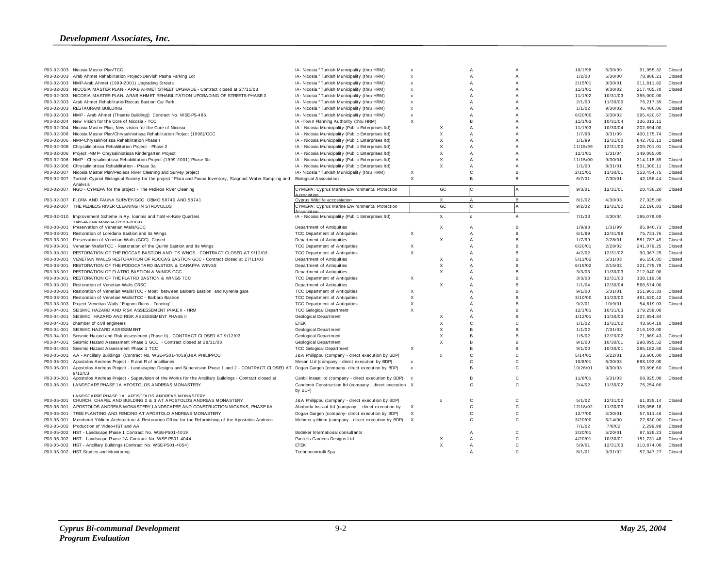|            | P03-02-003 Nicosia Master Plan/TCC                                                                                                                 | IA- Nicosia "Turkish Municipality (thru HRM)            |                           |              |                                  |                   | 10/1/98          | 6/30/99             | 91,055.32               | Closed           |
|------------|----------------------------------------------------------------------------------------------------------------------------------------------------|---------------------------------------------------------|---------------------------|--------------|----------------------------------|-------------------|------------------|---------------------|-------------------------|------------------|
|            | P03-02-003 Arab Ahmet Rehabilitation Project-Dervish Pasha Parking Lot                                                                             | IA- Nicosia "Turkish Municipality (thru HRM)            | x                         |              | $\overline{A}$                   | A                 | 1/2/00           | 6/30/00             | 78,888.21               | Closed           |
| P03-02-003 | NMP-Arab Ahmet (1999-2001) Upgrading Streets                                                                                                       | IA- Nicosia "Turkish Municipality (thru HRM)            | x                         |              | $\overline{A}$                   | A                 | 2/15/01          | 9/30/01             | 311,811.82              | Closed           |
| P03-02-003 | NICOSIA MASTER PLAN - ARAB AHMET STREET UPGRADE - Contract closed at 27/11/03                                                                      | IA- Nicosia "Turkish Municipality (thru HRM)            | x                         |              | $\overline{A}$                   | A                 | 11/1/01          | 9/30/02             | 217,405.70              | Closed           |
|            |                                                                                                                                                    |                                                         |                           |              |                                  | $\overline{A}$    |                  |                     |                         |                  |
| P03-02-003 | NICOSIA MASTER PLAN, ARAB AHMET REHABILITATION UPGRADING OF STREETS-PHASE 3                                                                        | IA- Nicosia "Turkish Municipality (thru HRM)            | x                         |              | A                                |                   | 11/1/02          | 10/31/03            | 355,000.00              |                  |
| P03-02-003 | Arab Ahmet Rehabilitatio(Roccas Bastion Car Park                                                                                                   | IA- Nicosia "Turkish Municipality (thru HRM)            | x                         |              | $\overline{A}$                   | A                 | 2/1/00           | 11/30/00            | 76,217.39               | Closed           |
| P03-02-003 | <b>RESTAURANt BUILDING</b>                                                                                                                         | IA- Nicosia "Turkish Municipality (thru HRM)            | $\boldsymbol{\mathsf{x}}$ |              | $\overline{A}$                   | A                 | 1/1/02           | 9/30/02             | 46,486.86               | Closed           |
|            | P03-02-003 NMP - Arab Ahmet (Theatre Building)) Contract No. WSE-PS-485                                                                            | IA- Nicosia "Turkish Municipality (thru HRM)            | $\mathbf x$               |              | $\Delta$                         | $\overline{A}$    | 6/20/00          | 6/30/02             | 395,420.67              | Closed           |
|            | P03-02-004 New Vision for the Core of Nicosia - TCC                                                                                                | IA -Town Planning Authority (thru HRM)                  | X                         |              | B                                | A                 | 11/1/03          | 10/31/04            | 136,313.11              |                  |
| P03-02-004 | Nicosia Master Plan, New vision for the Core of Nicosia                                                                                            | IA - Nicosia Municipality (Public Enterprises Itd)      |                           | X            | $\overline{A}$                   | $\overline{A}$    | 11/1/03          | 10/30/04            | 202,694.00              |                  |
|            |                                                                                                                                                    |                                                         |                           |              |                                  |                   |                  |                     |                         |                  |
| P03-02-006 | Nicosia Master Plan/Chrysaliniotissa Rehabilitation Project (1998)/GCC                                                                             | IA - Nicosia Municipality (Public Enterprises Itd)      |                           | X            | $\overline{A}$                   | A                 | 1/7/98           | 3/31/99             | 400,175.74              | Closed           |
| P03-02-006 | NMP-Chrysaliniotissa Rehabilitation Phase I                                                                                                        | IA - Nicosia Municipality (Public Enterprises Itd)      |                           | X            | $\overline{A}$                   | A                 | 1/1/99           | 12/31/00            | 842,782.13              | Closed           |
| P03-02-006 | Chrysaliniotissa Rehablitation Project - Phase 2                                                                                                   | IA - Nicosia Municipality (Public Enterprises Itd)      |                           | X            | $\overline{A}$                   | A                 | 11/15/99         | 12/31/00            | 209,701.01              | Closed           |
| P03-02-006 | Project -NMP- Chrysaliniotissa Kindergarten Project                                                                                                | IA - Nicosia Municipality (Public Enterprises Itd)      |                           | $\times$     | $\overline{A}$                   | A                 | 12/1/01          | 1/31/04             | 349,065.00              |                  |
| P03-02-006 | NMP - Chrysaliniotissa Rehabilitation Project (1999-2001) Phase 3b                                                                                 | IA - Nicosia Municipality (Public Enterprises Itd)      |                           | X            | $\overline{A}$                   | Α                 | 11/15/00         | 9/30/01             | 314,118.89              | Closed           |
| P03-02-006 | Chrysaliniotissa Rehabilitation - Phase 3a                                                                                                         | IA - Nicosia Municipality (Public Enterprises Itd)      |                           | X            | $\overline{A}$                   | A                 | 1/1/00           | 8/31/01             | 501,300.11              | Closed           |
|            |                                                                                                                                                    |                                                         | X                         |              | C                                | R                 | 2/15/01          | 11/30/01            | 353,454.75              | Closed           |
|            | P03-02-007 Nicosia Master Plan/Pedieos River Cleaning and Survey project                                                                           | IA- Nicosia "Turkish Municipality (thru HRM)            |                           |              |                                  |                   |                  |                     |                         |                  |
| P03-02-007 | Turkish Cypriot Biological Society for the project "Flora and Fauna Inventory, Stagnant Water Sampling and Biological Association<br>Analysis      |                                                         | X                         |              | В                                | B                 | 6/7/01           | 7/30/01             | 42,158.44               | Closed           |
| P03-02-007 | NGO - CYMEPA for the project - The Pedieos River Cleaning                                                                                          | CYMEPA: Cyprus Marine Environmental Protection          |                           | GC           | C.                               |                   | 9/3/01           | 12/31/01            | 20,438.20               | Closed           |
|            |                                                                                                                                                    |                                                         |                           |              |                                  |                   |                  |                     |                         |                  |
| P03-02-007 | FLORA AND FAUNA SURVEY/GCC OBMO 58740 AND 58741                                                                                                    | Cyprus Wildlife accossiation                            |                           | $\mathsf{x}$ | $\overline{A}$                   | B                 | 8/1/02           | 4/30/03             | 27,325.00               |                  |
| P03-02-007 | THE PEDIEOS RIVER CLEANING IN STROVOLOS                                                                                                            | CYMEPA: Cyprus Marine Environmental Protection          |                           | GC           | $\mathsf{C}$                     |                   | 9/2/02           | 12/31/02            | 22,190.83               | Closed           |
|            |                                                                                                                                                    |                                                         |                           |              |                                  |                   |                  |                     |                         |                  |
| P03-02-010 | Improvement Scheme in Ay. Ioannis and Taht-el-Kale Quarters                                                                                        | IA - Nicosia Municipality (Public Enterprises Itd)      |                           | X            | $\mathbf{c}$                     | A                 | 7/1/03           | 4/30/04             | 196,079.00              |                  |
|            | Taht-el-Kale Mosque (2003-2004)                                                                                                                    |                                                         |                           |              |                                  |                   |                  |                     |                         |                  |
|            | P03-03-001 Preservation of Venetian Walls/GCC                                                                                                      | Department of Antiquities                               |                           | X            | A                                | B                 | 1/9/98           | 1/31/99             | 85,846.73               | Closed           |
| P03-03-001 | Restoration of Loredano Bastion and its Wings                                                                                                      | <b>TCC Department of Antiquities</b>                    | X                         |              | $\overline{A}$                   | B                 | 6/1/99           | 12/31/99            | 75,731.76               | Closed           |
| P03-03-001 | Preservation of Venetian Walls (GCC) -Closed                                                                                                       | Department of Antiquities                               |                           | X            | $\overline{A}$                   | R                 | 1/7/99           | 2/28/01             | 581,787.49              | Closed           |
|            |                                                                                                                                                    |                                                         |                           |              |                                  |                   |                  |                     |                         |                  |
| P03-03-001 | Venetian Walls/TCC - Restoration of the Quirini Bastion and its Wings                                                                              | <b>TCC Department of Antiquities</b>                    | Х                         |              | $\overline{A}$                   | B                 | 6/20/01          | 2/28/02             | 241,079.25              | Closed           |
| P03-03-001 | RESTORATION OF THE ROCCAS BASTION AND ITS WNGS - CONTRACT CLOSED AT 9/12/03                                                                        | <b>TCC Department of Antiquities</b>                    | $\times$                  |              | $\overline{A}$                   | R                 | 4/2/02           | 12/31/02            | 90,367.25               | Closed           |
| P03-03-001 | VENETIAN WALLS RESTORATION OF ROCCAS BASTION GCC - Contract closed at 27/11/03                                                                     | Department of Antiquities                               |                           | X            | $\overline{A}$                   | B                 | 5/13/02          | 5/31/03             | 96,158.85               | Closed           |
| P03-03-001 | RESTORATION OF THE PODOCATARO BASTION & CARAFFA WINGS                                                                                              | Department of Antiquities                               |                           | $\times$     | $\overline{A}$                   | B                 | 6/15/02          | 2/15/03             | 321,775.79              | Closed           |
| P03-03-001 | RESTORATION OF FLATRO BASTION & WINGS GCC                                                                                                          | Department of Antiquities                               |                           | X            | $\overline{A}$                   | B                 | 3/3/03           | 11/30/03            | 212,040.00              |                  |
| P03-03-001 | RESTORATION OF THE FLATRO BASTION & WINGS TCC                                                                                                      | <b>TCC Department of Antiquities</b>                    | X                         |              | $\overline{A}$                   | B                 | 3/3/03           | 12/31/03            | 138,119.58              |                  |
|            |                                                                                                                                                    |                                                         |                           |              |                                  | R                 |                  |                     |                         |                  |
| P03-03-001 | Restoration of Venetian Walls CRSC                                                                                                                 | Department of Antiquities                               |                           | X            | $\overline{A}$                   |                   | 1/1/04           | 12/30/04            | 568,574.00              |                  |
| P03-03-001 | Restoration of Venetian Walls/TCC - Moat between Barbaro Bastion and Kyrenia gate                                                                  | <b>TCC Department of Antiquities</b>                    | X                         |              | $\overline{A}$                   | B                 | 9/1/00           | 5/31/01             | 151,961.33              | Closed           |
| P03-03-001 | Restoration of Venetian Walls/TCC - Barbaro Bastion                                                                                                | <b>TCC Department of Antiquities</b>                    | X                         |              | $\overline{A}$                   | B                 | 3/10/00          | 11/20/00            | 461,620.42              | Closed           |
| P03-03-003 | Project Venetian Walls "Engomi Ruins - Fencing"                                                                                                    | <b>TCC Department of Antiquities</b>                    | X                         |              | $\overline{A}$                   | B                 | 9/2/01           | 10/9/01             | 54,619.03               | Closed           |
| P03-04-001 | SEISMIC HAZARD AND RISK ASSESSEMENT PHAE II - HRM                                                                                                  | <b>TCC Gelogical Department</b>                         | $\times$                  |              | $\overline{A}$                   | B                 | 12/1/01          | 10/31/03            | 179,258.00              |                  |
| P03-04-001 | SEISMIC HAZARD AND RISK ASSESSEMENT PHASE II                                                                                                       | <b>Geological Department</b>                            |                           | X            | $\overline{A}$                   | B                 | 1/12/01          | 11/30/03            | 227,854.84              |                  |
|            | chamber of civil engineers                                                                                                                         | <b>ETEK</b>                                             |                           | X            | $\mathsf{C}$                     | C                 | 1/1/02           | 12/31/02            | 43,664.18               | Closed           |
| P03-04-001 |                                                                                                                                                    |                                                         |                           |              |                                  |                   |                  |                     |                         |                  |
| P03-04-001 | SEISMIC HAZARD ASSESSMENT                                                                                                                          | <b>Geological Department</b>                            |                           | X            | B                                | B                 | 1/1/02           | 7/31/03             | 216,193.00              |                  |
| P03-04-001 | Seismic Hazard and Risk assessment (Phase II) - CONTRACT CLOSED AT 9/12/03                                                                         | <b>Geological Department</b>                            |                           | $\times$     | B.                               | R                 | 1/5/02           | 12/20/02            | 71,869.43               | Closed           |
| P03-04-001 | Seismic Hazard Assessment Phase 1 GCC - Contract closed at 28/11/03                                                                                | <b>Geological Department</b>                            |                           | $\mathsf{x}$ | <b>B</b>                         | R                 | 9/1/00           | 10/30/01            | 298,895.52              | Closed           |
| P03-04-001 | Seismic Hazard Assessment Phase 1 TCC                                                                                                              | <b>TCC Gelogical Department</b>                         | х                         |              | B                                | B                 | 9/1/00           | 10/30/01            | 285,182.50              | Closed           |
| P03-05-001 | AA - Ancillary Buildings (Contract No. WSE-PS01-4059)J&A PHILIPPOU                                                                                 | J&A Philippou (company - direct execution by BDP)       |                           | $\mathsf{x}$ | C                                | C                 | 5/14/01          | 6/22/01             | 33,600.00               | Closed           |
| P03-05-001 | Apostolos Andreas Project - R and R of ancilliaries                                                                                                | Mesan Ltd (company - direct execution by BDP)           | x                         |              | C                                | C                 | 10/8/01          | 6/30/03             | 868,192.00              |                  |
|            |                                                                                                                                                    |                                                         |                           |              |                                  |                   |                  |                     |                         |                  |
| P03-05-001 | Apostolos Andreas Project - Landscaping Designs and Supervision Phase 1 and 2 - CONTRACT CLOSED AT Dogan Gurgen (company- direct execution by BDP) |                                                         | $\boldsymbol{\mathsf{x}}$ |              | B                                | C                 | 10/26/01         | 9/30/03             | 39,896.60               | Closed           |
| P03-05-001 | 9/12/03<br>Apostolos Andreas Project - Supervision of the Works for the Ancillary Buildings - Contract closed at                                   | Canbil insaat Itd (company - direct execution by BDP)   |                           |              | B                                | C                 | 11/8/01          | 5/31/03             | 68,025.08               | Closed           |
|            |                                                                                                                                                    |                                                         |                           |              |                                  |                   |                  |                     |                         |                  |
|            | P03-05-001 LANDSCAPE PHASE 1A APOSTOLOS ANDREAS MONASTERY                                                                                          | Candemir Construction Itd (company - direct execution X |                           |              | C                                | C                 | 2/4/02           | 11/30/02            | 75,254.00               |                  |
|            |                                                                                                                                                    | by BDP)                                                 |                           |              |                                  |                   |                  |                     |                         |                  |
|            | I ANDROADDE DHARE 1A ADORTOLOR AND DEAR MONARTEDY<br>P03-05-001 CHURCH, CHAPEL AND BUILDING 2 & 3 AT APOSTOLOS ANDREAS MONASTERY                   |                                                         |                           |              | $\mathsf{C}$                     | C                 | 5/1/02           | 12/31/02            | 61,039.14               | Closed           |
|            |                                                                                                                                                    | J&A Philippou (company - direct execution by BDP)       |                           | $\mathsf{x}$ |                                  |                   |                  |                     |                         |                  |
|            | P03-05-001 APOSTOLOS ANDREAS MONASTERY, LANDSCAPRE AND CONSTRUCTION WOKRKS, PHASE IIA                                                              | Abohorlu Instaat Itd (company - direct execution by     | $\boldsymbol{\mathsf{x}}$ |              | C                                | C                 | 12/18/02         | 11/30/03            | 108,056.18              |                  |
|            | P03-05-001 TREE PLANTING AND FENCING AT APOSTOLO ANDREAS MONASTERY                                                                                 | Dogan Gurgen (company- direct execution by BDP)         | X                         |              | $\mathsf{C}$                     | C                 | 12/7/00          | 4/30/01             | 57,511.46               | Closed           |
| P03-05-001 | Memhmet Yildirim Architecture & Restoration Office for the Refurbishing of the Apostolos Andreas                                                   | Mehmet yildirim (company - direct execution by BDP)     | $\mathsf{X}$              |              | C                                | C                 | 3/20/00          | 6/14/00             | 22,630.00               | Closed           |
|            | P03-05-002 Production of Video-HST and AA                                                                                                          |                                                         |                           |              |                                  |                   | 7/1/02           | 7/8/02              | 2,299.98                | Closed           |
|            | P03-05-002 HST - Landscape Phase 1 Contract No. WSE-PS01-4019                                                                                      | Bodeker International consultants                       |                           |              | $\overline{A}$                   | C                 | 3/20/01          | 5/20/01             | 97,528.23               | Closed           |
| P03-05-002 |                                                                                                                                                    |                                                         |                           |              |                                  |                   |                  |                     |                         |                  |
|            |                                                                                                                                                    |                                                         |                           |              |                                  |                   |                  |                     |                         |                  |
|            | HST - Landscape Phase 2A Contract No. WSE-PS01-4044                                                                                                | Pantelis Gardens Designs Ltd                            |                           | X            | $\overline{A}$                   | C                 | 4/20/01          | 10/30/01            | 151,731.48              | Closed           |
|            | P03-05-002 HST - Ancillary Buildings (Contract No. WSE-PS01-4054)<br>P03-05-002 HST-Studies and Monitoring                                         | <b>ETEK</b><br>Technocontrolli Spa                      |                           | X            | $\overline{A}$<br>$\overline{A}$ | C<br>$\mathsf{C}$ | 5/9/01<br>8/1/01 | 12/31/03<br>3/31/02 | 110,874.00<br>57,347.27 | Closed<br>Closed |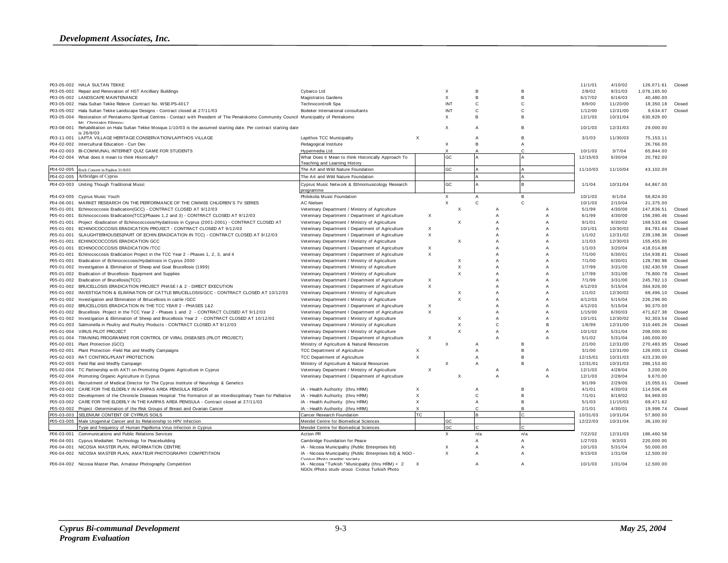|            | P03-05-002 HALA SULTAN TEKKE                                                                                                      |                                                            |                           |                           |                |              |              |                | 11/1/01  | 4/10/02  | 126,071.61   | Closed |
|------------|-----------------------------------------------------------------------------------------------------------------------------------|------------------------------------------------------------|---------------------------|---------------------------|----------------|--------------|--------------|----------------|----------|----------|--------------|--------|
|            | P03-05-002 Repair and Renovation of HST Ancilliary Buildings                                                                      | Cybarco Ltd                                                |                           | X                         | B              |              | B            |                | 2/8/02   | 8/31/03  | 1.076.165.00 |        |
|            | P03-05-002 LANDSCAPE MAINTENANCE                                                                                                  | Magistratos Gardens                                        |                           | $\boldsymbol{\mathsf{x}}$ | B              |              | B            |                | 6/17/02  | 6/16/03  | 40.480.00    |        |
|            | P03-05-002 Hala Sultan Tekke Releve Contract No. WSE-PS-4017                                                                      | Technocontrolli Spa                                        |                           | INT                       | C              |              | $\mathsf{C}$ |                | 8/9/00   | 11/20/00 | 18,350.18    | Closed |
|            | P03-05-002 Hala Sultan Tekke Landscape Designs - Contract closed at 27/11/03                                                      | Bodeker International consultants                          |                           | INT                       | C              |              | $\mathsf{C}$ |                | 1/12/00  | 12/31/00 | 9,634.67     | Closed |
| P03-05-004 | Restoration of Pentakomo Spiritual Centres - Contact with President of The Penatokomo Community Council Municipality of Pentakomo |                                                            |                           | X                         | B              |              | B            |                | 12/1/03  | 10/31/04 | 630,929.00   |        |
|            | Mr. Chrietakie Filinnou                                                                                                           |                                                            |                           |                           |                |              |              |                |          |          |              |        |
| P03-08-001 | Rehabilitation on Hala Sultan Tekke Mosque.1/10/03 is the assumed starting date. Per contract starting date                       |                                                            |                           | X                         | $\overline{A}$ |              | B            |                | 10/1/03  | 12/31/03 | 29,000.00    |        |
|            | is 26/9/03                                                                                                                        |                                                            |                           |                           |                |              |              |                |          |          |              |        |
| P03-11-001 | LAPTA VILLAGE HERITAGE CONSERVATION/LAPITHOS VILLAGE                                                                              | Lapithos TCC Municipality                                  | X                         |                           | A              |              | B            |                | 3/1/03   | 11/30/03 | 75,153.11    |        |
|            | P04-02-002 Intercultural Education - Curr Dev                                                                                     | Pedagogical Institute                                      |                           | X                         | B              |              | A            |                |          |          | 26,766.00    |        |
|            | P04-02-003 BI-COMMUNAL INTERNET QUIZ GAME FOR STUDENTS                                                                            | Hypermedia Ltd.                                            |                           | x                         | A              |              | C            |                | 10/1/03  | 3/7/04   | 65,844.00    |        |
|            | P04-02-004 What does it mean to think Hisorically?                                                                                | What Does it Mean to think Historically Approach To        |                           | GC                        | A              |              |              |                | 12/15/03 | 6/30/04  | 20,782.00    |        |
|            |                                                                                                                                   | Teaching and Learning History                              |                           |                           |                |              |              |                |          |          |              |        |
| P04-02-005 | Rock Concert in Paphos 31/8/03                                                                                                    | The Art and Wild Nature Foundation                         |                           | GC                        |                |              |              |                | 11/10/03 | 11/10/04 | 43,102.00    |        |
| P04-02-005 | Artbridges of Cyprus                                                                                                              | The Art and Wild Nature Foundation                         |                           |                           |                |              |              |                |          |          |              |        |
| P04-03-003 | Uniting Though Traditional Music                                                                                                  | Cyprus Music Network & Ethnomusicology Research            |                           | GC                        |                |              |              |                | 1/1/04   | 10/31/04 | 64,867.00    |        |
|            |                                                                                                                                   | programme                                                  |                           |                           |                |              |              |                |          |          |              |        |
| P04-03-005 | <b>Cyprus Music Youth</b>                                                                                                         | Philokolia Music Foundation                                |                           | $\times$                  | $\overline{A}$ |              | B            |                | 10/1/03  | 6/1/04   | 58,824.00    |        |
| P04-06-001 | MARKET RESEARCH ON THE PERFORMANCE OF THE CIMME6 CHLIDREN'S TV SERIES                                                             | <b>AC Nielsen</b>                                          |                           | X                         | $\mathsf{C}$   |              | $\mathsf{C}$ |                | 10/1/03  | 2/10/04  | 21,375.00    |        |
| P05-01-001 | Echinococcosis Eradication(GCC) - CONTRACT CLOSED AT 9/12/03                                                                      | Veterinary Department / Ministry of Agriculture            |                           | $\times$                  |                | А            |              |                | 5/1/99   | 4/30/00  | 147,836.51   | Closed |
| P05-01-001 | Echinococcosis Eradication(TCC)(Phases 1,2 and 3) - CONTRACT CLOSED AT 9/12/03                                                    | Veterinary Department / Department of Agriculture          | $\boldsymbol{\mathsf{x}}$ |                           |                | A            |              | $\overline{A}$ | 6/1/99   | 4/30/00  | 156,390.46   | Closed |
| P05-01-001 | Project -Eradication of Echinococcosis/Hydatitosis in Cyprus (2001-2001) - CONTRACT CLOSED AT                                     | Veterinary Department / Ministry of Agriculture            |                           | X                         |                | A            |              | $\overline{A}$ | 9/1/01   | 9/30/02  | 169,533.46   | Closed |
| P05-01-001 | ECHINOCOCCOSIS ERADICATION PROJECT - CONTRACT CLOSED AT 9/12/03                                                                   | Veterinary Department / Department of Agriculture          | X                         |                           |                | A            |              | $\Delta$       | 10/1/01  | 10/30/02 | 84,781.64    | Closed |
| P05-01-001 | SLAUGHTERHOUSES(PART OF ECHIN.ERADICATION IN TCC) - CONTRACT CLOSED AT 9/12/03                                                    | Veterinary Department / Department of Agriculture          | Х                         |                           |                | A            |              | $\overline{A}$ | 1/1/02   | 12/31/02 | 239,198.36   | Closed |
| P05-01-001 | ECHINOCOCCOSIS ERADICATION GCC                                                                                                    | Veterinary Department / Ministry of Agriculture            |                           | $\boldsymbol{\mathsf{x}}$ |                | A            |              | $\overline{A}$ | 1/1/03   | 12/30/03 | 155,455.00   |        |
| P05-01-001 | ECHINOCOCCOSIS ERADICATION /TCC                                                                                                   | Veterinary Department / Department of Agriculture          | X                         |                           |                | A            |              | $\Delta$       | 1/1/03   | 3/20/04  | 418,014.88   |        |
| P05-01-001 | Echinococcosis Eradication Project in the TCC Year 2 - Phases 1, 2, 3, and 4                                                      | Veterinary Department / Department of Agriculture          | X                         |                           |                | A            |              | $\overline{A}$ | 7/1/00   | 6/30/01  | 154,938.81   | Closed |
| P05-01-001 | Eradication of Echinococcosis/Hydatitosis in Cyprus 2000                                                                          | Veterinary Department / Ministry of Agriculture            |                           | X                         |                | A            |              |                | 7/1/00   | 6/30/01  | 128,780.98   | Closed |
|            | P05-01-002 Investigation & Elimination of Sheep and Goat Brucellosis (1999)                                                       | Veterinary Department / Ministry of Agriculture            |                           | $\times$                  |                | A            |              | $\overline{A}$ | 1/7/99   | 3/31/00  | 192,430.59   | Closed |
|            | P05-01-002 Eradication of Brucellosis- Equipment and Supplies                                                                     | Veterinary Department / Ministry of Agriculture            |                           | X                         |                | A            |              | $\overline{A}$ | 1/7/99   | 3/31/00  | 76,800.78    | Closed |
| P05-01-002 | Eradication of Brucellosis(TCC)                                                                                                   | Veterinary Department / Department of Agriculture          | X                         |                           |                | A            |              | $\overline{A}$ | 7/1/99   | 3/31/00  | 245,782.13   | Closed |
| P05-01-002 | BRUCELLOSIS ERADICATION PROJECT PHASE I & 2 - DIRECT EXECUTION                                                                    | Veterinary Department / Department of Agriculture          | X                         |                           |                | A            |              | $\overline{A}$ | 4/12/03  | 5/15/04  | 364,926.00   |        |
| P05-01-002 | INVESTIGATION & ELIMINATION OF CATTLE BRUCELLOSIS/GCC - CONTRACT CLOSED AT 10/12/03                                               | Veterinary Department / Ministry of Agriculture            |                           | $\times$                  |                | A            |              | $\overline{A}$ | 1/1/02   | 12/30/02 | 68,496.10    | Closed |
| P05-01-002 | Investigation and Elimination of Brtucellosis in cattle / GCC                                                                     | Veterinary Department / Ministry of Agriculture            |                           | $\times$                  |                | A            |              | $\overline{A}$ | 4/12/03  | 5/15/04  | 226,296.00   |        |
|            | BRUCELLOSIS ERADICATION IN THE TCC YEAR 2 - PHASES 1&2                                                                            | Veterinary Department / Department of Agriculture          | $\times$                  |                           |                | A            |              | $\Delta$       | 4/12/03  | 5/15/04  | 90,370.00    |        |
| P05-01-002 | Brucellosis Project in the TCC Year 2 - Phases 1 and 2 - CONTRACT CLOSED AT 9/12/03                                               |                                                            | X                         |                           |                | A            |              | $\Delta$       | 1/15/00  | 6/30/03  |              | Closed |
| P05-01-002 |                                                                                                                                   | Veterinary Department / Department of Agriculture          |                           |                           |                | A            |              |                |          |          | 471,627.38   |        |
| P05-01-002 | Investigation & Elimination of Sheep and Brucellosis Year 2 - CONTRACT CLOSED AT 10/12/03                                         | Veterinary Department / Ministry of Agriculture            |                           | x                         |                |              |              | $\Delta$       | 10/1/01  | 12/30/02 | 92,303.54    | Closed |
| P05-01-003 | Salmonella in Poultry and Poultry Products - CONTRACT CLOSED AT 9/12/03                                                           | Veterinary Department / Ministry of Agriculture            |                           | $\boldsymbol{\mathsf{x}}$ |                | $\mathbf{C}$ |              | $\overline{R}$ | 1/6/99   | 12/31/00 | 310,465.26   | Closed |
|            | P05-01-004 VIRUS PILOT PROJECT                                                                                                    | Veterinary Department / Ministry of Agriculture            |                           | $\mathsf{x}$              |                | A            |              | $\Delta$       | 10/1/02  | 5/31/04  | 208,000.00   |        |
|            | P05-01-004 TRAINING PROGRAMME FOR CONTROL OF VIRAL DISEASES (PILOT PROJECT)                                                       | Veterinary Department / Department of Agriculture          | X                         |                           |                | A            |              | $\Delta$       | 5/1/02   | 5/31/04  | 160,000.00   |        |
| P05-02-001 | Plant Protection (GCC)                                                                                                            | Ministry of Agriculture & Natural Resources                |                           | $\boldsymbol{\mathsf{x}}$ | A              |              | B            |                | 2/1/00   | 12/31/00 | 270,483.95   | Closed |
|            | P05-02-001 Plant Protection - Field Rat and Medfly Campaigns                                                                      | <b>TCC Department of Agriculture</b>                       | X                         |                           | A              |              | B            |                | 3/1/00   | 12/31/00 | 126,000.13   | Closed |
|            | P05-02-003 RAT CONTROL/PLANT PROTECTION                                                                                           | <b>TCC Department of Agriculture</b>                       | X                         |                           | $\overline{A}$ |              | B            |                | 12/15/01 | 10/31/03 | 423,230.00   |        |
| P05-02-003 | Field Rat and Medfly Campaign                                                                                                     | Ministry of Agriculture & Natural Resources                |                           |                           | $\overline{A}$ |              | B            |                | 12/31/01 | 10/31/03 | 286,153.00   |        |
|            | P05-02-004 TC Partnership with AKTI on Promoting Organic Agriculture in Cyprus                                                    | Veterinary Department / Ministry of Agriculture            | X                         |                           |                | A            |              | $\overline{A}$ | 12/1/03  | 4/28/04  | 3,200.00     |        |
| P05-02-004 | Promoting Organic Agriculture in Cyprus                                                                                           | Veterinary Department / Department of Agriculture          |                           | X                         |                | A            |              | $\overline{A}$ | 12/1/03  | 2/28/04  | 9,670.00     |        |
| P05-03-001 | Recruitment of Medical Director for The Cyprus Institute of Neurology & Genetics                                                  |                                                            |                           |                           |                |              |              |                | 9/1/99   | 2/29/00  | 15,055.01    | Closed |
| P05-03-002 | CARE FOR THE ELDERLY IN KARPAS AREA PENISULA REGION                                                                               | IA - Health Authority (thru HRM)                           | X                         |                           | Α              |              | B            |                | 4/1/01   | 4/30/03  | 114,506.49   |        |
| P05-03-002 | Development of the Chronicle Diseases Hospital: The Formation of an Interdisciplinary Team for Palliative                         | IA - Health Authority (thru HRM)                           | X                         |                           | C              |              | B            |                | 7/1/01   | 8/19/02  | 84,969.00    |        |
|            | P05-03-002 CARE FOR THE ELDERLY IN THE KARPAS AREA PENISULA - Contract closed at 27/11/03                                         | IA - Health Authority (thru HRM)                           | X                         |                           | $\overline{A}$ |              | B            |                | 5/1/03   | 11/15/03 | 69,471.62    |        |
| P05-03-002 | Project -Determination of the Risk Groups of Breast and Ovarian Cancer                                                            | IA - Health Authority (thru HRM)                           |                           |                           |                |              | B            |                | 2/1/01   | 4/30/01  | 19,998.74    | Closed |
| P05-03-003 | SELENIUM CONTENT OF CYPRUS SOILS                                                                                                  | Cancer Research Foundation                                 | <b>TC</b>                 |                           | <b>B</b>       |              |              |                | 10/31/03 | 10/31/04 | 57,800.00    |        |
| P05-03-005 | Male Urogenital Cancer and its Relationship to HPV Infection                                                                      | Mendel Centre for Biomedical Sciences                      |                           | GC                        |                |              |              |                | 12/22/03 | 10/31/04 | 36,100.00    |        |
|            | Type and frequency of Human Papilloma Virus Infection in Cyprus                                                                   | Mendel Centre for Biomedical Sciences                      |                           | GC.                       | $\sim$         |              |              |                |          |          |              |        |
| P06-03-001 | Communications and Public Relations Services                                                                                      | Action PR                                                  |                           | $\times$                  | n/a            |              | n/a          |                | 7/22/02  | 12/31/03 | 186,460.58   |        |
| P06-04-001 | Cyprus MediaNet: Technology for Peacebuilding                                                                                     | Cambridge Foundation for Peace                             |                           |                           | $\overline{A}$ |              | A            |                | 1/27/03  | 9/3/03   | 220,000.00   |        |
| P06-04-001 | NICOSIA MASTER PLAN, INFORMATION CENTRE                                                                                           | IA - Nicosia Municipality (Public Enterprises Itd)         |                           | $\times$                  | $\overline{A}$ |              | A            |                | 10/1/03  | 5/31/04  | 50,000.00    |        |
|            | P06-04-002 NICOSIA MASTER PLAN, AMATEUR PHOTOGRAPHY COMPETITIION                                                                  | IA - Nicosia Municipality (Public Enterprises Itd) & NGO - |                           | $\times$                  | $\overline{A}$ |              | A            |                | 9/15/03  | 1/31/04  | 12,500.00    |        |
|            |                                                                                                                                   | Cunrus Photo oranhic society                               |                           |                           |                |              |              |                |          |          |              |        |
|            | P06-04-002 Nicosia Master Plan, Amateur Photography Competition                                                                   | IA - Nicosia "Turkish "Municipality (thru HRM) + 2         | $\mathsf{X}$              |                           | A              |              | A            |                | 10/1/03  | 1/31/04  | 12,500.00    |        |
|            |                                                                                                                                   | NGOs (Photo study aroun Cynrus Turkish Photo               |                           |                           |                |              |              |                |          |          |              |        |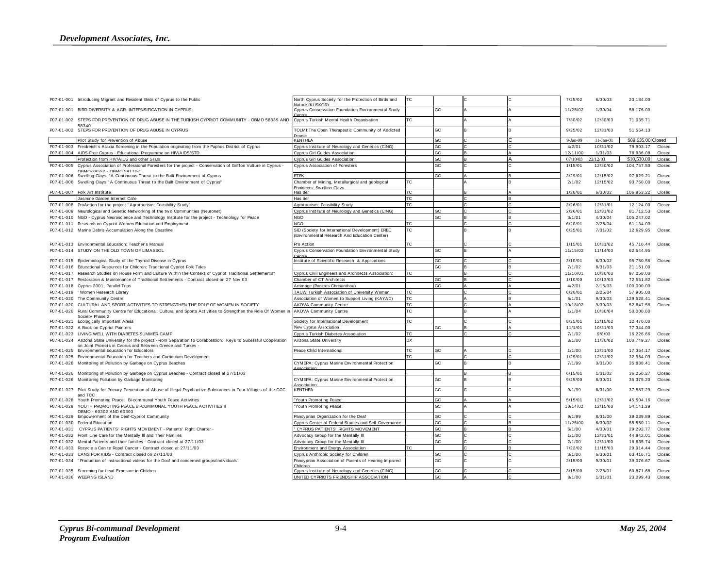|            | P07-01-001 Introducing Migrant and Resident Birds of Cyprus to the Public                                                                                                           | North Cyprus Society for the Protection of Birds and<br>ature (KLISKOR) | <b>TC</b> |     |              |              | 7/25/02  | 6/30/03     | 23,184.00          |        |
|------------|-------------------------------------------------------------------------------------------------------------------------------------------------------------------------------------|-------------------------------------------------------------------------|-----------|-----|--------------|--------------|----------|-------------|--------------------|--------|
|            | P07-01-001 BIRD DIVERSITY & AGR. INTERNSIFICATION IN CYPRUS                                                                                                                         | Cyprus Conservation Foundation Environmental Study                      |           | GC  |              |              | 11/25/02 | 1/30/04     | 58,176.00          |        |
|            |                                                                                                                                                                                     |                                                                         |           |     |              |              |          |             |                    |        |
|            | P07-01-002 STEPS FOR PREVENTION OF DRUG ABUSE IN THE TURKISH CYPRIOT COMMUNITY - OBMO 58339 AND                                                                                     | Cyprus Turkish Mental Health Organisation                               | ТC        |     | А            |              | 7/30/02  | 12/30/03    | 71,035.71          |        |
|            | 58340                                                                                                                                                                               |                                                                         |           |     |              |              |          |             |                    |        |
|            | P07-01-002 STEPS FOR PREVENTION OF DRUG ABUSE IN CYPRUS                                                                                                                             | TOLMI: The Open Therapeutic Community of Addicted                       |           | GC  | l B          | <sub>B</sub> | 9/25/02  | 12/31/03    | 51,564.13          |        |
|            |                                                                                                                                                                                     |                                                                         |           |     |              |              |          |             |                    |        |
|            | Pilot Study for Prevention of Abuse                                                                                                                                                 | <b>KENTHEA</b>                                                          |           | GC  |              | $\mathsf{C}$ | 9-Jan-99 | $11-Jan-01$ | \$89,635.00 Closed |        |
|            | P07-01-003 Freidreich's Ataxia Screening in the Population originating from the Paphos District of Cyprus                                                                           | Cyprus Institute of Neurology and Genetics (CING)                       |           | GC  |              |              | 4/2/01   | 10/31/02    | 79.903.17          | Closed |
|            | P07-01-004 AIDS-Free Cyprus - Educational Programme on HIV/AIDS/STD                                                                                                                 | <b>Cyprus Girl Guides Association</b>                                   |           | GC  |              |              | 12/11/00 | 1/31/03     | 78,936.08          |        |
|            |                                                                                                                                                                                     |                                                                         |           |     |              |              |          |             |                    | Closed |
|            | Protection from HIV/AIDS and other STDs                                                                                                                                             | <b>Cyprus Girl Guides Association</b>                                   |           | GC. |              | A            | 07/10/03 | 2/12/03     | \$10,530.00        | Closed |
| P07-01-005 | Cyprus Association of Professional Foresters for the project - Conservation of Griffon Vulture in Cyprus -                                                                          | Cyprus Association of Foresters                                         |           | GC  | C            | Ċ            | 1/15/01  | 12/30/02    | 104,757.50         | Closed |
|            | OBMO-39552 - OBMO 59174-1                                                                                                                                                           |                                                                         |           |     |              |              |          |             |                    |        |
| P07-01-006 | Swelling Clays, 'A Continuous Threat to the Built Environment of Cyprus                                                                                                             | <b>ETEK</b>                                                             |           | GC  |              | R            | 3/29/01  | 12/15/02    | 97.629.21          | Closed |
|            | P07-01-006 Swelling Clays "A Continuous Threat to the Built Environment of Cyprus"                                                                                                  | Chamber of Mining, Metallurgical and geological                         | <b>TC</b> |     | А            | <sub>B</sub> | 2/1/02   | 12/15/02    | 93.750.00          | Closed |
|            |                                                                                                                                                                                     | Engineers: Swelling Clave                                               |           |     |              |              |          |             |                    |        |
|            | P07-01-007 Folk Art Institute                                                                                                                                                       | Has der                                                                 | TC.       |     |              |              | 1/20/01  | 6/30/02     | 106.953.22         | Closed |
|            | Jasmine Garden Internet Cafe                                                                                                                                                        | Has der                                                                 | <b>TC</b> |     |              |              |          |             |                    |        |
|            | P07-01-008 ProAction for the project "Agrotourism: Feasibility Study"                                                                                                               | Agrotourism: Feasibility Study                                          | <b>TC</b> |     |              |              | 3/26/01  | 12/31/01    | 12,124.00          | Closed |
|            | P07-01-009 Neurological and Genetic Networking of the two Communities (Neuronet)                                                                                                    | Cyprus Institute of Neurology and Genetics (CING)                       |           | GC  |              |              | 2/26/01  | 12/31/02    | 81,712.53          | Closed |
|            |                                                                                                                                                                                     |                                                                         |           | GC. |              |              |          |             |                    |        |
|            | P07-01-010 NGO - Cyprus Neuroscience and Technology Institute for the project - Technology for Peace                                                                                | <b>NGO</b>                                                              |           |     |              |              | 3/1/01   | 4/30/04     | 105,247.02         |        |
|            | P07-01-011 Research on Cypriot Women Education and Employment                                                                                                                       | <b>NGO</b>                                                              | TC.       |     |              |              | 6/20/01  | 2/25/04     | 61,134.00          |        |
|            | P07-01-012 Marine Debris Accumulation Along the Coastline                                                                                                                           | SID (Society for International Development) EREC                        | <b>TC</b> |     | B            | <b>B</b>     | 6/25/01  | 7/31/02     | 12.629.95          | Closed |
|            |                                                                                                                                                                                     | (Environmental Research And Education Center)                           |           |     |              |              |          |             |                    |        |
|            |                                                                                                                                                                                     |                                                                         |           |     |              |              |          |             |                    |        |
|            | P07-01-013 Environmental Education: Teacher's Manual                                                                                                                                | Pro Action                                                              | TC.       |     |              |              | 1/15/01  | 10/31/02    | 45,710.44          | Closed |
|            | P07-01-014 STUDY ON THE OLD TOWN OF LIMASSOL                                                                                                                                        | Cyprus Conservation Foundation Environmental Study                      |           | GC  | R            |              | 11/15/02 | 11/14/03    | 62.544.95          |        |
|            |                                                                                                                                                                                     |                                                                         |           |     |              |              |          |             |                    |        |
|            | P07-01-015 Epidemiological Study of the Thyroid Disease in Cyprus                                                                                                                   | Institute of Scientific Research & Applications                         |           | GC. |              |              | 3/10/01  | 6/30/02     | 95,750.56          | Closed |
|            | P07-01-016 Educational Resources for Children: Traditional Cypriot Folk Tales                                                                                                       |                                                                         |           | GC  |              |              | 7/1/02   | 8/31/03     | 21,161.00          |        |
|            | P07-01-017 Research Studies on House Form and Culture Within the Context of Cypriot Traditional Settlements"                                                                        | Cyprus Civil Engineers and Architects Association:                      | <b>TC</b> |     |              |              | 11/10/01 | 10/30/03    | 97,258.00          |        |
|            | P07-01-017 Restoration & Maintenance of Traditional Settlements - Contract closed on 27 Nov 03                                                                                      | Chamber of CT Architects                                                |           | GC  |              |              | 1/10/00  | 10/13/03    | 72,551.82          | Closed |
|            | P07-01-018 Cyprus 2001, Parallel Trips                                                                                                                                              | Artimage (Panicos Chrisanthou)                                          |           | GC  |              |              | 4/2/01   | 2/15/03     | 100,000.00         |        |
|            |                                                                                                                                                                                     |                                                                         | TC.       |     |              |              |          |             |                    |        |
|            | P07-01-019 "Women Research Library                                                                                                                                                  | TAUW Turkish Association of University Women                            |           |     |              |              | 6/20/01  | 2/25/04     | 57,905.00          |        |
|            | P07-01-020 The Community Centre                                                                                                                                                     | Association of Women to Support Living (KAYAD)                          | TC.       |     |              |              | 5/1/01   | 9/30/03     | 129,528.41         | Closed |
|            | P07-01-020 CULTURAL AND SPORT ACTIVITIES TO STRENGTHEN THE ROLE OF WOMEN IN SOCIETY                                                                                                 | <b>AKOVA Community Centre</b>                                           | <b>TC</b> |     |              |              | 10/18/02 | 9/30/03     | 52,647.56          | Closed |
|            | P07-01-020 Rural Community Centre for Educational, Cultural and Sports Activities to Strengthen the Role Of Women in                                                                | <b>AKOVA Community Centre</b>                                           | <b>TC</b> |     | B            |              | 1/1/04   | 10/30/04    | 50,000.00          |        |
|            | Society Phase 2                                                                                                                                                                     |                                                                         |           |     |              |              |          |             |                    |        |
|            | P07-01-021 Ecologically Important Areas                                                                                                                                             | Society for International Development                                   | TC.       |     |              |              | 8/25/01  | 12/15/02    | 12,470.00          |        |
|            | P07-01-022 A Book on Cypriot Painters                                                                                                                                               | New Cyprus Association                                                  |           | GC  |              |              | 11/1/01  | 10/31/03    | 77.344.00          |        |
|            | P07-01-023 LIVING WELL WITH DIABETES-SUMMER CAMP                                                                                                                                    | <b>Cyprus Turkish Diabetes Association</b>                              | <b>TC</b> |     |              |              | 7/1/02   | 9/8/03      | 16,226.66          | Closed |
|            |                                                                                                                                                                                     |                                                                         |           |     |              |              |          |             |                    |        |
|            | P07-01-024 Arizona State University for the project -From Separation to Collaboration: Keys to Sucessful Cooperation<br>on Joint Projects in Cynrus and Retween Greece and Turkey - | Arizona State University                                                | DX        |     |              |              | 3/1/00   | 11/30/02    | 100,749.27         | Closed |
|            | P07-01-025 Environmental Education for Educators                                                                                                                                    | Peace Child International                                               | <b>TC</b> | GC  |              |              | 1/1/00   | 12/31/00    | 17,354.17          | Closed |
|            |                                                                                                                                                                                     |                                                                         | TC.       |     |              |              |          |             |                    |        |
|            | P07-01-025 Environmental Education for Teachers and Curriculum Development                                                                                                          |                                                                         |           |     |              |              | 1/29/01  | 12/31/02    | 32,564.09          | Closed |
|            | P07-01-026 Monitoring of Pollution by Garbage on Cyprus Beaches                                                                                                                     | CYMEPA: Cyprus Marine Environmental Protection                          |           | GC  | l B          | B            | 7/1/99   | 3/31/00     | 35,838.41          | Closed |
|            |                                                                                                                                                                                     |                                                                         |           |     |              |              |          |             |                    |        |
|            | P07-01-026 Monitoring of Pollution by Garbage on Cyprus Beaches - Contract closed at 27/11/03                                                                                       |                                                                         |           |     | R            | R            | 6/15/01  | 1/31/02     | 36,250.27          | Closed |
|            | P07-01-026 Monitoring Pollution by Garbage Monitoring                                                                                                                               | CYMEPA: Cyprus Marine Environmental Protection                          |           | GC  | R            | R            | 9/25/00  | 8/30/01     | 35,375.20          | Closed |
|            |                                                                                                                                                                                     | no int                                                                  |           |     |              |              |          |             |                    |        |
|            | P07-01-027 Pilot Study for Primary Prevention of Abuse of Illegal Psychactive Substances in Four Villages of the GCC                                                                | <b>KENTHEA</b>                                                          |           | GC  |              | C            | 9/1/99   | 8/31/00     | 37,587.29          | Closed |
|            | and TCC                                                                                                                                                                             |                                                                         |           |     |              |              |          |             |                    |        |
|            | P07-01-028 Youth Promoting Peace: Bi-communal Youth Peace Activities                                                                                                                | 'Youth Promoting Peace:                                                 |           | GC  |              |              | 5/15/01  | 12/31/02    | 45,504.16          | Closed |
|            | P07-01-028 YOUTH PROMOTING PEACE BI-COMMUNAL YOUTH PEACE ACTIVITIES II                                                                                                              | Youth Promoting Peace:                                                  |           | GC  |              |              | 10/14/02 | 12/15/03    | 54.141.29          |        |
|            | OBMO - 60302 AND 60303                                                                                                                                                              |                                                                         |           |     |              |              |          |             |                    |        |
|            | P07-01-029 Empow erment of the Deaf-Cypriot Community                                                                                                                               | Pancyprian Organization for the Deaf                                    |           | GC. |              |              | 9/1/99   | 8/31/00     | 39.039.89          | Closed |
|            | P07-01-030 Federal Education                                                                                                                                                        | Cyprus Center of Federal Studies and Self Governance                    |           | GC  |              |              | 11/25/00 | 6/30/02     | 55,550.11          | Closed |
|            | P07-01-031 CYPRUS PATIENTS' RIGHTS MOVEMENT - Patients' Right Charter -                                                                                                             | CYPRUS PATIENTS' RIGHTS MOVEMENT                                        |           | GC  |              |              | 6/1/00   | 4/30/01     | 29,292.77          | Closed |
|            | P07-01-032 Front Line Care for the Mentally III and Their Families                                                                                                                  | Advocacy Group for the Mentally III                                     |           | GC  |              |              | 1/1/00   | 12/31/01    | 44.942.01          | Closed |
|            |                                                                                                                                                                                     |                                                                         |           |     |              |              |          |             |                    |        |
|            | P07-01-032 Mental Patients and their families - Contract closed at 27/11/03                                                                                                         | Advocacy Group for the Mentally III                                     |           | GC  |              |              | 2/1/00   | 12/31/00    | 16,635.74          | Closed |
|            | P07-01-033 Recycle a Can to Repel Cancer - Contract closed at 27/11/03                                                                                                              | Environment and Energy Association                                      | TC.       |     |              |              | 7/22/02  | 11/15/03    | 29,914.44          | Closed |
|            | P07-01-033 CANS FOR KIDS - Contract closed on 27/11/03                                                                                                                              | Cyprus Anthropic Society for Children                                   |           | GC  |              |              | 3/1/00   | 6/30/01     | 63,416.71          | Closed |
|            | P07-01-034 "Production of instructional videos for the Deaf and concerned groups/individuals"                                                                                       | Pancyprian Association of Parents of Hearing Impaired                   |           | GC  | $\mathsf{C}$ | Ċ            | 3/15/00  | 9/30/01     | 39.076.67          | Closed |
|            |                                                                                                                                                                                     |                                                                         |           |     |              |              |          |             |                    |        |
|            | P07-01-035 Screening for Lead Exposure in Children                                                                                                                                  | Cyprus Institute of Neurology and Genetics (CING)                       |           | GC  |              |              | 3/15/00  | 2/28/01     | 60.871.68          | Closed |
|            | P07-01-036 WEEPING ISLAND                                                                                                                                                           | UNITED CYPRIOTS FRIENDSHIP ASSOCIATION                                  |           | GC  |              |              | 8/1/00   | 1/31/01     | 23,099.43          | Closed |
|            |                                                                                                                                                                                     |                                                                         |           |     |              |              |          |             |                    |        |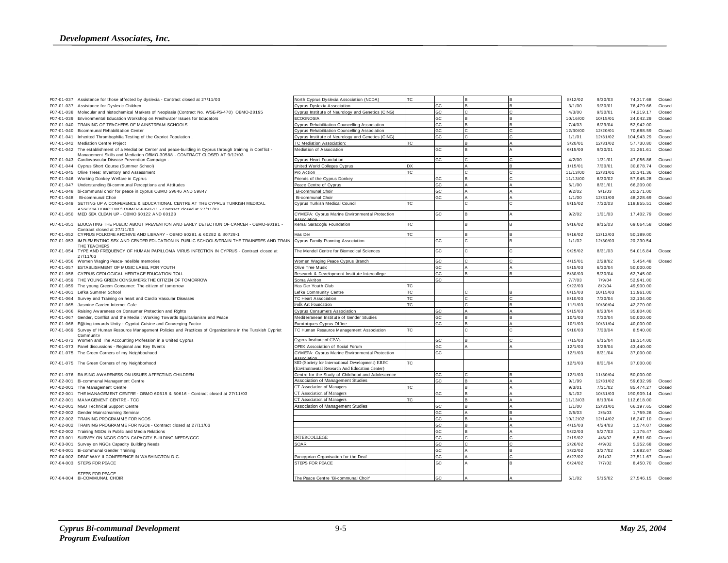|            | P07-01-037 Assistance for those affected by dyslexia - Contract closed at 27/11/03                                           | North Cyprus Dyslexia Association (NCDA)                                                         | TC        |     |   | 8/12/02  | 9/30/03  | 74,317.68  | Closed |
|------------|------------------------------------------------------------------------------------------------------------------------------|--------------------------------------------------------------------------------------------------|-----------|-----|---|----------|----------|------------|--------|
|            | P07-01-037 Assistance for Dyslexic Children                                                                                  | Cyprus Dyslexia Association                                                                      |           |     |   | 3/1/00   | 9/30/01  | 76,479.66  | Closed |
| P07-01-038 | Molecular and histochemical Markers of Neoplasia (Contract No. WSE-PS-470) OBMO-28195                                        | Cyprus Institute of Neurology and Genetics (CING)                                                |           | GC  |   | 4/3/00   | 9/30/01  | 74,219.17  | Closed |
|            | P07-01-039 Environmental Education Workshop on Freshwater Issues for Educators                                               | <b>ECOGNOSIA</b>                                                                                 |           | GC. |   | 10/16/00 | 10/15/01 | 24,042.29  | Closed |
|            | P07-01-040 TRAINING OF TEACHERS OF MAINSTREAM SCHOOLS                                                                        | Cyprus Rehabilitation Councelling Association                                                    |           | GC  | R | 7/4/03   | 6/29/04  | 52,942.00  |        |
| P07-01-040 | Bicommunal Rehabilitation Center                                                                                             | Cyprus Rehabilitation Councelling Association                                                    |           | GC  |   | 12/30/00 | 12/20/01 | 70,688.59  | Closed |
|            | P07-01-041 Inherited Thrombophilia Testing of the Cypriot Population.                                                        | Cyprus Institute of Neurology and Genetics (CING)                                                |           | GC. |   | 1/1/01   | 12/31/02 | 104.943.29 | Closed |
|            | P07-01-042 Mediation Centre Project                                                                                          | <b>TC Mediation Association:</b>                                                                 | ТC        |     |   | 3/20/01  | 12/31/02 | 57,730.80  | Closed |
|            | P07-01-042 The establishment of a Mediation Center and peace-building in Cyprus through training in Conflict -               | Mediation of Association                                                                         |           | GC  |   | 6/15/00  | 9/30/01  | 31,261.61  | Closed |
|            | Management Skills and Mediation ORMO-30588 - CONTRACT CLOSED AT 9/12/03                                                      |                                                                                                  |           |     |   |          |          |            |        |
|            | P07-01-043 Cardiovascular Disease Prevention Campaign                                                                        | Cvprus Heart Foundation                                                                          |           | GC  |   | 4/2/00   | 1/31/01  | 47,056.86  | Closed |
|            | P07-01-044 Cyprus Short Course (Summer School)                                                                               | <b>Jnited World Colleges Cyprus</b>                                                              | DX        |     |   | 1/15/01  | 7/30/01  | 30,878.74  | Closed |
|            | P07-01-045 Olive Trees: Inventory and Assessment                                                                             | Pro Action                                                                                       | ТC        |     |   | 11/13/00 | 12/31/01 | 20,341.36  | Closed |
|            | P07-01-046 Working Donkey Welfare in Cyprus                                                                                  | Friends of the Cyprus Donkey                                                                     |           | GC  |   | 11/13/00 | 6/30/02  | 57,945.28  | Closed |
|            | P07-01-047 Understanding Bi-communal Perceptions and Attitudes                                                               | Peace Centre of Cyprus                                                                           |           | GC. |   | 6/1/00   | 8/31/01  | 66,209.00  |        |
|            | P07-01-048 bi-communal choir for peace in cyprus OBMO 59846 AND 59847                                                        | Bi-communal Choir                                                                                |           | GC  |   | 9/2/02   | 9/1/03   | 20,271.00  |        |
| P07-01-048 | Bi-communal Choir                                                                                                            | Bi-communal Choir                                                                                |           | GC  |   | 1/1/00   | 12/31/00 | 48.228.69  | Closed |
| P07-01-049 | SETTING UP A CONFERENCE & EDUCATIONAL CENTRE AT THE CYPRUS TURKISH MEDICAL                                                   | Cyprus Turkish Medical Council                                                                   | ТC        |     |   | 8/15/02  | 7/30/03  | 118,855.51 | Closed |
|            | ASSOCIATION(CTMC) ORMO-58492-11 - Contract closed at 27/11/03<br>P07-01-050 MED SEA CLEAN UP - OBMO 60122 AND 60123          | CYMEPA: Cyprus Marine Environmental Protection                                                   |           | GC  |   | 9/2/02   | 1/31/03  | 17,402.79  | Closed |
|            |                                                                                                                              | ssociation                                                                                       | ТC        |     |   |          |          |            |        |
|            | P07-01-051 EDUCATING THE PUBLIC ABOUT PREVENTION AND EARLY DETECTION OF CANCER - OBMO-60191 -<br>Contract closed at 27/11/03 | Kemal Saracoglu Foundation                                                                       |           |     |   | 9/16/02  | 9/15/03  | 69,064.58  | Closed |
|            | P07-01-052 CYPRUS FOLKORE ARCHIVE AND LIBRARY - OBMO 60281 & 60282 & 80729-1                                                 | Has Der                                                                                          | ТC        |     |   | 9/16/02  | 12/12/03 | 50,189.00  |        |
|            | P07-01-053 IMPLEMENTING SEX AND GENDER EDUCATION IN PUBLIC SCHOOLS/TRAIN THE TRAINERES AND TRAIN                             | Cyprus Family Planning Association                                                               |           | GC  |   | 1/1/02   | 12/30/03 | 20,230.54  |        |
|            | THE TEACHERS                                                                                                                 |                                                                                                  |           |     |   |          |          |            |        |
|            | P07-01-054 TYPE AND FREQUENCY OF HUMAN PAPILLOMA VIRUS INFECTION IN CYPRUS - Contract closed at<br>27/11/02                  | The Mendel Centre for Biomedical Sciences                                                        |           | GC  |   | 9/25/02  | 8/31/03  | 54,016.84  | Closed |
|            | P07-01-056 Women Waging Peace-Indelible memories                                                                             | Women Waging Peace Cyprus Branch                                                                 |           | GC. |   | 4/15/01  | 2/28/02  | 5,454.48   | Closed |
|            | P07-01-057 ESTABLISHMENT OF MUSIC LABEL FOR YOUTH                                                                            | Olive Tree Music                                                                                 |           | GC  |   | 5/15/03  | 6/30/04  | 50,000.00  |        |
|            | P07-01-058 CYPRUS GEOLOGICAL HERITAGE EDUCATION TOLL                                                                         | Research & Development Institute Intercollege                                                    |           | GC  |   | 5/30/03  | 5/30/04  | 62.745.00  |        |
|            | P07-01-059 THE YOUNG GREEN CONSUMERS: THE CITIZEN OF TOMORROW                                                                | Soma Akriton                                                                                     |           | GC. |   | 7/7/03   | 7/9/04   | 52.941.00  |        |
|            | P07-01-059 The young Greem Consumer: The citizen of tomorrow                                                                 | las Der Youth Club                                                                               | ТC        |     |   | 9/22/03  | 8/2/04   | 49,900.00  |        |
| P07-01-061 | Lefka Summer School                                                                                                          | efke Community Centre                                                                            | <b>TC</b> |     |   | 8/15/03  | 10/15/03 | 11,961.00  |        |
|            | P07-01-064 Survey and Training on heart and Cardio Vascular Diseases                                                         | C Heart Association                                                                              | <b>TC</b> |     |   | 8/10/03  | 7/30/04  | 32,134.00  |        |
|            | P07-01-065 Jasmine Garden Internet Cafe                                                                                      | olk Art Foundation                                                                               | TC.       |     |   | 11/1/03  | 10/30/04 | 42,270.00  |        |
|            | P07-01-066 Raising Awareness on Consumer Protection and Rights                                                               | <b>Cyprus Consumers Association</b>                                                              |           | GC  |   | 9/15/03  | 8/23/04  | 35,804.00  |        |
|            | P07-01-067 Gender, Conflict and the Media: Working Tow ards Egalitarianism and Peace                                         | Mediterranean Institute of Gender Studies                                                        |           | GC  |   | 10/1/03  | 7/30/04  | 50,000.00  |        |
|            | P07-01-068 E@ting towards Unity: Cypriot Cuisine and Converging Factor                                                       | Eurototques Cyprus Office                                                                        |           | GC. |   | 10/1/03  | 10/31/04 | 40,000.00  |        |
| P07-01-069 | Survey of Human Resource Management Policies and Practices of Organizations in the Turskish Cypriot                          | <b>TC Human Resaurce Management Association</b>                                                  | ТC        |     |   | 9/10/03  | 7/30/04  | 8,540.00   |        |
|            | Community                                                                                                                    |                                                                                                  |           |     |   |          |          |            |        |
|            | P07-01-072 Women and The Accounting Profession in a United Cyprus                                                            | Cyprus Institute of CPA's                                                                        |           | GC  |   | 7/15/03  | 6/15/04  | 18,314.00  |        |
|            | P07-01-073 Panel discussions - Regional and Key Events                                                                       | OPEK Association of Social Forum                                                                 |           | GC  |   | 12/1/03  | 3/29/04  | 43,440.00  |        |
|            | P07-01-075 The Green Corners of my Neighbouhood                                                                              | CYMEPA: Cyprus Marine Environmental Protection                                                   |           | GC  |   | 12/1/03  | 8/31/04  | 37,000.00  |        |
|            |                                                                                                                              |                                                                                                  |           |     |   |          |          |            |        |
|            | P07-01-075 The Green Corners of my Neighborhood                                                                              | SID (Society for International Development) EREC<br>Environmental Research And Education Center) | ТC        |     |   | 12/1/03  | 8/31/04  | 37,000.00  |        |
|            |                                                                                                                              |                                                                                                  |           | GC  |   |          |          |            |        |
| P07-01-076 | RAISING AWARENESS ON ISSUES AFFECTING CHILDREN                                                                               | Centre for the Study of Childhood and Adolescence                                                |           |     |   | 12/1/03  | 11/30/04 | 50,000.00  |        |
|            | P07-02-001 Bi-communal Management Centre                                                                                     | Association of Management Studies                                                                |           | GC  |   | 9/1/99   | 12/31/02 | 59,632.99  | Closed |
|            | P07-02-001 The Management Centre                                                                                             | CT Association of Managers                                                                       | TC        |     | Δ | 9/3/01   | 7/31/02  | 85,474.27  | Closed |
| P07-02-001 | THE MANAGEMENT CENTRE - OBMO 60615 & 60616 - Contract closed at 27/11/03                                                     | <b>CT</b> Association af Managers                                                                |           | GC. |   | 8/1/02   | 10/31/03 | 190,909.14 | Closed |
| P07-02-001 | MANAGEMENT CENTRE - TCC                                                                                                      | <b>CT</b> Association af Managers                                                                | TC.       |     | Δ | 11/13/03 | 8/13/04  | 112,618.00 |        |
|            | P07-02-001 NGO Technical Support Centre                                                                                      | Association of Management Studies                                                                |           | GC  |   | 1/1/00   | 12/31/01 | 66,197.65  | Closed |
|            | P07-02-002 Gender Mainstreaming Seminar                                                                                      |                                                                                                  |           | GC  |   | 2/5/03   | 2/5/03   | 1,759.26   | Closed |
|            | P07-02-002 TRAINING PROGRAMME FOR NGOS                                                                                       |                                                                                                  |           | GC  |   | 10/12/02 | 12/14/02 | 16,247.10  | Closed |
| P07-02-002 | TRAINING PROGRAMME FOR NGOs - Contract closed at 27/11/03                                                                    |                                                                                                  |           | GC  |   | 4/15/03  | 4/24/03  | 1,574.07   | Closed |
|            | P07-02-002 Training NGOs in Public and Media Relations                                                                       |                                                                                                  |           | GC. |   | 5/22/03  | 5/27/03  | 1.176.47   | Closed |
| P07-03-001 | SURVEY ON NGOS ORGN.CAPACITY BUILDING NEEDS/GCC                                                                              | <b>NTERCOLLEGE</b>                                                                               |           | GC  |   | 2/19/02  | 4/8/02   | 6,561.60   | Closed |
| P07-03-001 | Survey on NGOs Capacity Building Needs                                                                                       | SOAR                                                                                             |           | GC  |   | 2/26/02  | 4/9/02   | 5,352.68   | Closed |
| P07-04-001 | Bi-communal Gender Training                                                                                                  |                                                                                                  |           | GC  |   | 3/22/02  | 3/27/02  | 1,682.67   | Closed |
|            | P07-04-002 DEAF WAY II CONFERENCE IN WASHINGTON D.C.                                                                         | Pancyprian Organisation for the Deaf                                                             |           | GC  | r | 6/27/02  | 8/1/02   | 27,511.67  | Closed |
|            | P07-04-003 STEPS FOR PEACE                                                                                                   | STEPS FOR PEACE                                                                                  |           | GC  |   | 6/24/02  | 7/7/02   | 8,450.70   | Closed |
|            |                                                                                                                              |                                                                                                  |           |     |   |          |          |            |        |
|            | STEDS EOR REACE<br>P07-04-004 BI-COMMUNAL CHOIR                                                                              |                                                                                                  |           | GC  |   |          |          |            |        |
|            |                                                                                                                              | The Peace Centre 'Bi-communal Choir                                                              |           |     |   | 5/1/02   | 5/15/02  | 27,546.15  | Closed |